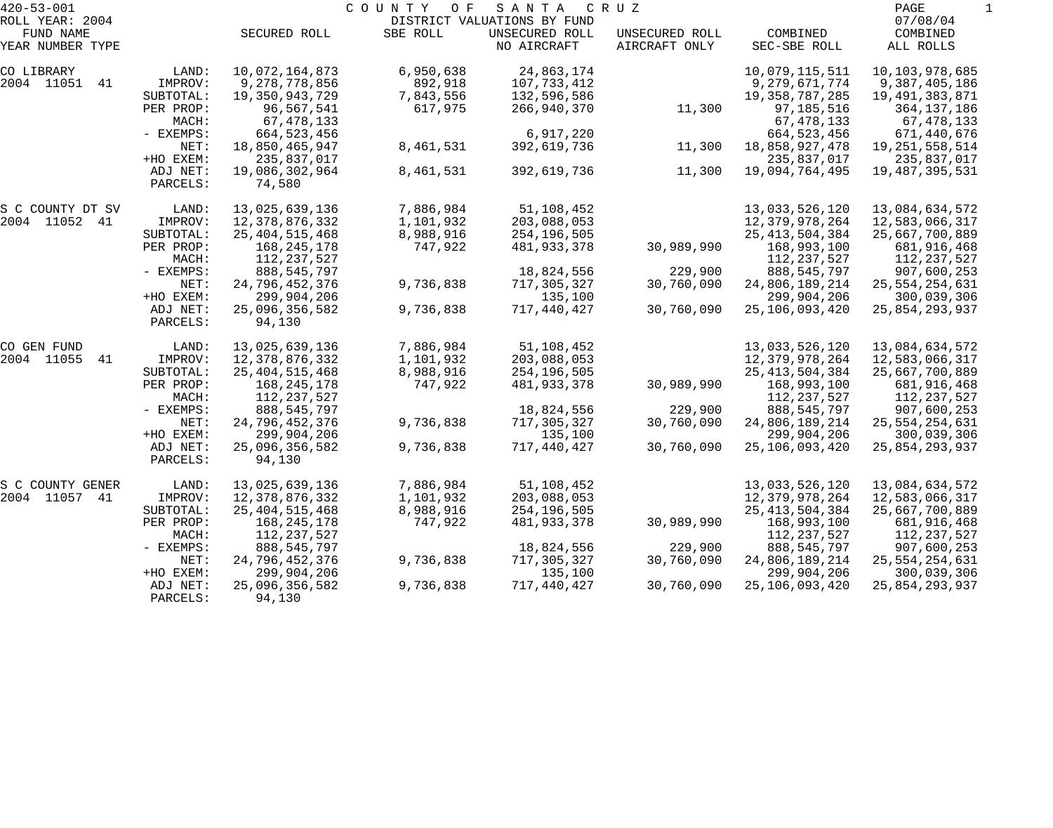| $420 - 53 - 001$ |             |                   | COUNTY<br>O F | SANTA                       | C R U Z        |                   | PAGE              |  |
|------------------|-------------|-------------------|---------------|-----------------------------|----------------|-------------------|-------------------|--|
| ROLL YEAR: 2004  |             |                   |               | DISTRICT VALUATIONS BY FUND |                |                   | 07/08/04          |  |
| FUND NAME        |             | SECURED ROLL      | SBE ROLL      | UNSECURED ROLL              | UNSECURED ROLL | COMBINED          | COMBINED          |  |
| YEAR NUMBER TYPE |             |                   |               | NO AIRCRAFT                 | AIRCRAFT ONLY  | SEC-SBE ROLL      | ALL ROLLS         |  |
| CO LIBRARY       | LAND:       | 10,072,164,873    | 6,950,638     | 24,863,174                  |                | 10,079,115,511    | 10,103,978,685    |  |
| 2004 11051<br>41 | IMPROV:     | 9,278,778,856     | 892,918       | 107,733,412                 |                | 9,279,671,774     | 9,387,405,186     |  |
|                  | SUBTOTAL:   | 19,350,943,729    | 7,843,556     | 132,596,586                 |                | 19, 358, 787, 285 | 19,491,383,871    |  |
|                  | PER PROP:   | 96,567,541        | 617,975       | 266,940,370                 | 11,300         | 97,185,516        | 364, 137, 186     |  |
|                  | MACH:       | 67,478,133        |               |                             |                | 67,478,133        | 67,478,133        |  |
|                  | - EXEMPS:   | 664, 523, 456     |               | 6,917,220                   |                | 664, 523, 456     | 671,440,676       |  |
|                  | NET:        | 18,850,465,947    | 8,461,531     | 392,619,736                 | 11,300         | 18,858,927,478    | 19, 251, 558, 514 |  |
|                  | +HO EXEM:   | 235,837,017       |               |                             |                | 235,837,017       | 235,837,017       |  |
|                  | ADJ NET:    | 19,086,302,964    | 8,461,531     | 392,619,736                 | 11,300         | 19,094,764,495    | 19,487,395,531    |  |
|                  | PARCELS:    | 74,580            |               |                             |                |                   |                   |  |
| S C COUNTY DT SV | LAND:       | 13,025,639,136    | 7,886,984     | 51,108,452                  |                | 13,033,526,120    | 13,084,634,572    |  |
| 2004 11052 41    | IMPROV:     | 12,378,876,332    | 1,101,932     | 203,088,053                 |                | 12,379,978,264    | 12,583,066,317    |  |
|                  | SUBTOTAL:   | 25, 404, 515, 468 | 8,988,916     | 254,196,505                 |                | 25, 413, 504, 384 | 25,667,700,889    |  |
|                  | PER PROP:   | 168,245,178       | 747,922       | 481,933,378                 | 30,989,990     | 168,993,100       | 681,916,468       |  |
|                  | MACH:       | 112,237,527       |               |                             |                | 112,237,527       | 112,237,527       |  |
|                  | - EXEMPS:   | 888,545,797       |               | 18,824,556                  | 229,900        | 888, 545, 797     | 907,600,253       |  |
|                  | NET:        | 24,796,452,376    | 9,736,838     | 717,305,327                 | 30,760,090     | 24,806,189,214    | 25, 554, 254, 631 |  |
|                  | +HO EXEM:   | 299,904,206       |               | 135,100                     |                | 299,904,206       | 300,039,306       |  |
|                  | ADJ NET:    | 25,096,356,582    | 9,736,838     | 717,440,427                 | 30,760,090     | 25,106,093,420    | 25,854,293,937    |  |
|                  | PARCELS:    | 94,130            |               |                             |                |                   |                   |  |
| CO GEN FUND      | LAND:       | 13,025,639,136    | 7,886,984     | 51,108,452                  |                | 13,033,526,120    | 13,084,634,572    |  |
| 2004 11055<br>41 | IMPROV:     | 12,378,876,332    | 1,101,932     | 203,088,053                 |                | 12,379,978,264    | 12,583,066,317    |  |
|                  | SUBTOTAL:   | 25, 404, 515, 468 | 8,988,916     | 254,196,505                 |                | 25, 413, 504, 384 | 25,667,700,889    |  |
|                  | PER PROP:   | 168,245,178       | 747,922       | 481,933,378                 | 30,989,990     | 168,993,100       | 681,916,468       |  |
|                  | MACH:       | 112,237,527       |               |                             |                | 112,237,527       | 112,237,527       |  |
|                  | - EXEMPS:   | 888,545,797       |               | 18,824,556                  | 229,900        | 888, 545, 797     | 907,600,253       |  |
|                  | NET:        | 24,796,452,376    | 9,736,838     | 717,305,327                 | 30,760,090     | 24,806,189,214    | 25, 554, 254, 631 |  |
|                  | +HO EXEM:   | 299,904,206       |               | 135,100                     |                | 299,904,206       | 300,039,306       |  |
|                  | ADJ NET:    | 25,096,356,582    | 9,736,838     | 717,440,427                 | 30,760,090     | 25,106,093,420    | 25,854,293,937    |  |
|                  | PARCELS:    | 94,130            |               |                             |                |                   |                   |  |
| S C COUNTY GENER | LAND:       | 13,025,639,136    | 7,886,984     | 51,108,452                  |                | 13,033,526,120    | 13,084,634,572    |  |
| 2004 11057<br>41 | IMPROV:     | 12,378,876,332    | 1,101,932     | 203,088,053                 |                | 12,379,978,264    | 12,583,066,317    |  |
|                  | SUBTOTAL:   | 25, 404, 515, 468 | 8,988,916     | 254,196,505                 |                | 25, 413, 504, 384 | 25,667,700,889    |  |
|                  | PER PROP:   | 168,245,178       | 747,922       | 481,933,378                 | 30,989,990     | 168,993,100       | 681,916,468       |  |
|                  | MACH:       | 112,237,527       |               |                             |                | 112, 237, 527     | 112,237,527       |  |
|                  | $-$ EXEMPS: | 888,545,797       |               | 18,824,556                  | 229,900        | 888, 545, 797     | 907,600,253       |  |
|                  | NET:        | 24,796,452,376    | 9,736,838     | 717,305,327                 | 30,760,090     | 24,806,189,214    | 25, 554, 254, 631 |  |
|                  | +HO EXEM:   | 299,904,206       |               | 135,100                     |                | 299,904,206       | 300,039,306       |  |
|                  | ADJ NET:    | 25,096,356,582    | 9,736,838     | 717,440,427                 | 30,760,090     | 25,106,093,420    | 25,854,293,937    |  |
|                  | PARCELS:    | 94,130            |               |                             |                |                   |                   |  |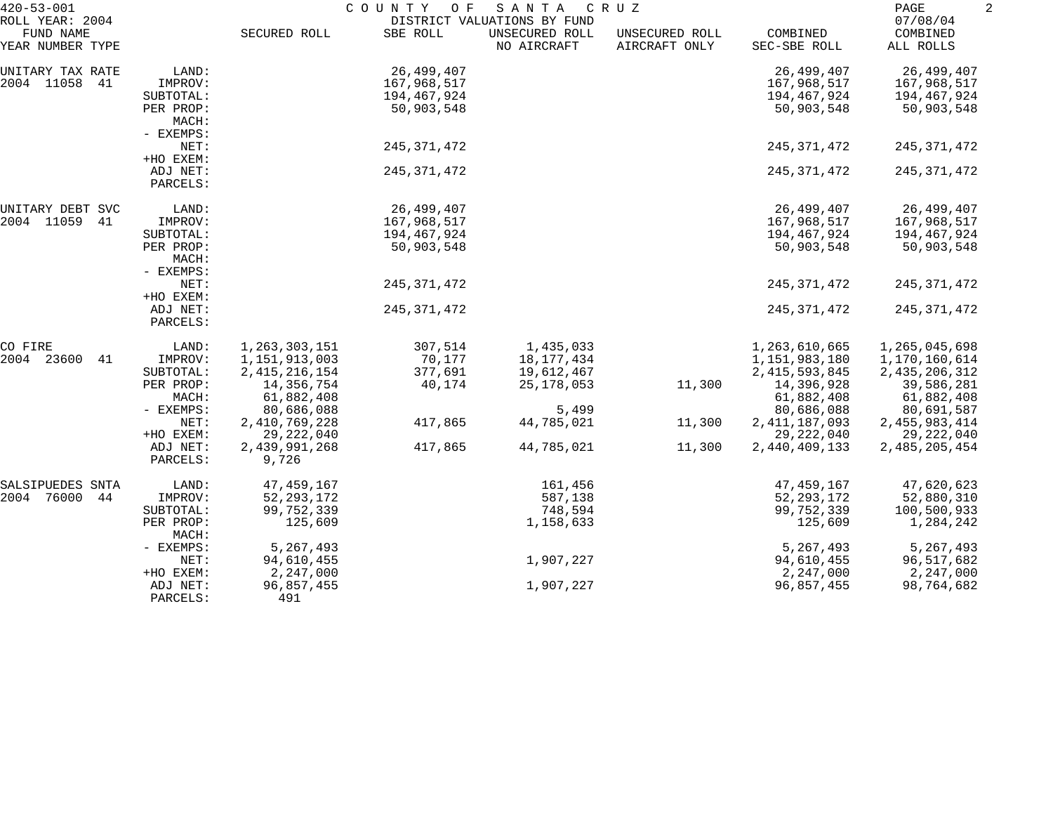| $420 - 53 - 001$<br>ROLL YEAR: 2004 |                                 |                  | COUNTY<br>O F | SANTA<br>DISTRICT VALUATIONS BY FUND | C R U Z                         |                          | PAGE<br>07/08/04      |  |
|-------------------------------------|---------------------------------|------------------|---------------|--------------------------------------|---------------------------------|--------------------------|-----------------------|--|
| FUND NAME<br>YEAR NUMBER TYPE       |                                 | SECURED ROLL     | SBE ROLL      | UNSECURED ROLL<br>NO AIRCRAFT        | UNSECURED ROLL<br>AIRCRAFT ONLY | COMBINED<br>SEC-SBE ROLL | COMBINED<br>ALL ROLLS |  |
| UNITARY TAX RATE                    | LAND:                           |                  | 26,499,407    |                                      |                                 | 26,499,407               | 26,499,407            |  |
| 2004 11058<br>41                    | IMPROV:                         |                  | 167,968,517   |                                      |                                 | 167,968,517              | 167,968,517           |  |
|                                     | SUBTOTAL:                       |                  | 194,467,924   |                                      |                                 | 194,467,924              | 194,467,924           |  |
|                                     | PER PROP:<br>MACH:<br>- EXEMPS: |                  | 50,903,548    |                                      |                                 | 50,903,548               | 50,903,548            |  |
|                                     | NET:                            |                  | 245,371,472   |                                      |                                 | 245, 371, 472            | 245, 371, 472         |  |
|                                     | +HO EXEM:                       |                  |               |                                      |                                 |                          |                       |  |
|                                     | ADJ NET:                        |                  | 245, 371, 472 |                                      |                                 | 245, 371, 472            | 245, 371, 472         |  |
|                                     | PARCELS:                        |                  |               |                                      |                                 |                          |                       |  |
| UNITARY DEBT SVC                    | LAND:                           |                  | 26,499,407    |                                      |                                 | 26,499,407               | 26,499,407            |  |
| 2004 11059<br>41                    | IMPROV:                         |                  | 167,968,517   |                                      |                                 | 167,968,517              | 167,968,517           |  |
|                                     | SUBTOTAL:                       |                  | 194,467,924   |                                      |                                 | 194,467,924              | 194,467,924           |  |
|                                     | PER PROP:                       |                  | 50,903,548    |                                      |                                 | 50,903,548               | 50,903,548            |  |
|                                     | MACH:                           |                  |               |                                      |                                 |                          |                       |  |
|                                     | - EXEMPS:                       |                  |               |                                      |                                 |                          |                       |  |
|                                     | NET:                            |                  | 245, 371, 472 |                                      |                                 | 245, 371, 472            | 245, 371, 472         |  |
|                                     | +HO EXEM:<br>ADJ NET:           |                  | 245, 371, 472 |                                      |                                 | 245, 371, 472            | 245,371,472           |  |
|                                     | PARCELS:                        |                  |               |                                      |                                 |                          |                       |  |
| CO FIRE                             | LAND:                           | 1,263,303,151    | 307,514       | 1,435,033                            |                                 | 1,263,610,665            | 1,265,045,698         |  |
| 2004 23600<br>41                    | IMPROV:                         | 1,151,913,003    | 70,177        | 18, 177, 434                         |                                 | 1,151,983,180            | 1,170,160,614         |  |
|                                     | SUBTOTAL:                       | 2, 415, 216, 154 | 377,691       | 19,612,467                           |                                 | 2, 415, 593, 845         | 2, 435, 206, 312      |  |
|                                     | PER PROP:                       | 14,356,754       | 40,174        | 25, 178, 053                         | 11,300                          | 14,396,928               | 39,586,281            |  |
|                                     | MACH:                           | 61,882,408       |               |                                      |                                 | 61,882,408               | 61,882,408            |  |
|                                     | - EXEMPS:                       | 80,686,088       |               | 5,499                                |                                 | 80,686,088               | 80,691,587            |  |
|                                     | NET:                            | 2,410,769,228    | 417,865       | 44,785,021                           | 11,300                          | 2, 411, 187, 093         | 2, 455, 983, 414      |  |
|                                     | +HO EXEM:                       | 29, 222, 040     |               |                                      |                                 | 29, 222, 040             | 29, 222, 040          |  |
|                                     | ADJ NET:                        | 2,439,991,268    | 417,865       | 44,785,021                           | 11,300                          | 2,440,409,133            | 2,485,205,454         |  |
|                                     | PARCELS:                        | 9,726            |               |                                      |                                 |                          |                       |  |
| SALSIPUEDES SNTA                    | LAND:                           | 47, 459, 167     |               | 161,456                              |                                 | 47, 459, 167             | 47,620,623            |  |
| 2004 76000<br>44                    | IMPROV:                         | 52, 293, 172     |               | 587,138                              |                                 | 52, 293, 172             | 52,880,310            |  |
|                                     | SUBTOTAL:                       | 99,752,339       |               | 748,594                              |                                 | 99,752,339               | 100,500,933           |  |
|                                     | PER PROP:<br>MACH:              | 125,609          |               | 1,158,633                            |                                 | 125,609                  | 1,284,242             |  |
|                                     | - EXEMPS:                       | 5,267,493        |               |                                      |                                 | 5,267,493                | 5,267,493             |  |
|                                     | NET:                            | 94,610,455       |               | 1,907,227                            |                                 | 94,610,455               | 96,517,682            |  |
|                                     | +HO EXEM:                       | 2,247,000        |               |                                      |                                 | 2,247,000                | 2,247,000             |  |
|                                     | ADJ NET:                        | 96,857,455       |               | 1,907,227                            |                                 | 96,857,455               | 98,764,682            |  |
|                                     | PARCELS:                        | 491              |               |                                      |                                 |                          |                       |  |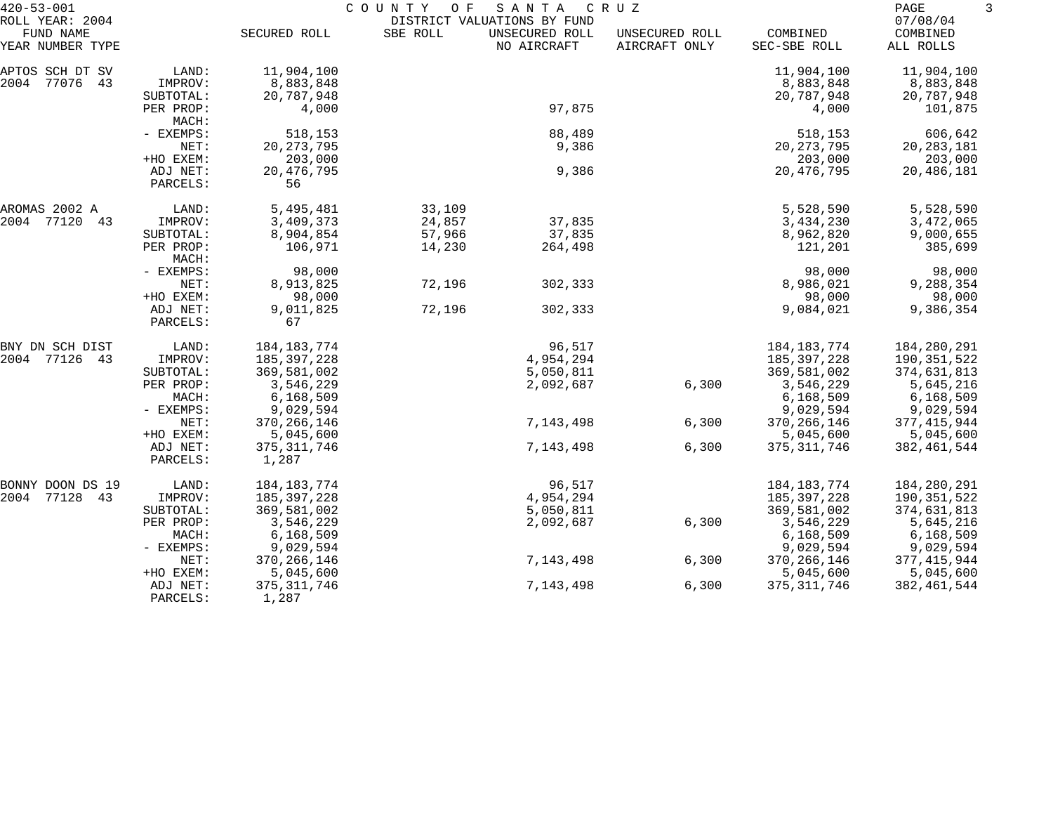| $420 - 53 - 001$                                 |                      |                        | COUNTY<br>O F | SANTA                                                        | C R U Z                         |                          | 3<br>PAGE                         |  |
|--------------------------------------------------|----------------------|------------------------|---------------|--------------------------------------------------------------|---------------------------------|--------------------------|-----------------------------------|--|
| ROLL YEAR: 2004<br>FUND NAME<br>YEAR NUMBER TYPE |                      | SECURED ROLL           | SBE ROLL      | DISTRICT VALUATIONS BY FUND<br>UNSECURED ROLL<br>NO AIRCRAFT | UNSECURED ROLL<br>AIRCRAFT ONLY | COMBINED<br>SEC-SBE ROLL | 07/08/04<br>COMBINED<br>ALL ROLLS |  |
| APTOS SCH DT SV                                  | LAND:                | 11,904,100             |               |                                                              |                                 | 11,904,100               | 11,904,100                        |  |
| 2004 77076 43                                    | IMPROV:              | 8,883,848              |               |                                                              |                                 | 8,883,848                | 8,883,848                         |  |
|                                                  | SUBTOTAL:            | 20,787,948             |               |                                                              |                                 | 20,787,948               | 20,787,948                        |  |
|                                                  | PER PROP:<br>MACH:   | 4,000                  |               | 97,875                                                       |                                 | 4,000                    | 101,875                           |  |
|                                                  | - EXEMPS:            | 518,153                |               | 88,489                                                       |                                 | 518,153                  | 606,642                           |  |
|                                                  | NET:                 | 20, 273, 795           |               | 9,386                                                        |                                 | 20, 273, 795             | 20, 283, 181                      |  |
|                                                  | +HO EXEM:            | 203,000                |               |                                                              |                                 | 203,000                  | 203,000                           |  |
|                                                  | ADJ NET:<br>PARCELS: | 20, 476, 795<br>56     |               | 9,386                                                        |                                 | 20, 476, 795             | 20,486,181                        |  |
| AROMAS 2002 A                                    | LAND:                | 5,495,481              | 33,109        |                                                              |                                 | 5,528,590                | 5,528,590                         |  |
| 2004 77120<br>43                                 | IMPROV:              | 3,409,373              | 24,857        | 37,835                                                       |                                 | 3,434,230                | 3,472,065                         |  |
|                                                  | SUBTOTAL:            | 8,904,854              | 57,966        | 37,835                                                       |                                 | 8,962,820                | 9,000,655                         |  |
|                                                  | PER PROP:<br>MACH:   | 106,971                | 14,230        | 264,498                                                      |                                 | 121,201                  | 385,699                           |  |
|                                                  | - EXEMPS:            | 98,000                 |               |                                                              |                                 | 98,000                   | 98,000                            |  |
|                                                  | NET:                 | 8,913,825              | 72,196        | 302,333                                                      |                                 | 8,986,021                | 9,288,354                         |  |
|                                                  | +HO EXEM:            | 98,000                 |               |                                                              |                                 | 98,000                   | 98,000                            |  |
|                                                  | ADJ NET:<br>PARCELS: | 9,011,825<br>67        | 72,196        | 302,333                                                      |                                 | 9,084,021                | 9,386,354                         |  |
| BNY DN SCH DIST                                  | LAND:                | 184, 183, 774          |               | 96,517                                                       |                                 | 184, 183, 774            | 184,280,291                       |  |
| 2004 77126<br>43                                 | IMPROV:              | 185,397,228            |               | 4,954,294                                                    |                                 | 185, 397, 228            | 190,351,522                       |  |
|                                                  | SUBTOTAL:            | 369,581,002            |               | 5,050,811                                                    |                                 | 369,581,002              | 374,631,813                       |  |
|                                                  | PER PROP:            | 3,546,229              |               | 2,092,687                                                    | 6,300                           | 3,546,229                | 5,645,216                         |  |
|                                                  | MACH:                | 6,168,509              |               |                                                              |                                 | 6,168,509                | 6,168,509                         |  |
|                                                  | - EXEMPS:            | 9,029,594              |               |                                                              |                                 | 9,029,594                | 9,029,594                         |  |
|                                                  | NET:                 | 370, 266, 146          |               | 7,143,498                                                    | 6,300                           | 370, 266, 146            | 377, 415, 944                     |  |
|                                                  | +HO EXEM:            | 5,045,600              |               |                                                              |                                 | 5,045,600                | 5,045,600                         |  |
|                                                  | ADJ NET:<br>PARCELS: | 375, 311, 746<br>1,287 |               | 7,143,498                                                    | 6,300                           | 375, 311, 746            | 382, 461, 544                     |  |
| BONNY DOON DS 19                                 | LAND:                | 184, 183, 774          |               | 96,517                                                       |                                 | 184, 183, 774            | 184,280,291                       |  |
| 2004 77128<br>43                                 | IMPROV:              | 185,397,228            |               | 4,954,294                                                    |                                 | 185, 397, 228            | 190,351,522                       |  |
|                                                  | SUBTOTAL:            | 369,581,002            |               | 5,050,811                                                    |                                 | 369,581,002              | 374,631,813                       |  |
|                                                  | PER PROP:            | 3,546,229              |               | 2,092,687                                                    | 6,300                           | 3,546,229                | 5,645,216                         |  |
|                                                  | MACH:                | 6, 168, 509            |               |                                                              |                                 | 6, 168, 509              | 6,168,509                         |  |
|                                                  | - EXEMPS:            | 9,029,594              |               |                                                              |                                 | 9,029,594                | 9,029,594                         |  |
|                                                  | NET:                 | 370, 266, 146          |               | 7,143,498                                                    | 6,300                           | 370, 266, 146            | 377, 415, 944                     |  |
|                                                  | +HO EXEM:            | 5,045,600              |               |                                                              |                                 | 5,045,600                | 5,045,600                         |  |
|                                                  | ADJ NET:<br>PARCELS: | 375, 311, 746<br>1,287 |               | 7,143,498                                                    | 6,300                           | 375, 311, 746            | 382, 461, 544                     |  |
|                                                  |                      |                        |               |                                                              |                                 |                          |                                   |  |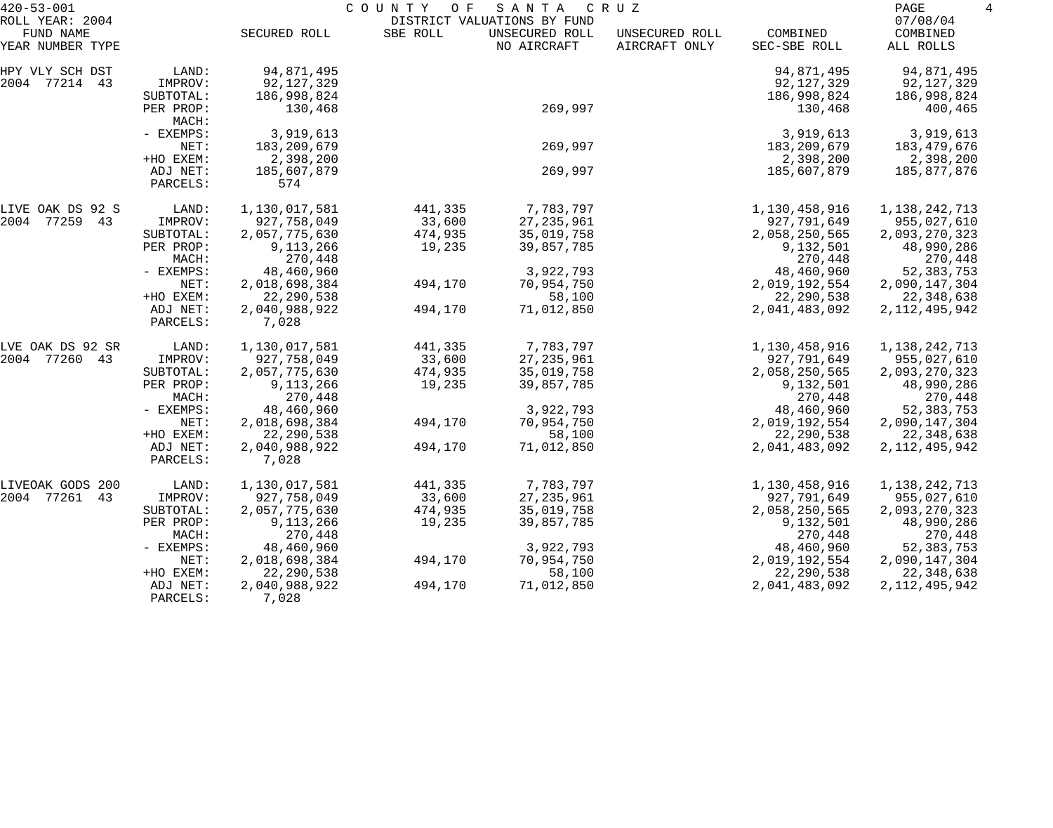| $420 - 53 - 001$             |                      |                        | COUNTY<br>O F | SANTA                                         | C R U Z        |               | PAGE<br>4            |
|------------------------------|----------------------|------------------------|---------------|-----------------------------------------------|----------------|---------------|----------------------|
| ROLL YEAR: 2004<br>FUND NAME |                      | SECURED ROLL           | SBE ROLL      | DISTRICT VALUATIONS BY FUND<br>UNSECURED ROLL | UNSECURED ROLL | COMBINED      | 07/08/04<br>COMBINED |
| YEAR NUMBER TYPE             |                      |                        |               | NO AIRCRAFT                                   | AIRCRAFT ONLY  | SEC-SBE ROLL  | ALL ROLLS            |
| HPY VLY SCH DST              | LAND:                | 94,871,495             |               |                                               |                | 94,871,495    | 94,871,495           |
| 2004 77214 43                | IMPROV:              | 92, 127, 329           |               |                                               |                | 92,127,329    | 92,127,329           |
|                              | SUBTOTAL:            | 186,998,824            |               |                                               |                | 186,998,824   | 186,998,824          |
|                              | PER PROP:<br>MACH:   | 130,468                |               | 269,997                                       |                | 130,468       | 400,465              |
|                              | - EXEMPS:            | 3,919,613              |               |                                               |                | 3,919,613     | 3,919,613            |
|                              | NET:                 | 183,209,679            |               | 269,997                                       |                | 183, 209, 679 | 183,479,676          |
|                              | +HO EXEM:            | 2,398,200              |               |                                               |                | 2,398,200     | 2,398,200            |
|                              | ADJ NET:<br>PARCELS: | 185,607,879<br>574     |               | 269,997                                       |                | 185,607,879   | 185,877,876          |
| LIVE OAK DS 92 S             | LAND:                | 1,130,017,581          | 441,335       | 7,783,797                                     |                | 1,130,458,916 | 1,138,242,713        |
| 2004 77259 43                | IMPROV:              | 927,758,049            | 33,600        | 27, 235, 961                                  |                | 927,791,649   | 955,027,610          |
|                              | SUBTOTAL:            | 2,057,775,630          | 474,935       | 35,019,758                                    |                | 2,058,250,565 | 2,093,270,323        |
|                              | PER PROP:            | 9,113,266              | 19,235        | 39,857,785                                    |                | 9,132,501     | 48,990,286           |
|                              | MACH:                | 270,448                |               |                                               |                | 270,448       | 270,448              |
|                              | - EXEMPS:            | 48,460,960             |               | 3,922,793                                     |                | 48,460,960    | 52, 383, 753         |
|                              | NET:                 | 2,018,698,384          | 494,170       | 70,954,750                                    |                | 2,019,192,554 | 2,090,147,304        |
|                              | +HO EXEM:            | 22, 290, 538           |               | 58,100                                        |                | 22, 290, 538  | 22,348,638           |
|                              | ADJ NET:<br>PARCELS: | 2,040,988,922<br>7,028 | 494,170       | 71,012,850                                    |                | 2,041,483,092 | 2, 112, 495, 942     |
| LVE OAK DS 92 SR             | LAND:                | 1,130,017,581          | 441,335       | 7,783,797                                     |                | 1,130,458,916 | 1, 138, 242, 713     |
| 2004 77260 43                | IMPROV:              | 927,758,049            | 33,600        | 27, 235, 961                                  |                | 927,791,649   | 955,027,610          |
|                              | SUBTOTAL:            | 2,057,775,630          | 474,935       | 35,019,758                                    |                | 2,058,250,565 | 2,093,270,323        |
|                              | PER PROP:            | 9,113,266              | 19,235        | 39,857,785                                    |                | 9,132,501     | 48,990,286           |
|                              | MACH:                | 270,448                |               |                                               |                | 270,448       | 270,448              |
|                              | - EXEMPS:            | 48,460,960             |               | 3,922,793                                     |                | 48,460,960    | 52, 383, 753         |
|                              | NET:                 | 2,018,698,384          | 494,170       | 70,954,750                                    |                | 2,019,192,554 | 2,090,147,304        |
|                              | +HO EXEM:            | 22, 290, 538           |               | 58,100                                        |                | 22, 290, 538  | 22,348,638           |
|                              | ADJ NET:<br>PARCELS: | 2,040,988,922<br>7,028 | 494,170       | 71,012,850                                    |                | 2,041,483,092 | 2, 112, 495, 942     |
| LIVEOAK GODS 200             | LAND:                | 1,130,017,581          | 441,335       | 7,783,797                                     |                | 1,130,458,916 | 1,138,242,713        |
| 2004 77261<br>43             | IMPROV:              | 927,758,049            | 33,600        | 27, 235, 961                                  |                | 927,791,649   | 955,027,610          |
|                              | SUBTOTAL:            | 2,057,775,630          | 474,935       | 35,019,758                                    |                | 2,058,250,565 | 2,093,270,323        |
|                              | PER PROP:            | 9,113,266              | 19,235        | 39,857,785                                    |                | 9,132,501     | 48,990,286           |
|                              | MACH:                | 270,448                |               |                                               |                | 270,448       | 270,448              |
|                              | - EXEMPS:            | 48,460,960             |               | 3,922,793                                     |                | 48,460,960    | 52, 383, 753         |
|                              | NET:                 | 2,018,698,384          | 494,170       | 70,954,750                                    |                | 2,019,192,554 | 2,090,147,304        |
|                              | +HO EXEM:            | 22, 290, 538           |               | 58,100                                        |                | 22, 290, 538  | 22,348,638           |
|                              | ADJ NET:<br>PARCELS: | 2,040,988,922<br>7,028 | 494,170       | 71,012,850                                    |                | 2,041,483,092 | 2, 112, 495, 942     |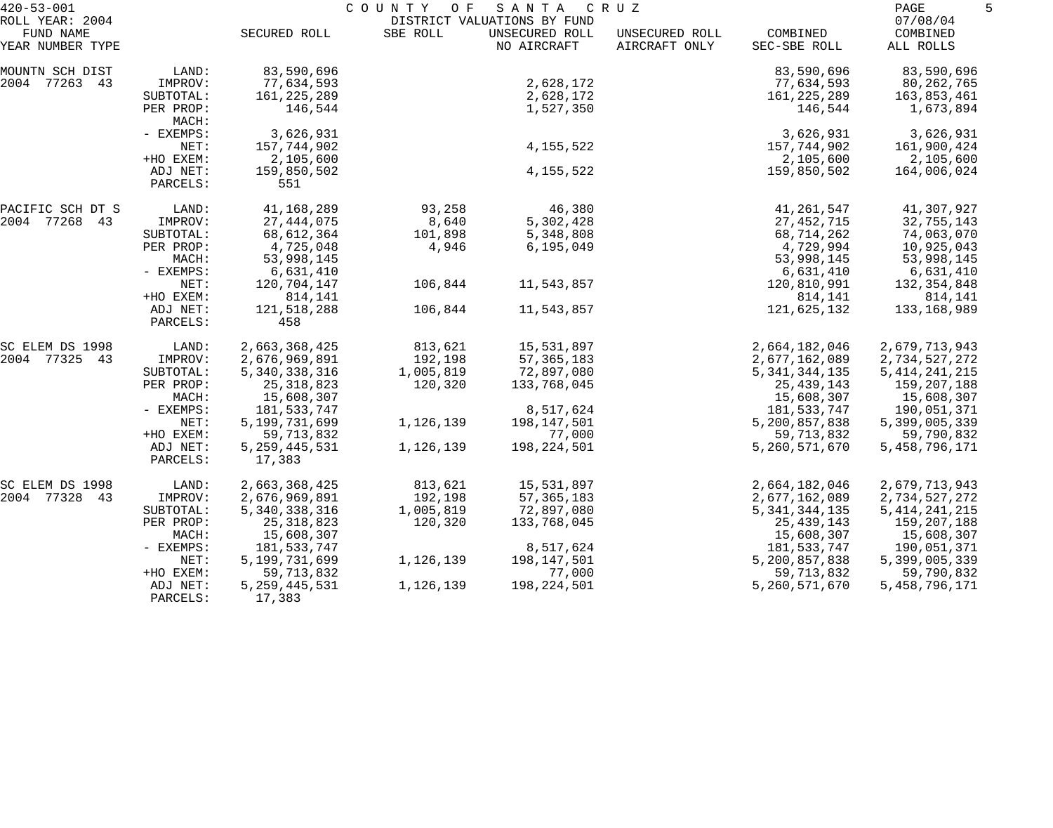| $420 - 53 - 001$                                 |                        |                            | COUNTY<br>O F | SANTA                                                        | C R U Z                         |                          | PAGE                              | 5 |
|--------------------------------------------------|------------------------|----------------------------|---------------|--------------------------------------------------------------|---------------------------------|--------------------------|-----------------------------------|---|
| ROLL YEAR: 2004<br>FUND NAME<br>YEAR NUMBER TYPE |                        | SECURED ROLL               | SBE ROLL      | DISTRICT VALUATIONS BY FUND<br>UNSECURED ROLL<br>NO AIRCRAFT | UNSECURED ROLL<br>AIRCRAFT ONLY | COMBINED<br>SEC-SBE ROLL | 07/08/04<br>COMBINED<br>ALL ROLLS |   |
|                                                  |                        |                            |               |                                                              |                                 |                          |                                   |   |
| MOUNTN SCH DIST                                  | LAND:                  | 83,590,696                 |               |                                                              |                                 | 83,590,696               | 83,590,696                        |   |
| 2004 77263 43                                    | IMPROV:                | 77,634,593                 |               | 2,628,172                                                    |                                 | 77,634,593               | 80,262,765                        |   |
|                                                  | SUBTOTAL:<br>PER PROP: | 161,225,289<br>146,544     |               | 2,628,172<br>1,527,350                                       |                                 | 161, 225, 289<br>146,544 | 163,853,461<br>1,673,894          |   |
|                                                  | MACH:                  |                            |               |                                                              |                                 |                          |                                   |   |
|                                                  | - EXEMPS:              | 3,626,931                  |               |                                                              |                                 | 3,626,931                | 3,626,931                         |   |
|                                                  | NET:                   | 157,744,902                |               | 4, 155, 522                                                  |                                 | 157,744,902              | 161,900,424                       |   |
|                                                  | +HO EXEM:              | 2,105,600                  |               |                                                              |                                 | 2,105,600                | 2,105,600                         |   |
|                                                  | ADJ NET:<br>PARCELS:   | 159,850,502<br>551         |               | 4, 155, 522                                                  |                                 | 159,850,502              | 164,006,024                       |   |
| PACIFIC SCH DT S                                 | LAND:                  | 41,168,289                 | 93,258        | 46,380                                                       |                                 | 41,261,547               | 41,307,927                        |   |
| 2004 77268 43                                    | IMPROV:                | 27, 444, 075               | 8,640         | 5,302,428                                                    |                                 | 27, 452, 715             | 32,755,143                        |   |
|                                                  | SUBTOTAL:              | 68, 612, 364               | 101,898       | 5,348,808                                                    |                                 | 68,714,262               | 74,063,070                        |   |
|                                                  | PER PROP:              | 4,725,048                  | 4,946         | 6, 195, 049                                                  |                                 | 4,729,994                | 10,925,043                        |   |
|                                                  | MACH:                  | 53,998,145                 |               |                                                              |                                 | 53,998,145               | 53,998,145                        |   |
|                                                  | - EXEMPS:              | 6,631,410                  |               |                                                              |                                 | 6,631,410                | 6,631,410                         |   |
|                                                  | NET:                   | 120,704,147                | 106,844       | 11,543,857                                                   |                                 | 120,810,991              | 132, 354, 848                     |   |
|                                                  | +HO EXEM:              | 814,141                    |               |                                                              |                                 | 814,141                  | 814,141                           |   |
|                                                  | ADJ NET:<br>PARCELS:   | 121,518,288<br>458         | 106,844       | 11,543,857                                                   |                                 | 121,625,132              | 133,168,989                       |   |
| SC ELEM DS 1998                                  | LAND:                  | 2,663,368,425              | 813,621       | 15,531,897                                                   |                                 | 2,664,182,046            | 2,679,713,943                     |   |
| 2004 77325 43                                    | IMPROV:                | 2,676,969,891              | 192,198       | 57, 365, 183                                                 |                                 | 2,677,162,089            | 2,734,527,272                     |   |
|                                                  | SUBTOTAL:              | 5, 340, 338, 316           | 1,005,819     | 72,897,080                                                   |                                 | 5, 341, 344, 135         | 5, 414, 241, 215                  |   |
|                                                  | PER PROP:              | 25, 318, 823               | 120,320       | 133,768,045                                                  |                                 | 25, 439, 143             | 159,207,188                       |   |
|                                                  | MACH:                  | 15,608,307                 |               |                                                              |                                 | 15,608,307               | 15,608,307                        |   |
|                                                  | - EXEMPS:              | 181,533,747                |               | 8,517,624                                                    |                                 | 181,533,747              | 190,051,371                       |   |
|                                                  | NET:                   | 5,199,731,699              | 1,126,139     | 198,147,501                                                  |                                 | 5,200,857,838            | 5,399,005,339                     |   |
|                                                  | +HO EXEM:              | 59, 713, 832               |               | 77,000                                                       |                                 | 59,713,832               | 59,790,832                        |   |
|                                                  | ADJ NET:<br>PARCELS:   | 5, 259, 445, 531<br>17,383 | 1,126,139     | 198,224,501                                                  |                                 | 5,260,571,670            | 5,458,796,171                     |   |
| SC ELEM DS 1998                                  | LAND:                  | 2,663,368,425              | 813,621       | 15,531,897                                                   |                                 | 2,664,182,046            | 2,679,713,943                     |   |
| 2004 77328 43                                    | IMPROV:                | 2,676,969,891              | 192,198       | 57,365,183                                                   |                                 | 2,677,162,089            | 2,734,527,272                     |   |
|                                                  | SUBTOTAL:              | 5, 340, 338, 316           | 1,005,819     | 72,897,080                                                   |                                 | 5, 341, 344, 135         | 5, 414, 241, 215                  |   |
|                                                  | PER PROP:              | 25, 318, 823               | 120,320       | 133,768,045                                                  |                                 | 25, 439, 143             | 159,207,188                       |   |
|                                                  | MACH:                  | 15,608,307                 |               |                                                              |                                 | 15,608,307               | 15,608,307                        |   |
|                                                  | - EXEMPS:              | 181,533,747                |               | 8,517,624                                                    |                                 | 181,533,747              | 190,051,371                       |   |
|                                                  | NET:                   | 5,199,731,699              | 1,126,139     | 198,147,501                                                  |                                 | 5,200,857,838            | 5,399,005,339                     |   |
|                                                  | +HO EXEM:              | 59, 713, 832               |               | 77,000                                                       |                                 | 59, 713, 832             | 59,790,832                        |   |
|                                                  | ADJ NET:<br>PARCELS:   | 5, 259, 445, 531<br>17,383 | 1,126,139     | 198,224,501                                                  |                                 | 5,260,571,670            | 5, 458, 796, 171                  |   |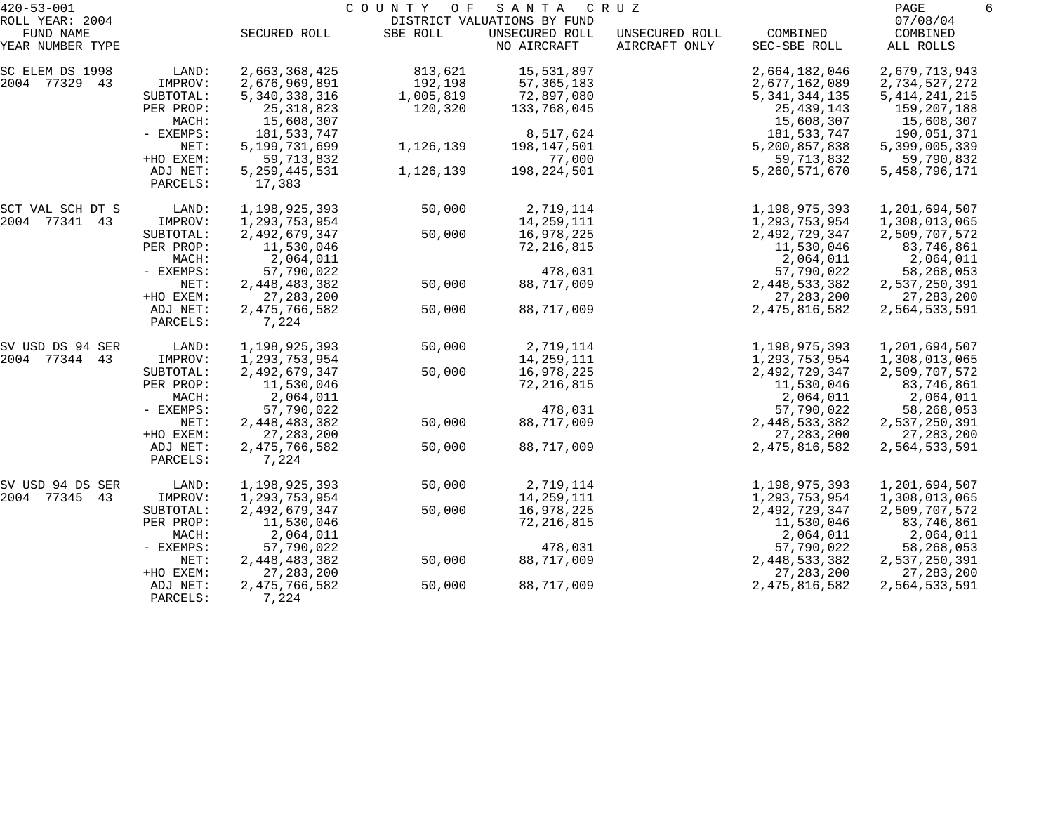| $420 - 53 - 001$             |                      |                            | COUNTY<br>O F | SANTA                                         | C R U Z        |                  | 6<br>PAGE            |
|------------------------------|----------------------|----------------------------|---------------|-----------------------------------------------|----------------|------------------|----------------------|
| ROLL YEAR: 2004<br>FUND NAME |                      | SECURED ROLL               | SBE ROLL      | DISTRICT VALUATIONS BY FUND<br>UNSECURED ROLL | UNSECURED ROLL | COMBINED         | 07/08/04<br>COMBINED |
| YEAR NUMBER TYPE             |                      |                            |               | NO AIRCRAFT                                   | AIRCRAFT ONLY  | SEC-SBE ROLL     | ALL ROLLS            |
| SC ELEM DS 1998              | LAND:                | 2,663,368,425              | 813,621       | 15,531,897                                    |                | 2,664,182,046    | 2,679,713,943        |
| 2004 77329 43                | IMPROV:              | 2,676,969,891              | 192,198       | 57, 365, 183                                  |                | 2,677,162,089    | 2,734,527,272        |
|                              | SUBTOTAL:            | 5, 340, 338, 316           | 1,005,819     | 72,897,080                                    |                | 5, 341, 344, 135 | 5, 414, 241, 215     |
|                              | PER PROP:            | 25, 318, 823               | 120,320       | 133,768,045                                   |                | 25, 439, 143     | 159,207,188          |
|                              | MACH:                | 15,608,307                 |               |                                               |                | 15,608,307       | 15,608,307           |
|                              | - EXEMPS:            | 181,533,747                |               | 8,517,624                                     |                | 181, 533, 747    | 190,051,371          |
|                              | NET:                 | 5,199,731,699              | 1,126,139     | 198,147,501                                   |                | 5,200,857,838    | 5,399,005,339        |
|                              | +HO EXEM:            | 59, 713, 832               |               | 77,000                                        |                | 59,713,832       | 59,790,832           |
|                              | ADJ NET:<br>PARCELS: | 5, 259, 445, 531<br>17,383 | 1,126,139     | 198, 224, 501                                 |                | 5,260,571,670    | 5, 458, 796, 171     |
| SCT VAL SCH DT S             | LAND:                | 1,198,925,393              | 50,000        | 2,719,114                                     |                | 1,198,975,393    | 1,201,694,507        |
| 2004 77341 43                | IMPROV:              | 1,293,753,954              |               | 14, 259, 111                                  |                | 1,293,753,954    | 1,308,013,065        |
|                              | SUBTOTAL:            | 2,492,679,347              | 50,000        | 16,978,225                                    |                | 2,492,729,347    | 2,509,707,572        |
|                              | PER PROP:            | 11,530,046                 |               | 72, 216, 815                                  |                | 11,530,046       | 83,746,861           |
|                              | MACH:                | 2,064,011                  |               |                                               |                | 2,064,011        | 2,064,011            |
|                              | - EXEMPS:            | 57,790,022                 |               | 478,031                                       |                | 57,790,022       | 58,268,053           |
|                              | NET:                 | 2,448,483,382              | 50,000        | 88,717,009                                    |                | 2,448,533,382    | 2,537,250,391        |
|                              | +HO EXEM:            | 27, 283, 200               |               |                                               |                | 27, 283, 200     | 27, 283, 200         |
|                              | ADJ NET:<br>PARCELS: | 2, 475, 766, 582<br>7,224  | 50,000        | 88,717,009                                    |                | 2, 475, 816, 582 | 2,564,533,591        |
| SV USD DS 94 SER             | LAND:                | 1,198,925,393              | 50,000        | 2,719,114                                     |                | 1,198,975,393    | 1,201,694,507        |
| 2004 77344 43                | IMPROV:              | 1,293,753,954              |               | 14,259,111                                    |                | 1,293,753,954    | 1,308,013,065        |
|                              | SUBTOTAL:            | 2,492,679,347              | 50,000        | 16,978,225                                    |                | 2,492,729,347    | 2,509,707,572        |
|                              | PER PROP:            | 11,530,046                 |               | 72, 216, 815                                  |                | 11,530,046       | 83,746,861           |
|                              | MACH:                | 2,064,011                  |               |                                               |                | 2,064,011        | 2,064,011            |
|                              | - EXEMPS:            | 57,790,022                 |               | 478,031                                       |                | 57,790,022       | 58,268,053           |
|                              | NET:                 | 2,448,483,382              | 50,000        | 88,717,009                                    |                | 2,448,533,382    | 2,537,250,391        |
|                              | +HO EXEM:            | 27, 283, 200               |               |                                               |                | 27, 283, 200     | 27,283,200           |
|                              | ADJ NET:<br>PARCELS: | 2,475,766,582<br>7,224     | 50,000        | 88,717,009                                    |                | 2, 475, 816, 582 | 2,564,533,591        |
| SV USD 94 DS SER             | LAND:                | 1,198,925,393              | 50,000        | 2,719,114                                     |                | 1,198,975,393    | 1,201,694,507        |
| 2004 77345 43                | IMPROV:              | 1,293,753,954              |               | 14,259,111                                    |                | 1,293,753,954    | 1,308,013,065        |
|                              | SUBTOTAL:            | 2,492,679,347              | 50,000        | 16,978,225                                    |                | 2,492,729,347    | 2,509,707,572        |
|                              | PER PROP:            | 11,530,046                 |               | 72, 216, 815                                  |                | 11,530,046       | 83,746,861           |
|                              | MACH:                | 2,064,011                  |               |                                               |                | 2,064,011        | 2,064,011            |
|                              | $-$ EXEMPS:          | 57,790,022                 |               | 478,031                                       |                | 57,790,022       | 58,268,053           |
|                              | NET:                 | 2,448,483,382              | 50,000        | 88,717,009                                    |                | 2,448,533,382    | 2,537,250,391        |
|                              | +HO EXEM:            | 27, 283, 200               |               |                                               |                | 27, 283, 200     | 27, 283, 200         |
|                              | ADJ NET:<br>PARCELS: | 2,475,766,582<br>7,224     | 50,000        | 88,717,009                                    |                | 2,475,816,582    | 2,564,533,591        |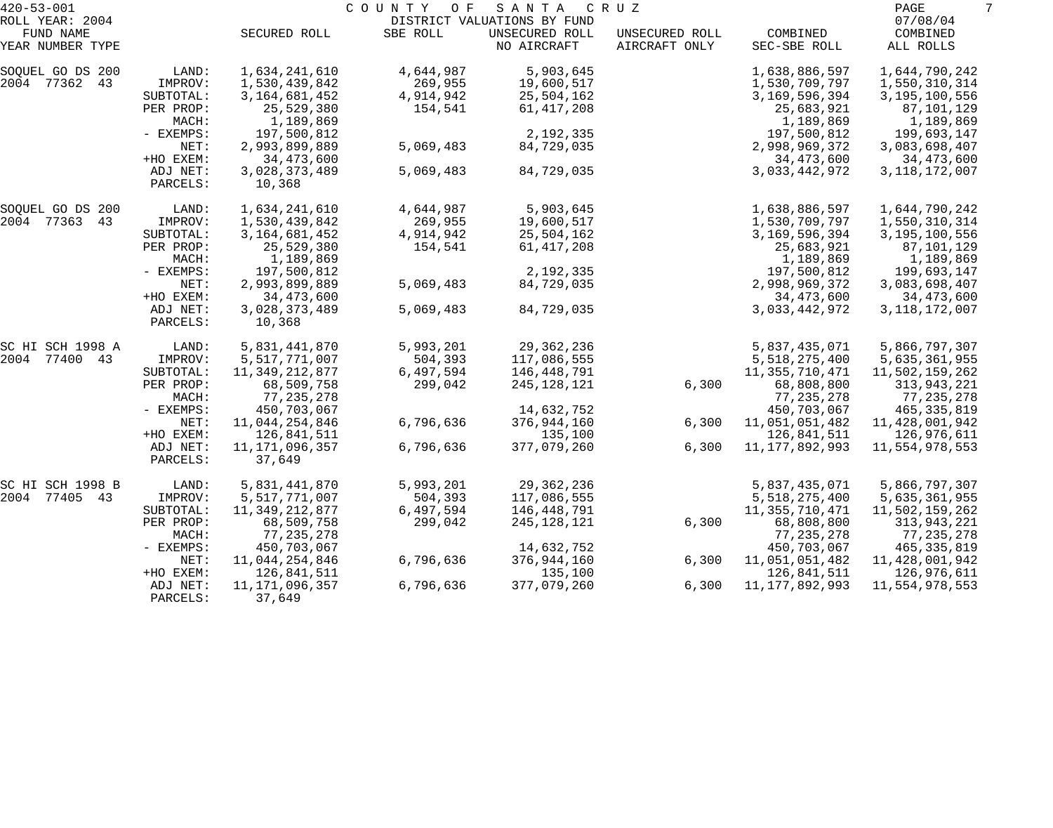| $420 - 53 - 001$             |                      |                          | COUNTY<br>O F | SANTA                         | C R U Z                         |                   | PAGE                 | 7 |
|------------------------------|----------------------|--------------------------|---------------|-------------------------------|---------------------------------|-------------------|----------------------|---|
| ROLL YEAR: 2004<br>FUND NAME |                      |                          |               | DISTRICT VALUATIONS BY FUND   |                                 | COMBINED          | 07/08/04<br>COMBINED |   |
| YEAR NUMBER TYPE             |                      | SECURED ROLL             | SBE ROLL      | UNSECURED ROLL<br>NO AIRCRAFT | UNSECURED ROLL<br>AIRCRAFT ONLY | SEC-SBE ROLL      | ALL ROLLS            |   |
| SOQUEL GO DS 200             | LAND:                | 1,634,241,610            | 4,644,987     | 5,903,645                     |                                 | 1,638,886,597     | 1,644,790,242        |   |
| 2004 77362 43                | IMPROV:              | 1,530,439,842            | 269,955       | 19,600,517                    |                                 | 1,530,709,797     | 1,550,310,314        |   |
|                              | SUBTOTAL:            | 3, 164, 681, 452         | 4,914,942     | 25,504,162                    |                                 | 3, 169, 596, 394  | 3,195,100,556        |   |
|                              | PER PROP:            | 25,529,380               | 154,541       | 61,417,208                    |                                 | 25,683,921        | 87,101,129           |   |
|                              | MACH:                | 1,189,869                |               |                               |                                 | 1,189,869         | 1,189,869            |   |
|                              | - EXEMPS:            | 197,500,812              |               | 2,192,335                     |                                 | 197,500,812       | 199,693,147          |   |
|                              | NET:                 | 2,993,899,889            | 5,069,483     | 84,729,035                    |                                 | 2,998,969,372     | 3,083,698,407        |   |
|                              | +HO EXEM:            | 34, 473, 600             |               |                               |                                 | 34,473,600        | 34,473,600           |   |
|                              | ADJ NET:<br>PARCELS: | 3,028,373,489<br>10,368  | 5,069,483     | 84,729,035                    |                                 | 3,033,442,972     | 3, 118, 172, 007     |   |
| SOQUEL GO DS 200             | LAND:                | 1,634,241,610            | 4,644,987     | 5,903,645                     |                                 | 1,638,886,597     | 1,644,790,242        |   |
| 2004 77363<br>43             | IMPROV:              | 1,530,439,842            | 269,955       | 19,600,517                    |                                 | 1,530,709,797     | 1,550,310,314        |   |
|                              | SUBTOTAL:            | 3, 164, 681, 452         | 4,914,942     | 25,504,162                    |                                 | 3,169,596,394     | 3,195,100,556        |   |
|                              | PER PROP:            | 25,529,380               | 154,541       | 61,417,208                    |                                 | 25,683,921        | 87,101,129           |   |
|                              | MACH:                | 1,189,869                |               |                               |                                 | 1,189,869         | 1,189,869            |   |
|                              | - EXEMPS:            | 197,500,812              |               | 2,192,335                     |                                 | 197,500,812       | 199,693,147          |   |
|                              | NET:                 | 2,993,899,889            | 5,069,483     | 84,729,035                    |                                 | 2,998,969,372     | 3,083,698,407        |   |
|                              | +HO EXEM:            | 34,473,600               |               |                               |                                 | 34,473,600        | 34,473,600           |   |
|                              | ADJ NET:<br>PARCELS: | 3,028,373,489<br>10,368  | 5,069,483     | 84,729,035                    |                                 | 3,033,442,972     | 3, 118, 172, 007     |   |
| SC HI SCH 1998 A             | LAND:                | 5,831,441,870            | 5,993,201     | 29, 362, 236                  |                                 | 5,837,435,071     | 5,866,797,307        |   |
| 2004 77400 43                | IMPROV:              | 5,517,771,007            | 504,393       | 117,086,555                   |                                 | 5,518,275,400     | 5,635,361,955        |   |
|                              | SUBTOTAL:            | 11,349,212,877           | 6,497,594     | 146,448,791                   |                                 | 11, 355, 710, 471 | 11,502,159,262       |   |
|                              | PER PROP:            | 68,509,758               | 299,042       | 245,128,121                   | 6,300                           | 68,808,800        | 313,943,221          |   |
|                              | MACH:                | 77, 235, 278             |               |                               |                                 | 77,235,278        | 77,235,278           |   |
|                              | - EXEMPS:            | 450,703,067              |               | 14,632,752                    |                                 | 450,703,067       | 465,335,819          |   |
|                              | NET:                 | 11,044,254,846           | 6,796,636     | 376,944,160                   | 6,300                           | 11,051,051,482    | 11,428,001,942       |   |
|                              | +HO EXEM:            | 126,841,511              |               | 135,100                       |                                 | 126,841,511       | 126,976,611          |   |
|                              | ADJ NET:<br>PARCELS: | 11,171,096,357<br>37,649 | 6,796,636     | 377,079,260                   | 6,300                           | 11, 177, 892, 993 | 11,554,978,553       |   |
| SC HI SCH 1998 B             | LAND:                | 5,831,441,870            | 5,993,201     | 29,362,236                    |                                 | 5,837,435,071     | 5,866,797,307        |   |
| 2004 77405 43                | IMPROV:              | 5,517,771,007            | 504,393       | 117,086,555                   |                                 | 5,518,275,400     | 5,635,361,955        |   |
|                              | SUBTOTAL:            | 11,349,212,877           | 6,497,594     | 146,448,791                   |                                 | 11,355,710,471    | 11,502,159,262       |   |
|                              | PER PROP:            | 68,509,758               | 299,042       | 245, 128, 121                 | 6,300                           | 68,808,800        | 313,943,221          |   |
|                              | MACH:                | 77, 235, 278             |               |                               |                                 | 77, 235, 278      | 77,235,278           |   |
|                              | $-$ EXEMPS:          | 450,703,067              |               | 14,632,752                    |                                 | 450,703,067       | 465,335,819          |   |
|                              | NET:                 | 11,044,254,846           | 6,796,636     | 376,944,160                   | 6,300                           | 11,051,051,482    | 11,428,001,942       |   |
|                              | +HO EXEM:            | 126,841,511              |               | 135,100                       |                                 | 126,841,511       | 126,976,611          |   |
|                              | ADJ NET:             | 11,171,096,357           | 6,796,636     | 377,079,260                   | 6,300                           | 11, 177, 892, 993 | 11,554,978,553       |   |
|                              | PARCELS:             | 37,649                   |               |                               |                                 |                   |                      |   |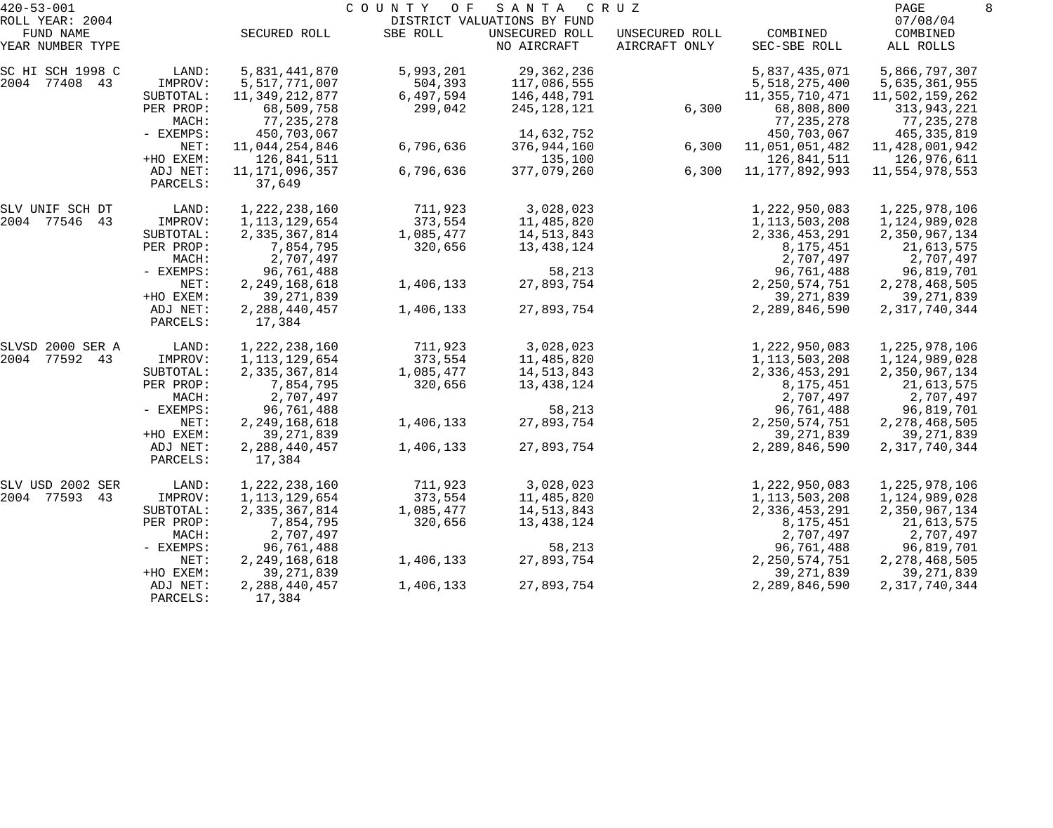| $420 - 53 - 001$                                 |                      |                             | COUNTY OF | SANTA                                                        | C R U Z                         |                            | PAGE                              | 8 |
|--------------------------------------------------|----------------------|-----------------------------|-----------|--------------------------------------------------------------|---------------------------------|----------------------------|-----------------------------------|---|
| ROLL YEAR: 2004<br>FUND NAME<br>YEAR NUMBER TYPE |                      | SECURED ROLL                | SBE ROLL  | DISTRICT VALUATIONS BY FUND<br>UNSECURED ROLL<br>NO AIRCRAFT | UNSECURED ROLL<br>AIRCRAFT ONLY | COMBINED<br>SEC-SBE ROLL   | 07/08/04<br>COMBINED<br>ALL ROLLS |   |
| SC HI SCH 1998 C                                 | LAND:                | 5,831,441,870               | 5,993,201 | 29, 362, 236                                                 |                                 | 5,837,435,071              | 5,866,797,307                     |   |
| 2004 77408 43                                    | IMPROV:              | 5,517,771,007               | 504,393   | 117,086,555                                                  |                                 | 5,518,275,400              | 5,635,361,955                     |   |
|                                                  | SUBTOTAL:            | 11, 349, 212, 877           | 6,497,594 | 146,448,791                                                  |                                 | 11, 355, 710, 471          | 11,502,159,262                    |   |
|                                                  | PER PROP:<br>MACH:   | 68,509,758<br>77, 235, 278  | 299,042   | 245,128,121                                                  | 6,300                           | 68,808,800<br>77, 235, 278 | 313,943,221<br>77,235,278         |   |
|                                                  | - EXEMPS:            | 450,703,067                 |           | 14,632,752                                                   |                                 | 450,703,067                | 465, 335, 819                     |   |
|                                                  | NET:                 | 11,044,254,846              | 6,796,636 | 376,944,160                                                  | 6,300                           | 11,051,051,482             | 11, 428, 001, 942                 |   |
|                                                  | +HO EXEM:            | 126,841,511                 |           | 135,100                                                      |                                 | 126,841,511                | 126,976,611                       |   |
|                                                  | ADJ NET:<br>PARCELS: | 11, 171, 096, 357<br>37,649 | 6,796,636 | 377,079,260                                                  | 6,300                           | 11, 177, 892, 993          | 11,554,978,553                    |   |
| SLV UNIF SCH DT                                  | LAND:                | 1, 222, 238, 160            | 711,923   | 3,028,023                                                    |                                 | 1,222,950,083              | 1,225,978,106                     |   |
| 2004 77546 43                                    | IMPROV:              | 1, 113, 129, 654            | 373,554   | 11,485,820                                                   |                                 | 1,113,503,208              | 1,124,989,028                     |   |
|                                                  | SUBTOTAL:            | 2,335,367,814               | 1,085,477 | 14,513,843                                                   |                                 | 2,336,453,291              | 2,350,967,134                     |   |
|                                                  | PER PROP:            | 7,854,795                   | 320,656   | 13,438,124                                                   |                                 | 8,175,451                  | 21,613,575                        |   |
|                                                  | MACH:                | 2,707,497                   |           |                                                              |                                 | 2,707,497                  | 2,707,497                         |   |
|                                                  | - EXEMPS:            | 96,761,488                  |           | 58,213                                                       |                                 | 96,761,488                 | 96,819,701                        |   |
|                                                  | NET:                 | 2, 249, 168, 618            | 1,406,133 | 27,893,754                                                   |                                 | 2, 250, 574, 751           | 2, 278, 468, 505                  |   |
|                                                  | +HO EXEM:            | 39, 271, 839                |           |                                                              |                                 | 39, 271, 839               | 39, 271, 839                      |   |
|                                                  | ADJ NET:<br>PARCELS: | 2, 288, 440, 457<br>17,384  | 1,406,133 | 27,893,754                                                   |                                 | 2,289,846,590              | 2, 317, 740, 344                  |   |
| SLVSD 2000 SER A                                 | LAND:                | 1, 222, 238, 160            | 711,923   | 3,028,023                                                    |                                 | 1,222,950,083              | 1,225,978,106                     |   |
| 2004 77592 43                                    | IMPROV:              | 1, 113, 129, 654            | 373,554   | 11,485,820                                                   |                                 | 1, 113, 503, 208           | 1,124,989,028                     |   |
|                                                  | SUBTOTAL:            | 2,335,367,814               | 1,085,477 | 14,513,843                                                   |                                 | 2,336,453,291              | 2,350,967,134                     |   |
|                                                  | PER PROP:            | 7,854,795                   | 320,656   | 13,438,124                                                   |                                 | 8,175,451                  | 21,613,575                        |   |
|                                                  | MACH:                | 2,707,497                   |           |                                                              |                                 | 2,707,497                  | 2,707,497                         |   |
|                                                  | - EXEMPS:            | 96,761,488                  |           | 58,213                                                       |                                 | 96,761,488                 | 96,819,701                        |   |
|                                                  | NET:                 | 2, 249, 168, 618            | 1,406,133 | 27,893,754                                                   |                                 | 2, 250, 574, 751           | 2, 278, 468, 505                  |   |
|                                                  | +HO EXEM:            | 39, 271, 839                |           |                                                              |                                 | 39, 271, 839               | 39, 271, 839                      |   |
|                                                  | ADJ NET:<br>PARCELS: | 2, 288, 440, 457<br>17,384  | 1,406,133 | 27,893,754                                                   |                                 | 2,289,846,590              | 2, 317, 740, 344                  |   |
| SLV USD 2002 SER                                 | LAND:                | 1,222,238,160               | 711,923   | 3,028,023                                                    |                                 | 1,222,950,083              | 1,225,978,106                     |   |
| 2004 77593<br>43                                 | IMPROV:              | 1, 113, 129, 654            | 373,554   | 11,485,820                                                   |                                 | 1, 113, 503, 208           | 1,124,989,028                     |   |
|                                                  | SUBTOTAL:            | 2,335,367,814               | 1,085,477 | 14,513,843                                                   |                                 | 2,336,453,291              | 2,350,967,134                     |   |
|                                                  | PER PROP:            | 7,854,795                   | 320,656   | 13,438,124                                                   |                                 | 8,175,451                  | 21,613,575                        |   |
|                                                  | MACH:                | 2,707,497                   |           |                                                              |                                 | 2,707,497                  | 2,707,497                         |   |
|                                                  | - EXEMPS:            | 96,761,488                  |           | 58,213                                                       |                                 | 96,761,488                 | 96,819,701                        |   |
|                                                  | NET:                 | 2, 249, 168, 618            | 1,406,133 | 27,893,754                                                   |                                 | 2, 250, 574, 751           | 2, 278, 468, 505                  |   |
|                                                  | +HO EXEM:            | 39, 271, 839                |           |                                                              |                                 | 39, 271, 839               | 39, 271, 839                      |   |
|                                                  | ADJ NET:<br>PARCELS: | 2, 288, 440, 457<br>17,384  | 1,406,133 | 27,893,754                                                   |                                 | 2,289,846,590              | 2, 317, 740, 344                  |   |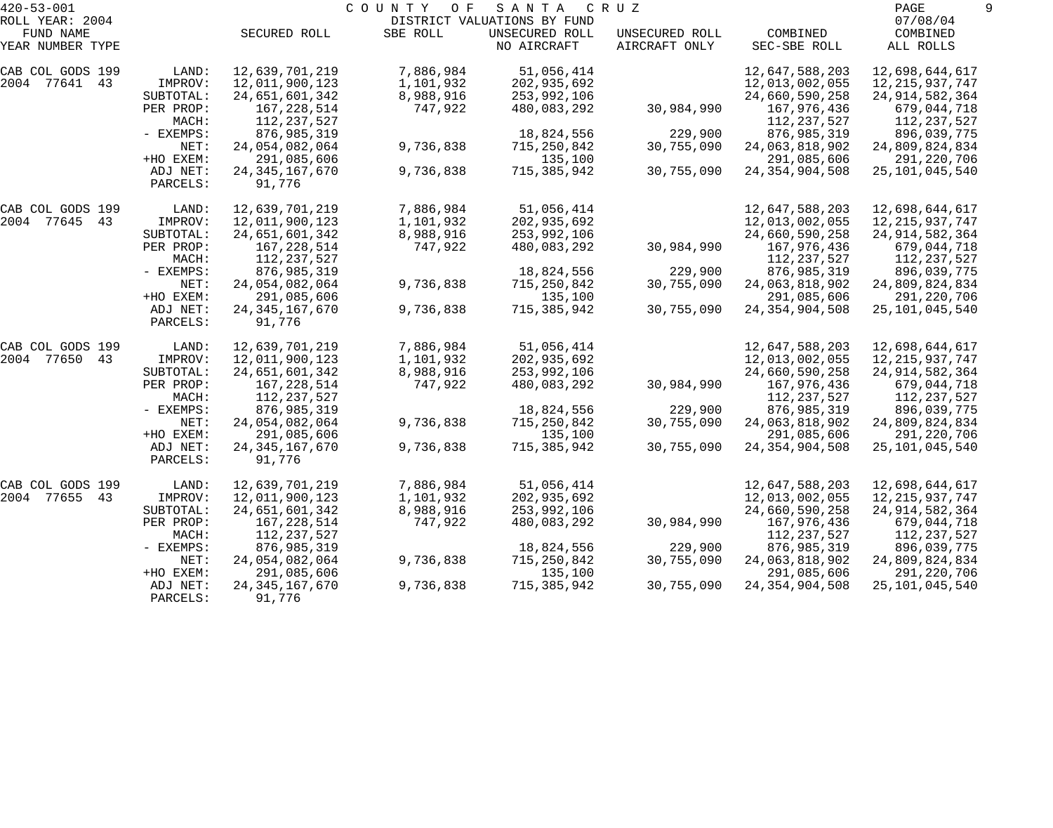| $420 - 53 - 001$<br>ROLL YEAR: 2004 |                      |                             | COUNTY<br>O F | SANTA<br>DISTRICT VALUATIONS BY FUND | C R U Z        |                   | PAGE<br>07/08/04  |  |
|-------------------------------------|----------------------|-----------------------------|---------------|--------------------------------------|----------------|-------------------|-------------------|--|
| FUND NAME                           |                      | SECURED ROLL                | SBE ROLL      | UNSECURED ROLL                       | UNSECURED ROLL | COMBINED          | COMBINED          |  |
| YEAR NUMBER TYPE                    |                      |                             |               | NO AIRCRAFT                          | AIRCRAFT ONLY  | SEC-SBE ROLL      | ALL ROLLS         |  |
| CAB COL GODS 199                    | LAND:                | 12,639,701,219              | 7,886,984     | 51,056,414                           |                | 12,647,588,203    | 12,698,644,617    |  |
| 2004 77641 43                       | IMPROV:              | 12,011,900,123              | 1,101,932     | 202,935,692                          |                | 12,013,002,055    | 12, 215, 937, 747 |  |
|                                     | SUBTOTAL:            | 24,651,601,342              | 8,988,916     | 253,992,106                          |                | 24,660,590,258    | 24, 914, 582, 364 |  |
|                                     | PER PROP:            | 167,228,514                 | 747,922       | 480,083,292                          | 30,984,990     | 167,976,436       | 679,044,718       |  |
|                                     | MACH:                | 112,237,527                 |               |                                      |                | 112,237,527       | 112,237,527       |  |
|                                     | - EXEMPS:            | 876,985,319                 |               | 18,824,556                           | 229,900        | 876,985,319       | 896,039,775       |  |
|                                     | NET:                 | 24,054,082,064              | 9,736,838     | 715,250,842                          | 30,755,090     | 24,063,818,902    | 24,809,824,834    |  |
|                                     | +HO EXEM:            | 291,085,606                 |               | 135,100                              |                | 291,085,606       | 291,220,706       |  |
|                                     | ADJ NET:<br>PARCELS: | 24, 345, 167, 670<br>91,776 | 9,736,838     | 715,385,942                          | 30,755,090     | 24, 354, 904, 508 | 25, 101, 045, 540 |  |
| CAB COL GODS 199                    | LAND:                | 12,639,701,219              | 7,886,984     | 51,056,414                           |                | 12,647,588,203    | 12,698,644,617    |  |
| 2004 77645<br>43                    | IMPROV:              | 12,011,900,123              | 1,101,932     | 202,935,692                          |                | 12,013,002,055    | 12, 215, 937, 747 |  |
|                                     | SUBTOTAL:            | 24,651,601,342              | 8,988,916     | 253,992,106                          |                | 24,660,590,258    | 24, 914, 582, 364 |  |
|                                     | PER PROP:            | 167,228,514                 | 747,922       | 480,083,292                          | 30,984,990     | 167,976,436       | 679,044,718       |  |
|                                     | MACH:                | 112,237,527                 |               |                                      |                | 112,237,527       | 112,237,527       |  |
|                                     | - EXEMPS:            | 876,985,319                 |               | 18,824,556                           | 229,900        | 876,985,319       | 896,039,775       |  |
|                                     | NET:                 | 24,054,082,064              | 9,736,838     | 715,250,842                          | 30,755,090     | 24,063,818,902    | 24,809,824,834    |  |
|                                     | +HO EXEM:            | 291,085,606                 |               | 135,100                              |                | 291,085,606       | 291,220,706       |  |
|                                     | ADJ NET:<br>PARCELS: | 24, 345, 167, 670<br>91,776 | 9,736,838     | 715,385,942                          | 30,755,090     | 24, 354, 904, 508 | 25, 101, 045, 540 |  |
| CAB COL GODS 199                    | LAND:                | 12,639,701,219              | 7,886,984     | 51,056,414                           |                | 12,647,588,203    | 12,698,644,617    |  |
| 2004 77650<br>43                    | IMPROV:              | 12,011,900,123              | 1,101,932     | 202,935,692                          |                | 12,013,002,055    | 12, 215, 937, 747 |  |
|                                     | SUBTOTAL:            | 24,651,601,342              | 8,988,916     | 253,992,106                          |                | 24,660,590,258    | 24, 914, 582, 364 |  |
|                                     | PER PROP:            | 167,228,514                 | 747,922       | 480,083,292                          | 30,984,990     | 167,976,436       | 679,044,718       |  |
|                                     | MACH:                | 112,237,527                 |               |                                      |                | 112,237,527       | 112,237,527       |  |
|                                     | - EXEMPS:            | 876,985,319                 |               | 18,824,556                           | 229,900        | 876,985,319       | 896,039,775       |  |
|                                     | NET:                 | 24,054,082,064              | 9,736,838     | 715,250,842                          | 30,755,090     | 24,063,818,902    | 24,809,824,834    |  |
|                                     | +HO EXEM:            | 291,085,606                 |               | 135,100                              |                | 291,085,606       | 291,220,706       |  |
|                                     | ADJ NET:<br>PARCELS: | 24, 345, 167, 670<br>91,776 | 9,736,838     | 715,385,942                          | 30,755,090     | 24, 354, 904, 508 | 25, 101, 045, 540 |  |
| CAB COL GODS 199                    | LAND:                | 12,639,701,219              | 7,886,984     | 51,056,414                           |                | 12,647,588,203    | 12,698,644,617    |  |
| 2004 77655<br>43                    | IMPROV:              | 12,011,900,123              | 1,101,932     | 202,935,692                          |                | 12,013,002,055    | 12, 215, 937, 747 |  |
|                                     | SUBTOTAL:            | 24,651,601,342              | 8,988,916     | 253,992,106                          |                | 24,660,590,258    | 24, 914, 582, 364 |  |
|                                     | PER PROP:            | 167,228,514                 | 747,922       | 480,083,292                          | 30,984,990     | 167,976,436       | 679,044,718       |  |
|                                     | MACH:                | 112,237,527                 |               |                                      |                | 112,237,527       | 112,237,527       |  |
|                                     | - EXEMPS:            | 876,985,319                 |               | 18,824,556                           | 229,900        | 876,985,319       | 896,039,775       |  |
|                                     | NET:                 | 24,054,082,064              | 9,736,838     | 715,250,842                          | 30,755,090     | 24,063,818,902    | 24,809,824,834    |  |
|                                     | +HO EXEM:            | 291,085,606                 |               | 135,100                              |                | 291,085,606       | 291,220,706       |  |
|                                     | ADJ NET:             | 24, 345, 167, 670           | 9,736,838     | 715,385,942                          | 30,755,090     | 24, 354, 904, 508 | 25, 101, 045, 540 |  |
|                                     | PARCELS:             | 91,776                      |               |                                      |                |                   |                   |  |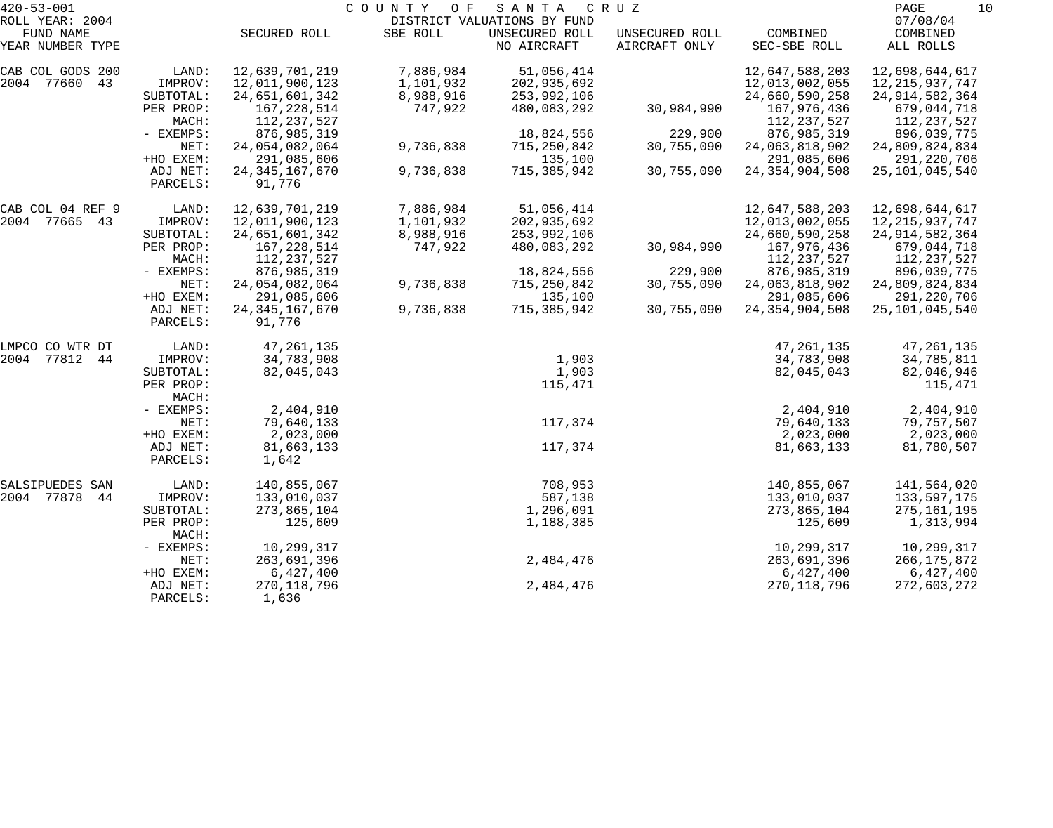| $420 - 53 - 001$                                 |                                            |                                                    | COUNTY OF                           | SANTA                                                        | C R U Z                         |                                                    | PAGE<br>10                                            |
|--------------------------------------------------|--------------------------------------------|----------------------------------------------------|-------------------------------------|--------------------------------------------------------------|---------------------------------|----------------------------------------------------|-------------------------------------------------------|
| ROLL YEAR: 2004<br>FUND NAME<br>YEAR NUMBER TYPE |                                            | SECURED ROLL                                       | SBE ROLL                            | DISTRICT VALUATIONS BY FUND<br>UNSECURED ROLL<br>NO AIRCRAFT | UNSECURED ROLL<br>AIRCRAFT ONLY | COMBINED<br>SEC-SBE ROLL                           | 07/08/04<br>COMBINED<br>ALL ROLLS                     |
| CAB COL GODS 200<br>2004 77660<br>43             | LAND:<br>IMPROV:<br>SUBTOTAL:              | 12,639,701,219<br>12,011,900,123<br>24,651,601,342 | 7,886,984<br>1,101,932<br>8,988,916 | 51,056,414<br>202,935,692<br>253,992,106                     |                                 | 12,647,588,203<br>12,013,002,055<br>24,660,590,258 | 12,698,644,617<br>12, 215, 937, 747                   |
|                                                  | PER PROP:<br>MACH:                         | 167, 228, 514<br>112, 237, 527                     | 747,922                             | 480,083,292                                                  | 30,984,990                      | 167,976,436<br>112,237,527                         | 24, 914, 582, 364<br>679,044,718<br>112,237,527       |
|                                                  | - EXEMPS:<br>NET:                          | 876,985,319<br>24,054,082,064                      | 9,736,838                           | 18,824,556<br>715,250,842                                    | 229,900<br>30,755,090           | 876,985,319<br>24,063,818,902                      | 896,039,775<br>24,809,824,834                         |
|                                                  | +HO EXEM:<br>ADJ NET:<br>PARCELS:          | 291,085,606<br>24, 345, 167, 670<br>91,776         | 9,736,838                           | 135,100<br>715,385,942                                       | 30,755,090                      | 291,085,606<br>24, 354, 904, 508                   | 291,220,706<br>25, 101, 045, 540                      |
| CAB COL 04 REF 9<br>2004 77665 43                | LAND:<br>IMPROV:                           | 12,639,701,219                                     | 7,886,984                           | 51,056,414                                                   |                                 | 12,647,588,203<br>12,013,002,055                   | 12,698,644,617                                        |
|                                                  | SUBTOTAL:<br>PER PROP:                     | 12,011,900,123<br>24,651,601,342<br>167, 228, 514  | 1,101,932<br>8,988,916<br>747,922   | 202,935,692<br>253,992,106<br>480,083,292                    | 30,984,990                      | 24,660,590,258<br>167,976,436                      | 12, 215, 937, 747<br>24, 914, 582, 364<br>679,044,718 |
|                                                  | MACH:<br>- EXEMPS:<br>NET:                 | 112, 237, 527<br>876,985,319<br>24,054,082,064     | 9,736,838                           | 18,824,556<br>715,250,842                                    | 229,900<br>30,755,090           | 112, 237, 527<br>876, 985, 319<br>24,063,818,902   | 112,237,527<br>896,039,775<br>24,809,824,834          |
|                                                  | +HO EXEM:<br>ADJ NET:<br>PARCELS:          | 291,085,606<br>24, 345, 167, 670<br>91,776         | 9,736,838                           | 135,100<br>715, 385, 942                                     | 30,755,090                      | 291,085,606<br>24, 354, 904, 508                   | 291,220,706<br>25, 101, 045, 540                      |
| LMPCO CO WTR DT                                  | LAND:                                      | 47, 261, 135                                       |                                     |                                                              |                                 | 47, 261, 135                                       | 47, 261, 135                                          |
| 2004 77812<br>44                                 | IMPROV:<br>SUBTOTAL:<br>PER PROP:<br>MACH: | 34,783,908<br>82,045,043                           |                                     | 1,903<br>1,903<br>115,471                                    |                                 | 34,783,908<br>82,045,043                           | 34,785,811<br>82,046,946<br>115,471                   |
|                                                  | - EXEMPS:<br>NET:<br>+HO EXEM:             | 2,404,910<br>79,640,133<br>2,023,000               |                                     | 117,374                                                      |                                 | 2,404,910<br>79,640,133<br>2,023,000               | 2,404,910<br>79,757,507<br>2,023,000                  |
|                                                  | ADJ NET:<br>PARCELS:                       | 81,663,133<br>1,642                                |                                     | 117,374                                                      |                                 | 81,663,133                                         | 81,780,507                                            |
| SALSIPUEDES SAN<br>2004 77878<br>44              | LAND:<br>IMPROV:                           | 140,855,067<br>133,010,037                         |                                     | 708,953<br>587,138                                           |                                 | 140,855,067<br>133,010,037                         | 141,564,020<br>133,597,175                            |
|                                                  | SUBTOTAL:<br>PER PROP:<br>MACH:            | 273,865,104<br>125,609                             |                                     | 1,296,091<br>1,188,385                                       |                                 | 273,865,104<br>125,609                             | 275,161,195<br>1,313,994                              |
|                                                  | - EXEMPS:<br>NET:                          | 10,299,317<br>263,691,396                          |                                     | 2,484,476                                                    |                                 | 10,299,317<br>263,691,396                          | 10,299,317<br>266, 175, 872                           |
|                                                  | +HO EXEM:<br>ADJ NET:<br>PARCELS:          | 6,427,400<br>270, 118, 796<br>1,636                |                                     | 2,484,476                                                    |                                 | 6,427,400<br>270, 118, 796                         | 6,427,400<br>272,603,272                              |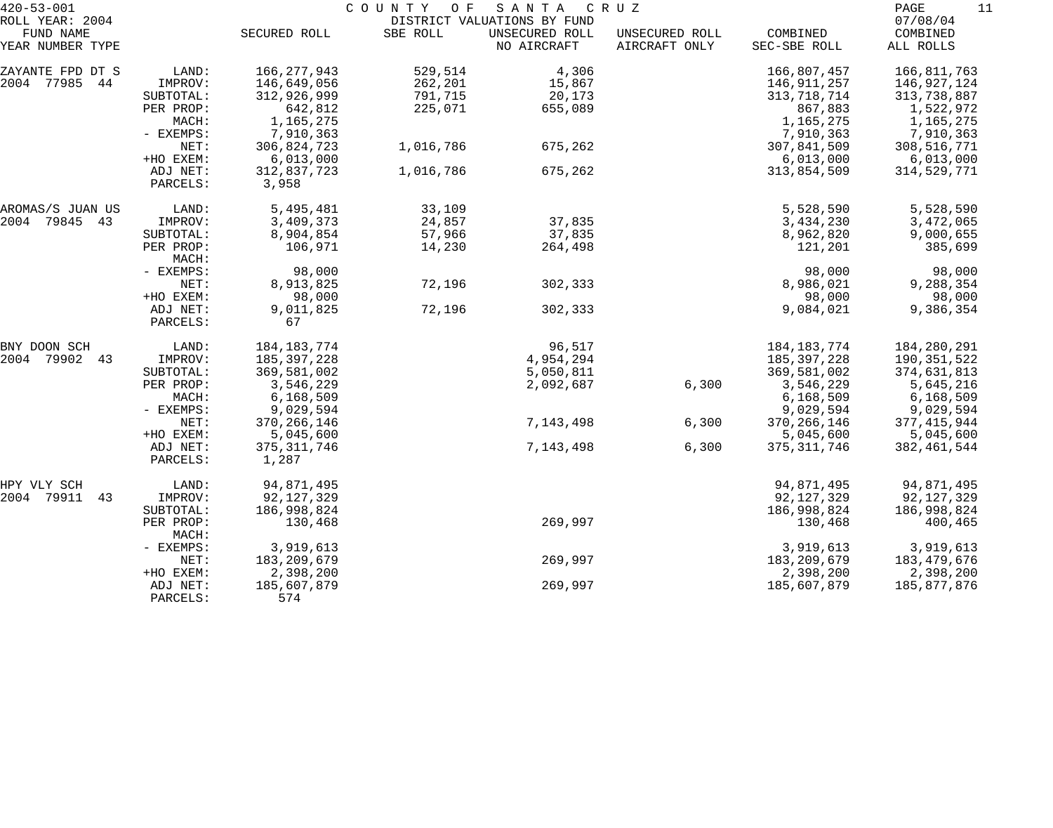| $420 - 53 - 001$<br>ROLL YEAR: 2004 |                      |                    | COUNTY OF | SANTA CRUZ<br>DISTRICT VALUATIONS BY FUND |                                 |                          | PAGE<br>11<br>07/08/04 |
|-------------------------------------|----------------------|--------------------|-----------|-------------------------------------------|---------------------------------|--------------------------|------------------------|
| FUND NAME<br>YEAR NUMBER TYPE       |                      | SECURED ROLL       | SBE ROLL  | UNSECURED ROLL<br>NO AIRCRAFT             | UNSECURED ROLL<br>AIRCRAFT ONLY | COMBINED<br>SEC-SBE ROLL | COMBINED<br>ALL ROLLS  |
| ZAYANTE FPD DT S                    | LAND:                | 166, 277, 943      | 529,514   | 4,306                                     |                                 | 166,807,457              | 166,811,763            |
| 2004 77985<br>44                    | IMPROV:              | 146,649,056        | 262,201   | 15,867                                    |                                 | 146,911,257              | 146,927,124            |
|                                     | SUBTOTAL:            | 312,926,999        | 791,715   | 20,173                                    |                                 | 313,718,714              | 313,738,887            |
|                                     | PER PROP:            | 642,812            | 225,071   | 655,089                                   |                                 | 867,883                  | 1,522,972              |
|                                     | MACH:                | 1,165,275          |           |                                           |                                 | 1,165,275                | 1,165,275              |
|                                     | - EXEMPS:            | 7,910,363          |           |                                           |                                 | 7,910,363                | 7,910,363              |
|                                     | NET:                 | 306,824,723        | 1,016,786 | 675,262                                   |                                 | 307,841,509              | 308,516,771            |
|                                     | +HO EXEM:            | 6,013,000          |           |                                           |                                 | 6,013,000                | 6,013,000              |
|                                     | ADJ NET:             | 312,837,723        | 1,016,786 | 675,262                                   |                                 | 313,854,509              | 314,529,771            |
|                                     | PARCELS:             | 3,958              |           |                                           |                                 |                          |                        |
| AROMAS/S JUAN US                    | LAND:                | 5,495,481          | 33,109    |                                           |                                 | 5,528,590                | 5,528,590              |
| 2004 79845<br>43                    | IMPROV:              | 3,409,373          | 24,857    | 37,835                                    |                                 | 3,434,230                | 3,472,065              |
|                                     | SUBTOTAL:            | 8,904,854          | 57,966    | 37,835                                    |                                 | 8,962,820                | 9,000,655              |
|                                     | PER PROP:<br>MACH:   | 106,971            | 14,230    | 264,498                                   |                                 | 121,201                  | 385,699                |
|                                     | - EXEMPS:            | 98,000             |           |                                           |                                 | 98,000                   | 98,000                 |
|                                     | NET:                 | 8,913,825          | 72,196    | 302,333                                   |                                 | 8,986,021                | 9,288,354              |
|                                     | +HO EXEM:            | 98,000             |           |                                           |                                 | 98,000                   | 98,000                 |
|                                     | ADJ NET:<br>PARCELS: | 9,011,825<br>67    | 72,196    | 302,333                                   |                                 | 9,084,021                | 9,386,354              |
| BNY DOON SCH                        | LAND:                | 184, 183, 774      |           | 96,517                                    |                                 | 184, 183, 774            | 184, 280, 291          |
| 2004 79902<br>43                    | IMPROV:              | 185, 397, 228      |           | 4,954,294                                 |                                 | 185, 397, 228            | 190,351,522            |
|                                     | SUBTOTAL:            | 369,581,002        |           | 5,050,811                                 |                                 | 369,581,002              | 374,631,813            |
|                                     | PER PROP:            | 3,546,229          |           | 2,092,687                                 | 6,300                           | 3,546,229                | 5,645,216              |
|                                     | MACH:                | 6, 168, 509        |           |                                           |                                 | 6,168,509                | 6,168,509              |
|                                     | - EXEMPS:            | 9,029,594          |           |                                           |                                 | 9,029,594                | 9,029,594              |
|                                     | NET:                 | 370, 266, 146      |           | 7,143,498                                 | 6,300                           | 370, 266, 146            | 377,415,944            |
|                                     | +HO EXEM:            | 5,045,600          |           |                                           |                                 | 5,045,600                | 5,045,600              |
|                                     | ADJ NET:             | 375, 311, 746      |           | 7,143,498                                 | 6,300                           | 375, 311, 746            | 382, 461, 544          |
|                                     | PARCELS:             | 1,287              |           |                                           |                                 |                          |                        |
| HPY VLY SCH                         | LAND:                | 94,871,495         |           |                                           |                                 | 94,871,495               | 94,871,495             |
| 2004 79911<br>43                    | IMPROV:              | 92, 127, 329       |           |                                           |                                 | 92, 127, 329             | 92,127,329             |
|                                     | SUBTOTAL:            | 186,998,824        |           |                                           |                                 | 186,998,824              | 186,998,824            |
|                                     | PER PROP:<br>MACH:   | 130,468            |           | 269,997                                   |                                 | 130,468                  | 400,465                |
|                                     | - EXEMPS:            | 3,919,613          |           |                                           |                                 | 3,919,613                | 3,919,613              |
|                                     | NET:                 | 183, 209, 679      |           | 269,997                                   |                                 | 183,209,679              | 183,479,676            |
|                                     | +HO EXEM:            | 2,398,200          |           |                                           |                                 | 2,398,200                | 2,398,200              |
|                                     | ADJ NET:<br>PARCELS: | 185,607,879<br>574 |           | 269,997                                   |                                 | 185,607,879              | 185,877,876            |
|                                     |                      |                    |           |                                           |                                 |                          |                        |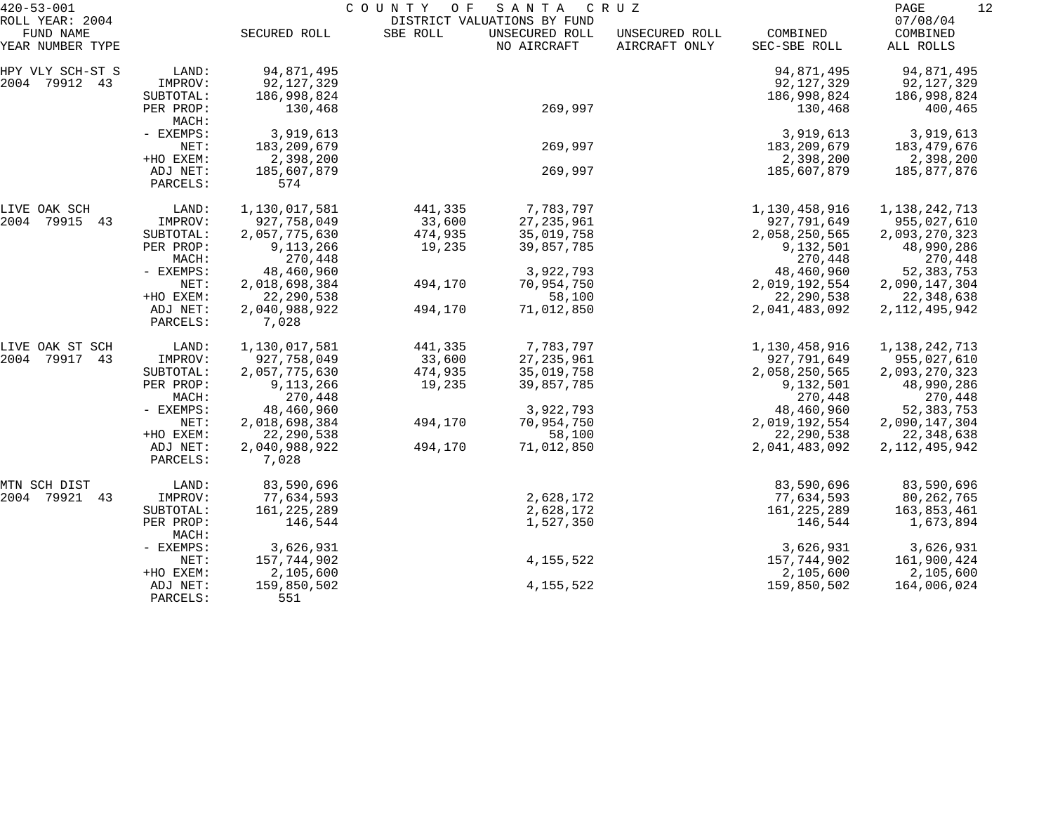| $420 - 53 - 001$                                 |                               |                                         | COUNTY OF         | SANTA                                                        | C R U Z                         |                                           | PAGE<br>12                              |
|--------------------------------------------------|-------------------------------|-----------------------------------------|-------------------|--------------------------------------------------------------|---------------------------------|-------------------------------------------|-----------------------------------------|
| ROLL YEAR: 2004<br>FUND NAME<br>YEAR NUMBER TYPE |                               | SECURED ROLL                            | SBE ROLL          | DISTRICT VALUATIONS BY FUND<br>UNSECURED ROLL<br>NO AIRCRAFT | UNSECURED ROLL<br>AIRCRAFT ONLY | COMBINED<br>SEC-SBE ROLL                  | 07/08/04<br>COMBINED<br>ALL ROLLS       |
| HPY VLY SCH-ST S<br>2004 79912 43                | LAND:<br>IMPROV:<br>SUBTOTAL: | 94,871,495<br>92,127,329<br>186,998,824 |                   |                                                              |                                 | 94,871,495<br>92, 127, 329<br>186,998,824 | 94,871,495<br>92,127,329<br>186,998,824 |
|                                                  | PER PROP:<br>MACH:            | 130,468                                 |                   | 269,997                                                      |                                 | 130,468                                   | 400,465                                 |
|                                                  | - EXEMPS:<br>NET:             | 3,919,613<br>183, 209, 679              |                   | 269,997                                                      |                                 | 3,919,613<br>183, 209, 679                | 3,919,613<br>183,479,676                |
|                                                  | +HO EXEM:<br>ADJ NET:         | 2,398,200<br>185,607,879                |                   | 269,997                                                      |                                 | 2,398,200<br>185,607,879                  | 2,398,200<br>185,877,876                |
|                                                  | PARCELS:                      | 574                                     |                   |                                                              |                                 |                                           |                                         |
| LIVE OAK SCH<br>2004 79915<br>43                 | LAND:<br>IMPROV:              | 1,130,017,581<br>927,758,049            | 441,335<br>33,600 | 7,783,797<br>27, 235, 961                                    |                                 | 1,130,458,916<br>927,791,649              | 1,138,242,713<br>955,027,610            |
|                                                  | SUBTOTAL:                     | 2,057,775,630                           | 474,935           | 35,019,758                                                   |                                 | 2,058,250,565                             | 2,093,270,323                           |
|                                                  | PER PROP:                     | 9,113,266                               | 19,235            | 39,857,785                                                   |                                 | 9,132,501                                 | 48,990,286                              |
|                                                  | MACH:                         | 270,448                                 |                   |                                                              |                                 | 270,448                                   | 270,448                                 |
|                                                  | - EXEMPS:                     | 48,460,960                              |                   | 3,922,793                                                    |                                 | 48,460,960                                | 52, 383, 753                            |
|                                                  | NET:                          | 2,018,698,384                           | 494,170           | 70,954,750                                                   |                                 | 2,019,192,554                             | 2,090,147,304                           |
|                                                  | +HO EXEM:                     | 22, 290, 538                            |                   | 58,100                                                       |                                 | 22, 290, 538                              | 22, 348, 638                            |
|                                                  | ADJ NET:<br>PARCELS:          | 2,040,988,922<br>7,028                  | 494,170           | 71,012,850                                                   |                                 | 2,041,483,092                             | 2, 112, 495, 942                        |
| LIVE OAK ST SCH                                  | LAND:                         | 1,130,017,581                           | 441,335           | 7,783,797                                                    |                                 | 1,130,458,916                             | 1, 138, 242, 713                        |
| 2004 79917<br>43                                 | IMPROV:                       | 927,758,049                             | 33,600            | 27, 235, 961                                                 |                                 | 927,791,649                               | 955,027,610                             |
|                                                  | SUBTOTAL:                     | 2,057,775,630                           | 474,935           | 35,019,758                                                   |                                 | 2,058,250,565                             | 2,093,270,323                           |
|                                                  | PER PROP:<br>MACH:            | 9,113,266<br>270,448                    | 19,235            | 39,857,785                                                   |                                 | 9,132,501<br>270,448                      | 48,990,286<br>270,448                   |
|                                                  | - EXEMPS:                     | 48,460,960                              |                   | 3,922,793                                                    |                                 | 48,460,960                                | 52, 383, 753                            |
|                                                  | NET:                          | 2,018,698,384                           | 494,170           | 70,954,750                                                   |                                 | 2,019,192,554                             | 2,090,147,304                           |
|                                                  | +HO EXEM:                     | 22, 290, 538                            |                   | 58,100                                                       |                                 | 22, 290, 538                              | 22,348,638                              |
|                                                  | ADJ NET:<br>PARCELS:          | 2,040,988,922<br>7,028                  | 494,170           | 71,012,850                                                   |                                 | 2,041,483,092                             | 2, 112, 495, 942                        |
| MTN SCH DIST                                     | LAND:                         | 83,590,696                              |                   |                                                              |                                 | 83,590,696                                | 83,590,696                              |
| 2004 79921 43                                    | IMPROV:                       | 77,634,593                              |                   | 2,628,172                                                    |                                 | 77,634,593                                | 80, 262, 765                            |
|                                                  | SUBTOTAL:                     | 161, 225, 289                           |                   | 2,628,172                                                    |                                 | 161, 225, 289                             | 163,853,461                             |
|                                                  | PER PROP:<br>MACH:            | 146,544                                 |                   | 1,527,350                                                    |                                 | 146,544                                   | 1,673,894                               |
|                                                  | - EXEMPS:                     | 3,626,931                               |                   |                                                              |                                 | 3,626,931                                 | 3,626,931                               |
|                                                  | NET:                          | 157,744,902                             |                   | 4, 155, 522                                                  |                                 | 157,744,902                               | 161,900,424                             |
|                                                  | +HO EXEM:                     | 2,105,600                               |                   |                                                              |                                 | 2,105,600                                 | 2,105,600                               |
|                                                  | ADJ NET:<br>PARCELS:          | 159,850,502<br>551                      |                   | 4, 155, 522                                                  |                                 | 159,850,502                               | 164,006,024                             |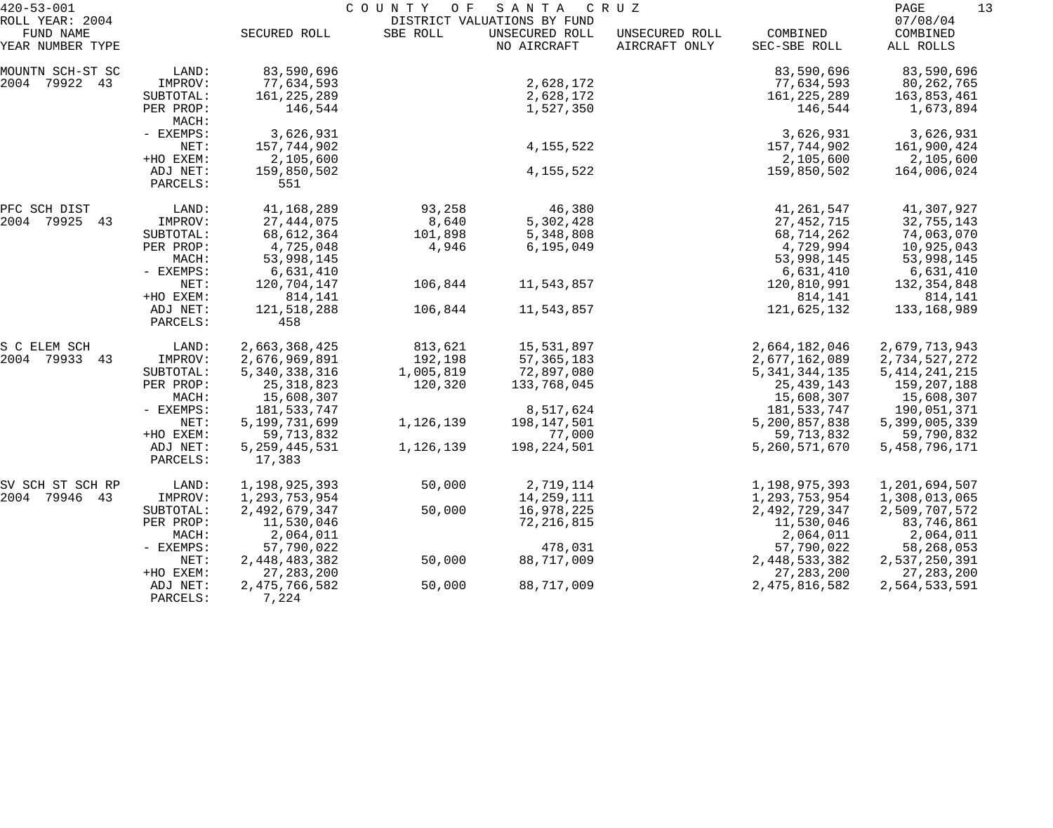| $420 - 53 - 001$              |             | COUNTY OF<br>S A N T A<br>C R U Z |           |                               |                                 |                          |                       |
|-------------------------------|-------------|-----------------------------------|-----------|-------------------------------|---------------------------------|--------------------------|-----------------------|
| ROLL YEAR: 2004               |             |                                   |           | DISTRICT VALUATIONS BY FUND   |                                 |                          | 07/08/04              |
| FUND NAME<br>YEAR NUMBER TYPE |             | SECURED ROLL                      | SBE ROLL  | UNSECURED ROLL<br>NO AIRCRAFT | UNSECURED ROLL<br>AIRCRAFT ONLY | COMBINED<br>SEC-SBE ROLL | COMBINED<br>ALL ROLLS |
|                               |             |                                   |           |                               |                                 |                          |                       |
| MOUNTN SCH-ST SC              | LAND:       | 83,590,696                        |           |                               |                                 | 83,590,696               | 83,590,696            |
| 2004 79922 43                 | IMPROV:     | 77,634,593                        |           | 2,628,172                     |                                 | 77,634,593               | 80,262,765            |
|                               | SUBTOTAL:   | 161, 225, 289                     |           | 2,628,172                     |                                 | 161,225,289              | 163,853,461           |
|                               | PER PROP:   | 146,544                           |           | 1,527,350                     |                                 | 146,544                  | 1,673,894             |
|                               | MACH:       |                                   |           |                               |                                 |                          |                       |
|                               | - EXEMPS:   | 3,626,931                         |           |                               |                                 | 3,626,931                | 3,626,931             |
|                               | NET:        | 157,744,902                       |           | 4, 155, 522                   |                                 | 157,744,902              | 161,900,424           |
|                               | +HO EXEM:   | 2,105,600                         |           |                               |                                 | 2,105,600                | 2,105,600             |
|                               | ADJ NET:    | 159,850,502                       |           | 4, 155, 522                   |                                 | 159,850,502              | 164,006,024           |
|                               | PARCELS:    | 551                               |           |                               |                                 |                          |                       |
| PFC SCH DIST                  | LAND:       | 41,168,289                        | 93,258    | 46,380                        |                                 | 41, 261, 547             | 41,307,927            |
| 2004 79925 43                 | IMPROV:     | 27, 444, 075                      | 8,640     | 5,302,428                     |                                 | 27, 452, 715             | 32,755,143            |
|                               | SUBTOTAL:   | 68,612,364                        | 101,898   | 5,348,808                     |                                 | 68,714,262               | 74,063,070            |
|                               | PER PROP:   | 4,725,048                         | 4,946     | 6, 195, 049                   |                                 | 4,729,994                | 10,925,043            |
|                               | MACH:       | 53,998,145                        |           |                               |                                 | 53,998,145               | 53,998,145            |
|                               | - EXEMPS:   | 6,631,410                         |           |                               |                                 | 6,631,410                | 6,631,410             |
|                               | NET:        | 120,704,147                       | 106,844   | 11,543,857                    |                                 | 120,810,991              | 132, 354, 848         |
|                               | +HO EXEM:   | 814,141                           |           |                               |                                 | 814,141                  | 814,141               |
|                               | ADJ NET:    | 121,518,288                       | 106,844   | 11,543,857                    |                                 | 121,625,132              | 133,168,989           |
|                               | PARCELS:    | 458                               |           |                               |                                 |                          |                       |
| S C ELEM SCH                  | LAND:       | 2,663,368,425                     | 813,621   | 15,531,897                    |                                 | 2,664,182,046            | 2,679,713,943         |
| 2004 79933 43                 | IMPROV:     | 2,676,969,891                     | 192,198   | 57, 365, 183                  |                                 | 2,677,162,089            | 2,734,527,272         |
|                               | SUBTOTAL:   | 5,340,338,316                     | 1,005,819 | 72,897,080                    |                                 | 5, 341, 344, 135         | 5, 414, 241, 215      |
|                               | PER PROP:   | 25, 318, 823                      | 120,320   | 133,768,045                   |                                 | 25, 439, 143             | 159,207,188           |
|                               | MACH:       | 15,608,307                        |           |                               |                                 | 15,608,307               | 15,608,307            |
|                               | - EXEMPS:   | 181,533,747                       |           | 8,517,624                     |                                 | 181,533,747              | 190,051,371           |
|                               | NET:        | 5, 199, 731, 699                  | 1,126,139 | 198,147,501                   |                                 | 5,200,857,838            | 5,399,005,339         |
|                               | +HO EXEM:   | 59, 713, 832                      |           | 77,000                        |                                 | 59, 713, 832             | 59,790,832            |
|                               | ADJ NET:    | 5, 259, 445, 531                  | 1,126,139 | 198, 224, 501                 |                                 | 5,260,571,670            | 5, 458, 796, 171      |
|                               | PARCELS:    | 17,383                            |           |                               |                                 |                          |                       |
| SV SCH ST SCH RP              | LAND:       | 1,198,925,393                     | 50,000    | 2,719,114                     |                                 | 1,198,975,393            | 1,201,694,507         |
| 2004 79946<br>43              | IMPROV:     | 1,293,753,954                     |           | 14,259,111                    |                                 | 1,293,753,954            | 1,308,013,065         |
|                               | SUBTOTAL:   | 2,492,679,347                     | 50,000    | 16,978,225                    |                                 | 2,492,729,347            | 2,509,707,572         |
|                               | PER PROP:   | 11,530,046                        |           | 72, 216, 815                  |                                 | 11,530,046               | 83,746,861            |
|                               | MACH:       | 2,064,011                         |           |                               |                                 | 2,064,011                | 2,064,011             |
|                               | $-$ EXEMPS: | 57,790,022                        |           | 478,031                       |                                 | 57,790,022               | 58,268,053            |
|                               | NET:        | 2,448,483,382                     | 50,000    | 88,717,009                    |                                 | 2,448,533,382            | 2,537,250,391         |
|                               | +HO EXEM:   | 27, 283, 200                      |           |                               |                                 | 27, 283, 200             | 27, 283, 200          |
|                               | ADJ NET:    | 2, 475, 766, 582                  | 50,000    | 88,717,009                    |                                 | 2, 475, 816, 582         | 2,564,533,591         |
|                               | PARCELS:    | 7,224                             |           |                               |                                 |                          |                       |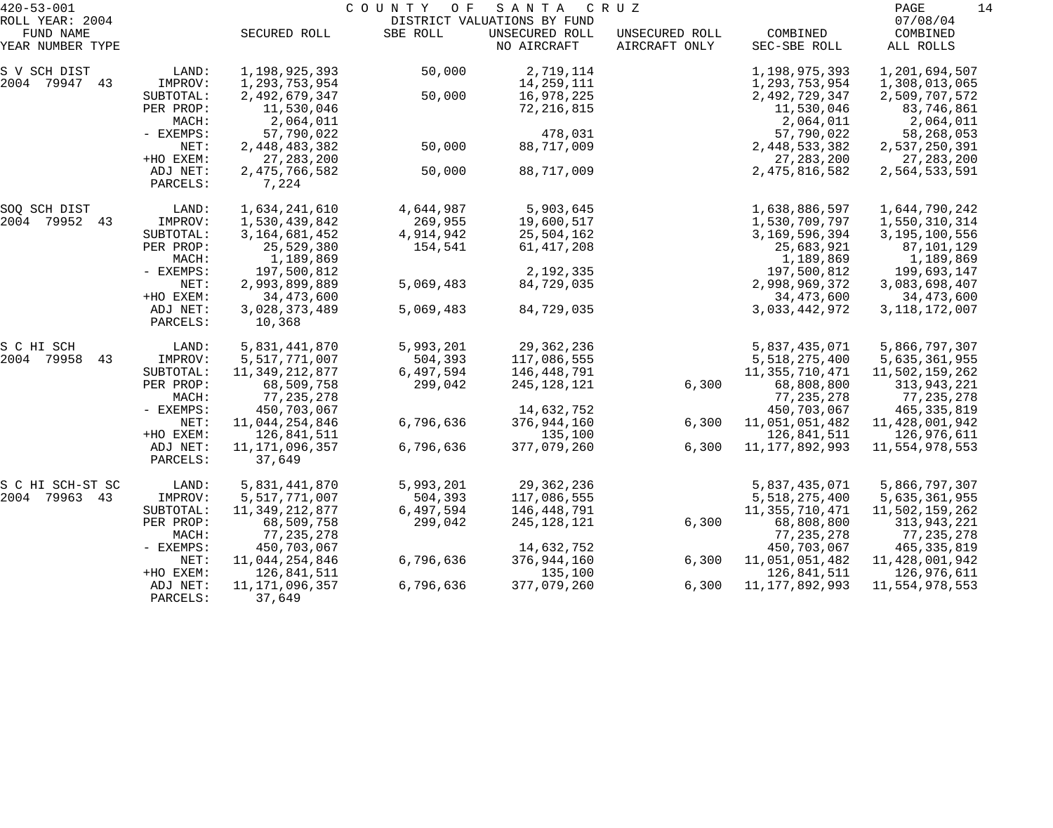| $420 - 53 - 001$ |                      | COUNTY OF<br>S A N T A<br>C R U Z |           |                             |                |                   |                  |  |
|------------------|----------------------|-----------------------------------|-----------|-----------------------------|----------------|-------------------|------------------|--|
| ROLL YEAR: 2004  |                      |                                   |           | DISTRICT VALUATIONS BY FUND |                |                   | 07/08/04         |  |
| FUND NAME        |                      | SECURED ROLL                      | SBE ROLL  | UNSECURED ROLL              | UNSECURED ROLL | COMBINED          | COMBINED         |  |
| YEAR NUMBER TYPE |                      |                                   |           | NO AIRCRAFT                 | AIRCRAFT ONLY  | SEC-SBE ROLL      | ALL ROLLS        |  |
| S V SCH DIST     | LAND:                | 1,198,925,393                     | 50,000    | 2,719,114                   |                | 1,198,975,393     | 1,201,694,507    |  |
| 2004 79947 43    | IMPROV:              | 1,293,753,954                     |           | 14,259,111                  |                | 1,293,753,954     | 1,308,013,065    |  |
|                  | SUBTOTAL:            | 2,492,679,347                     | 50,000    | 16,978,225                  |                | 2,492,729,347     | 2,509,707,572    |  |
|                  | PER PROP:            | 11,530,046                        |           | 72,216,815                  |                | 11,530,046        | 83,746,861       |  |
|                  | MACH:                | 2,064,011                         |           |                             |                | 2,064,011         | 2,064,011        |  |
|                  | - EXEMPS:            | 57,790,022                        |           | 478,031                     |                | 57,790,022        | 58,268,053       |  |
|                  | NET:                 | 2,448,483,382                     | 50,000    | 88,717,009                  |                | 2,448,533,382     | 2,537,250,391    |  |
|                  | +HO EXEM:            | 27, 283, 200                      |           |                             |                | 27, 283, 200      | 27, 283, 200     |  |
|                  | ADJ NET:<br>PARCELS: | 2, 475, 766, 582<br>7,224         | 50,000    | 88,717,009                  |                | 2, 475, 816, 582  | 2,564,533,591    |  |
| SOQ SCH DIST     | LAND:                | 1,634,241,610                     | 4,644,987 | 5,903,645                   |                | 1,638,886,597     | 1,644,790,242    |  |
| 2004 79952 43    | IMPROV:              | 1,530,439,842                     | 269,955   | 19,600,517                  |                | 1,530,709,797     | 1,550,310,314    |  |
|                  | SUBTOTAL:            | 3, 164, 681, 452                  | 4,914,942 | 25,504,162                  |                | 3,169,596,394     | 3,195,100,556    |  |
|                  | PER PROP:            | 25,529,380                        | 154,541   | 61,417,208                  |                | 25,683,921        | 87,101,129       |  |
|                  | MACH:                | 1,189,869                         |           |                             |                | 1,189,869         | 1,189,869        |  |
|                  | - EXEMPS:            | 197,500,812                       |           | 2,192,335                   |                | 197,500,812       | 199,693,147      |  |
|                  | NET:                 | 2,993,899,889                     | 5,069,483 | 84,729,035                  |                | 2,998,969,372     | 3,083,698,407    |  |
|                  | +HO EXEM:            | 34, 473, 600                      |           |                             |                | 34, 473, 600      | 34,473,600       |  |
|                  | ADJ NET:             | 3,028,373,489                     | 5,069,483 | 84,729,035                  |                | 3,033,442,972     | 3, 118, 172, 007 |  |
|                  | PARCELS:             | 10,368                            |           |                             |                |                   |                  |  |
| S C HI SCH       | LAND:                | 5,831,441,870                     | 5,993,201 | 29, 362, 236                |                | 5,837,435,071     | 5,866,797,307    |  |
| 2004 79958<br>43 | IMPROV:              | 5,517,771,007                     | 504,393   | 117,086,555                 |                | 5,518,275,400     | 5,635,361,955    |  |
|                  | SUBTOTAL:            | 11, 349, 212, 877                 | 6,497,594 | 146,448,791                 |                | 11,355,710,471    | 11,502,159,262   |  |
|                  | PER PROP:            | 68,509,758                        | 299,042   | 245,128,121                 | 6,300          | 68,808,800        | 313,943,221      |  |
|                  | MACH:                | 77,235,278                        |           |                             |                | 77, 235, 278      | 77,235,278       |  |
|                  | - EXEMPS:            | 450,703,067                       |           | 14,632,752                  |                | 450,703,067       | 465, 335, 819    |  |
|                  | NET:                 | 11,044,254,846                    | 6,796,636 | 376,944,160                 | 6,300          | 11,051,051,482    | 11,428,001,942   |  |
|                  | +HO EXEM:            | 126,841,511                       |           | 135,100                     |                | 126,841,511       | 126,976,611      |  |
|                  | ADJ NET:<br>PARCELS: | 11, 171, 096, 357<br>37,649       | 6,796,636 | 377,079,260                 | 6,300          | 11, 177, 892, 993 | 11,554,978,553   |  |
|                  |                      |                                   |           |                             |                |                   |                  |  |
| S C HI SCH-ST SC | LAND:                | 5,831,441,870                     | 5,993,201 | 29,362,236                  |                | 5,837,435,071     | 5,866,797,307    |  |
| 2004 79963 43    | IMPROV:              | 5,517,771,007                     | 504,393   | 117,086,555                 |                | 5,518,275,400     | 5,635,361,955    |  |
|                  | SUBTOTAL:            | 11, 349, 212, 877                 | 6,497,594 | 146,448,791                 |                | 11,355,710,471    | 11,502,159,262   |  |
|                  | PER PROP:            | 68,509,758                        | 299,042   | 245,128,121                 | 6,300          | 68,808,800        | 313,943,221      |  |
|                  | MACH:                | 77, 235, 278                      |           |                             |                | 77, 235, 278      | 77,235,278       |  |
|                  | $-$ EXEMPS:          | 450,703,067                       |           | 14,632,752                  |                | 450,703,067       | 465,335,819      |  |
|                  | NET:                 | 11,044,254,846                    | 6,796,636 | 376,944,160                 | 6,300          | 11,051,051,482    | 11,428,001,942   |  |
|                  | +HO EXEM:            | 126,841,511                       |           | 135,100                     |                | 126,841,511       | 126,976,611      |  |
|                  | ADJ NET:             | 11, 171, 096, 357                 | 6,796,636 | 377,079,260                 | 6,300          | 11, 177, 892, 993 | 11,554,978,553   |  |
|                  | PARCELS:             | 37,649                            |           |                             |                |                   |                  |  |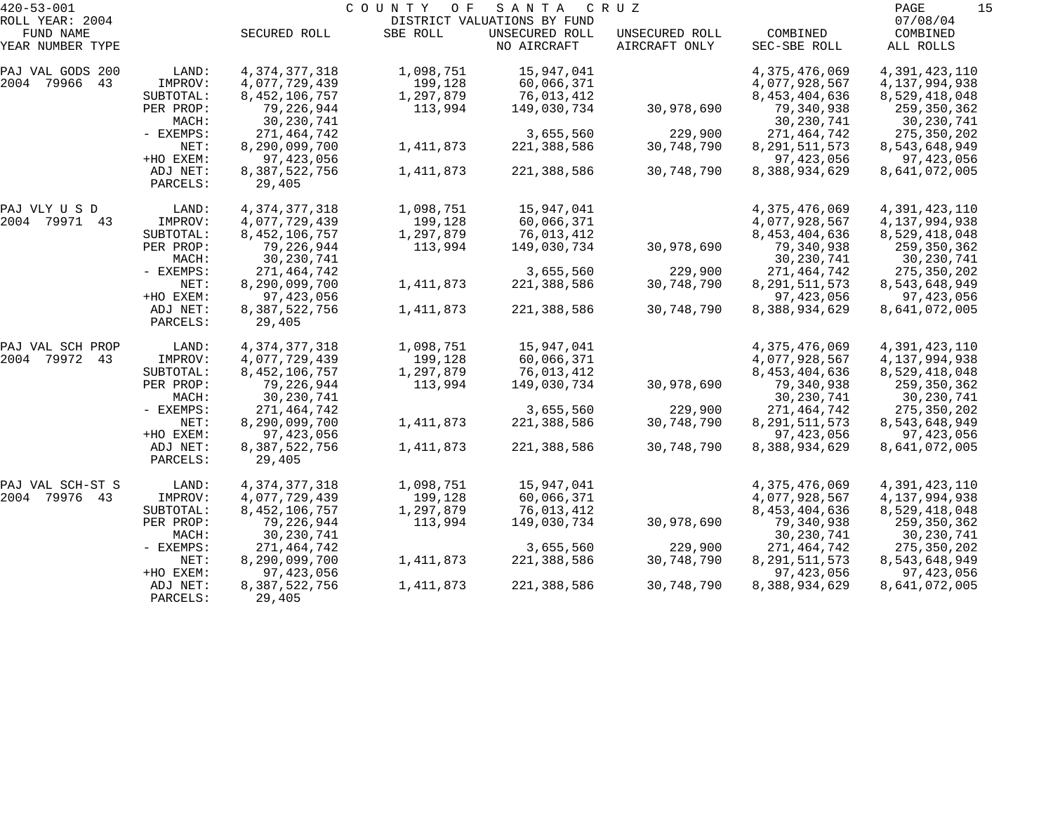| $420 - 53 - 001$ |             | COUNTY OF<br>S A N T A<br>C R U Z |           |                             |                |                  |                  |
|------------------|-------------|-----------------------------------|-----------|-----------------------------|----------------|------------------|------------------|
| ROLL YEAR: 2004  |             |                                   |           | DISTRICT VALUATIONS BY FUND |                |                  | 07/08/04         |
| FUND NAME        |             | SECURED ROLL                      | SBE ROLL  | UNSECURED ROLL              | UNSECURED ROLL | COMBINED         | COMBINED         |
| YEAR NUMBER TYPE |             |                                   |           | NO AIRCRAFT                 | AIRCRAFT ONLY  | SEC-SBE ROLL     | ALL ROLLS        |
| PAJ VAL GODS 200 | LAND:       | 4, 374, 377, 318                  | 1,098,751 | 15,947,041                  |                | 4,375,476,069    | 4,391,423,110    |
| 2004 79966<br>43 | IMPROV:     | 4,077,729,439                     | 199,128   | 60,066,371                  |                | 4,077,928,567    | 4, 137, 994, 938 |
|                  | SUBTOTAL:   | 8, 452, 106, 757                  | 1,297,879 | 76,013,412                  |                | 8, 453, 404, 636 | 8,529,418,048    |
|                  | PER PROP:   | 79,226,944                        | 113,994   | 149,030,734                 | 30,978,690     | 79,340,938       | 259,350,362      |
|                  | MACH:       | 30, 230, 741                      |           |                             |                | 30, 230, 741     | 30,230,741       |
|                  | - EXEMPS:   | 271,464,742                       |           | 3,655,560                   | 229,900        | 271, 464, 742    | 275,350,202      |
|                  | NET:        | 8,290,099,700                     | 1,411,873 | 221,388,586                 | 30,748,790     | 8, 291, 511, 573 | 8,543,648,949    |
|                  | +HO EXEM:   | 97,423,056                        |           |                             |                | 97, 423, 056     | 97,423,056       |
|                  | ADJ NET:    | 8,387,522,756                     | 1,411,873 | 221,388,586                 | 30,748,790     | 8,388,934,629    | 8,641,072,005    |
|                  | PARCELS:    | 29,405                            |           |                             |                |                  |                  |
| PAJ VLY U S D    | LAND:       | 4, 374, 377, 318                  | 1,098,751 | 15,947,041                  |                | 4,375,476,069    | 4,391,423,110    |
| 2004 79971 43    | IMPROV:     | 4,077,729,439                     | 199,128   | 60,066,371                  |                | 4,077,928,567    | 4, 137, 994, 938 |
|                  | SUBTOTAL:   | 8, 452, 106, 757                  | 1,297,879 | 76,013,412                  |                | 8,453,404,636    | 8,529,418,048    |
|                  | PER PROP:   | 79,226,944                        | 113,994   | 149,030,734                 | 30,978,690     | 79,340,938       | 259,350,362      |
|                  | MACH:       | 30, 230, 741                      |           |                             |                | 30, 230, 741     | 30, 230, 741     |
|                  | - EXEMPS:   | 271,464,742                       |           | 3,655,560                   | 229,900        | 271,464,742      | 275,350,202      |
|                  | NET:        | 8,290,099,700                     | 1,411,873 | 221,388,586                 | 30,748,790     | 8, 291, 511, 573 | 8,543,648,949    |
|                  | +HO EXEM:   | 97, 423, 056                      |           |                             |                | 97, 423, 056     | 97,423,056       |
|                  | ADJ NET:    | 8,387,522,756                     | 1,411,873 | 221,388,586                 | 30,748,790     | 8,388,934,629    | 8,641,072,005    |
|                  | PARCELS:    | 29,405                            |           |                             |                |                  |                  |
| PAJ VAL SCH PROP | LAND:       | 4, 374, 377, 318                  | 1,098,751 | 15,947,041                  |                | 4,375,476,069    | 4,391,423,110    |
| 2004 79972 43    | IMPROV:     | 4,077,729,439                     | 199,128   | 60,066,371                  |                | 4,077,928,567    | 4, 137, 994, 938 |
|                  | SUBTOTAL:   | 8, 452, 106, 757                  | 1,297,879 | 76,013,412                  |                | 8, 453, 404, 636 | 8,529,418,048    |
|                  | PER PROP:   | 79,226,944                        | 113,994   | 149,030,734                 | 30,978,690     | 79,340,938       | 259,350,362      |
|                  | MACH:       | 30, 230, 741                      |           |                             |                | 30, 230, 741     | 30,230,741       |
|                  | - EXEMPS:   | 271,464,742                       |           | 3,655,560                   | 229,900        | 271,464,742      | 275,350,202      |
|                  | NET:        | 8,290,099,700                     | 1,411,873 | 221,388,586                 | 30,748,790     | 8, 291, 511, 573 | 8,543,648,949    |
|                  | +HO EXEM:   | 97,423,056                        |           |                             |                | 97, 423, 056     | 97,423,056       |
|                  | ADJ NET:    | 8,387,522,756                     | 1,411,873 | 221,388,586                 | 30,748,790     | 8,388,934,629    | 8,641,072,005    |
|                  | PARCELS:    | 29,405                            |           |                             |                |                  |                  |
| PAJ VAL SCH-ST S | LAND:       | 4, 374, 377, 318                  | 1,098,751 | 15,947,041                  |                | 4,375,476,069    | 4,391,423,110    |
| 2004 79976 43    | IMPROV:     | 4,077,729,439                     | 199,128   | 60,066,371                  |                | 4,077,928,567    | 4,137,994,938    |
|                  | SUBTOTAL:   | 8, 452, 106, 757                  | 1,297,879 | 76,013,412                  |                | 8,453,404,636    | 8,529,418,048    |
|                  | PER PROP:   | 79,226,944                        | 113,994   | 149,030,734                 | 30,978,690     | 79,340,938       | 259,350,362      |
|                  | MACH:       | 30, 230, 741                      |           |                             |                | 30,230,741       | 30,230,741       |
|                  | $-$ EXEMPS: | 271,464,742                       |           | 3,655,560                   | 229,900        | 271,464,742      | 275,350,202      |
|                  | NET:        | 8,290,099,700                     | 1,411,873 | 221,388,586                 | 30,748,790     | 8, 291, 511, 573 | 8,543,648,949    |
|                  | +HO EXEM:   | 97,423,056                        |           |                             |                | 97, 423, 056     | 97,423,056       |
|                  | ADJ NET:    | 8,387,522,756                     | 1,411,873 | 221,388,586                 | 30,748,790     | 8,388,934,629    | 8,641,072,005    |
|                  | PARCELS:    | 29,405                            |           |                             |                |                  |                  |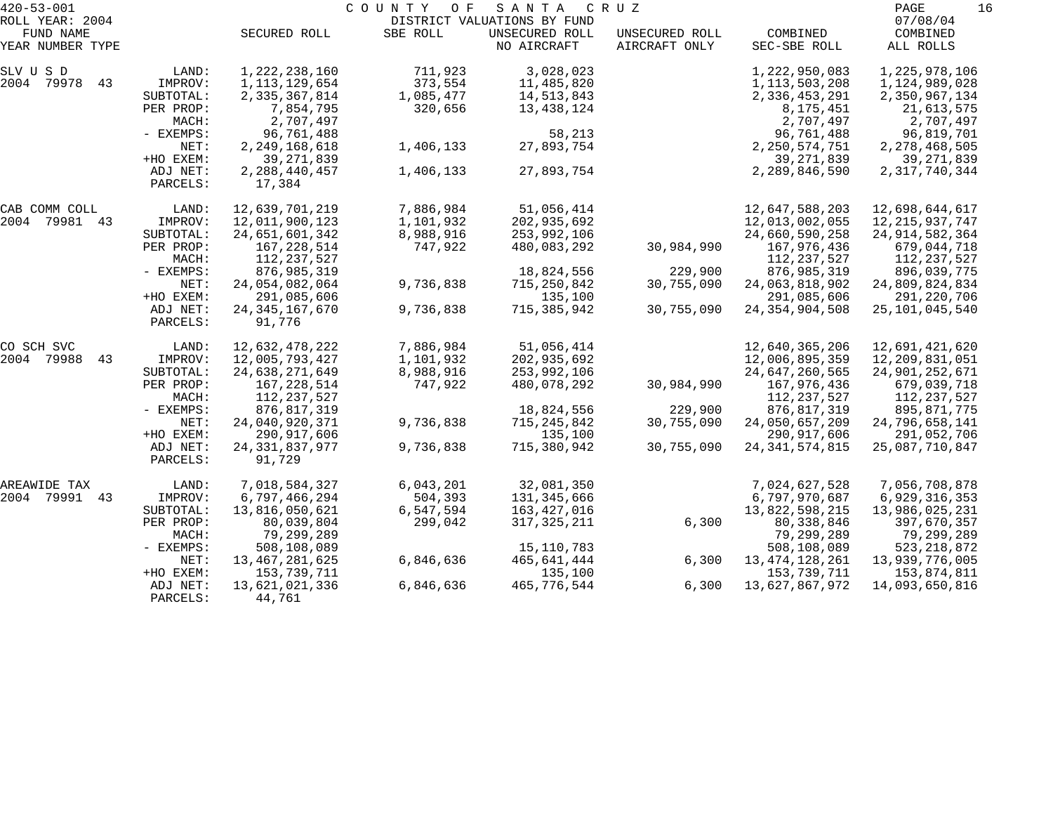| $420 - 53 - 001$              |                      |                                  | COUNTY<br>O F | SANTA                         | C R U Z                         |                                  | PAGE<br>16                       |
|-------------------------------|----------------------|----------------------------------|---------------|-------------------------------|---------------------------------|----------------------------------|----------------------------------|
| ROLL YEAR: 2004               |                      |                                  |               | DISTRICT VALUATIONS BY FUND   |                                 |                                  | 07/08/04                         |
| FUND NAME<br>YEAR NUMBER TYPE |                      | SECURED ROLL                     | SBE ROLL      | UNSECURED ROLL<br>NO AIRCRAFT | UNSECURED ROLL<br>AIRCRAFT ONLY | COMBINED<br>SEC-SBE ROLL         | COMBINED<br>ALL ROLLS            |
| SLV U S D                     | LAND:                | 1, 222, 238, 160                 | 711,923       | 3,028,023                     |                                 | 1,222,950,083                    | 1,225,978,106                    |
| 2004 79978<br>43              | IMPROV:              | 1,113,129,654                    | 373,554       | 11,485,820                    |                                 | 1, 113, 503, 208                 | 1,124,989,028                    |
|                               | SUBTOTAL:            | 2,335,367,814                    | 1,085,477     | 14,513,843                    |                                 | 2,336,453,291                    | 2,350,967,134                    |
|                               | PER PROP:<br>MACH:   | 7,854,795<br>2,707,497           | 320,656       | 13,438,124                    |                                 | 8, 175, 451<br>2,707,497         | 21,613,575<br>2,707,497          |
|                               | - EXEMPS:            | 96,761,488                       |               | 58,213                        |                                 | 96,761,488                       | 96,819,701                       |
|                               | NET:<br>+HO EXEM:    | 2, 249, 168, 618<br>39, 271, 839 | 1,406,133     | 27,893,754                    |                                 | 2, 250, 574, 751<br>39, 271, 839 | 2, 278, 468, 505<br>39, 271, 839 |
|                               | ADJ NET:             | 2, 288, 440, 457                 | 1,406,133     | 27,893,754                    |                                 | 2,289,846,590                    | 2, 317, 740, 344                 |
|                               | PARCELS:             | 17,384                           |               |                               |                                 |                                  |                                  |
| CAB COMM COLL                 | LAND:                | 12,639,701,219                   | 7,886,984     | 51,056,414                    |                                 | 12,647,588,203                   | 12,698,644,617                   |
| 2004 79981 43                 | IMPROV:              | 12,011,900,123                   | 1,101,932     | 202,935,692                   |                                 | 12,013,002,055                   | 12, 215, 937, 747                |
|                               | SUBTOTAL:            | 24,651,601,342                   | 8,988,916     | 253,992,106                   |                                 | 24,660,590,258                   | 24, 914, 582, 364                |
|                               | PER PROP:            | 167,228,514                      | 747,922       | 480,083,292                   | 30,984,990                      | 167,976,436                      | 679,044,718                      |
|                               | MACH:                | 112,237,527                      |               |                               |                                 | 112, 237, 527                    | 112,237,527                      |
|                               | - EXEMPS:            | 876,985,319                      |               | 18,824,556                    | 229,900                         | 876,985,319                      | 896,039,775                      |
|                               | NET:                 | 24,054,082,064                   | 9,736,838     | 715,250,842                   | 30,755,090                      | 24,063,818,902                   | 24,809,824,834                   |
|                               | +HO EXEM:            | 291,085,606                      |               | 135,100                       |                                 | 291,085,606                      | 291,220,706                      |
|                               | ADJ NET:<br>PARCELS: | 24, 345, 167, 670<br>91,776      | 9,736,838     | 715,385,942                   | 30,755,090                      | 24, 354, 904, 508                | 25, 101, 045, 540                |
| CO SCH SVC                    | LAND:                | 12,632,478,222                   | 7,886,984     | 51,056,414                    |                                 | 12,640,365,206                   | 12,691,421,620                   |
| 2004 79988<br>43              | IMPROV:              | 12,005,793,427                   | 1,101,932     | 202,935,692                   |                                 | 12,006,895,359                   | 12,209,831,051                   |
|                               | SUBTOTAL:            | 24,638,271,649                   | 8,988,916     | 253,992,106                   |                                 | 24,647,260,565                   | 24,901,252,671                   |
|                               | PER PROP:            | 167,228,514                      | 747,922       | 480,078,292                   | 30,984,990                      | 167,976,436                      | 679,039,718                      |
|                               | MACH:                | 112,237,527                      |               |                               |                                 | 112, 237, 527                    | 112, 237, 527                    |
|                               | - EXEMPS:            | 876,817,319                      |               | 18,824,556                    | 229,900                         | 876, 817, 319                    | 895,871,775                      |
|                               | NET:                 | 24,040,920,371                   | 9,736,838     | 715,245,842                   | 30,755,090                      | 24,050,657,209                   | 24,796,658,141                   |
|                               | +HO EXEM:            | 290,917,606                      |               | 135,100                       |                                 | 290, 917, 606                    | 291,052,706                      |
|                               | ADJ NET:             | 24, 331, 837, 977                | 9,736,838     | 715,380,942                   | 30,755,090                      | 24, 341, 574, 815                | 25,087,710,847                   |
|                               | PARCELS:             | 91,729                           |               |                               |                                 |                                  |                                  |
| AREAWIDE TAX                  | LAND:                | 7,018,584,327                    | 6,043,201     | 32,081,350                    |                                 | 7,024,627,528                    | 7,056,708,878                    |
| 2004 79991<br>43              | IMPROV:              | 6,797,466,294                    | 504,393       | 131,345,666                   |                                 | 6,797,970,687                    | 6,929,316,353                    |
|                               | SUBTOTAL:            | 13,816,050,621                   | 6,547,594     | 163,427,016                   |                                 | 13,822,598,215                   | 13,986,025,231                   |
|                               | PER PROP:            | 80,039,804                       | 299,042       | 317, 325, 211                 | 6,300                           | 80, 338, 846                     | 397,670,357                      |
|                               | MACH:                | 79,299,289                       |               |                               |                                 | 79,299,289                       | 79,299,289                       |
|                               | - EXEMPS:            | 508,108,089                      |               | 15, 110, 783                  |                                 | 508,108,089                      | 523, 218, 872                    |
|                               | NET:                 | 13, 467, 281, 625                | 6,846,636     | 465,641,444                   | 6,300                           | 13, 474, 128, 261                | 13,939,776,005                   |
|                               | +HO EXEM:            | 153,739,711                      |               | 135,100                       |                                 | 153,739,711                      | 153,874,811                      |
|                               | ADJ NET:<br>PARCELS: | 13,621,021,336<br>44,761         | 6,846,636     | 465,776,544                   | 6,300                           | 13,627,867,972                   | 14,093,650,816                   |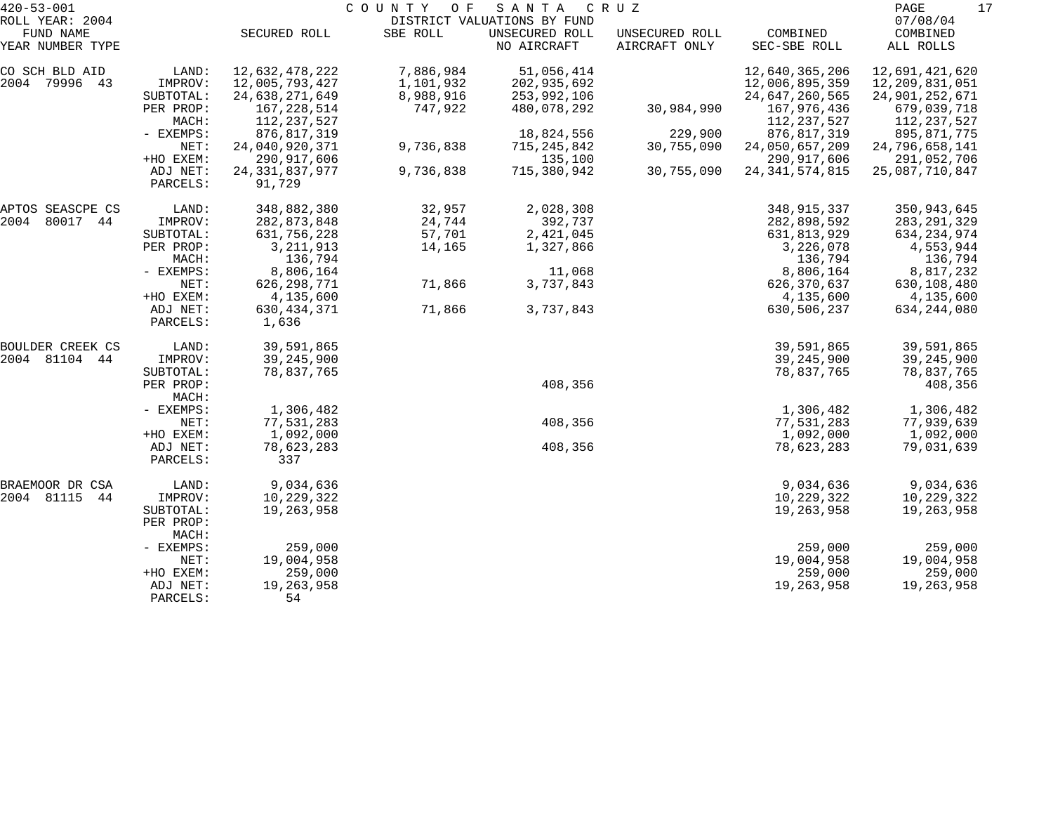|           |                                                                                                                                                                                                                                                                                           |                                                                                                                                                                                                                                                                                                                                                              |                                                                          | C R U Z                                                                                                                                                         |                          | PAGE                                                                                                                                                                                                                                                                                                                           |
|-----------|-------------------------------------------------------------------------------------------------------------------------------------------------------------------------------------------------------------------------------------------------------------------------------------------|--------------------------------------------------------------------------------------------------------------------------------------------------------------------------------------------------------------------------------------------------------------------------------------------------------------------------------------------------------------|--------------------------------------------------------------------------|-----------------------------------------------------------------------------------------------------------------------------------------------------------------|--------------------------|--------------------------------------------------------------------------------------------------------------------------------------------------------------------------------------------------------------------------------------------------------------------------------------------------------------------------------|
|           |                                                                                                                                                                                                                                                                                           |                                                                                                                                                                                                                                                                                                                                                              | DISTRICT VALUATIONS BY FUND                                              |                                                                                                                                                                 |                          | 07/08/04                                                                                                                                                                                                                                                                                                                       |
|           | SECURED ROLL                                                                                                                                                                                                                                                                              | SBE ROLL                                                                                                                                                                                                                                                                                                                                                     | UNSECURED ROLL<br>NO AIRCRAFT                                            | UNSECURED ROLL<br>AIRCRAFT ONLY                                                                                                                                 | COMBINED<br>SEC-SBE ROLL | COMBINED<br>ALL ROLLS                                                                                                                                                                                                                                                                                                          |
| LAND:     | 12,632,478,222                                                                                                                                                                                                                                                                            | 7,886,984                                                                                                                                                                                                                                                                                                                                                    | 51,056,414                                                               |                                                                                                                                                                 | 12,640,365,206           | 12,691,421,620                                                                                                                                                                                                                                                                                                                 |
| IMPROV:   | 12,005,793,427                                                                                                                                                                                                                                                                            | 1,101,932                                                                                                                                                                                                                                                                                                                                                    | 202,935,692                                                              |                                                                                                                                                                 | 12,006,895,359           | 12,209,831,051                                                                                                                                                                                                                                                                                                                 |
| SUBTOTAL: | 24,638,271,649                                                                                                                                                                                                                                                                            | 8,988,916                                                                                                                                                                                                                                                                                                                                                    | 253,992,106                                                              |                                                                                                                                                                 | 24,647,260,565           | 24,901,252,671                                                                                                                                                                                                                                                                                                                 |
| PER PROP: | 167,228,514                                                                                                                                                                                                                                                                               | 747,922                                                                                                                                                                                                                                                                                                                                                      | 480,078,292                                                              | 30,984,990                                                                                                                                                      | 167,976,436              | 679,039,718                                                                                                                                                                                                                                                                                                                    |
| MACH:     | 112, 237, 527                                                                                                                                                                                                                                                                             |                                                                                                                                                                                                                                                                                                                                                              |                                                                          |                                                                                                                                                                 | 112,237,527              | 112,237,527                                                                                                                                                                                                                                                                                                                    |
| - EXEMPS: |                                                                                                                                                                                                                                                                                           |                                                                                                                                                                                                                                                                                                                                                              |                                                                          |                                                                                                                                                                 |                          | 895,871,775                                                                                                                                                                                                                                                                                                                    |
| NET:      |                                                                                                                                                                                                                                                                                           |                                                                                                                                                                                                                                                                                                                                                              |                                                                          | 30,755,090                                                                                                                                                      |                          | 24,796,658,141                                                                                                                                                                                                                                                                                                                 |
|           |                                                                                                                                                                                                                                                                                           |                                                                                                                                                                                                                                                                                                                                                              |                                                                          |                                                                                                                                                                 |                          | 291,052,706                                                                                                                                                                                                                                                                                                                    |
| PARCELS:  | 91,729                                                                                                                                                                                                                                                                                    |                                                                                                                                                                                                                                                                                                                                                              |                                                                          |                                                                                                                                                                 |                          | 25,087,710,847                                                                                                                                                                                                                                                                                                                 |
|           |                                                                                                                                                                                                                                                                                           |                                                                                                                                                                                                                                                                                                                                                              |                                                                          |                                                                                                                                                                 |                          | 350,943,645                                                                                                                                                                                                                                                                                                                    |
|           |                                                                                                                                                                                                                                                                                           |                                                                                                                                                                                                                                                                                                                                                              |                                                                          |                                                                                                                                                                 |                          | 283, 291, 329                                                                                                                                                                                                                                                                                                                  |
|           |                                                                                                                                                                                                                                                                                           |                                                                                                                                                                                                                                                                                                                                                              |                                                                          |                                                                                                                                                                 |                          | 634, 234, 974                                                                                                                                                                                                                                                                                                                  |
|           |                                                                                                                                                                                                                                                                                           |                                                                                                                                                                                                                                                                                                                                                              |                                                                          |                                                                                                                                                                 |                          | 4,553,944                                                                                                                                                                                                                                                                                                                      |
|           |                                                                                                                                                                                                                                                                                           |                                                                                                                                                                                                                                                                                                                                                              |                                                                          |                                                                                                                                                                 |                          | 136,794                                                                                                                                                                                                                                                                                                                        |
|           |                                                                                                                                                                                                                                                                                           |                                                                                                                                                                                                                                                                                                                                                              |                                                                          |                                                                                                                                                                 |                          | 8,817,232                                                                                                                                                                                                                                                                                                                      |
|           |                                                                                                                                                                                                                                                                                           |                                                                                                                                                                                                                                                                                                                                                              |                                                                          |                                                                                                                                                                 |                          | 630,108,480                                                                                                                                                                                                                                                                                                                    |
|           |                                                                                                                                                                                                                                                                                           |                                                                                                                                                                                                                                                                                                                                                              |                                                                          |                                                                                                                                                                 |                          | 4,135,600                                                                                                                                                                                                                                                                                                                      |
| ADJ NET:  | 630, 434, 371                                                                                                                                                                                                                                                                             | 71,866                                                                                                                                                                                                                                                                                                                                                       | 3,737,843                                                                |                                                                                                                                                                 | 630,506,237              | 634, 244, 080                                                                                                                                                                                                                                                                                                                  |
|           |                                                                                                                                                                                                                                                                                           |                                                                                                                                                                                                                                                                                                                                                              |                                                                          |                                                                                                                                                                 |                          |                                                                                                                                                                                                                                                                                                                                |
|           |                                                                                                                                                                                                                                                                                           |                                                                                                                                                                                                                                                                                                                                                              |                                                                          |                                                                                                                                                                 |                          | 39,591,865                                                                                                                                                                                                                                                                                                                     |
|           |                                                                                                                                                                                                                                                                                           |                                                                                                                                                                                                                                                                                                                                                              |                                                                          |                                                                                                                                                                 |                          | 39, 245, 900                                                                                                                                                                                                                                                                                                                   |
|           |                                                                                                                                                                                                                                                                                           |                                                                                                                                                                                                                                                                                                                                                              |                                                                          |                                                                                                                                                                 |                          | 78,837,765                                                                                                                                                                                                                                                                                                                     |
| MACH:     |                                                                                                                                                                                                                                                                                           |                                                                                                                                                                                                                                                                                                                                                              |                                                                          |                                                                                                                                                                 |                          | 408,356                                                                                                                                                                                                                                                                                                                        |
|           |                                                                                                                                                                                                                                                                                           |                                                                                                                                                                                                                                                                                                                                                              |                                                                          |                                                                                                                                                                 |                          | 1,306,482                                                                                                                                                                                                                                                                                                                      |
|           |                                                                                                                                                                                                                                                                                           |                                                                                                                                                                                                                                                                                                                                                              |                                                                          |                                                                                                                                                                 |                          | 77,939,639                                                                                                                                                                                                                                                                                                                     |
|           |                                                                                                                                                                                                                                                                                           |                                                                                                                                                                                                                                                                                                                                                              |                                                                          |                                                                                                                                                                 |                          | 1,092,000                                                                                                                                                                                                                                                                                                                      |
| PARCELS:  | 337                                                                                                                                                                                                                                                                                       |                                                                                                                                                                                                                                                                                                                                                              |                                                                          |                                                                                                                                                                 |                          | 79,031,639                                                                                                                                                                                                                                                                                                                     |
|           |                                                                                                                                                                                                                                                                                           |                                                                                                                                                                                                                                                                                                                                                              |                                                                          |                                                                                                                                                                 |                          | 9,034,636                                                                                                                                                                                                                                                                                                                      |
|           |                                                                                                                                                                                                                                                                                           |                                                                                                                                                                                                                                                                                                                                                              |                                                                          |                                                                                                                                                                 |                          | 10,229,322                                                                                                                                                                                                                                                                                                                     |
|           |                                                                                                                                                                                                                                                                                           |                                                                                                                                                                                                                                                                                                                                                              |                                                                          |                                                                                                                                                                 |                          | 19,263,958                                                                                                                                                                                                                                                                                                                     |
| PER PROP: |                                                                                                                                                                                                                                                                                           |                                                                                                                                                                                                                                                                                                                                                              |                                                                          |                                                                                                                                                                 |                          |                                                                                                                                                                                                                                                                                                                                |
|           |                                                                                                                                                                                                                                                                                           |                                                                                                                                                                                                                                                                                                                                                              |                                                                          |                                                                                                                                                                 | 259,000                  | 259,000                                                                                                                                                                                                                                                                                                                        |
| NET:      | 19,004,958                                                                                                                                                                                                                                                                                |                                                                                                                                                                                                                                                                                                                                                              |                                                                          |                                                                                                                                                                 | 19,004,958               | 19,004,958                                                                                                                                                                                                                                                                                                                     |
| +HO EXEM: | 259,000                                                                                                                                                                                                                                                                                   |                                                                                                                                                                                                                                                                                                                                                              |                                                                          |                                                                                                                                                                 | 259,000                  | 259,000                                                                                                                                                                                                                                                                                                                        |
| ADJ NET:  | 19,263,958                                                                                                                                                                                                                                                                                |                                                                                                                                                                                                                                                                                                                                                              |                                                                          |                                                                                                                                                                 | 19,263,958               | 19,263,958                                                                                                                                                                                                                                                                                                                     |
|           | +HO EXEM:<br>ADJ NET:<br>LAND:<br>IMPROV:<br>SUBTOTAL:<br>PER PROP:<br>MACH:<br>- EXEMPS:<br>NET:<br>+HO EXEM:<br>PARCELS:<br>LAND:<br>IMPROV:<br>SUBTOTAL:<br>PER PROP:<br>- EXEMPS:<br>NET:<br>+HO EXEM:<br>ADJ NET:<br>LAND:<br>IMPROV:<br>SUBTOTAL:<br>MACH:<br>- EXEMPS:<br>PARCELS: | 876, 817, 319<br>24,040,920,371<br>290, 917, 606<br>24, 331, 837, 977<br>348,882,380<br>282,873,848<br>631,756,228<br>3, 211, 913<br>136,794<br>8,806,164<br>626, 298, 771<br>4,135,600<br>1,636<br>39,591,865<br>39, 245, 900<br>78,837,765<br>1,306,482<br>77,531,283<br>1,092,000<br>78,623,283<br>9,034,636<br>10,229,322<br>19,263,958<br>259,000<br>54 | 9,736,838<br>9,736,838<br>32,957<br>24,744<br>57,701<br>14,165<br>71,866 | 18,824,556<br>715, 245, 842<br>135,100<br>715,380,942<br>2,028,308<br>392,737<br>2,421,045<br>1,327,866<br>11,068<br>3,737,843<br>408,356<br>408,356<br>408,356 | 229,900<br>30,755,090    | 876, 817, 319<br>24,050,657,209<br>290, 917, 606<br>24, 341, 574, 815<br>348,915,337<br>282,898,592<br>631,813,929<br>3,226,078<br>136,794<br>8,806,164<br>626, 370, 637<br>4,135,600<br>39,591,865<br>39,245,900<br>78,837,765<br>1,306,482<br>77,531,283<br>1,092,000<br>78,623,283<br>9,034,636<br>10,229,322<br>19,263,958 |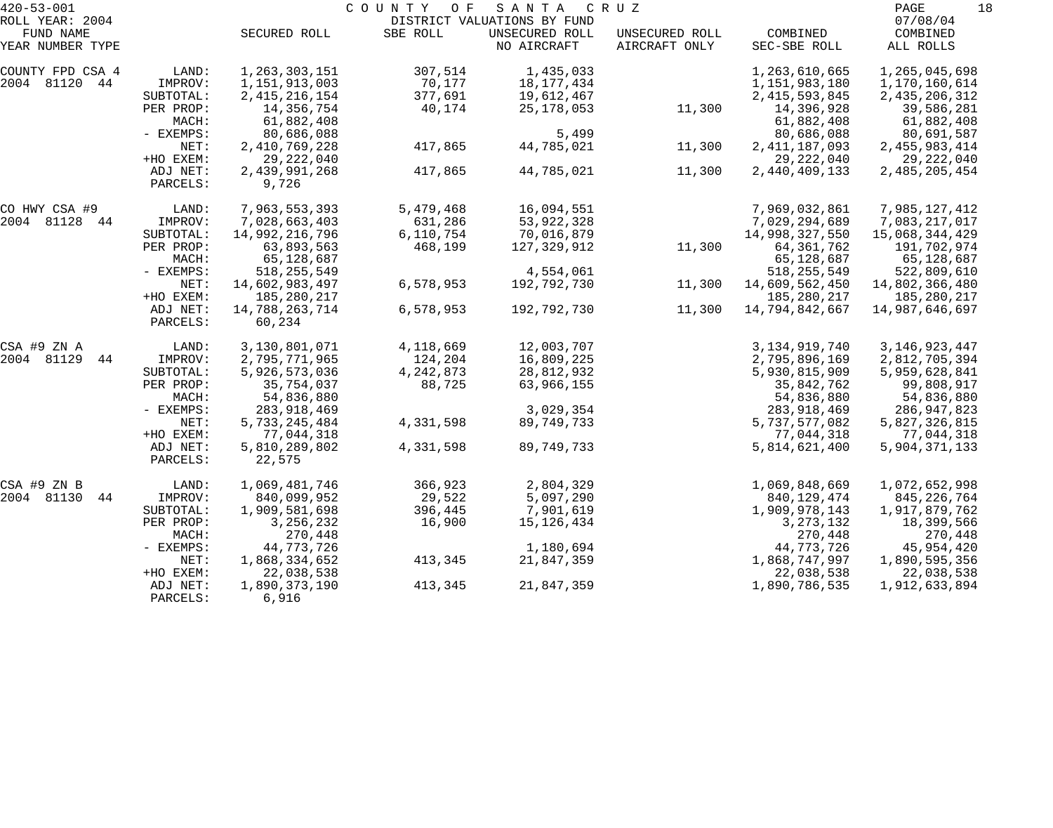| $420 - 53 - 001$ |           | COUNTY<br>O F<br>S A N T A<br>C R U Z |             |                             |                |                  |                  |  |
|------------------|-----------|---------------------------------------|-------------|-----------------------------|----------------|------------------|------------------|--|
| ROLL YEAR: 2004  |           |                                       |             | DISTRICT VALUATIONS BY FUND |                |                  | 07/08/04         |  |
| FUND NAME        |           | SECURED ROLL                          | SBE ROLL    | UNSECURED ROLL              | UNSECURED ROLL | COMBINED         | COMBINED         |  |
| YEAR NUMBER TYPE |           |                                       |             | NO AIRCRAFT                 | AIRCRAFT ONLY  | SEC-SBE ROLL     | ALL ROLLS        |  |
| COUNTY FPD CSA 4 | LAND:     | 1,263,303,151                         | 307,514     | 1,435,033                   |                | 1,263,610,665    | 1,265,045,698    |  |
| 2004 81120 44    | IMPROV:   | 1,151,913,003                         | 70,177      | 18,177,434                  |                | 1,151,983,180    | 1,170,160,614    |  |
|                  | SUBTOTAL: | 2, 415, 216, 154                      | 377,691     | 19,612,467                  |                | 2, 415, 593, 845 | 2, 435, 206, 312 |  |
|                  | PER PROP: | 14,356,754                            | 40,174      | 25,178,053                  | 11,300         | 14,396,928       | 39,586,281       |  |
|                  | MACH:     | 61,882,408                            |             |                             |                | 61,882,408       | 61,882,408       |  |
|                  | - EXEMPS: | 80,686,088                            |             | 5,499                       |                | 80,686,088       | 80,691,587       |  |
|                  | NET:      | 2,410,769,228                         | 417,865     | 44,785,021                  | 11,300         | 2, 411, 187, 093 | 2, 455, 983, 414 |  |
|                  | +HO EXEM: | 29, 222, 040                          |             |                             |                | 29, 222, 040     | 29, 222, 040     |  |
|                  | ADJ NET:  | 2,439,991,268                         | 417,865     | 44,785,021                  | 11,300         | 2,440,409,133    | 2,485,205,454    |  |
|                  | PARCELS:  | 9,726                                 |             |                             |                |                  |                  |  |
| CO HWY CSA #9    | LAND:     | 7,963,553,393                         | 5,479,468   | 16,094,551                  |                | 7,969,032,861    | 7,985,127,412    |  |
| 2004 81128<br>44 | IMPROV:   | 7,028,663,403                         | 631,286     | 53,922,328                  |                | 7,029,294,689    | 7,083,217,017    |  |
|                  | SUBTOTAL: | 14,992,216,796                        | 6,110,754   | 70,016,879                  |                | 14,998,327,550   | 15,068,344,429   |  |
|                  | PER PROP: | 63,893,563                            | 468,199     | 127,329,912                 | 11,300         | 64, 361, 762     | 191,702,974      |  |
|                  | MACH:     | 65,128,687                            |             |                             |                | 65,128,687       | 65,128,687       |  |
|                  | - EXEMPS: | 518, 255, 549                         |             | 4,554,061                   |                | 518, 255, 549    | 522,809,610      |  |
|                  | NET:      | 14,602,983,497                        | 6,578,953   | 192,792,730                 | 11,300         | 14,609,562,450   | 14,802,366,480   |  |
|                  | +HO EXEM: | 185,280,217                           |             |                             |                | 185, 280, 217    | 185,280,217      |  |
|                  | ADJ NET:  | 14,788,263,714                        | 6,578,953   | 192,792,730                 | 11,300         | 14,794,842,667   | 14,987,646,697   |  |
|                  | PARCELS:  | 60,234                                |             |                             |                |                  |                  |  |
| CSA #9 ZN A      | LAND:     | 3,130,801,071                         | 4,118,669   | 12,003,707                  |                | 3, 134, 919, 740 | 3, 146, 923, 447 |  |
| 2004 81129<br>44 | IMPROV:   | 2,795,771,965                         | 124,204     | 16,809,225                  |                | 2,795,896,169    | 2,812,705,394    |  |
|                  | SUBTOTAL: | 5,926,573,036                         | 4, 242, 873 | 28,812,932                  |                | 5,930,815,909    | 5,959,628,841    |  |
|                  | PER PROP: | 35,754,037                            | 88,725      | 63,966,155                  |                | 35,842,762       | 99,808,917       |  |
|                  | MACH:     | 54,836,880                            |             |                             |                | 54,836,880       | 54,836,880       |  |
|                  | - EXEMPS: | 283,918,469                           |             | 3,029,354                   |                | 283, 918, 469    | 286,947,823      |  |
|                  | NET:      | 5,733,245,484                         | 4,331,598   | 89,749,733                  |                | 5,737,577,082    | 5,827,326,815    |  |
|                  | +HO EXEM: | 77,044,318                            |             |                             |                | 77,044,318       | 77,044,318       |  |
|                  | ADJ NET:  | 5,810,289,802                         | 4,331,598   | 89,749,733                  |                | 5,814,621,400    | 5,904,371,133    |  |
|                  | PARCELS:  | 22,575                                |             |                             |                |                  |                  |  |
| CSA #9 ZN B      | LAND:     | 1,069,481,746                         | 366,923     | 2,804,329                   |                | 1,069,848,669    | 1,072,652,998    |  |
| 2004 81130<br>44 | IMPROV:   | 840,099,952                           | 29,522      | 5,097,290                   |                | 840, 129, 474    | 845,226,764      |  |
|                  | SUBTOTAL: | 1,909,581,698                         | 396,445     | 7,901,619                   |                | 1,909,978,143    | 1,917,879,762    |  |
|                  | PER PROP: | 3, 256, 232                           | 16,900      | 15, 126, 434                |                | 3, 273, 132      | 18,399,566       |  |
|                  | MACH:     | 270,448                               |             |                             |                | 270,448          | 270,448          |  |
|                  | - EXEMPS: | 44,773,726                            |             | 1,180,694                   |                | 44,773,726       | 45,954,420       |  |
|                  | NET:      | 1,868,334,652                         | 413,345     | 21,847,359                  |                | 1,868,747,997    | 1,890,595,356    |  |
|                  | +HO EXEM: | 22,038,538                            |             |                             |                | 22,038,538       | 22,038,538       |  |
|                  | ADJ NET:  | 1,890,373,190                         | 413,345     | 21,847,359                  |                | 1,890,786,535    | 1,912,633,894    |  |
|                  | PARCELS:  | 6,916                                 |             |                             |                |                  |                  |  |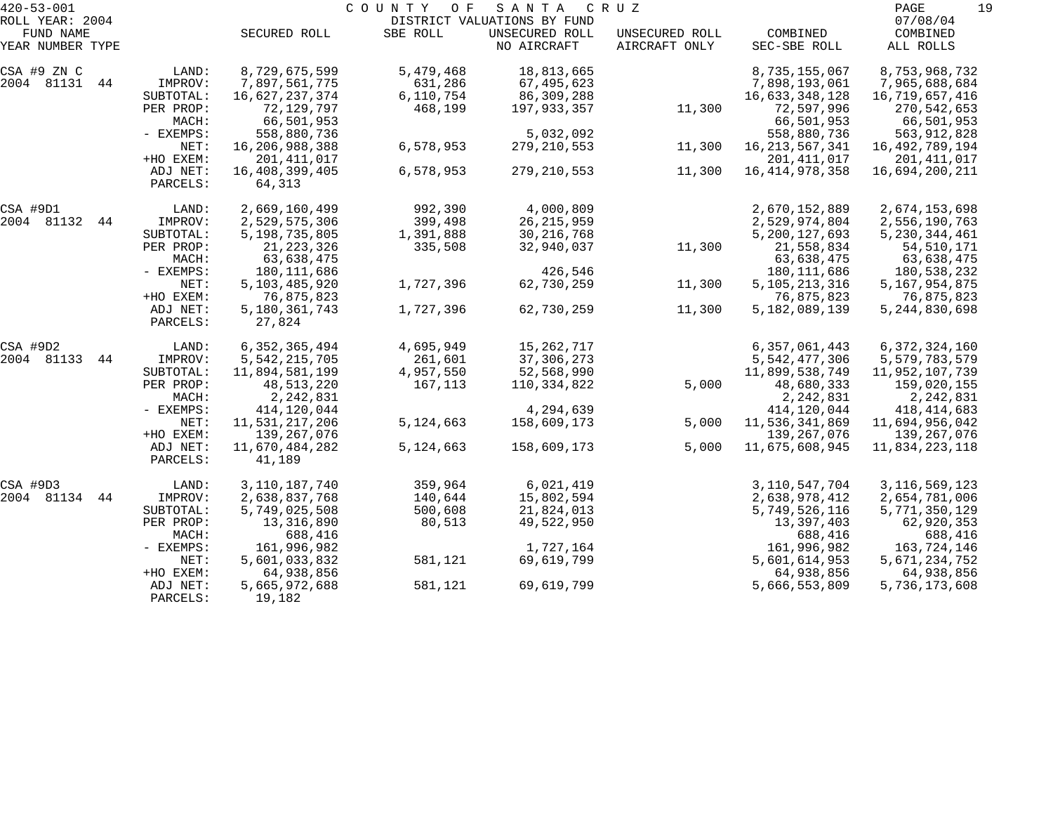| $420 - 53 - 001$              |           |                         | COUNTY<br>O F | SANTA                         | C R U Z                         |                          | PAGE<br>19                    |
|-------------------------------|-----------|-------------------------|---------------|-------------------------------|---------------------------------|--------------------------|-------------------------------|
| ROLL YEAR: 2004               |           |                         |               | DISTRICT VALUATIONS BY FUND   |                                 |                          | 07/08/04                      |
| FUND NAME<br>YEAR NUMBER TYPE |           | SECURED ROLL            | SBE ROLL      | UNSECURED ROLL<br>NO AIRCRAFT | UNSECURED ROLL<br>AIRCRAFT ONLY | COMBINED<br>SEC-SBE ROLL | COMBINED<br>ALL ROLLS         |
|                               |           |                         |               |                               |                                 |                          |                               |
| CSA #9 ZN C                   | LAND:     | 8,729,675,599           | 5,479,468     | 18,813,665                    |                                 | 8,735,155,067            | 8,753,968,732                 |
| 2004 81131 44                 | IMPROV:   | 7,897,561,775           | 631,286       | 67,495,623                    |                                 | 7,898,193,061            | 7,965,688,684                 |
|                               | SUBTOTAL: | 16,627,237,374          | 6,110,754     | 86,309,288                    |                                 | 16,633,348,128           | 16,719,657,416                |
|                               | PER PROP: | 72,129,797              | 468,199       | 197,933,357                   | 11,300                          | 72,597,996               | 270,542,653                   |
|                               | MACH:     | 66,501,953              |               |                               |                                 | 66,501,953               | 66,501,953                    |
|                               | - EXEMPS: | 558,880,736             |               | 5,032,092                     |                                 | 558,880,736              | 563,912,828                   |
|                               | NET:      | 16,206,988,388          | 6,578,953     | 279,210,553                   | 11,300                          | 16, 213, 567, 341        | 16,492,789,194                |
|                               | +HO EXEM: | 201, 411, 017           |               |                               |                                 | 201, 411, 017            | 201,411,017                   |
|                               | ADJ NET:  | 16,408,399,405          | 6,578,953     | 279,210,553                   | 11,300                          | 16, 414, 978, 358        | 16,694,200,211                |
|                               | PARCELS:  | 64,313                  |               |                               |                                 |                          |                               |
| CSA #9D1                      | LAND:     | 2,669,160,499           | 992,390       | 4,000,809                     |                                 | 2,670,152,889            | 2,674,153,698                 |
| 2004 81132<br>44              | IMPROV:   | 2,529,575,306           | 399,498       | 26, 215, 959                  |                                 | 2,529,974,804            | 2,556,190,763                 |
|                               | SUBTOTAL: | 5,198,735,805           | 1,391,888     | 30, 216, 768                  |                                 | 5,200,127,693            | 5, 230, 344, 461              |
|                               | PER PROP: | 21, 223, 326            | 335,508       | 32,940,037                    | 11,300                          | 21,558,834               | 54, 510, 171                  |
|                               | MACH:     | 63,638,475              |               |                               |                                 | 63,638,475               | 63,638,475                    |
|                               | - EXEMPS: | 180,111,686             |               | 426,546                       |                                 | 180, 111, 686            | 180,538,232                   |
|                               | NET:      | 5,103,485,920           | 1,727,396     | 62,730,259                    | 11,300                          | 5, 105, 213, 316         | 5, 167, 954, 875              |
|                               | +HO EXEM: | 76,875,823              |               |                               |                                 | 76,875,823               | 76,875,823                    |
|                               | ADJ NET:  | 5,180,361,743           | 1,727,396     | 62,730,259                    | 11,300                          | 5,182,089,139            | 5, 244, 830, 698              |
|                               | PARCELS:  | 27,824                  |               |                               |                                 |                          |                               |
| CSA #9D2                      | LAND:     | 6, 352, 365, 494        | 4,695,949     | 15,262,717                    |                                 | 6,357,061,443            | 6, 372, 324, 160              |
| 2004 81133<br>44              | IMPROV:   | 5, 542, 215, 705        | 261,601       | 37,306,273                    |                                 | 5, 542, 477, 306         | 5,579,783,579                 |
|                               | SUBTOTAL: | 11,894,581,199          | 4,957,550     | 52,568,990                    |                                 | 11,899,538,749           | 11,952,107,739                |
|                               | PER PROP: |                         |               |                               |                                 |                          |                               |
|                               | MACH:     | 48,513,220<br>2,242,831 | 167,113       | 110,334,822                   | 5,000                           | 48,680,333<br>2,242,831  | 159,020,155                   |
|                               | - EXEMPS: | 414,120,044             |               | 4,294,639                     |                                 | 414,120,044              | 2,242,831                     |
|                               | NET:      | 11,531,217,206          | 5,124,663     | 158,609,173                   | 5,000                           | 11,536,341,869           | 418,414,683                   |
|                               | +HO EXEM: | 139,267,076             |               |                               |                                 | 139, 267, 076            | 11,694,956,042<br>139,267,076 |
|                               | ADJ NET:  | 11,670,484,282          | 5,124,663     | 158,609,173                   | 5,000                           | 11,675,608,945           | 11,834,223,118                |
|                               | PARCELS:  | 41,189                  |               |                               |                                 |                          |                               |
| CSA #9D3                      | LAND:     | 3,110,187,740           | 359,964       | 6,021,419                     |                                 | 3, 110, 547, 704         | 3, 116, 569, 123              |
| 2004 81134<br>44              | IMPROV:   | 2,638,837,768           | 140,644       | 15,802,594                    |                                 | 2,638,978,412            | 2,654,781,006                 |
|                               | SUBTOTAL: | 5,749,025,508           | 500,608       | 21,824,013                    |                                 | 5,749,526,116            | 5,771,350,129                 |
|                               | PER PROP: | 13,316,890              | 80,513        | 49,522,950                    |                                 | 13,397,403               | 62,920,353                    |
|                               | MACH:     | 688,416                 |               |                               |                                 | 688,416                  | 688,416                       |
|                               | - EXEMPS: | 161,996,982             |               | 1,727,164                     |                                 | 161,996,982              | 163,724,146                   |
|                               | NET:      | 5,601,033,832           | 581,121       | 69,619,799                    |                                 | 5,601,614,953            | 5,671,234,752                 |
|                               | +HO EXEM: | 64,938,856              |               |                               |                                 | 64,938,856               | 64,938,856                    |
|                               | ADJ NET:  | 5,665,972,688           | 581,121       | 69,619,799                    |                                 | 5,666,553,809            | 5,736,173,608                 |
|                               | PARCELS:  | 19,182                  |               |                               |                                 |                          |                               |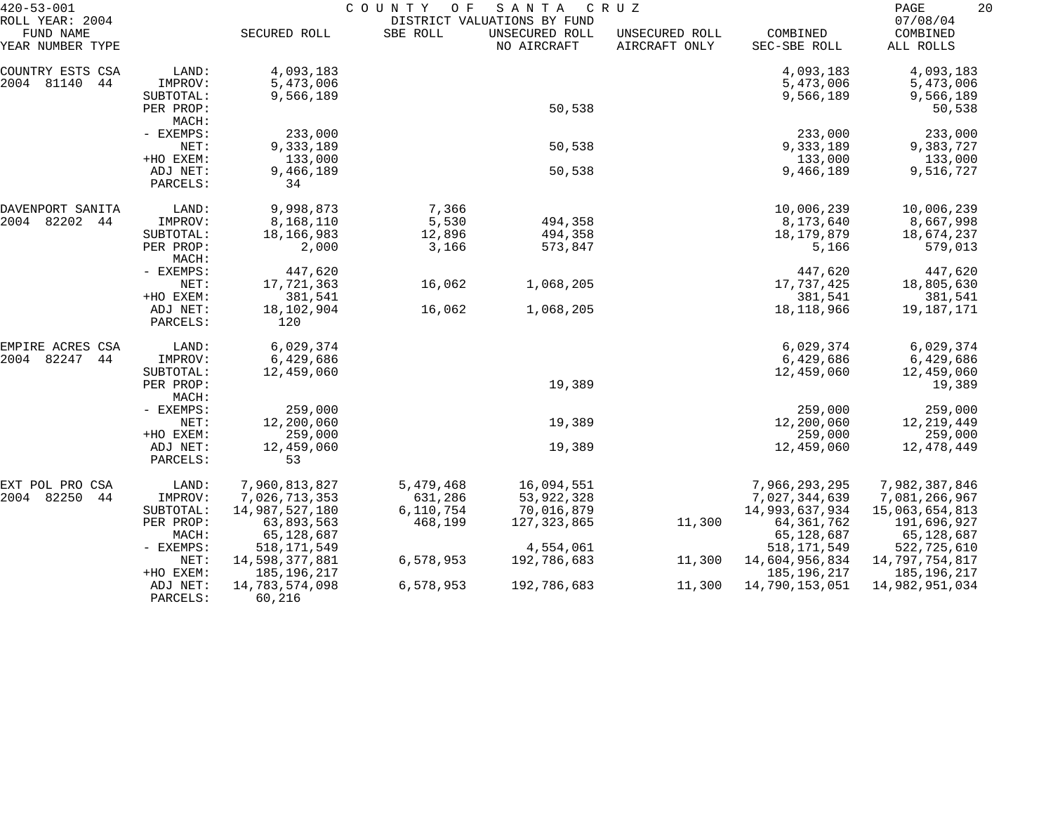| $420 - 53 - 001$                                 |                      | COUNTY<br>SANTA<br>C R U Z<br>O F |           |                                                              |                                 |                          |                                   |
|--------------------------------------------------|----------------------|-----------------------------------|-----------|--------------------------------------------------------------|---------------------------------|--------------------------|-----------------------------------|
| ROLL YEAR: 2004<br>FUND NAME<br>YEAR NUMBER TYPE |                      | SECURED ROLL                      | SBE ROLL  | DISTRICT VALUATIONS BY FUND<br>UNSECURED ROLL<br>NO AIRCRAFT | UNSECURED ROLL<br>AIRCRAFT ONLY | COMBINED<br>SEC-SBE ROLL | 07/08/04<br>COMBINED<br>ALL ROLLS |
| COUNTRY ESTS CSA                                 | LAND:                | 4,093,183                         |           |                                                              |                                 | 4,093,183                | 4,093,183                         |
| 2004 81140<br>44                                 | IMPROV:              | 5,473,006                         |           |                                                              |                                 | 5,473,006                | 5,473,006                         |
|                                                  | SUBTOTAL:            | 9,566,189                         |           |                                                              |                                 | 9,566,189                | 9,566,189                         |
|                                                  | PER PROP:            |                                   |           | 50,538                                                       |                                 |                          | 50,538                            |
|                                                  | MACH:                |                                   |           |                                                              |                                 |                          |                                   |
|                                                  | - EXEMPS:            | 233,000                           |           |                                                              |                                 | 233,000                  | 233,000                           |
|                                                  | NET:                 | 9,333,189                         |           | 50,538                                                       |                                 | 9,333,189                | 9,383,727                         |
|                                                  | +HO EXEM:            | 133,000                           |           |                                                              |                                 | 133,000                  | 133,000                           |
|                                                  | ADJ NET:<br>PARCELS: | 9,466,189<br>34                   |           | 50,538                                                       |                                 | 9,466,189                | 9,516,727                         |
|                                                  |                      |                                   |           |                                                              |                                 |                          |                                   |
| DAVENPORT SANITA                                 | LAND:                | 9,998,873                         | 7,366     |                                                              |                                 | 10,006,239               | 10,006,239                        |
| 2004 82202<br>44                                 | IMPROV:              | 8,168,110                         | 5,530     | 494,358                                                      |                                 | 8,173,640                | 8,667,998                         |
|                                                  | SUBTOTAL:            | 18,166,983                        | 12,896    | 494,358                                                      |                                 | 18,179,879               | 18,674,237                        |
|                                                  | PER PROP:<br>MACH:   | 2,000                             | 3,166     | 573,847                                                      |                                 | 5,166                    | 579,013                           |
|                                                  | - EXEMPS:            | 447,620                           |           |                                                              |                                 | 447,620                  | 447,620                           |
|                                                  | NET:                 | 17,721,363                        | 16,062    | 1,068,205                                                    |                                 | 17,737,425               | 18,805,630                        |
|                                                  | +HO EXEM:            | 381,541                           |           |                                                              |                                 | 381,541                  | 381,541                           |
|                                                  | ADJ NET:             | 18,102,904                        | 16,062    | 1,068,205                                                    |                                 | 18, 118, 966             | 19,187,171                        |
|                                                  | PARCELS:             | 120                               |           |                                                              |                                 |                          |                                   |
| EMPIRE ACRES CSA                                 | LAND:                | 6,029,374                         |           |                                                              |                                 | 6,029,374                | 6,029,374                         |
| 2004 82247<br>44                                 | IMPROV:              | 6,429,686                         |           |                                                              |                                 | 6,429,686                | 6,429,686                         |
|                                                  | SUBTOTAL:            | 12,459,060                        |           |                                                              |                                 | 12,459,060               | 12,459,060                        |
|                                                  | PER PROP:<br>MACH:   |                                   |           | 19,389                                                       |                                 |                          | 19,389                            |
|                                                  | - EXEMPS:            | 259,000                           |           |                                                              |                                 | 259,000                  | 259,000                           |
|                                                  | NET:                 | 12,200,060                        |           | 19,389                                                       |                                 | 12,200,060               | 12, 219, 449                      |
|                                                  | +HO EXEM:            | 259,000                           |           |                                                              |                                 | 259,000                  | 259,000                           |
|                                                  | ADJ NET:             | 12,459,060                        |           | 19,389                                                       |                                 | 12,459,060               | 12,478,449                        |
|                                                  | PARCELS:             | 53                                |           |                                                              |                                 |                          |                                   |
| EXT POL PRO CSA                                  | LAND:                | 7,960,813,827                     | 5,479,468 | 16,094,551                                                   |                                 | 7,966,293,295            | 7,982,387,846                     |
| 2004 82250<br>44                                 | IMPROV:              | 7,026,713,353                     | 631,286   | 53,922,328                                                   |                                 | 7,027,344,639            | 7,081,266,967                     |
|                                                  | SUBTOTAL:            | 14,987,527,180                    | 6,110,754 | 70,016,879                                                   |                                 | 14,993,637,934           | 15,063,654,813                    |
|                                                  | PER PROP:            | 63,893,563                        | 468,199   | 127, 323, 865                                                | 11,300                          | 64, 361, 762             | 191,696,927                       |
|                                                  | MACH:                | 65,128,687                        |           |                                                              |                                 | 65,128,687               | 65,128,687                        |
|                                                  | $-$ EXEMPS:          | 518, 171, 549                     |           | 4,554,061                                                    |                                 | 518, 171, 549            | 522,725,610                       |
|                                                  | NET:                 | 14,598,377,881                    | 6,578,953 | 192,786,683                                                  | 11,300                          | 14,604,956,834           | 14,797,754,817                    |
|                                                  | +HO EXEM:            | 185,196,217                       |           |                                                              |                                 | 185, 196, 217            | 185, 196, 217                     |
|                                                  | ADJ NET:<br>PARCELS: | 14,783,574,098<br>60,216          | 6,578,953 | 192,786,683                                                  | 11,300                          | 14,790,153,051           | 14,982,951,034                    |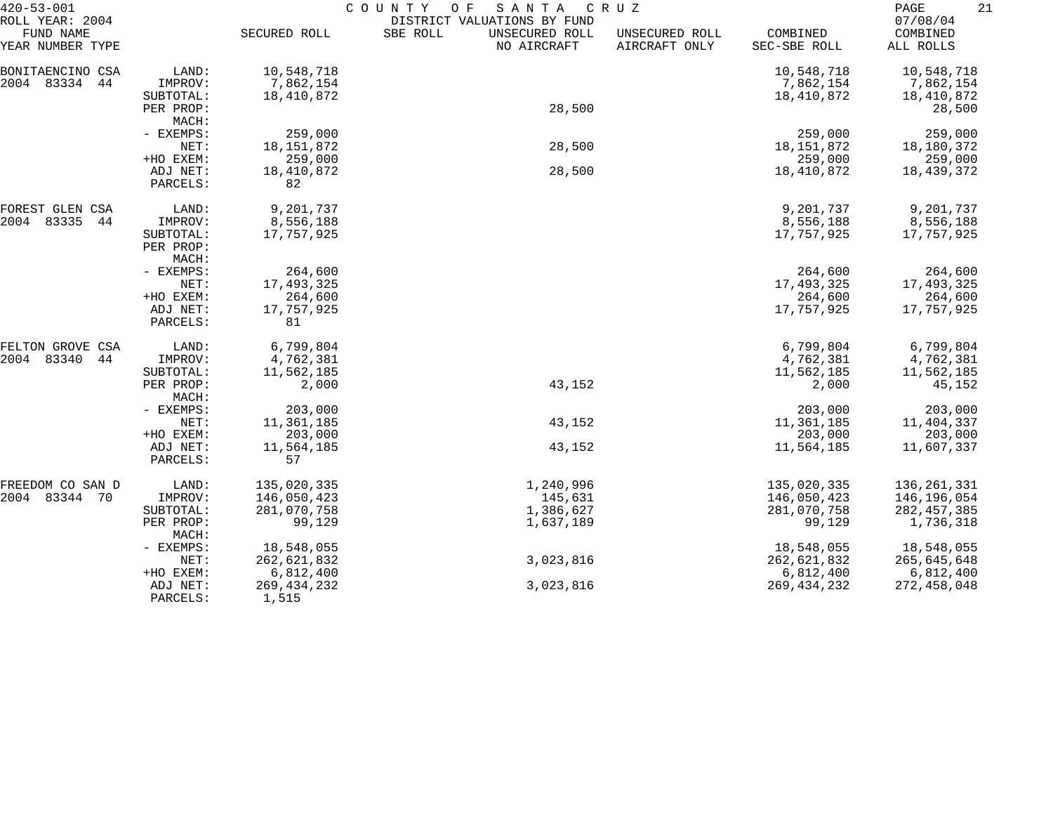| $420 - 53 - 001$             |                    | COUNTY<br>O F<br>SANTA<br>C R U Z |                                                           |                |               |                      |  |
|------------------------------|--------------------|-----------------------------------|-----------------------------------------------------------|----------------|---------------|----------------------|--|
| ROLL YEAR: 2004<br>FUND NAME |                    | SECURED ROLL                      | DISTRICT VALUATIONS BY FUND<br>SBE ROLL<br>UNSECURED ROLL | UNSECURED ROLL | COMBINED      | 07/08/04<br>COMBINED |  |
| YEAR NUMBER TYPE             |                    |                                   | NO AIRCRAFT                                               | AIRCRAFT ONLY  | SEC-SBE ROLL  | ALL ROLLS            |  |
| BONITAENCINO CSA             | LAND:              | 10,548,718                        |                                                           |                | 10,548,718    | 10,548,718           |  |
| 2004 83334<br>44             | IMPROV:            | 7,862,154                         |                                                           |                | 7,862,154     | 7,862,154            |  |
|                              | SUBTOTAL:          | 18,410,872                        |                                                           |                | 18,410,872    | 18,410,872           |  |
|                              | PER PROP:<br>MACH: |                                   | 28,500                                                    |                |               | 28,500               |  |
|                              | - EXEMPS:          | 259,000                           |                                                           |                | 259,000       | 259,000              |  |
|                              | NET:               | 18, 151, 872                      | 28,500                                                    |                | 18, 151, 872  | 18,180,372           |  |
|                              | +HO EXEM:          | 259,000                           |                                                           |                | 259,000       | 259,000              |  |
|                              | ADJ NET:           | 18,410,872                        | 28,500                                                    |                | 18,410,872    | 18,439,372           |  |
|                              | PARCELS:           | 82                                |                                                           |                |               |                      |  |
| FOREST GLEN CSA              | LAND:              | 9,201,737                         |                                                           |                | 9,201,737     | 9,201,737            |  |
| 2004<br>83335<br>44          | IMPROV:            | 8,556,188                         |                                                           |                | 8,556,188     | 8,556,188            |  |
|                              | SUBTOTAL:          | 17,757,925                        |                                                           |                | 17,757,925    | 17,757,925           |  |
|                              | PER PROP:<br>MACH: |                                   |                                                           |                |               |                      |  |
|                              | - EXEMPS:          | 264,600                           |                                                           |                | 264,600       | 264,600              |  |
|                              | NET:               | 17,493,325                        |                                                           |                | 17,493,325    | 17,493,325           |  |
|                              | +HO EXEM:          | 264,600                           |                                                           |                | 264,600       | 264,600              |  |
|                              | ADJ NET:           | 17,757,925                        |                                                           |                | 17,757,925    | 17,757,925           |  |
|                              | PARCELS:           | 81                                |                                                           |                |               |                      |  |
| FELTON GROVE CSA             | LAND:              | 6,799,804                         |                                                           |                | 6,799,804     | 6,799,804            |  |
| 2004<br>83340<br>44          | IMPROV:            | 4,762,381                         |                                                           |                | 4,762,381     | 4,762,381            |  |
|                              | SUBTOTAL:          | 11,562,185                        |                                                           |                | 11,562,185    | 11,562,185           |  |
|                              | PER PROP:<br>MACH: | 2,000                             | 43,152                                                    |                | 2,000         | 45,152               |  |
|                              | - EXEMPS:          | 203,000                           |                                                           |                | 203,000       | 203,000              |  |
|                              | NET:               | 11,361,185                        | 43,152                                                    |                | 11,361,185    | 11,404,337           |  |
|                              | +HO EXEM:          | 203,000                           |                                                           |                | 203,000       | 203,000              |  |
|                              | ADJ NET:           | 11,564,185                        | 43,152                                                    |                | 11,564,185    | 11,607,337           |  |
|                              | PARCELS:           | 57                                |                                                           |                |               |                      |  |
| FREEDOM CO SAN D             | LAND:              | 135,020,335                       | 1,240,996                                                 |                | 135,020,335   | 136,261,331          |  |
| 2004 83344 70                | IMPROV:            | 146,050,423                       | 145,631                                                   |                | 146,050,423   | 146,196,054          |  |
|                              | SUBTOTAL:          | 281,070,758                       | 1,386,627                                                 |                | 281,070,758   | 282, 457, 385        |  |
|                              | PER PROP:<br>MACH: | 99,129                            | 1,637,189                                                 |                | 99,129        | 1,736,318            |  |
|                              | - EXEMPS:          | 18,548,055                        |                                                           |                | 18,548,055    | 18,548,055           |  |
|                              | NET:               | 262,621,832                       | 3,023,816                                                 |                | 262,621,832   | 265,645,648          |  |
|                              | +HO EXEM:          | 6,812,400                         |                                                           |                | 6,812,400     | 6,812,400            |  |
|                              | ADJ NET:           | 269, 434, 232                     | 3,023,816                                                 |                | 269, 434, 232 | 272,458,048          |  |
|                              | PARCELS:           | 1,515                             |                                                           |                |               |                      |  |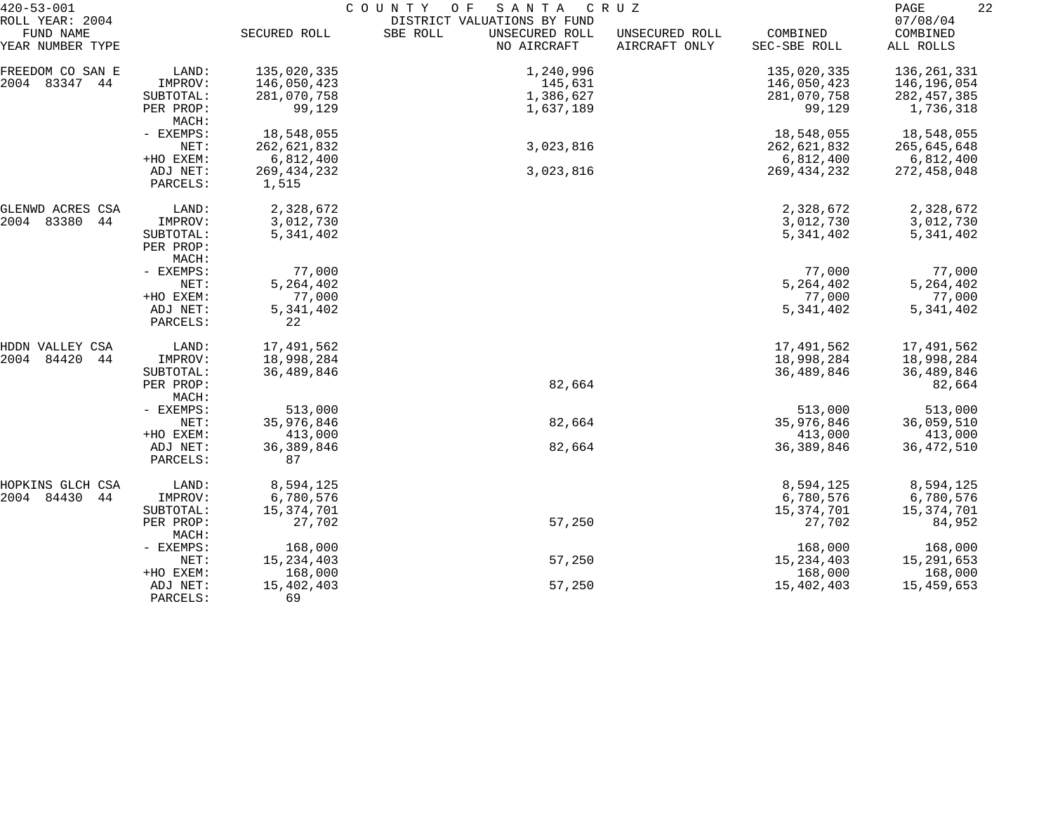| $420 - 53 - 001$                                 |                      | COUNTY OF<br>SANTA<br>C R U Z |                                                                          |                                 |                          |                                   |  |  |
|--------------------------------------------------|----------------------|-------------------------------|--------------------------------------------------------------------------|---------------------------------|--------------------------|-----------------------------------|--|--|
| ROLL YEAR: 2004<br>FUND NAME<br>YEAR NUMBER TYPE |                      | SECURED ROLL                  | DISTRICT VALUATIONS BY FUND<br>SBE ROLL<br>UNSECURED ROLL<br>NO AIRCRAFT | UNSECURED ROLL<br>AIRCRAFT ONLY | COMBINED<br>SEC-SBE ROLL | 07/08/04<br>COMBINED<br>ALL ROLLS |  |  |
|                                                  |                      |                               |                                                                          |                                 |                          |                                   |  |  |
| FREEDOM CO SAN E                                 | LAND:                | 135,020,335                   | 1,240,996                                                                |                                 | 135,020,335              | 136,261,331                       |  |  |
| 2004 83347 44                                    | IMPROV:              | 146,050,423                   | 145,631                                                                  |                                 | 146,050,423              | 146,196,054                       |  |  |
|                                                  | SUBTOTAL:            | 281,070,758                   | 1,386,627                                                                |                                 | 281,070,758              | 282, 457, 385                     |  |  |
|                                                  | PER PROP:<br>MACH:   | 99,129                        | 1,637,189                                                                |                                 | 99,129                   | 1,736,318                         |  |  |
|                                                  | - EXEMPS:            | 18,548,055                    |                                                                          |                                 | 18,548,055               | 18,548,055                        |  |  |
|                                                  | NET:                 | 262,621,832                   | 3,023,816                                                                |                                 | 262,621,832              | 265,645,648                       |  |  |
|                                                  | +HO EXEM:            | 6,812,400                     |                                                                          |                                 | 6,812,400                | 6,812,400                         |  |  |
|                                                  | ADJ NET:             | 269, 434, 232                 | 3,023,816                                                                |                                 | 269, 434, 232            | 272,458,048                       |  |  |
|                                                  | PARCELS:             | 1,515                         |                                                                          |                                 |                          |                                   |  |  |
| GLENWD ACRES CSA                                 | LAND:                | 2,328,672                     |                                                                          |                                 | 2,328,672                | 2,328,672                         |  |  |
| 2004 83380<br>44                                 | IMPROV:              | 3,012,730                     |                                                                          |                                 | 3,012,730                | 3,012,730                         |  |  |
|                                                  | SUBTOTAL:            | 5,341,402                     |                                                                          |                                 | 5,341,402                | 5,341,402                         |  |  |
|                                                  | PER PROP:            |                               |                                                                          |                                 |                          |                                   |  |  |
|                                                  | MACH:                |                               |                                                                          |                                 |                          |                                   |  |  |
|                                                  | - EXEMPS:            | 77,000                        |                                                                          |                                 | 77,000                   | 77,000                            |  |  |
|                                                  | NET:                 | 5,264,402                     |                                                                          |                                 | 5, 264, 402              | 5, 264, 402                       |  |  |
|                                                  | +HO EXEM:            | 77,000                        |                                                                          |                                 | 77,000                   | 77,000                            |  |  |
|                                                  | ADJ NET:<br>PARCELS: | 5, 341, 402<br>22             |                                                                          |                                 | 5, 341, 402              | 5,341,402                         |  |  |
|                                                  |                      |                               |                                                                          |                                 |                          |                                   |  |  |
| HDDN VALLEY CSA                                  | LAND:                | 17,491,562                    |                                                                          |                                 | 17,491,562               | 17,491,562                        |  |  |
| 2004<br>84420<br>44                              | IMPROV:              | 18,998,284                    |                                                                          |                                 | 18,998,284               | 18,998,284                        |  |  |
|                                                  | SUBTOTAL:            | 36,489,846                    |                                                                          |                                 | 36,489,846               | 36,489,846                        |  |  |
|                                                  | PER PROP:            |                               | 82,664                                                                   |                                 |                          | 82,664                            |  |  |
|                                                  | MACH:                |                               |                                                                          |                                 |                          |                                   |  |  |
|                                                  | - EXEMPS:            | 513,000                       |                                                                          |                                 | 513,000                  | 513,000                           |  |  |
|                                                  | NET:                 | 35,976,846                    | 82,664                                                                   |                                 | 35,976,846               | 36,059,510                        |  |  |
|                                                  | +HO EXEM:            | 413,000                       |                                                                          |                                 | 413,000                  | 413,000                           |  |  |
|                                                  | ADJ NET:<br>PARCELS: | 36, 389, 846<br>87            | 82,664                                                                   |                                 | 36, 389, 846             | 36, 472, 510                      |  |  |
| HOPKINS GLCH CSA                                 | LAND:                | 8,594,125                     |                                                                          |                                 | 8,594,125                | 8,594,125                         |  |  |
| 2004 84430<br>44                                 | IMPROV:              | 6,780,576                     |                                                                          |                                 | 6,780,576                | 6,780,576                         |  |  |
|                                                  | SUBTOTAL:            | 15,374,701                    |                                                                          |                                 | 15,374,701               | 15,374,701                        |  |  |
|                                                  | PER PROP:            | 27,702                        | 57,250                                                                   |                                 | 27,702                   | 84,952                            |  |  |
|                                                  | MACH:                |                               |                                                                          |                                 |                          |                                   |  |  |
|                                                  | - EXEMPS:            | 168,000                       |                                                                          |                                 | 168,000                  | 168,000                           |  |  |
|                                                  | NET:                 | 15, 234, 403                  | 57,250                                                                   |                                 | 15, 234, 403             | 15,291,653                        |  |  |
|                                                  | +HO EXEM:            | 168,000                       |                                                                          |                                 | 168,000                  | 168,000                           |  |  |
|                                                  | ADJ NET:             | 15,402,403                    | 57,250                                                                   |                                 | 15,402,403               | 15,459,653                        |  |  |
|                                                  | PARCELS:             | 69                            |                                                                          |                                 |                          |                                   |  |  |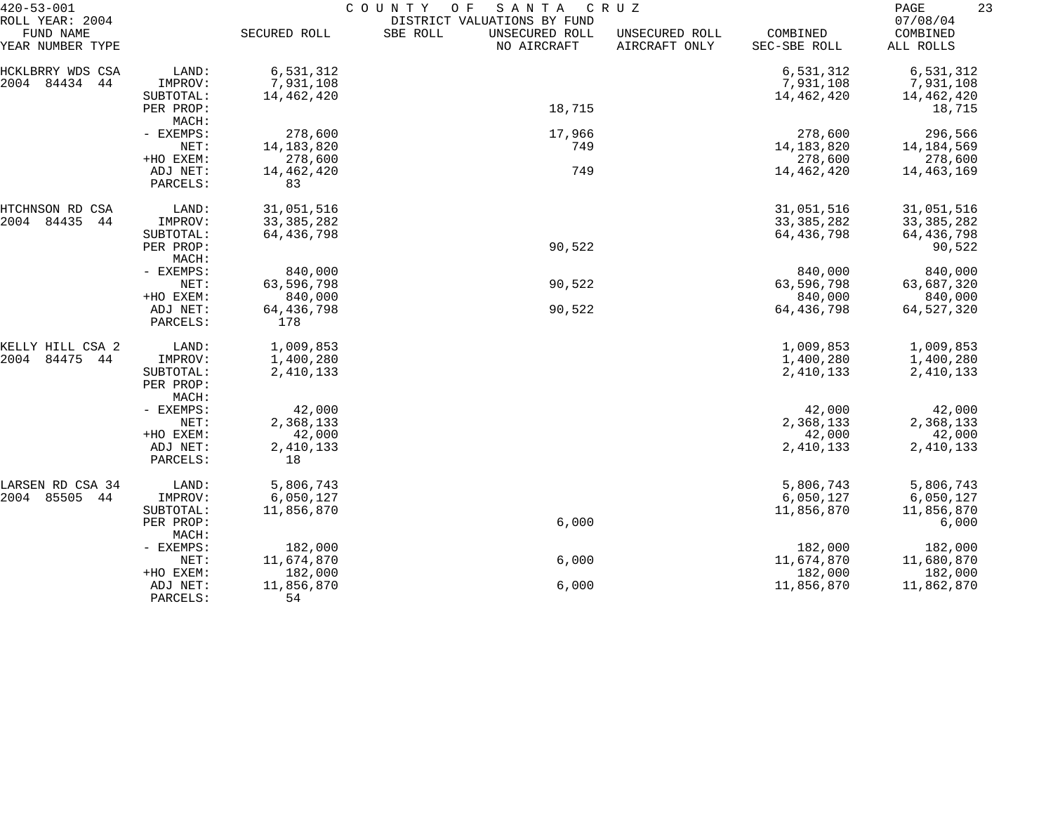| 07/08/04<br>DISTRICT VALUATIONS BY FUND<br>FUND NAME<br>SECURED ROLL<br>SBE ROLL<br>UNSECURED ROLL<br>COMBINED<br>COMBINED<br>UNSECURED ROLL<br>NO AIRCRAFT<br>AIRCRAFT ONLY<br>SEC-SBE ROLL<br>ALL ROLLS<br>6,531,312<br>6,531,312<br>LAND:<br>6,531,312<br>84434<br>7,931,108<br>44<br>IMPROV:<br>7,931,108<br>7,931,108<br>14,462,420<br>14,462,420<br>SUBTOTAL:<br>14,462,420<br>18,715<br>PER PROP:<br>18,715<br>MACH:<br>278,600<br>17,966<br>278,600<br>- EXEMPS:<br>296,566<br>14, 183, 820<br>14, 183, 820<br>NET:<br>749<br>14,184,569<br>+HO EXEM:<br>278,600<br>278,600<br>278,600<br>749<br>ADJ NET:<br>14,462,420<br>14,462,420<br>14,463,169<br>PARCELS:<br>83<br>31,051,516<br>LAND:<br>31,051,516<br>31,051,516<br>84435<br>44<br>33, 385, 282<br>33, 385, 282<br>33, 385, 282<br>IMPROV:<br>64,436,798<br>64,436,798<br>64,436,798<br>SUBTOTAL:<br>90,522<br>90,522<br>PER PROP:<br>MACH:<br>840,000<br>840,000<br>840,000<br>- EXEMPS:<br>63,596,798<br>90,522<br>63,596,798<br>NET:<br>63,687,320<br>+HO EXEM:<br>840,000<br>840,000<br>840,000<br>90,522<br>ADJ NET:<br>64,436,798<br>64,436,798<br>64,527,320<br>178<br>PARCELS:<br>1,009,853<br>1,009,853<br>LAND:<br>1,009,853<br>KELLY HILL CSA 2<br>84475<br>2004<br>44<br>1,400,280<br>1,400,280<br>1,400,280<br>IMPROV:<br>2,410,133<br>2,410,133<br>2,410,133<br>SUBTOTAL:<br>PER PROP:<br>MACH:<br>- EXEMPS:<br>42,000<br>42,000<br>42,000<br>2,368,133<br>2,368,133<br>2,368,133<br>NET:<br>42,000<br>42,000<br>+HO EXEM:<br>42,000<br>2,410,133<br>2,410,133<br>2,410,133<br>ADJ NET:<br>18<br>PARCELS:<br>5,806,743<br>5,806,743<br>5,806,743<br>LARSEN RD CSA 34<br>LAND:<br>85505<br>6,050,127<br>2004<br>44<br>IMPROV:<br>6,050,127<br>6,050,127<br>11,856,870<br>11,856,870<br>11,856,870<br>SUBTOTAL:<br>6,000<br>6,000<br>PER PROP:<br>MACH:<br>182,000<br>182,000<br>182,000<br>- EXEMPS:<br>6,000<br>11,674,870<br>11,674,870<br>11,680,870<br>NET:<br>182,000<br>182,000<br>182,000<br>+HO EXEM:<br>11,856,870<br>6,000<br>11,856,870<br>11,862,870<br>ADJ NET:<br>54<br>PARCELS: | $420 - 53 - 001$ | COUNTY<br>O F<br>SANTA<br>C R U Z |  |  |  |  |  |  |
|-----------------------------------------------------------------------------------------------------------------------------------------------------------------------------------------------------------------------------------------------------------------------------------------------------------------------------------------------------------------------------------------------------------------------------------------------------------------------------------------------------------------------------------------------------------------------------------------------------------------------------------------------------------------------------------------------------------------------------------------------------------------------------------------------------------------------------------------------------------------------------------------------------------------------------------------------------------------------------------------------------------------------------------------------------------------------------------------------------------------------------------------------------------------------------------------------------------------------------------------------------------------------------------------------------------------------------------------------------------------------------------------------------------------------------------------------------------------------------------------------------------------------------------------------------------------------------------------------------------------------------------------------------------------------------------------------------------------------------------------------------------------------------------------------------------------------------------------------------------------------------------------------------------------------------------------------------------------------------------------------------------------------------------------------------------------------------|------------------|-----------------------------------|--|--|--|--|--|--|
|                                                                                                                                                                                                                                                                                                                                                                                                                                                                                                                                                                                                                                                                                                                                                                                                                                                                                                                                                                                                                                                                                                                                                                                                                                                                                                                                                                                                                                                                                                                                                                                                                                                                                                                                                                                                                                                                                                                                                                                                                                                                             | ROLL YEAR: 2004  |                                   |  |  |  |  |  |  |
|                                                                                                                                                                                                                                                                                                                                                                                                                                                                                                                                                                                                                                                                                                                                                                                                                                                                                                                                                                                                                                                                                                                                                                                                                                                                                                                                                                                                                                                                                                                                                                                                                                                                                                                                                                                                                                                                                                                                                                                                                                                                             |                  |                                   |  |  |  |  |  |  |
|                                                                                                                                                                                                                                                                                                                                                                                                                                                                                                                                                                                                                                                                                                                                                                                                                                                                                                                                                                                                                                                                                                                                                                                                                                                                                                                                                                                                                                                                                                                                                                                                                                                                                                                                                                                                                                                                                                                                                                                                                                                                             | YEAR NUMBER TYPE |                                   |  |  |  |  |  |  |
|                                                                                                                                                                                                                                                                                                                                                                                                                                                                                                                                                                                                                                                                                                                                                                                                                                                                                                                                                                                                                                                                                                                                                                                                                                                                                                                                                                                                                                                                                                                                                                                                                                                                                                                                                                                                                                                                                                                                                                                                                                                                             | HCKLBRRY WDS CSA |                                   |  |  |  |  |  |  |
|                                                                                                                                                                                                                                                                                                                                                                                                                                                                                                                                                                                                                                                                                                                                                                                                                                                                                                                                                                                                                                                                                                                                                                                                                                                                                                                                                                                                                                                                                                                                                                                                                                                                                                                                                                                                                                                                                                                                                                                                                                                                             | 2004             |                                   |  |  |  |  |  |  |
|                                                                                                                                                                                                                                                                                                                                                                                                                                                                                                                                                                                                                                                                                                                                                                                                                                                                                                                                                                                                                                                                                                                                                                                                                                                                                                                                                                                                                                                                                                                                                                                                                                                                                                                                                                                                                                                                                                                                                                                                                                                                             |                  |                                   |  |  |  |  |  |  |
|                                                                                                                                                                                                                                                                                                                                                                                                                                                                                                                                                                                                                                                                                                                                                                                                                                                                                                                                                                                                                                                                                                                                                                                                                                                                                                                                                                                                                                                                                                                                                                                                                                                                                                                                                                                                                                                                                                                                                                                                                                                                             |                  |                                   |  |  |  |  |  |  |
|                                                                                                                                                                                                                                                                                                                                                                                                                                                                                                                                                                                                                                                                                                                                                                                                                                                                                                                                                                                                                                                                                                                                                                                                                                                                                                                                                                                                                                                                                                                                                                                                                                                                                                                                                                                                                                                                                                                                                                                                                                                                             |                  |                                   |  |  |  |  |  |  |
|                                                                                                                                                                                                                                                                                                                                                                                                                                                                                                                                                                                                                                                                                                                                                                                                                                                                                                                                                                                                                                                                                                                                                                                                                                                                                                                                                                                                                                                                                                                                                                                                                                                                                                                                                                                                                                                                                                                                                                                                                                                                             |                  |                                   |  |  |  |  |  |  |
|                                                                                                                                                                                                                                                                                                                                                                                                                                                                                                                                                                                                                                                                                                                                                                                                                                                                                                                                                                                                                                                                                                                                                                                                                                                                                                                                                                                                                                                                                                                                                                                                                                                                                                                                                                                                                                                                                                                                                                                                                                                                             |                  |                                   |  |  |  |  |  |  |
|                                                                                                                                                                                                                                                                                                                                                                                                                                                                                                                                                                                                                                                                                                                                                                                                                                                                                                                                                                                                                                                                                                                                                                                                                                                                                                                                                                                                                                                                                                                                                                                                                                                                                                                                                                                                                                                                                                                                                                                                                                                                             |                  |                                   |  |  |  |  |  |  |
|                                                                                                                                                                                                                                                                                                                                                                                                                                                                                                                                                                                                                                                                                                                                                                                                                                                                                                                                                                                                                                                                                                                                                                                                                                                                                                                                                                                                                                                                                                                                                                                                                                                                                                                                                                                                                                                                                                                                                                                                                                                                             |                  |                                   |  |  |  |  |  |  |
|                                                                                                                                                                                                                                                                                                                                                                                                                                                                                                                                                                                                                                                                                                                                                                                                                                                                                                                                                                                                                                                                                                                                                                                                                                                                                                                                                                                                                                                                                                                                                                                                                                                                                                                                                                                                                                                                                                                                                                                                                                                                             |                  |                                   |  |  |  |  |  |  |
|                                                                                                                                                                                                                                                                                                                                                                                                                                                                                                                                                                                                                                                                                                                                                                                                                                                                                                                                                                                                                                                                                                                                                                                                                                                                                                                                                                                                                                                                                                                                                                                                                                                                                                                                                                                                                                                                                                                                                                                                                                                                             | HTCHNSON RD CSA  |                                   |  |  |  |  |  |  |
|                                                                                                                                                                                                                                                                                                                                                                                                                                                                                                                                                                                                                                                                                                                                                                                                                                                                                                                                                                                                                                                                                                                                                                                                                                                                                                                                                                                                                                                                                                                                                                                                                                                                                                                                                                                                                                                                                                                                                                                                                                                                             | 2004             |                                   |  |  |  |  |  |  |
|                                                                                                                                                                                                                                                                                                                                                                                                                                                                                                                                                                                                                                                                                                                                                                                                                                                                                                                                                                                                                                                                                                                                                                                                                                                                                                                                                                                                                                                                                                                                                                                                                                                                                                                                                                                                                                                                                                                                                                                                                                                                             |                  |                                   |  |  |  |  |  |  |
|                                                                                                                                                                                                                                                                                                                                                                                                                                                                                                                                                                                                                                                                                                                                                                                                                                                                                                                                                                                                                                                                                                                                                                                                                                                                                                                                                                                                                                                                                                                                                                                                                                                                                                                                                                                                                                                                                                                                                                                                                                                                             |                  |                                   |  |  |  |  |  |  |
|                                                                                                                                                                                                                                                                                                                                                                                                                                                                                                                                                                                                                                                                                                                                                                                                                                                                                                                                                                                                                                                                                                                                                                                                                                                                                                                                                                                                                                                                                                                                                                                                                                                                                                                                                                                                                                                                                                                                                                                                                                                                             |                  |                                   |  |  |  |  |  |  |
|                                                                                                                                                                                                                                                                                                                                                                                                                                                                                                                                                                                                                                                                                                                                                                                                                                                                                                                                                                                                                                                                                                                                                                                                                                                                                                                                                                                                                                                                                                                                                                                                                                                                                                                                                                                                                                                                                                                                                                                                                                                                             |                  |                                   |  |  |  |  |  |  |
|                                                                                                                                                                                                                                                                                                                                                                                                                                                                                                                                                                                                                                                                                                                                                                                                                                                                                                                                                                                                                                                                                                                                                                                                                                                                                                                                                                                                                                                                                                                                                                                                                                                                                                                                                                                                                                                                                                                                                                                                                                                                             |                  |                                   |  |  |  |  |  |  |
|                                                                                                                                                                                                                                                                                                                                                                                                                                                                                                                                                                                                                                                                                                                                                                                                                                                                                                                                                                                                                                                                                                                                                                                                                                                                                                                                                                                                                                                                                                                                                                                                                                                                                                                                                                                                                                                                                                                                                                                                                                                                             |                  |                                   |  |  |  |  |  |  |
|                                                                                                                                                                                                                                                                                                                                                                                                                                                                                                                                                                                                                                                                                                                                                                                                                                                                                                                                                                                                                                                                                                                                                                                                                                                                                                                                                                                                                                                                                                                                                                                                                                                                                                                                                                                                                                                                                                                                                                                                                                                                             |                  |                                   |  |  |  |  |  |  |
|                                                                                                                                                                                                                                                                                                                                                                                                                                                                                                                                                                                                                                                                                                                                                                                                                                                                                                                                                                                                                                                                                                                                                                                                                                                                                                                                                                                                                                                                                                                                                                                                                                                                                                                                                                                                                                                                                                                                                                                                                                                                             |                  |                                   |  |  |  |  |  |  |
|                                                                                                                                                                                                                                                                                                                                                                                                                                                                                                                                                                                                                                                                                                                                                                                                                                                                                                                                                                                                                                                                                                                                                                                                                                                                                                                                                                                                                                                                                                                                                                                                                                                                                                                                                                                                                                                                                                                                                                                                                                                                             |                  |                                   |  |  |  |  |  |  |
|                                                                                                                                                                                                                                                                                                                                                                                                                                                                                                                                                                                                                                                                                                                                                                                                                                                                                                                                                                                                                                                                                                                                                                                                                                                                                                                                                                                                                                                                                                                                                                                                                                                                                                                                                                                                                                                                                                                                                                                                                                                                             |                  |                                   |  |  |  |  |  |  |
|                                                                                                                                                                                                                                                                                                                                                                                                                                                                                                                                                                                                                                                                                                                                                                                                                                                                                                                                                                                                                                                                                                                                                                                                                                                                                                                                                                                                                                                                                                                                                                                                                                                                                                                                                                                                                                                                                                                                                                                                                                                                             |                  |                                   |  |  |  |  |  |  |
|                                                                                                                                                                                                                                                                                                                                                                                                                                                                                                                                                                                                                                                                                                                                                                                                                                                                                                                                                                                                                                                                                                                                                                                                                                                                                                                                                                                                                                                                                                                                                                                                                                                                                                                                                                                                                                                                                                                                                                                                                                                                             |                  |                                   |  |  |  |  |  |  |
|                                                                                                                                                                                                                                                                                                                                                                                                                                                                                                                                                                                                                                                                                                                                                                                                                                                                                                                                                                                                                                                                                                                                                                                                                                                                                                                                                                                                                                                                                                                                                                                                                                                                                                                                                                                                                                                                                                                                                                                                                                                                             |                  |                                   |  |  |  |  |  |  |
|                                                                                                                                                                                                                                                                                                                                                                                                                                                                                                                                                                                                                                                                                                                                                                                                                                                                                                                                                                                                                                                                                                                                                                                                                                                                                                                                                                                                                                                                                                                                                                                                                                                                                                                                                                                                                                                                                                                                                                                                                                                                             |                  |                                   |  |  |  |  |  |  |
|                                                                                                                                                                                                                                                                                                                                                                                                                                                                                                                                                                                                                                                                                                                                                                                                                                                                                                                                                                                                                                                                                                                                                                                                                                                                                                                                                                                                                                                                                                                                                                                                                                                                                                                                                                                                                                                                                                                                                                                                                                                                             |                  |                                   |  |  |  |  |  |  |
|                                                                                                                                                                                                                                                                                                                                                                                                                                                                                                                                                                                                                                                                                                                                                                                                                                                                                                                                                                                                                                                                                                                                                                                                                                                                                                                                                                                                                                                                                                                                                                                                                                                                                                                                                                                                                                                                                                                                                                                                                                                                             |                  |                                   |  |  |  |  |  |  |
|                                                                                                                                                                                                                                                                                                                                                                                                                                                                                                                                                                                                                                                                                                                                                                                                                                                                                                                                                                                                                                                                                                                                                                                                                                                                                                                                                                                                                                                                                                                                                                                                                                                                                                                                                                                                                                                                                                                                                                                                                                                                             |                  |                                   |  |  |  |  |  |  |
|                                                                                                                                                                                                                                                                                                                                                                                                                                                                                                                                                                                                                                                                                                                                                                                                                                                                                                                                                                                                                                                                                                                                                                                                                                                                                                                                                                                                                                                                                                                                                                                                                                                                                                                                                                                                                                                                                                                                                                                                                                                                             |                  |                                   |  |  |  |  |  |  |
|                                                                                                                                                                                                                                                                                                                                                                                                                                                                                                                                                                                                                                                                                                                                                                                                                                                                                                                                                                                                                                                                                                                                                                                                                                                                                                                                                                                                                                                                                                                                                                                                                                                                                                                                                                                                                                                                                                                                                                                                                                                                             |                  |                                   |  |  |  |  |  |  |
|                                                                                                                                                                                                                                                                                                                                                                                                                                                                                                                                                                                                                                                                                                                                                                                                                                                                                                                                                                                                                                                                                                                                                                                                                                                                                                                                                                                                                                                                                                                                                                                                                                                                                                                                                                                                                                                                                                                                                                                                                                                                             |                  |                                   |  |  |  |  |  |  |
|                                                                                                                                                                                                                                                                                                                                                                                                                                                                                                                                                                                                                                                                                                                                                                                                                                                                                                                                                                                                                                                                                                                                                                                                                                                                                                                                                                                                                                                                                                                                                                                                                                                                                                                                                                                                                                                                                                                                                                                                                                                                             |                  |                                   |  |  |  |  |  |  |
|                                                                                                                                                                                                                                                                                                                                                                                                                                                                                                                                                                                                                                                                                                                                                                                                                                                                                                                                                                                                                                                                                                                                                                                                                                                                                                                                                                                                                                                                                                                                                                                                                                                                                                                                                                                                                                                                                                                                                                                                                                                                             |                  |                                   |  |  |  |  |  |  |
|                                                                                                                                                                                                                                                                                                                                                                                                                                                                                                                                                                                                                                                                                                                                                                                                                                                                                                                                                                                                                                                                                                                                                                                                                                                                                                                                                                                                                                                                                                                                                                                                                                                                                                                                                                                                                                                                                                                                                                                                                                                                             |                  |                                   |  |  |  |  |  |  |
|                                                                                                                                                                                                                                                                                                                                                                                                                                                                                                                                                                                                                                                                                                                                                                                                                                                                                                                                                                                                                                                                                                                                                                                                                                                                                                                                                                                                                                                                                                                                                                                                                                                                                                                                                                                                                                                                                                                                                                                                                                                                             |                  |                                   |  |  |  |  |  |  |
|                                                                                                                                                                                                                                                                                                                                                                                                                                                                                                                                                                                                                                                                                                                                                                                                                                                                                                                                                                                                                                                                                                                                                                                                                                                                                                                                                                                                                                                                                                                                                                                                                                                                                                                                                                                                                                                                                                                                                                                                                                                                             |                  |                                   |  |  |  |  |  |  |
|                                                                                                                                                                                                                                                                                                                                                                                                                                                                                                                                                                                                                                                                                                                                                                                                                                                                                                                                                                                                                                                                                                                                                                                                                                                                                                                                                                                                                                                                                                                                                                                                                                                                                                                                                                                                                                                                                                                                                                                                                                                                             |                  |                                   |  |  |  |  |  |  |
|                                                                                                                                                                                                                                                                                                                                                                                                                                                                                                                                                                                                                                                                                                                                                                                                                                                                                                                                                                                                                                                                                                                                                                                                                                                                                                                                                                                                                                                                                                                                                                                                                                                                                                                                                                                                                                                                                                                                                                                                                                                                             |                  |                                   |  |  |  |  |  |  |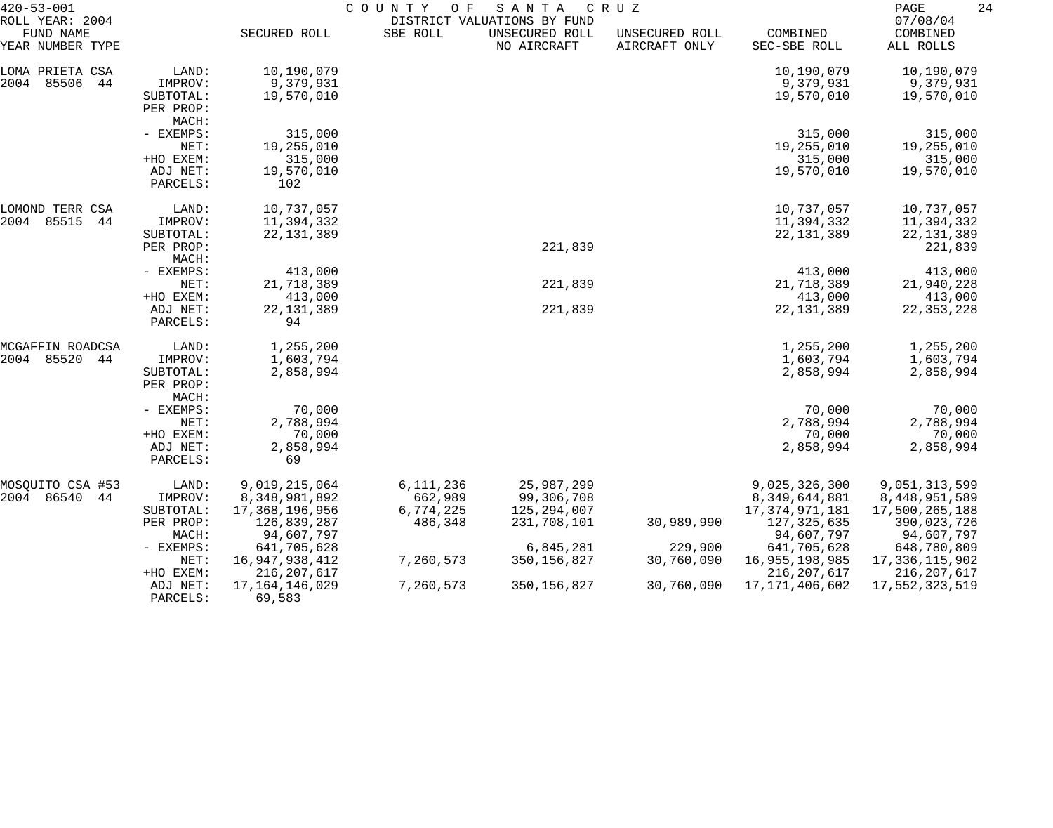| $420 - 53 - 001$                                 |                      | COUNTY<br>O F<br>SANTA<br>CRUZ<br>DISTRICT VALUATIONS BY FUND |                      |                               |                                 |                                    |                                   |
|--------------------------------------------------|----------------------|---------------------------------------------------------------|----------------------|-------------------------------|---------------------------------|------------------------------------|-----------------------------------|
| ROLL YEAR: 2004<br>FUND NAME<br>YEAR NUMBER TYPE |                      | SECURED ROLL                                                  | SBE ROLL             | UNSECURED ROLL<br>NO AIRCRAFT | UNSECURED ROLL<br>AIRCRAFT ONLY | COMBINED<br>SEC-SBE ROLL           | 07/08/04<br>COMBINED<br>ALL ROLLS |
| LOMA PRIETA CSA                                  | LAND:                | 10,190,079                                                    |                      |                               |                                 | 10,190,079                         | 10,190,079                        |
| 2004<br>85506<br>44                              | IMPROV:              | 9,379,931                                                     |                      |                               |                                 | 9,379,931                          | 9,379,931                         |
|                                                  | SUBTOTAL:            | 19,570,010                                                    |                      |                               |                                 | 19,570,010                         | 19,570,010                        |
|                                                  | PER PROP:            |                                                               |                      |                               |                                 |                                    |                                   |
|                                                  | MACH:                |                                                               |                      |                               |                                 |                                    |                                   |
|                                                  | - EXEMPS:            | 315,000                                                       |                      |                               |                                 | 315,000                            | 315,000                           |
|                                                  | NET:                 | 19,255,010                                                    |                      |                               |                                 | 19,255,010                         | 19,255,010                        |
|                                                  | +HO EXEM:            | 315,000                                                       |                      |                               |                                 | 315,000                            | 315,000                           |
|                                                  | ADJ NET:             | 19,570,010                                                    |                      |                               |                                 | 19,570,010                         | 19,570,010                        |
|                                                  | PARCELS:             | 102                                                           |                      |                               |                                 |                                    |                                   |
| LOMOND TERR CSA                                  | LAND:                | 10,737,057                                                    |                      |                               |                                 | 10,737,057                         | 10,737,057                        |
| 85515<br>2004<br>44                              | IMPROV:              | 11,394,332                                                    |                      |                               |                                 | 11,394,332                         | 11,394,332                        |
|                                                  | SUBTOTAL:            | 22, 131, 389                                                  |                      |                               |                                 | 22, 131, 389                       | 22, 131, 389                      |
|                                                  | PER PROP:            |                                                               |                      | 221,839                       |                                 |                                    | 221,839                           |
|                                                  | MACH:                |                                                               |                      |                               |                                 |                                    |                                   |
|                                                  | - EXEMPS:            | 413,000                                                       |                      |                               |                                 | 413,000                            | 413,000                           |
|                                                  | NET:                 | 21,718,389                                                    |                      | 221,839                       |                                 | 21,718,389                         | 21,940,228                        |
|                                                  | +HO EXEM:            | 413,000                                                       |                      |                               |                                 | 413,000                            | 413,000                           |
|                                                  | ADJ NET:<br>PARCELS: | 22, 131, 389<br>94                                            |                      | 221,839                       |                                 | 22, 131, 389                       | 22, 353, 228                      |
| MCGAFFIN ROADCSA                                 | LAND:                | 1,255,200                                                     |                      |                               |                                 | 1,255,200                          | 1,255,200                         |
| 85520<br>2004<br>44                              | IMPROV:              | 1,603,794                                                     |                      |                               |                                 | 1,603,794                          | 1,603,794                         |
|                                                  | SUBTOTAL:            | 2,858,994                                                     |                      |                               |                                 | 2,858,994                          | 2,858,994                         |
|                                                  | PER PROP:            |                                                               |                      |                               |                                 |                                    |                                   |
|                                                  | MACH:                |                                                               |                      |                               |                                 |                                    |                                   |
|                                                  | - EXEMPS:            | 70,000                                                        |                      |                               |                                 | 70,000                             | 70,000                            |
|                                                  | NET:                 | 2,788,994                                                     |                      |                               |                                 | 2,788,994                          | 2,788,994                         |
|                                                  | +HO EXEM:            | 70,000                                                        |                      |                               |                                 | 70,000                             | 70,000                            |
|                                                  | ADJ NET:<br>PARCELS: | 2,858,994<br>69                                               |                      |                               |                                 | 2,858,994                          | 2,858,994                         |
|                                                  |                      |                                                               |                      |                               |                                 |                                    |                                   |
| MOSQUITO CSA #53                                 | LAND:                | 9,019,215,064                                                 | 6,111,236            | 25,987,299                    |                                 | 9,025,326,300                      | 9,051,313,599                     |
| 2004 86540<br>44                                 | IMPROV:<br>SUBTOTAL: | 8,348,981,892<br>17,368,196,956                               | 662,989<br>6,774,225 | 99,306,708<br>125,294,007     |                                 | 8,349,644,881<br>17, 374, 971, 181 | 8,448,951,589<br>17,500,265,188   |
|                                                  | PER PROP:            | 126,839,287                                                   | 486,348              | 231,708,101                   | 30,989,990                      | 127, 325, 635                      | 390,023,726                       |
|                                                  | MACH:                | 94,607,797                                                    |                      |                               |                                 | 94,607,797                         | 94,607,797                        |
|                                                  | - EXEMPS:            | 641,705,628                                                   |                      | 6,845,281                     | 229,900                         | 641,705,628                        | 648,780,809                       |
|                                                  | NET:                 | 16, 947, 938, 412                                             | 7,260,573            | 350, 156, 827                 | 30,760,090                      | 16,955,198,985                     | 17,336,115,902                    |
|                                                  | +HO EXEM:            | 216, 207, 617                                                 |                      |                               |                                 | 216, 207, 617                      | 216, 207, 617                     |
|                                                  | ADJ NET:             | 17, 164, 146, 029                                             | 7,260,573            | 350, 156, 827                 | 30,760,090                      | 17, 171, 406, 602                  | 17,552,323,519                    |
|                                                  | PARCELS:             | 69,583                                                        |                      |                               |                                 |                                    |                                   |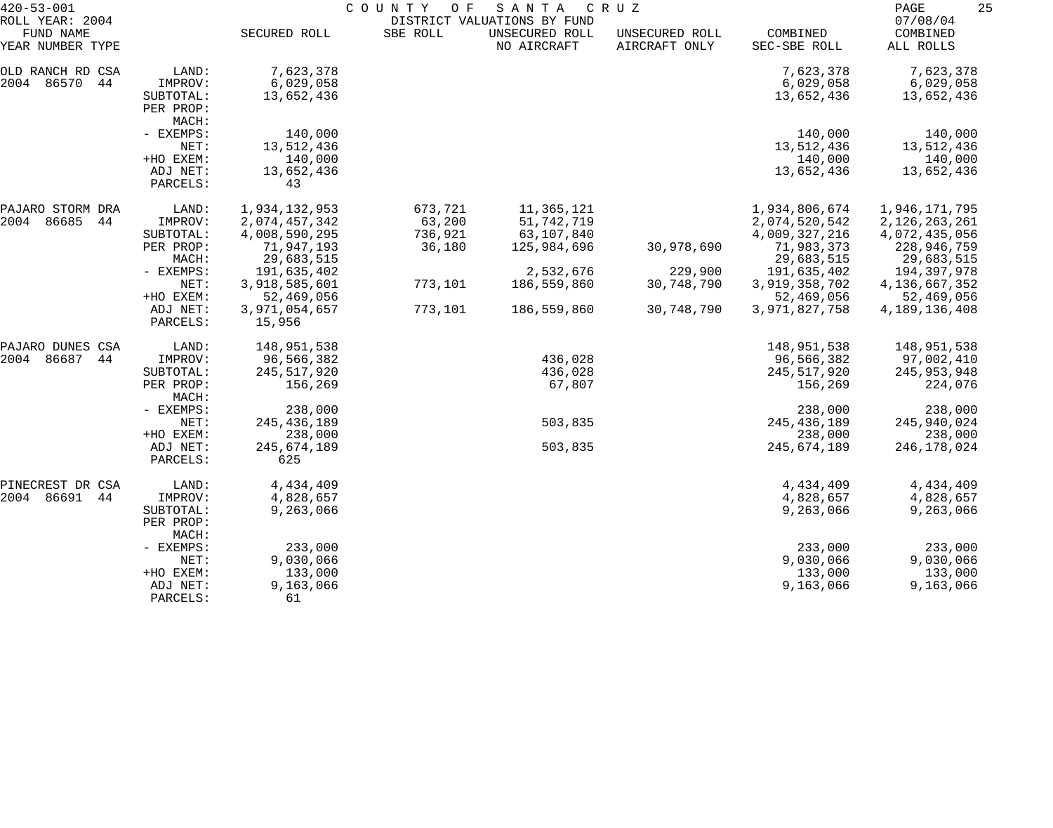| $420 - 53 - 001$                                 |                      | COUNTY<br>SANTA<br>CRUZ<br>O F |          |                                                              |                                 |                          |                                   |  |
|--------------------------------------------------|----------------------|--------------------------------|----------|--------------------------------------------------------------|---------------------------------|--------------------------|-----------------------------------|--|
| ROLL YEAR: 2004<br>FUND NAME<br>YEAR NUMBER TYPE |                      | SECURED ROLL                   | SBE ROLL | DISTRICT VALUATIONS BY FUND<br>UNSECURED ROLL<br>NO AIRCRAFT | UNSECURED ROLL<br>AIRCRAFT ONLY | COMBINED<br>SEC-SBE ROLL | 07/08/04<br>COMBINED<br>ALL ROLLS |  |
| OLD RANCH RD CSA                                 | LAND:                | 7,623,378                      |          |                                                              |                                 | 7,623,378                | 7,623,378                         |  |
| 2004 86570<br>44                                 | IMPROV:              | 6,029,058                      |          |                                                              |                                 | 6,029,058                | 6,029,058                         |  |
|                                                  | SUBTOTAL:            | 13,652,436                     |          |                                                              |                                 | 13,652,436               | 13,652,436                        |  |
|                                                  | PER PROP:            |                                |          |                                                              |                                 |                          |                                   |  |
|                                                  | MACH:                |                                |          |                                                              |                                 |                          |                                   |  |
|                                                  | - EXEMPS:            | 140,000                        |          |                                                              |                                 | 140,000                  | 140,000                           |  |
|                                                  | NET:                 | 13,512,436                     |          |                                                              |                                 | 13,512,436               | 13,512,436                        |  |
|                                                  | +HO EXEM:            | 140,000                        |          |                                                              |                                 | 140,000                  | 140,000                           |  |
|                                                  | ADJ NET:             | 13,652,436                     |          |                                                              |                                 | 13,652,436               | 13,652,436                        |  |
|                                                  | PARCELS:             | 43                             |          |                                                              |                                 |                          |                                   |  |
|                                                  |                      |                                |          |                                                              |                                 |                          |                                   |  |
| PAJARO STORM DRA                                 | LAND:                | 1,934,132,953                  | 673,721  | 11,365,121                                                   |                                 | 1,934,806,674            | 1,946,171,795                     |  |
| 2004<br>86685<br>44                              | IMPROV:              | 2,074,457,342                  | 63,200   | 51,742,719                                                   |                                 | 2,074,520,542            | 2,126,263,261                     |  |
|                                                  | SUBTOTAL:            | 4,008,590,295                  | 736,921  | 63,107,840                                                   |                                 | 4,009,327,216            | 4,072,435,056                     |  |
|                                                  | PER PROP:            | 71,947,193                     | 36,180   | 125,984,696                                                  | 30,978,690                      | 71,983,373               | 228,946,759                       |  |
|                                                  | MACH:                | 29,683,515                     |          |                                                              |                                 | 29,683,515               | 29,683,515                        |  |
|                                                  | - EXEMPS:            | 191,635,402                    |          | 2,532,676                                                    | 229,900                         | 191,635,402              | 194,397,978                       |  |
|                                                  | NET:                 | 3,918,585,601                  | 773,101  | 186,559,860                                                  | 30,748,790                      | 3,919,358,702            | 4, 136, 667, 352                  |  |
|                                                  | +HO EXEM:            | 52,469,056                     |          |                                                              |                                 | 52,469,056               | 52,469,056                        |  |
|                                                  | ADJ NET:<br>PARCELS: | 3,971,054,657<br>15,956        | 773,101  | 186,559,860                                                  | 30,748,790                      | 3,971,827,758            | 4, 189, 136, 408                  |  |
| PAJARO DUNES CSA                                 | LAND:                | 148,951,538                    |          |                                                              |                                 | 148,951,538              | 148,951,538                       |  |
| 86687<br>2004<br>44                              | IMPROV:              | 96,566,382                     |          | 436,028                                                      |                                 | 96,566,382               | 97,002,410                        |  |
|                                                  | SUBTOTAL:            | 245,517,920                    |          | 436,028                                                      |                                 | 245,517,920              | 245,953,948                       |  |
|                                                  | PER PROP:<br>MACH:   | 156,269                        |          | 67,807                                                       |                                 | 156,269                  | 224,076                           |  |
|                                                  | - EXEMPS:            | 238,000                        |          |                                                              |                                 | 238,000                  | 238,000                           |  |
|                                                  | NET:                 | 245, 436, 189                  |          | 503,835                                                      |                                 | 245, 436, 189            | 245,940,024                       |  |
|                                                  | +HO EXEM:            | 238,000                        |          |                                                              |                                 | 238,000                  | 238,000                           |  |
|                                                  | ADJ NET:             | 245,674,189                    |          | 503,835                                                      |                                 | 245,674,189              | 246, 178, 024                     |  |
|                                                  | PARCELS:             | 625                            |          |                                                              |                                 |                          |                                   |  |
| PINECREST DR CSA                                 | LAND:                | 4,434,409                      |          |                                                              |                                 | 4,434,409                | 4,434,409                         |  |
| 2004 86691<br>44                                 | IMPROV:              | 4,828,657                      |          |                                                              |                                 | 4,828,657                | 4,828,657                         |  |
|                                                  | SUBTOTAL:            | 9,263,066                      |          |                                                              |                                 | 9,263,066                | 9,263,066                         |  |
|                                                  | PER PROP:<br>MACH:   |                                |          |                                                              |                                 |                          |                                   |  |
|                                                  | - EXEMPS:            | 233,000                        |          |                                                              |                                 | 233,000                  | 233,000                           |  |
|                                                  | NET:                 | 9,030,066                      |          |                                                              |                                 | 9,030,066                | 9,030,066                         |  |
|                                                  | +HO EXEM:            | 133,000                        |          |                                                              |                                 | 133,000                  | 133,000                           |  |
|                                                  | ADJ NET:             | 9,163,066                      |          |                                                              |                                 | 9,163,066                | 9,163,066                         |  |
|                                                  | PARCELS:             | 61                             |          |                                                              |                                 |                          |                                   |  |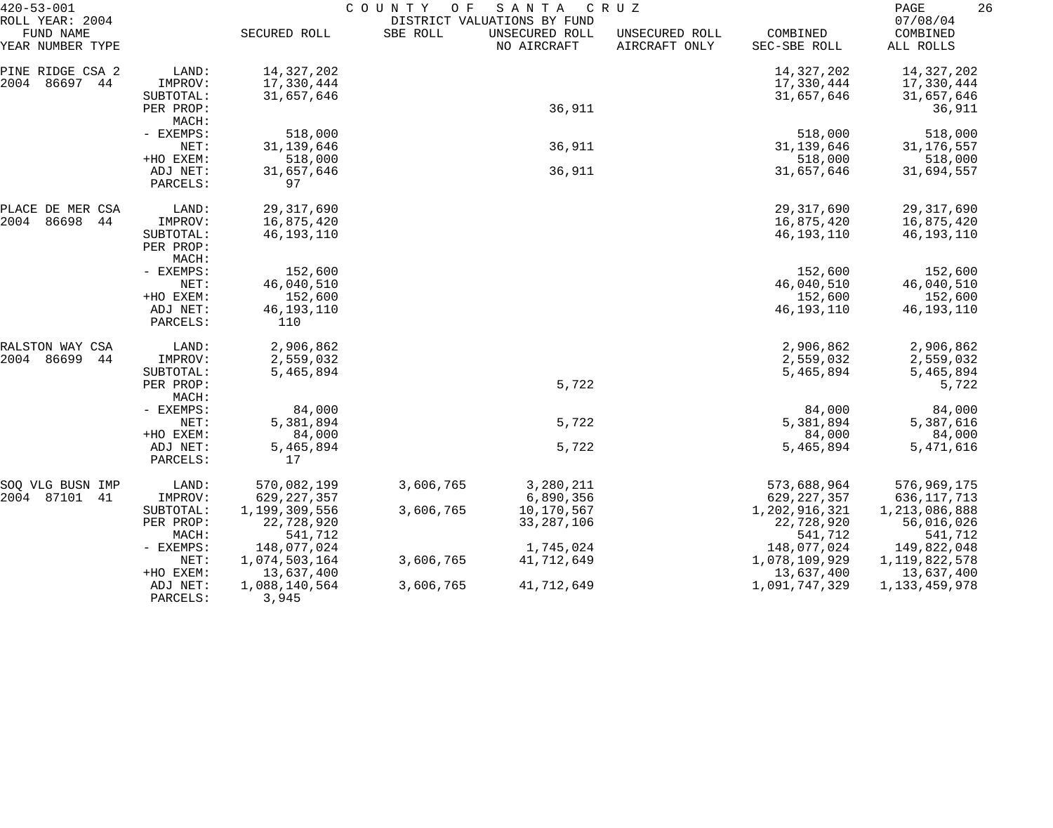| $420 - 53 - 001$                                                              |                                   | COUNTY<br>SANTA<br>O F<br>C R U Z<br>DISTRICT VALUATIONS BY FUND |           |                               |                                 |                                            |                                            |
|-------------------------------------------------------------------------------|-----------------------------------|------------------------------------------------------------------|-----------|-------------------------------|---------------------------------|--------------------------------------------|--------------------------------------------|
| ROLL YEAR: 2004<br>FUND NAME<br>YEAR NUMBER TYPE                              |                                   | SECURED ROLL                                                     | SBE ROLL  | UNSECURED ROLL<br>NO AIRCRAFT | UNSECURED ROLL<br>AIRCRAFT ONLY | COMBINED<br>SEC-SBE ROLL                   | 07/08/04<br>COMBINED<br>ALL ROLLS          |
| PINE RIDGE CSA 2<br>2004 86697 44                                             | LAND:<br>IMPROV:                  | 14, 327, 202<br>17,330,444                                       |           |                               |                                 | 14, 327, 202<br>17,330,444                 | 14,327,202<br>17,330,444                   |
|                                                                               | SUBTOTAL:<br>PER PROP:<br>MACH:   | 31,657,646                                                       |           | 36,911                        |                                 | 31,657,646                                 | 31,657,646<br>36,911                       |
|                                                                               | - EXEMPS:<br>NET:                 | 518,000<br>31, 139, 646                                          |           | 36,911                        |                                 | 518,000<br>31,139,646                      | 518,000<br>31, 176, 557                    |
|                                                                               | +HO EXEM:<br>ADJ NET:<br>PARCELS: | 518,000<br>31,657,646<br>97                                      |           | 36,911                        |                                 | 518,000<br>31,657,646                      | 518,000<br>31,694,557                      |
| PLACE DE MER CSA<br>2004<br>86698<br>44                                       | LAND:<br>IMPROV:                  | 29, 317, 690<br>16,875,420                                       |           |                               |                                 | 29, 317, 690<br>16,875,420                 | 29, 317, 690<br>16,875,420                 |
| SUBTOTAL:<br>PER PROP:<br>MACH:<br>- EXEMPS:<br>NET:<br>+HO EXEM:<br>ADJ NET: |                                   | 46,193,110                                                       |           |                               |                                 | 46,193,110                                 | 46,193,110                                 |
|                                                                               |                                   | 152,600<br>46,040,510                                            |           |                               |                                 | 152,600<br>46,040,510                      | 152,600<br>46,040,510                      |
|                                                                               | PARCELS:                          | 152,600<br>46,193,110<br>110                                     |           |                               |                                 | 152,600<br>46,193,110                      | 152,600<br>46,193,110                      |
| RALSTON WAY CSA                                                               | LAND:                             | 2,906,862                                                        |           |                               |                                 | 2,906,862                                  | 2,906,862                                  |
| 2004 86699<br>44                                                              | IMPROV:<br>SUBTOTAL:<br>PER PROP: | 2,559,032<br>5,465,894                                           |           | 5,722                         |                                 | 2,559,032<br>5,465,894                     | 2,559,032<br>5,465,894<br>5,722            |
|                                                                               | MACH:<br>- EXEMPS:                | 84,000                                                           |           |                               |                                 | 84,000                                     | 84,000                                     |
|                                                                               | NET:<br>+HO EXEM:                 | 5,381,894<br>84,000                                              |           | 5,722                         |                                 | 5,381,894                                  | 5,387,616                                  |
|                                                                               | ADJ NET:<br>PARCELS:              | 5,465,894<br>17                                                  |           | 5,722                         |                                 | 84,000<br>5,465,894                        | 84,000<br>5,471,616                        |
| SOQ VLG BUSN IMP<br>2004 87101<br>-41                                         | LAND:<br>IMPROV:                  | 570,082,199<br>629, 227, 357                                     | 3,606,765 | 3,280,211<br>6,890,356        |                                 | 573,688,964<br>629, 227, 357               | 576,969,175<br>636,117,713                 |
|                                                                               | SUBTOTAL:<br>PER PROP:<br>MACH:   | 1,199,309,556<br>22,728,920<br>541,712                           | 3,606,765 | 10,170,567<br>33, 287, 106    |                                 | 1,202,916,321<br>22,728,920<br>541,712     | 1,213,086,888<br>56,016,026<br>541,712     |
|                                                                               | $-$ EXEMPS:<br>NET:<br>+HO EXEM:  | 148,077,024<br>1,074,503,164<br>13,637,400                       | 3,606,765 | 1,745,024<br>41,712,649       |                                 | 148,077,024<br>1,078,109,929<br>13,637,400 | 149,822,048<br>1,119,822,578<br>13,637,400 |
|                                                                               | ADJ NET:<br>PARCELS:              | 1,088,140,564<br>3,945                                           | 3,606,765 | 41,712,649                    |                                 | 1,091,747,329                              | 1, 133, 459, 978                           |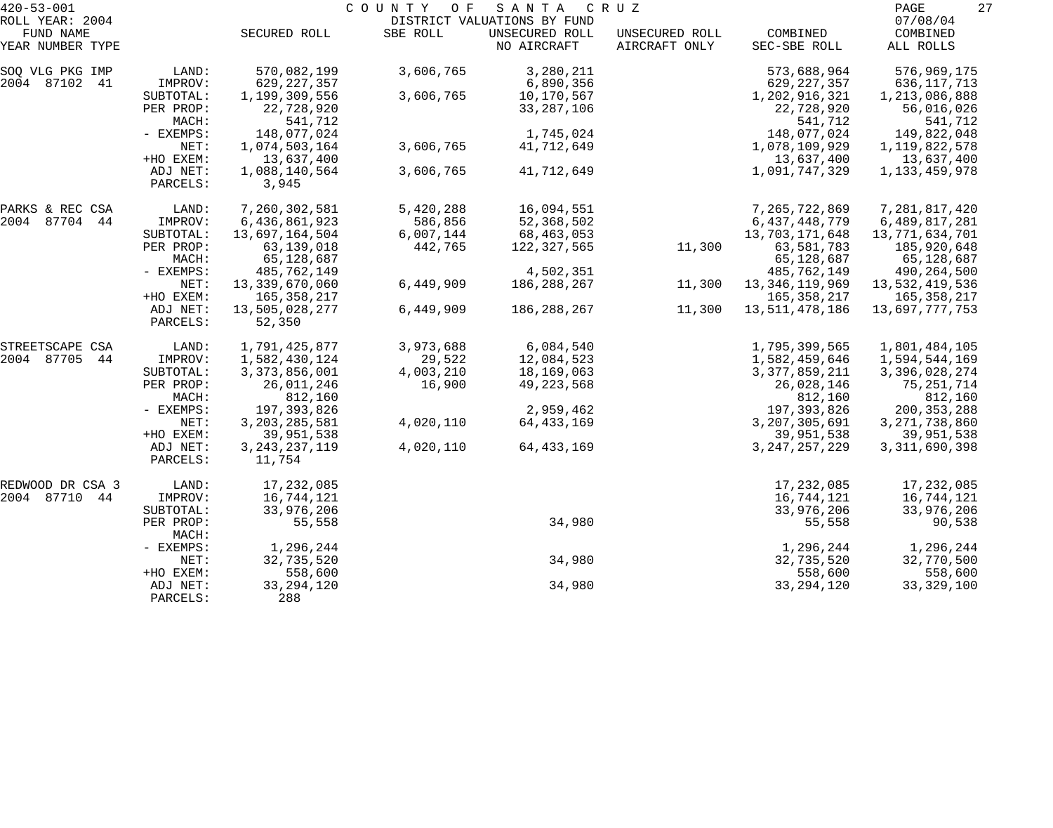| $420 - 53 - 001$              |                      | COUNTY OF<br>S A N T A<br>C R U Z |           |                               |                                 |                          |                       |  |
|-------------------------------|----------------------|-----------------------------------|-----------|-------------------------------|---------------------------------|--------------------------|-----------------------|--|
| ROLL YEAR: 2004               |                      |                                   |           | DISTRICT VALUATIONS BY FUND   |                                 |                          | 07/08/04              |  |
| FUND NAME<br>YEAR NUMBER TYPE |                      | SECURED ROLL                      | SBE ROLL  | UNSECURED ROLL<br>NO AIRCRAFT | UNSECURED ROLL<br>AIRCRAFT ONLY | COMBINED<br>SEC-SBE ROLL | COMBINED<br>ALL ROLLS |  |
| SOQ VLG PKG IMP               | LAND:                | 570,082,199                       | 3,606,765 | 3,280,211                     |                                 | 573,688,964              | 576,969,175           |  |
| 2004 87102<br>41              | IMPROV:              | 629, 227, 357                     |           | 6,890,356                     |                                 | 629, 227, 357            | 636, 117, 713         |  |
|                               | SUBTOTAL:            | 1,199,309,556                     | 3,606,765 | 10,170,567                    |                                 | 1,202,916,321            | 1,213,086,888         |  |
|                               | PER PROP:            | 22,728,920                        |           | 33, 287, 106                  |                                 | 22,728,920               | 56,016,026            |  |
|                               | MACH:                | 541,712                           |           |                               |                                 | 541,712                  | 541,712               |  |
|                               | - EXEMPS:            | 148,077,024                       |           | 1,745,024                     |                                 | 148,077,024              | 149,822,048           |  |
|                               | NET:                 | 1,074,503,164                     | 3,606,765 | 41,712,649                    |                                 | 1,078,109,929            | 1,119,822,578         |  |
|                               | +HO EXEM:            | 13,637,400                        |           |                               |                                 | 13,637,400               | 13,637,400            |  |
|                               | ADJ NET:<br>PARCELS: | 1,088,140,564<br>3,945            | 3,606,765 | 41,712,649                    |                                 | 1,091,747,329            | 1, 133, 459, 978      |  |
| PARKS & REC CSA               | LAND:                | 7,260,302,581                     | 5,420,288 | 16,094,551                    |                                 | 7,265,722,869            | 7,281,817,420         |  |
| 2004 87704 44                 | IMPROV:              | 6,436,861,923                     | 586,856   | 52,368,502                    |                                 | 6, 437, 448, 779         | 6,489,817,281         |  |
|                               | SUBTOTAL:            | 13,697,164,504                    | 6,007,144 | 68,463,053                    |                                 | 13,703,171,648           | 13,771,634,701        |  |
|                               | PER PROP:            | 63, 139, 018                      | 442,765   | 122,327,565                   | 11,300                          | 63,581,783               | 185,920,648           |  |
|                               | MACH:                | 65,128,687                        |           |                               |                                 | 65,128,687               | 65,128,687            |  |
|                               | - EXEMPS:            | 485,762,149                       |           | 4,502,351                     |                                 | 485,762,149              | 490,264,500           |  |
|                               | NET:                 | 13,339,670,060                    | 6,449,909 | 186, 288, 267                 | 11,300                          | 13, 346, 119, 969        | 13,532,419,536        |  |
|                               | +HO EXEM:            | 165, 358, 217                     |           |                               |                                 | 165, 358, 217            | 165, 358, 217         |  |
|                               | ADJ NET:<br>PARCELS: | 13,505,028,277<br>52,350          | 6,449,909 | 186,288,267                   | 11,300                          | 13,511,478,186           | 13,697,777,753        |  |
| STREETSCAPE CSA               | LAND:                | 1,791,425,877                     | 3,973,688 | 6,084,540                     |                                 | 1,795,399,565            | 1,801,484,105         |  |
| 2004 87705<br>44              | IMPROV:              | 1,582,430,124                     | 29,522    | 12,084,523                    |                                 | 1,582,459,646            | 1,594,544,169         |  |
|                               | SUBTOTAL:            | 3, 373, 856, 001                  | 4,003,210 | 18,169,063                    |                                 | 3, 377, 859, 211         | 3,396,028,274         |  |
|                               | PER PROP:            | 26,011,246                        | 16,900    | 49, 223, 568                  |                                 | 26,028,146               | 75, 251, 714          |  |
|                               | MACH:                | 812,160                           |           |                               |                                 | 812,160                  | 812,160               |  |
|                               | - EXEMPS:            | 197,393,826                       |           | 2,959,462                     |                                 | 197, 393, 826            | 200, 353, 288         |  |
|                               | NET:                 | 3, 203, 285, 581                  | 4,020,110 | 64,433,169                    |                                 | 3, 207, 305, 691         | 3, 271, 738, 860      |  |
|                               | +HO EXEM:            | 39,951,538                        |           |                               |                                 | 39,951,538               | 39,951,538            |  |
|                               | ADJ NET:             | 3, 243, 237, 119                  | 4,020,110 | 64,433,169                    |                                 | 3, 247, 257, 229         | 3, 311, 690, 398      |  |
|                               | PARCELS:             | 11,754                            |           |                               |                                 |                          |                       |  |
| REDWOOD DR CSA 3              | LAND:                | 17, 232, 085                      |           |                               |                                 | 17,232,085               | 17,232,085            |  |
| 2004 87710<br>44              | IMPROV:              | 16,744,121                        |           |                               |                                 | 16,744,121               | 16,744,121            |  |
|                               | SUBTOTAL:            | 33,976,206                        |           |                               |                                 | 33,976,206               | 33,976,206            |  |
|                               | PER PROP:<br>MACH:   | 55,558                            |           | 34,980                        |                                 | 55,558                   | 90,538                |  |
|                               | - EXEMPS:            | 1,296,244                         |           |                               |                                 | 1,296,244                | 1,296,244             |  |
|                               | NET:                 | 32,735,520                        |           | 34,980                        |                                 | 32,735,520               | 32,770,500            |  |
|                               | +HO EXEM:            | 558,600                           |           |                               |                                 | 558,600                  | 558,600               |  |
|                               | ADJ NET:<br>PARCELS: | 33, 294, 120<br>288               |           | 34,980                        |                                 | 33, 294, 120             | 33, 329, 100          |  |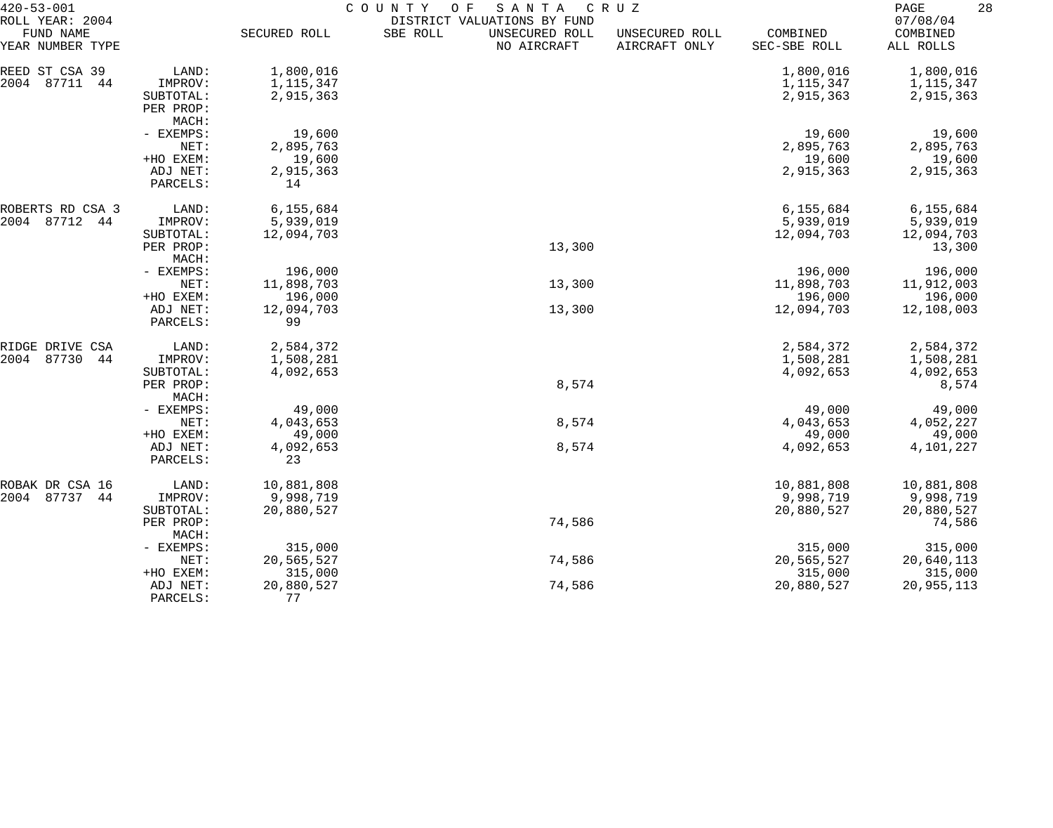| $420 - 53 - 001$                                 |                      | COUNTY<br>O F<br>SANTA<br>C R U Z |                                                                          |                                 |                          |                                   |  |  |
|--------------------------------------------------|----------------------|-----------------------------------|--------------------------------------------------------------------------|---------------------------------|--------------------------|-----------------------------------|--|--|
| ROLL YEAR: 2004<br>FUND NAME<br>YEAR NUMBER TYPE |                      | SECURED ROLL                      | DISTRICT VALUATIONS BY FUND<br>SBE ROLL<br>UNSECURED ROLL<br>NO AIRCRAFT | UNSECURED ROLL<br>AIRCRAFT ONLY | COMBINED<br>SEC-SBE ROLL | 07/08/04<br>COMBINED<br>ALL ROLLS |  |  |
| REED ST CSA 39                                   | LAND:                | 1,800,016                         |                                                                          |                                 | 1,800,016                | 1,800,016                         |  |  |
| 87711<br>2004<br>44                              | IMPROV:              | 1, 115, 347                       |                                                                          |                                 | 1,115,347                | 1,115,347                         |  |  |
|                                                  | SUBTOTAL:            | 2,915,363                         |                                                                          |                                 | 2,915,363                | 2,915,363                         |  |  |
|                                                  | PER PROP:            |                                   |                                                                          |                                 |                          |                                   |  |  |
|                                                  | MACH:                |                                   |                                                                          |                                 |                          |                                   |  |  |
|                                                  | - EXEMPS:            | 19,600                            |                                                                          |                                 | 19,600                   | 19,600                            |  |  |
|                                                  | NET:                 | 2,895,763                         |                                                                          |                                 | 2,895,763                | 2,895,763                         |  |  |
|                                                  | +HO EXEM:            | 19,600                            |                                                                          |                                 | 19,600                   | 19,600                            |  |  |
|                                                  | ADJ NET:             | 2,915,363                         |                                                                          |                                 | 2,915,363                | 2,915,363                         |  |  |
|                                                  | PARCELS:             | 14                                |                                                                          |                                 |                          |                                   |  |  |
| ROBERTS RD CSA 3                                 | LAND:                | 6,155,684                         |                                                                          |                                 | 6,155,684                | 6,155,684                         |  |  |
| 2004<br>87712<br>44                              | IMPROV:              | 5,939,019                         |                                                                          |                                 | 5,939,019                | 5,939,019                         |  |  |
|                                                  | SUBTOTAL:            | 12,094,703                        |                                                                          |                                 | 12,094,703               | 12,094,703                        |  |  |
|                                                  | PER PROP:            |                                   | 13,300                                                                   |                                 |                          | 13,300                            |  |  |
|                                                  | MACH:                |                                   |                                                                          |                                 |                          |                                   |  |  |
|                                                  | - EXEMPS:            | 196,000                           |                                                                          |                                 | 196,000                  | 196,000                           |  |  |
|                                                  | NET:                 | 11,898,703                        | 13,300                                                                   |                                 | 11,898,703               | 11,912,003                        |  |  |
|                                                  | +HO EXEM:            | 196,000                           |                                                                          |                                 | 196,000                  | 196,000                           |  |  |
|                                                  | ADJ NET:<br>PARCELS: | 12,094,703<br>99                  | 13,300                                                                   |                                 | 12,094,703               | 12,108,003                        |  |  |
| RIDGE DRIVE CSA                                  | LAND:                | 2,584,372                         |                                                                          |                                 | 2,584,372                | 2,584,372                         |  |  |
| 87730<br>2004<br>44                              | IMPROV:              | 1,508,281                         |                                                                          |                                 | 1,508,281                | 1,508,281                         |  |  |
|                                                  | SUBTOTAL:            | 4,092,653                         |                                                                          |                                 | 4,092,653                | 4,092,653                         |  |  |
|                                                  | PER PROP:            |                                   | 8,574                                                                    |                                 |                          | 8,574                             |  |  |
|                                                  | MACH:                |                                   |                                                                          |                                 |                          |                                   |  |  |
|                                                  | - EXEMPS:            | 49,000                            |                                                                          |                                 | 49,000                   | 49,000                            |  |  |
|                                                  | NET:                 | 4,043,653                         | 8,574                                                                    |                                 | 4,043,653                | 4,052,227                         |  |  |
|                                                  | +HO EXEM:            | 49,000                            |                                                                          |                                 | 49,000                   | 49,000                            |  |  |
|                                                  | ADJ NET:             | 4,092,653                         | 8,574                                                                    |                                 | 4,092,653                | 4,101,227                         |  |  |
|                                                  | PARCELS:             | 23                                |                                                                          |                                 |                          |                                   |  |  |
| ROBAK DR CSA 16                                  | LAND:                | 10,881,808                        |                                                                          |                                 | 10,881,808               | 10,881,808                        |  |  |
| 2004 87737<br>44                                 | IMPROV:              | 9,998,719                         |                                                                          |                                 | 9,998,719                | 9,998,719                         |  |  |
|                                                  | SUBTOTAL:            | 20,880,527                        |                                                                          |                                 | 20,880,527               | 20,880,527                        |  |  |
|                                                  | PER PROP:<br>MACH:   |                                   | 74,586                                                                   |                                 |                          | 74,586                            |  |  |
|                                                  | - EXEMPS:            | 315,000                           |                                                                          |                                 | 315,000                  | 315,000                           |  |  |
|                                                  | NET:                 | 20,565,527                        | 74,586                                                                   |                                 | 20,565,527               | 20,640,113                        |  |  |
|                                                  | +HO EXEM:            | 315,000                           |                                                                          |                                 | 315,000                  | 315,000                           |  |  |
|                                                  | ADJ NET:             | 20,880,527                        | 74,586                                                                   |                                 | 20,880,527               | 20,955,113                        |  |  |
|                                                  | PARCELS:             | 77                                |                                                                          |                                 |                          |                                   |  |  |
|                                                  |                      |                                   |                                                                          |                                 |                          |                                   |  |  |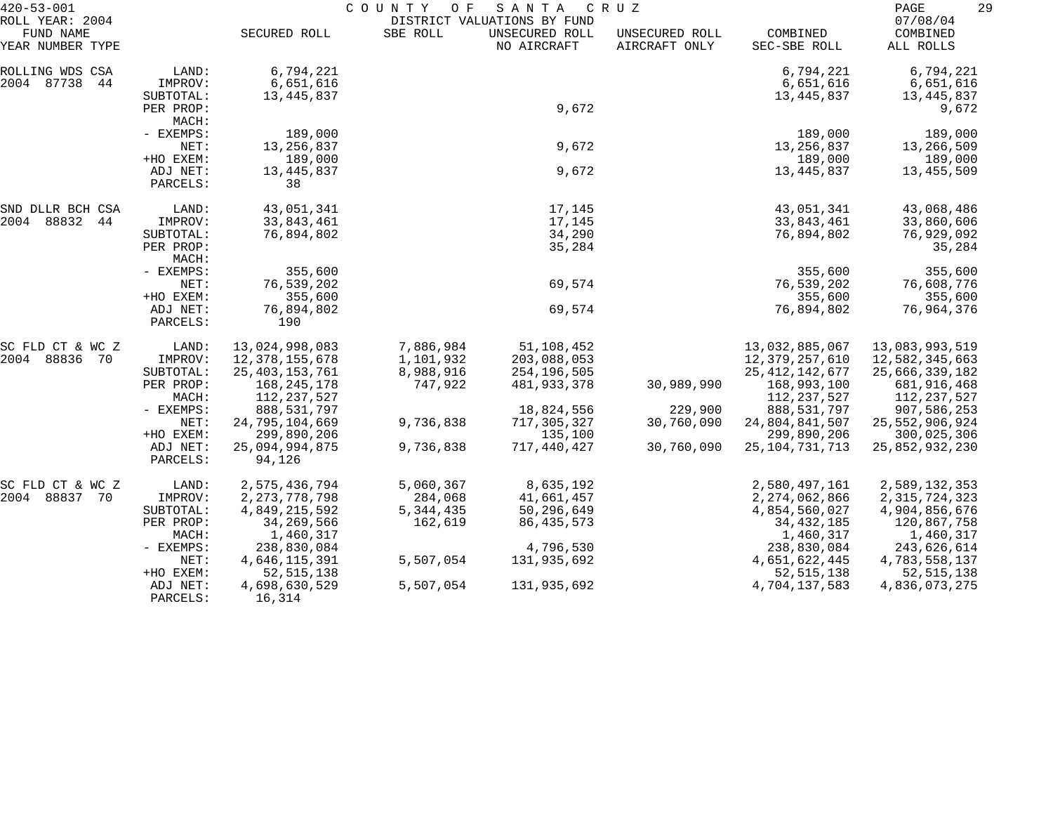| $420 - 53 - 001$                                 |                                   | COUNTY<br>SANTA<br>C R U Z<br>O F<br>DISTRICT VALUATIONS BY FUND |                        |                               |                                 |                                            |                                           | 29 |
|--------------------------------------------------|-----------------------------------|------------------------------------------------------------------|------------------------|-------------------------------|---------------------------------|--------------------------------------------|-------------------------------------------|----|
| ROLL YEAR: 2004<br>FUND NAME<br>YEAR NUMBER TYPE |                                   | SECURED ROLL                                                     | SBE ROLL               | UNSECURED ROLL<br>NO AIRCRAFT | UNSECURED ROLL<br>AIRCRAFT ONLY | COMBINED<br>SEC-SBE ROLL                   | 07/08/04<br>COMBINED<br>ALL ROLLS         |    |
| ROLLING WDS CSA<br>2004 87738<br>44              | LAND:<br>IMPROV:<br>SUBTOTAL:     | 6,794,221<br>6,651,616<br>13,445,837                             |                        |                               |                                 | 6,794,221<br>6,651,616<br>13,445,837       | 6,794,221<br>6,651,616<br>13,445,837      |    |
|                                                  | PER PROP:<br>MACH:                |                                                                  |                        | 9,672                         |                                 |                                            | 9,672                                     |    |
|                                                  | - EXEMPS:<br>NET:<br>+HO EXEM:    | 189,000<br>13, 256, 837<br>189,000                               |                        | 9,672                         |                                 | 189,000<br>13,256,837<br>189,000           | 189,000<br>13,266,509<br>189,000          |    |
|                                                  | ADJ NET:<br>PARCELS:              | 13, 445, 837<br>38                                               |                        | 9,672                         |                                 | 13,445,837                                 | 13,455,509                                |    |
| SND DLLR BCH CSA                                 | LAND:                             | 43,051,341                                                       |                        | 17,145                        |                                 | 43,051,341                                 | 43,068,486                                |    |
| 2004 88832<br>44<br>MACH:                        | IMPROV:<br>SUBTOTAL:<br>PER PROP: | 33,843,461<br>76,894,802                                         |                        | 17,145<br>34,290<br>35,284    |                                 | 33,843,461<br>76,894,802                   | 33,860,606<br>76,929,092<br>35,284        |    |
|                                                  | - EXEMPS:<br>NET:<br>+HO EXEM:    | 355,600<br>76,539,202<br>355,600                                 |                        | 69,574                        |                                 | 355,600<br>76,539,202<br>355,600           | 355,600<br>76,608,776<br>355,600          |    |
|                                                  | ADJ NET:<br>PARCELS:              | 76,894,802<br>190                                                |                        | 69,574                        |                                 | 76,894,802                                 | 76,964,376                                |    |
| SC FLD CT & WC Z                                 | LAND:                             | 13,024,998,083                                                   | 7,886,984              | 51,108,452                    |                                 | 13,032,885,067                             | 13,083,993,519                            |    |
| 2004 88836<br>- 70                               | IMPROV:<br>SUBTOTAL:              | 12,378,155,678<br>25, 403, 153, 761                              | 1,101,932<br>8,988,916 | 203,088,053<br>254,196,505    |                                 | 12,379,257,610<br>25, 412, 142, 677        | 12,582,345,663<br>25,666,339,182          |    |
|                                                  | PER PROP:<br>MACH:                | 168,245,178<br>112,237,527                                       | 747,922                | 481,933,378                   | 30,989,990                      | 168,993,100<br>112, 237, 527               | 681,916,468<br>112,237,527                |    |
|                                                  | - EXEMPS:                         | 888,531,797                                                      |                        | 18,824,556                    | 229,900                         | 888,531,797                                | 907,586,253                               |    |
|                                                  | NET:                              | 24,795,104,669                                                   | 9,736,838              | 717,305,327                   | 30,760,090                      | 24,804,841,507                             | 25, 552, 906, 924                         |    |
|                                                  | +HO EXEM:<br>ADJ NET:<br>PARCELS: | 299,890,206<br>25,094,994,875<br>94,126                          | 9,736,838              | 135,100<br>717,440,427        | 30,760,090                      | 299,890,206<br>25, 104, 731, 713           | 300,025,306<br>25,852,932,230             |    |
| SC FLD CT & WC Z                                 | LAND:                             | 2,575,436,794                                                    | 5,060,367              | 8,635,192                     |                                 | 2,580,497,161                              | 2,589,132,353                             |    |
| 2004 88837 70                                    | IMPROV:                           | 2, 273, 778, 798<br>4,849,215,592                                | 284,068<br>5, 344, 435 | 41,661,457<br>50,296,649      |                                 | 2, 274, 062, 866                           | 2, 315, 724, 323                          |    |
|                                                  | SUBTOTAL:<br>PER PROP:<br>MACH:   | 34,269,566<br>1,460,317                                          | 162,619                | 86, 435, 573                  |                                 | 4,854,560,027<br>34, 432, 185<br>1,460,317 | 4,904,856,676<br>120,867,758<br>1,460,317 |    |
|                                                  | $-$ EXEMPS:                       | 238,830,084                                                      |                        | 4,796,530                     |                                 | 238,830,084                                | 243,626,614                               |    |
|                                                  | NET:<br>+HO EXEM:                 | 4,646,115,391<br>52, 515, 138                                    | 5,507,054              | 131,935,692                   |                                 | 4,651,622,445<br>52, 515, 138              | 4,783,558,137<br>52, 515, 138             |    |
|                                                  | ADJ NET:<br>PARCELS:              | 4,698,630,529<br>16,314                                          | 5,507,054              | 131,935,692                   |                                 | 4,704,137,583                              | 4,836,073,275                             |    |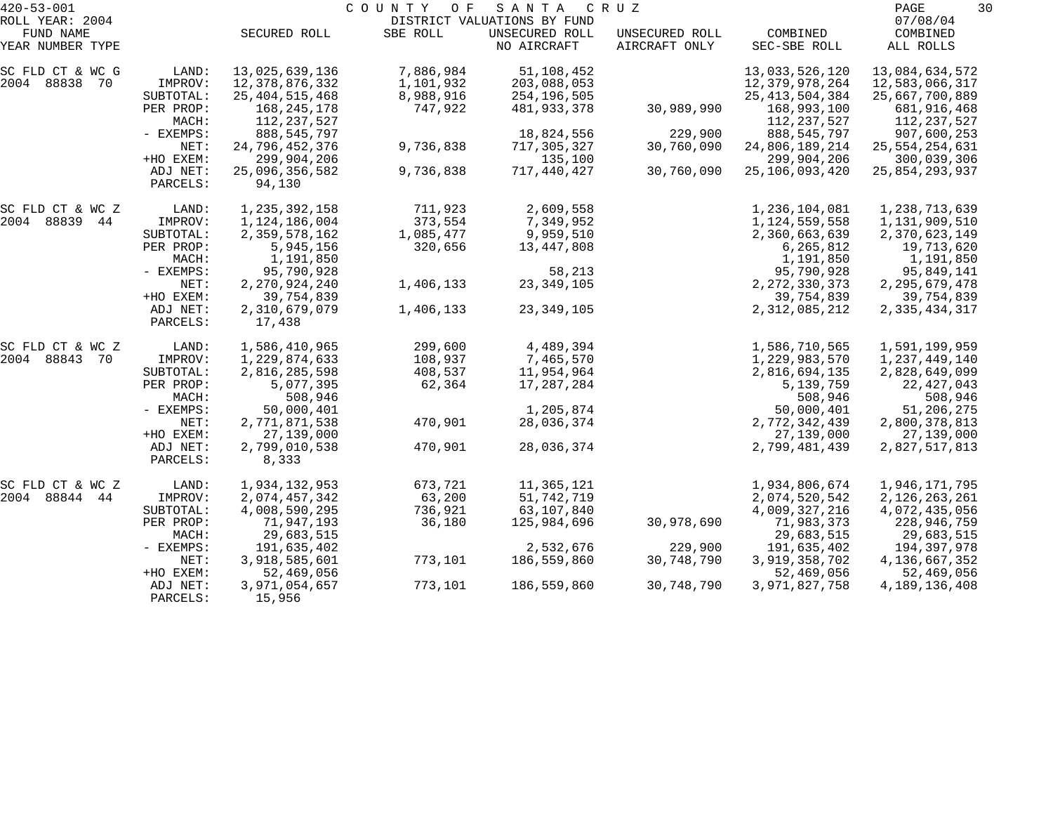| $420 - 53 - 001$             |                      | COUNTY<br>SANTA<br>O F<br>C R U Z<br>DISTRICT VALUATIONS BY FUND |                      |                            |                |                                                   |                                              |  |
|------------------------------|----------------------|------------------------------------------------------------------|----------------------|----------------------------|----------------|---------------------------------------------------|----------------------------------------------|--|
| ROLL YEAR: 2004<br>FUND NAME |                      | SECURED ROLL                                                     | SBE ROLL             | UNSECURED ROLL             | UNSECURED ROLL | COMBINED                                          | 07/08/04<br>COMBINED                         |  |
| YEAR NUMBER TYPE             |                      |                                                                  |                      | NO AIRCRAFT                | AIRCRAFT ONLY  | SEC-SBE ROLL                                      | ALL ROLLS                                    |  |
| SC FLD CT & WC G             | LAND:                | 13,025,639,136                                                   | 7,886,984            | 51,108,452                 |                | 13,033,526,120                                    | 13,084,634,572                               |  |
| 2004 88838 70                | IMPROV:<br>SUBTOTAL: | 12,378,876,332                                                   | 1,101,932            | 203,088,053                |                | 12,379,978,264                                    | 12,583,066,317                               |  |
|                              | PER PROP:<br>MACH:   | 25, 404, 515, 468<br>168,245,178<br>112,237,527                  | 8,988,916<br>747,922 | 254,196,505<br>481,933,378 | 30,989,990     | 25, 413, 504, 384<br>168,993,100<br>112, 237, 527 | 25,667,700,889<br>681,916,468<br>112,237,527 |  |
|                              | - EXEMPS:            | 888, 545, 797                                                    |                      | 18,824,556                 | 229,900        | 888, 545, 797                                     | 907,600,253                                  |  |
|                              | NET:                 | 24,796,452,376                                                   | 9,736,838            | 717,305,327                | 30,760,090     | 24,806,189,214                                    | 25, 554, 254, 631                            |  |
|                              | +HO EXEM:            | 299,904,206                                                      |                      | 135,100                    |                | 299,904,206                                       | 300,039,306                                  |  |
|                              | ADJ NET:<br>PARCELS: | 25,096,356,582<br>94,130                                         | 9,736,838            | 717,440,427                | 30,760,090     | 25, 106, 093, 420                                 | 25,854,293,937                               |  |
| SC FLD CT & WC Z             | LAND:                | 1, 235, 392, 158                                                 | 711,923              | 2,609,558                  |                | 1,236,104,081                                     | 1,238,713,639                                |  |
| 2004 88839 44                | IMPROV:              | 1,124,186,004                                                    | 373,554              | 7,349,952                  |                | 1,124,559,558                                     | 1,131,909,510                                |  |
|                              | SUBTOTAL:            | 2,359,578,162                                                    | 1,085,477            | 9,959,510                  |                | 2,360,663,639                                     | 2,370,623,149                                |  |
|                              | PER PROP:<br>MACH:   | 5,945,156<br>1,191,850                                           | 320,656              | 13,447,808                 |                | 6,265,812<br>1,191,850                            | 19,713,620<br>1,191,850                      |  |
|                              | - EXEMPS:            | 95,790,928                                                       |                      | 58,213                     |                | 95,790,928                                        | 95,849,141                                   |  |
|                              | NET:                 | 2,270,924,240                                                    | 1,406,133            | 23, 349, 105               |                | 2, 272, 330, 373                                  | 2, 295, 679, 478                             |  |
|                              | +HO EXEM:            | 39,754,839                                                       |                      |                            |                | 39,754,839                                        | 39,754,839                                   |  |
|                              | ADJ NET:<br>PARCELS: | 2,310,679,079<br>17,438                                          | 1,406,133            | 23, 349, 105               |                | 2, 312, 085, 212                                  | 2,335,434,317                                |  |
| SC FLD CT & WC Z             | LAND:                | 1,586,410,965                                                    | 299,600              | 4,489,394                  |                | 1,586,710,565                                     | 1,591,199,959                                |  |
| 2004 88843 70                | IMPROV:              | 1,229,874,633                                                    | 108,937              | 7,465,570                  |                | 1,229,983,570                                     | 1,237,449,140                                |  |
|                              | SUBTOTAL:            | 2,816,285,598                                                    | 408,537              | 11,954,964                 |                | 2,816,694,135                                     | 2,828,649,099                                |  |
|                              | PER PROP:            | 5,077,395                                                        | 62,364               | 17,287,284                 |                | 5,139,759                                         | 22, 427, 043                                 |  |
|                              | MACH:<br>- EXEMPS:   | 508,946<br>50,000,401                                            |                      | 1,205,874                  |                | 508,946<br>50,000,401                             | 508,946<br>51,206,275                        |  |
|                              | NET:                 | 2,771,871,538                                                    | 470,901              | 28,036,374                 |                | 2,772,342,439                                     | 2,800,378,813                                |  |
|                              | +HO EXEM:            | 27,139,000                                                       |                      |                            |                | 27,139,000                                        | 27,139,000                                   |  |
|                              | ADJ NET:<br>PARCELS: | 2,799,010,538<br>8,333                                           | 470,901              | 28,036,374                 |                | 2,799,481,439                                     | 2,827,517,813                                |  |
| SC FLD CT & WC Z             | LAND:                | 1,934,132,953                                                    | 673,721              | 11,365,121                 |                | 1,934,806,674                                     | 1,946,171,795                                |  |
| 2004 88844<br>44             | IMPROV:              | 2,074,457,342                                                    | 63,200               | 51,742,719                 |                | 2,074,520,542                                     | 2,126,263,261                                |  |
|                              | SUBTOTAL:            | 4,008,590,295                                                    | 736,921              | 63,107,840                 |                | 4,009,327,216                                     | 4,072,435,056                                |  |
|                              | PER PROP:            | 71,947,193                                                       | 36,180               | 125,984,696                | 30,978,690     | 71,983,373                                        | 228,946,759                                  |  |
|                              | MACH:                | 29,683,515                                                       |                      |                            |                | 29,683,515                                        | 29,683,515                                   |  |
|                              | $-$ EXEMPS:          | 191,635,402                                                      |                      | 2,532,676                  | 229,900        | 191,635,402                                       | 194,397,978                                  |  |
|                              | NET:<br>+HO EXEM:    | 3,918,585,601<br>52,469,056                                      | 773,101              | 186,559,860                | 30,748,790     | 3,919,358,702<br>52,469,056                       | 4, 136, 667, 352<br>52,469,056               |  |
|                              | ADJ NET:<br>PARCELS: | 3,971,054,657<br>15,956                                          | 773,101              | 186,559,860                | 30,748,790     | 3,971,827,758                                     | 4, 189, 136, 408                             |  |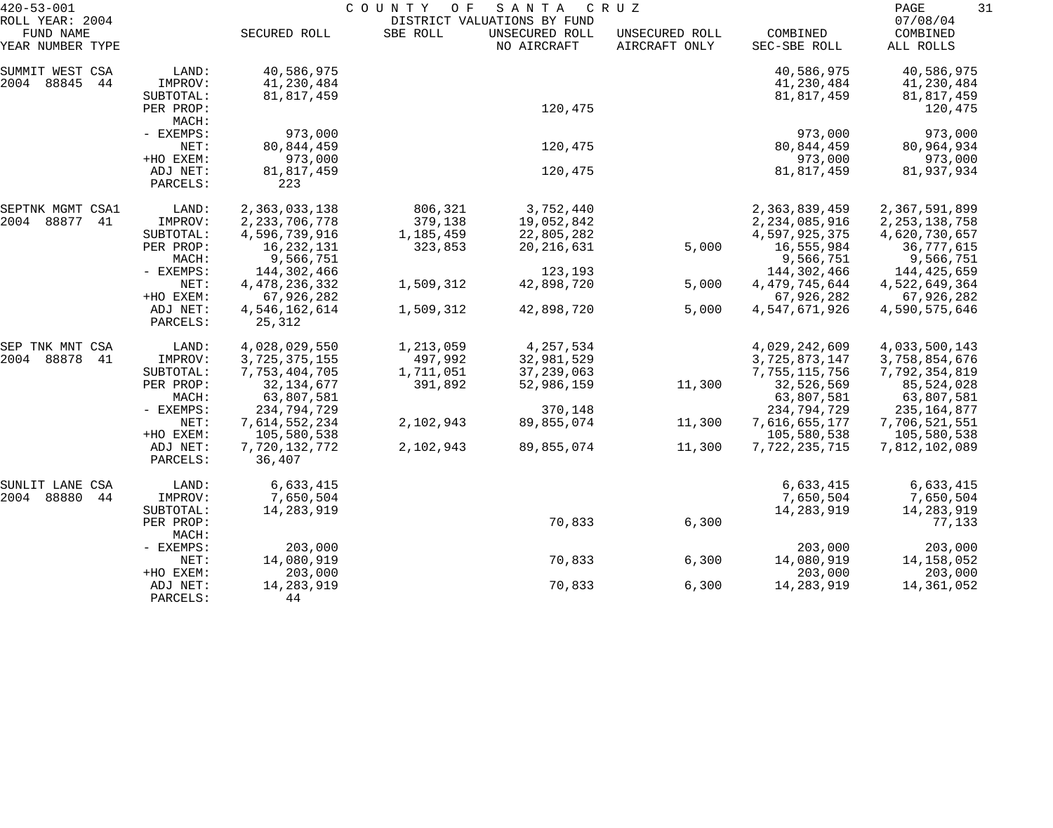| $420 - 53 - 001$                                 |                      | COUNTY OF<br>SANTA<br>C R U Z |           |                                                              |                                 |                          |                                   |
|--------------------------------------------------|----------------------|-------------------------------|-----------|--------------------------------------------------------------|---------------------------------|--------------------------|-----------------------------------|
| ROLL YEAR: 2004<br>FUND NAME<br>YEAR NUMBER TYPE |                      | SECURED ROLL                  | SBE ROLL  | DISTRICT VALUATIONS BY FUND<br>UNSECURED ROLL<br>NO AIRCRAFT | UNSECURED ROLL<br>AIRCRAFT ONLY | COMBINED<br>SEC-SBE ROLL | 07/08/04<br>COMBINED<br>ALL ROLLS |
| SUMMIT WEST CSA                                  | LAND:                | 40,586,975                    |           |                                                              |                                 | 40,586,975               | 40,586,975                        |
| 2004 88845<br>44                                 | IMPROV:              | 41,230,484                    |           |                                                              |                                 | 41,230,484               | 41,230,484                        |
|                                                  | SUBTOTAL:            | 81,817,459                    |           |                                                              |                                 | 81,817,459               | 81,817,459                        |
| PER PROP:                                        |                      |                               | 120,475   |                                                              |                                 | 120,475                  |                                   |
|                                                  | MACH:                |                               |           |                                                              |                                 |                          |                                   |
|                                                  | - EXEMPS:            | 973,000                       |           |                                                              |                                 | 973,000                  | 973,000                           |
|                                                  | NET:                 | 80, 844, 459                  |           | 120,475                                                      |                                 | 80,844,459               | 80,964,934                        |
|                                                  | +HO EXEM:            | 973,000                       |           |                                                              |                                 | 973,000                  | 973,000                           |
|                                                  | ADJ NET:             | 81,817,459                    |           | 120,475                                                      |                                 | 81,817,459               | 81,937,934                        |
|                                                  | PARCELS:             | 223                           |           |                                                              |                                 |                          |                                   |
| SEPTNK MGMT CSA1                                 | LAND:                | 2,363,033,138                 | 806,321   | 3,752,440                                                    |                                 | 2,363,839,459            | 2,367,591,899                     |
| 2004 88877<br>41                                 | IMPROV:              | 2, 233, 706, 778              | 379,138   | 19,052,842                                                   |                                 | 2, 234, 085, 916         | 2, 253, 138, 758                  |
|                                                  | SUBTOTAL:            | 4,596,739,916                 | 1,185,459 | 22,805,282                                                   |                                 | 4,597,925,375            | 4,620,730,657                     |
|                                                  | PER PROP:            | 16, 232, 131                  | 323,853   | 20, 216, 631                                                 | 5,000                           | 16,555,984               | 36,777,615                        |
|                                                  | MACH:                | 9,566,751                     |           |                                                              |                                 | 9,566,751                | 9,566,751                         |
|                                                  | - EXEMPS:            | 144,302,466                   |           | 123,193                                                      |                                 | 144,302,466              | 144,425,659                       |
|                                                  | NET:                 | 4, 478, 236, 332              | 1,509,312 | 42,898,720                                                   | 5,000                           | 4, 479, 745, 644         | 4,522,649,364                     |
|                                                  | +HO EXEM:            | 67,926,282                    |           |                                                              |                                 | 67,926,282               | 67,926,282                        |
|                                                  | ADJ NET:<br>PARCELS: | 4,546,162,614<br>25,312       | 1,509,312 | 42,898,720                                                   | 5,000                           | 4,547,671,926            | 4,590,575,646                     |
|                                                  |                      |                               |           |                                                              |                                 |                          |                                   |
| SEP TNK MNT CSA                                  | LAND:                | 4,028,029,550                 | 1,213,059 | 4,257,534                                                    |                                 | 4,029,242,609            | 4,033,500,143                     |
| 2004 88878<br>41                                 | IMPROV:              | 3,725,375,155                 | 497,992   | 32,981,529                                                   |                                 | 3,725,873,147            | 3,758,854,676                     |
|                                                  | SUBTOTAL:            | 7,753,404,705                 | 1,711,051 | 37, 239, 063                                                 |                                 | 7,755,115,756            | 7,792,354,819                     |
|                                                  | PER PROP:            | 32, 134, 677                  | 391,892   | 52,986,159                                                   | 11,300                          | 32,526,569               | 85,524,028                        |
|                                                  | MACH:                | 63,807,581                    |           |                                                              |                                 | 63,807,581               | 63,807,581                        |
|                                                  | - EXEMPS:            | 234,794,729                   |           | 370,148                                                      |                                 | 234,794,729              | 235, 164, 877                     |
|                                                  | NET:                 | 7,614,552,234                 | 2,102,943 | 89,855,074                                                   | 11,300                          | 7,616,655,177            | 7,706,521,551                     |
|                                                  | +HO EXEM:            | 105,580,538                   |           |                                                              |                                 | 105,580,538              | 105,580,538                       |
|                                                  | ADJ NET:<br>PARCELS: | 7,720,132,772<br>36,407       | 2,102,943 | 89,855,074                                                   | 11,300                          | 7,722,235,715            | 7,812,102,089                     |
|                                                  |                      |                               |           |                                                              |                                 |                          |                                   |
| SUNLIT LANE CSA                                  | LAND:                | 6,633,415                     |           |                                                              |                                 | 6,633,415                | 6,633,415                         |
| 2004 88880<br>44                                 | IMPROV:              | 7,650,504                     |           |                                                              |                                 | 7,650,504                | 7,650,504                         |
|                                                  | SUBTOTAL:            | 14,283,919                    |           |                                                              |                                 | 14,283,919               | 14,283,919                        |
|                                                  | PER PROP:<br>MACH:   |                               |           | 70,833                                                       | 6,300                           |                          | 77,133                            |
|                                                  | - EXEMPS:            | 203,000                       |           |                                                              |                                 | 203,000                  | 203,000                           |
|                                                  | NET:                 | 14,080,919                    |           | 70,833                                                       | 6,300                           | 14,080,919               | 14, 158, 052                      |
|                                                  | +HO EXEM:            | 203,000                       |           |                                                              |                                 | 203,000                  | 203,000                           |
|                                                  | ADJ NET:             | 14,283,919                    |           | 70,833                                                       | 6,300                           | 14, 283, 919             | 14,361,052                        |
|                                                  | PARCELS:             | 44                            |           |                                                              |                                 |                          |                                   |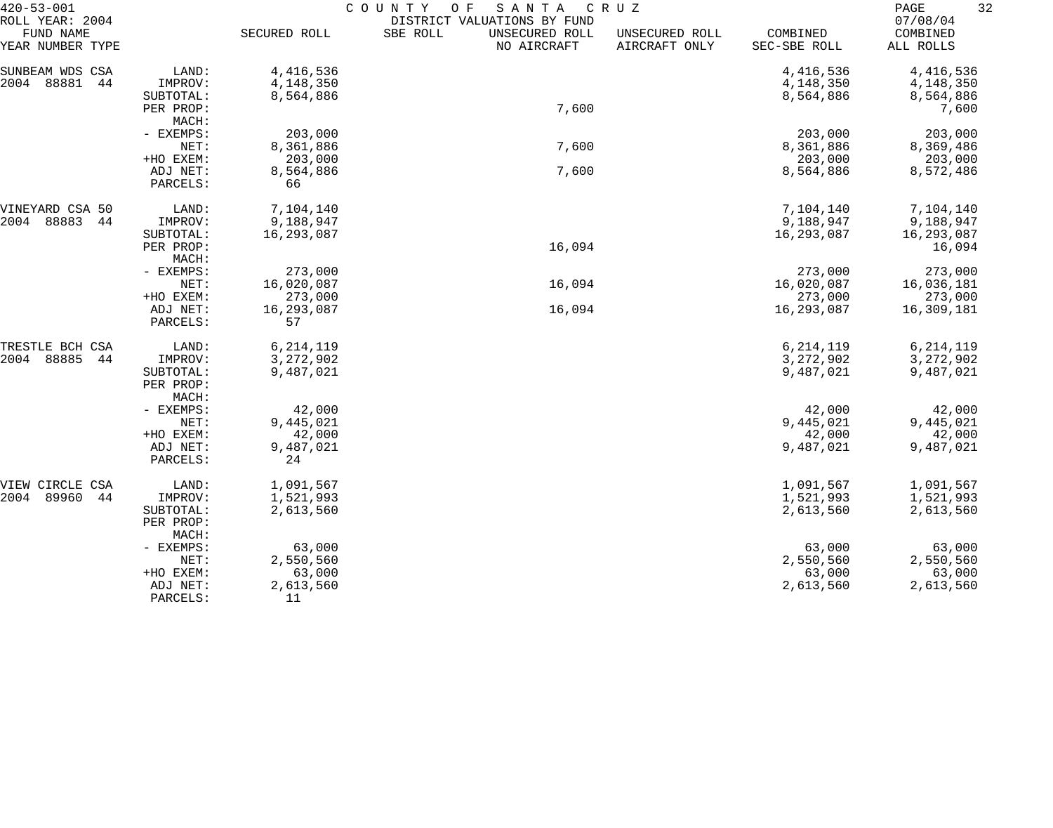| $420 - 53 - 001$    |                    | COUNTY<br>O F<br>SANTA<br>C R U Z |                             |                |              |             |  |  |
|---------------------|--------------------|-----------------------------------|-----------------------------|----------------|--------------|-------------|--|--|
| ROLL YEAR: 2004     |                    |                                   | DISTRICT VALUATIONS BY FUND |                |              | 07/08/04    |  |  |
| FUND NAME           |                    | SECURED ROLL                      | SBE ROLL<br>UNSECURED ROLL  | UNSECURED ROLL | COMBINED     | COMBINED    |  |  |
| YEAR NUMBER TYPE    |                    |                                   | NO AIRCRAFT                 | AIRCRAFT ONLY  | SEC-SBE ROLL | ALL ROLLS   |  |  |
| SUNBEAM WDS CSA     | LAND:              | 4,416,536                         |                             |                | 4,416,536    | 4,416,536   |  |  |
| 2004<br>88881<br>44 | IMPROV:            | 4,148,350                         |                             |                | 4,148,350    | 4,148,350   |  |  |
|                     | SUBTOTAL:          | 8,564,886                         |                             |                | 8,564,886    | 8,564,886   |  |  |
|                     | PER PROP:          |                                   | 7,600                       |                |              | 7,600       |  |  |
|                     | MACH:              |                                   |                             |                |              |             |  |  |
|                     | - EXEMPS:          | 203,000                           |                             |                | 203,000      | 203,000     |  |  |
|                     | NET:               | 8,361,886                         | 7,600                       |                | 8,361,886    | 8,369,486   |  |  |
|                     | +HO EXEM:          | 203,000                           |                             |                | 203,000      | 203,000     |  |  |
|                     | ADJ NET:           | 8,564,886                         | 7,600                       |                | 8,564,886    | 8,572,486   |  |  |
|                     | PARCELS:           | 66                                |                             |                |              |             |  |  |
| VINEYARD CSA 50     | LAND:              | 7,104,140                         |                             |                | 7,104,140    | 7,104,140   |  |  |
| 88883<br>2004<br>44 | IMPROV:            | 9,188,947                         |                             |                | 9,188,947    | 9,188,947   |  |  |
|                     | SUBTOTAL:          | 16,293,087                        |                             |                | 16,293,087   | 16,293,087  |  |  |
|                     | PER PROP:          |                                   | 16,094                      |                |              | 16,094      |  |  |
|                     | MACH:              |                                   |                             |                |              |             |  |  |
|                     | - EXEMPS:          | 273,000                           |                             |                | 273,000      | 273,000     |  |  |
| NET:                |                    | 16,020,087                        | 16,094                      |                | 16,020,087   | 16,036,181  |  |  |
|                     | +HO EXEM:          | 273,000                           |                             |                | 273,000      | 273,000     |  |  |
|                     | ADJ NET:           | 16,293,087                        | 16,094                      |                | 16,293,087   | 16,309,181  |  |  |
|                     | PARCELS:           | 57                                |                             |                |              |             |  |  |
| TRESTLE BCH CSA     | LAND:              | 6, 214, 119                       |                             |                | 6, 214, 119  | 6, 214, 119 |  |  |
| 88885<br>2004<br>44 | IMPROV:            | 3,272,902                         |                             |                | 3, 272, 902  | 3, 272, 902 |  |  |
|                     | SUBTOTAL:          | 9,487,021                         |                             |                | 9,487,021    | 9,487,021   |  |  |
|                     | PER PROP:          |                                   |                             |                |              |             |  |  |
|                     | MACH:              |                                   |                             |                |              |             |  |  |
|                     | - EXEMPS:          | 42,000                            |                             |                | 42,000       | 42,000      |  |  |
|                     | NET:               | 9,445,021                         |                             |                | 9,445,021    | 9,445,021   |  |  |
|                     | +HO EXEM:          | 42,000                            |                             |                | 42,000       | 42,000      |  |  |
|                     | ADJ NET:           | 9,487,021                         |                             |                | 9,487,021    | 9,487,021   |  |  |
|                     | PARCELS:           | 24                                |                             |                |              |             |  |  |
| VIEW CIRCLE CSA     | LAND:              | 1,091,567                         |                             |                | 1,091,567    | 1,091,567   |  |  |
| 2004<br>89960<br>44 | IMPROV:            | 1,521,993                         |                             |                | 1,521,993    | 1,521,993   |  |  |
|                     | SUBTOTAL:          | 2,613,560                         |                             |                | 2,613,560    | 2,613,560   |  |  |
|                     | PER PROP:<br>MACH: |                                   |                             |                |              |             |  |  |
|                     | - EXEMPS:          | 63,000                            |                             |                | 63,000       | 63,000      |  |  |
|                     | NET:               | 2,550,560                         |                             |                | 2,550,560    | 2,550,560   |  |  |
|                     | +HO EXEM:          | 63,000                            |                             |                | 63,000       | 63,000      |  |  |
|                     | ADJ NET:           | 2,613,560                         |                             |                | 2,613,560    | 2,613,560   |  |  |
|                     | PARCELS:           | 11                                |                             |                |              |             |  |  |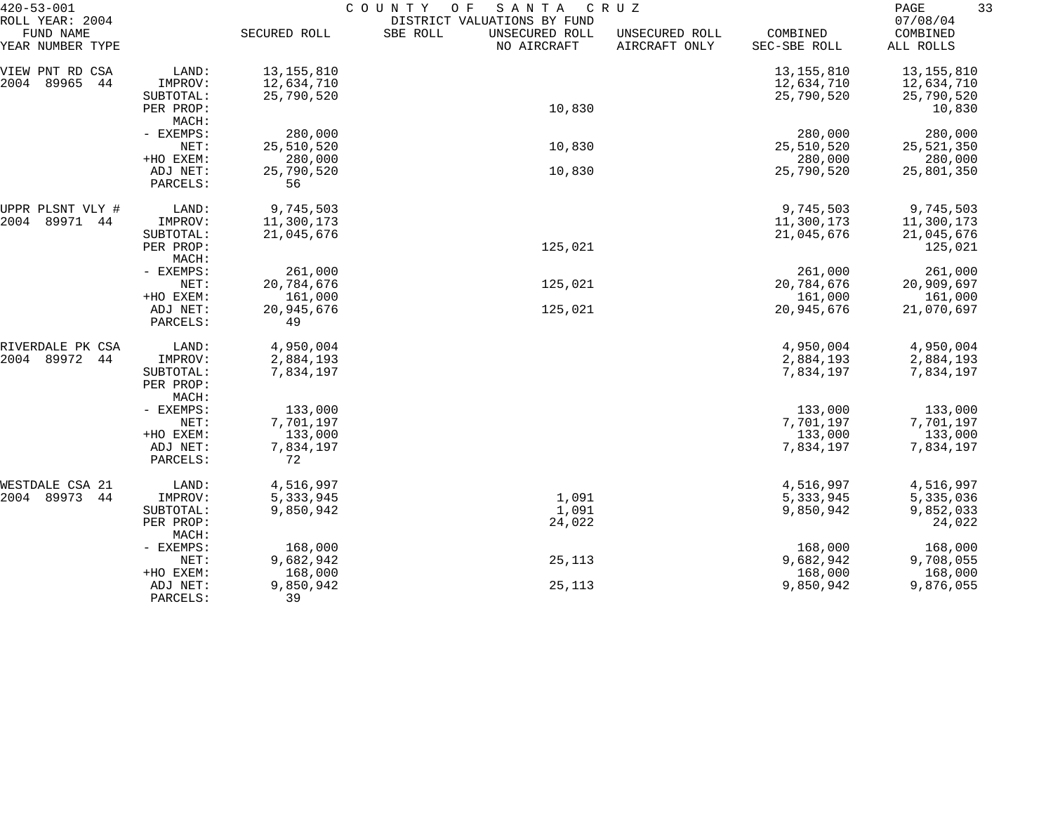| $420 - 53 - 001$                                 |                        | COUNTY<br>SANTA<br>CRUZ<br>O F<br>DISTRICT VALUATIONS BY FUND |                                           |                                 |                          |                                   |  |  |
|--------------------------------------------------|------------------------|---------------------------------------------------------------|-------------------------------------------|---------------------------------|--------------------------|-----------------------------------|--|--|
| ROLL YEAR: 2004<br>FUND NAME<br>YEAR NUMBER TYPE |                        | SECURED ROLL                                                  | SBE ROLL<br>UNSECURED ROLL<br>NO AIRCRAFT | UNSECURED ROLL<br>AIRCRAFT ONLY | COMBINED<br>SEC-SBE ROLL | 07/08/04<br>COMBINED<br>ALL ROLLS |  |  |
| VIEW PNT RD CSA                                  | LAND:                  | 13, 155, 810                                                  |                                           |                                 | 13, 155, 810             | 13, 155, 810                      |  |  |
| 89965<br>2004<br>44                              | IMPROV:                | 12,634,710                                                    |                                           |                                 | 12,634,710               | 12,634,710                        |  |  |
|                                                  | SUBTOTAL:              | 25,790,520                                                    |                                           |                                 | 25,790,520               | 25,790,520                        |  |  |
|                                                  | PER PROP:              |                                                               | 10,830                                    |                                 |                          | 10,830                            |  |  |
|                                                  | MACH:                  |                                                               |                                           |                                 |                          |                                   |  |  |
|                                                  | - EXEMPS:              | 280,000                                                       |                                           |                                 | 280,000                  | 280,000                           |  |  |
|                                                  | NET:                   | 25,510,520                                                    | 10,830                                    |                                 | 25,510,520               | 25,521,350                        |  |  |
|                                                  | +HO EXEM:              | 280,000                                                       |                                           |                                 | 280,000                  | 280,000                           |  |  |
|                                                  | ADJ NET:<br>PARCELS:   | 25,790,520<br>56                                              | 10,830                                    |                                 | 25,790,520               | 25,801,350                        |  |  |
| UPPR PLSNT VLY #                                 | LAND:                  | 9,745,503                                                     |                                           |                                 | 9,745,503                | 9,745,503                         |  |  |
| 89971<br>2004<br>44                              | IMPROV:                | 11,300,173                                                    |                                           |                                 | 11,300,173               | 11,300,173                        |  |  |
|                                                  | SUBTOTAL:              | 21,045,676                                                    |                                           |                                 | 21,045,676               | 21,045,676                        |  |  |
|                                                  | PER PROP:              |                                                               | 125,021                                   |                                 |                          | 125,021                           |  |  |
|                                                  | MACH:                  |                                                               |                                           |                                 |                          |                                   |  |  |
|                                                  | - EXEMPS:              | 261,000                                                       |                                           |                                 | 261,000                  | 261,000                           |  |  |
|                                                  | NET:                   | 20,784,676                                                    | 125,021                                   |                                 | 20,784,676               | 20,909,697                        |  |  |
|                                                  | +HO EXEM:              | 161,000                                                       |                                           |                                 | 161,000                  | 161,000                           |  |  |
|                                                  | ADJ NET:<br>PARCELS:   | 20,945,676<br>49                                              | 125,021                                   |                                 | 20,945,676               | 21,070,697                        |  |  |
| RIVERDALE PK CSA                                 | LAND:                  | 4,950,004                                                     |                                           |                                 | 4,950,004                | 4,950,004                         |  |  |
| 89972<br>2004<br>44                              | IMPROV:                | 2,884,193                                                     |                                           |                                 | 2,884,193                | 2,884,193                         |  |  |
|                                                  | SUBTOTAL:<br>PER PROP: | 7,834,197                                                     |                                           |                                 | 7,834,197                | 7,834,197                         |  |  |
|                                                  | MACH:                  |                                                               |                                           |                                 |                          |                                   |  |  |
|                                                  | - EXEMPS:              | 133,000                                                       |                                           |                                 | 133,000                  | 133,000                           |  |  |
|                                                  | NET:                   | 7,701,197                                                     |                                           |                                 | 7,701,197                | 7,701,197                         |  |  |
|                                                  | +HO EXEM:              | 133,000                                                       |                                           |                                 | 133,000                  | 133,000                           |  |  |
|                                                  | ADJ NET:<br>PARCELS:   | 7,834,197<br>72                                               |                                           |                                 | 7,834,197                | 7,834,197                         |  |  |
| WESTDALE CSA 21                                  | LAND:                  | 4,516,997                                                     |                                           |                                 | 4,516,997                | 4,516,997                         |  |  |
| 2004 89973<br>44                                 | IMPROV:                | 5,333,945                                                     | 1,091                                     |                                 | 5,333,945                | 5,335,036                         |  |  |
|                                                  | SUBTOTAL:              | 9,850,942                                                     | 1,091                                     |                                 | 9,850,942                | 9,852,033                         |  |  |
|                                                  | PER PROP:<br>MACH:     |                                                               | 24,022                                    |                                 |                          | 24,022                            |  |  |
|                                                  | - EXEMPS:              | 168,000                                                       |                                           |                                 | 168,000                  | 168,000                           |  |  |
|                                                  | NET:                   | 9,682,942                                                     | 25,113                                    |                                 | 9,682,942                | 9,708,055                         |  |  |
|                                                  | +HO EXEM:              | 168,000                                                       |                                           |                                 | 168,000                  | 168,000                           |  |  |
|                                                  | ADJ NET:               | 9,850,942                                                     | 25,113                                    |                                 | 9,850,942                | 9,876,055                         |  |  |
|                                                  | PARCELS:               | 39                                                            |                                           |                                 |                          |                                   |  |  |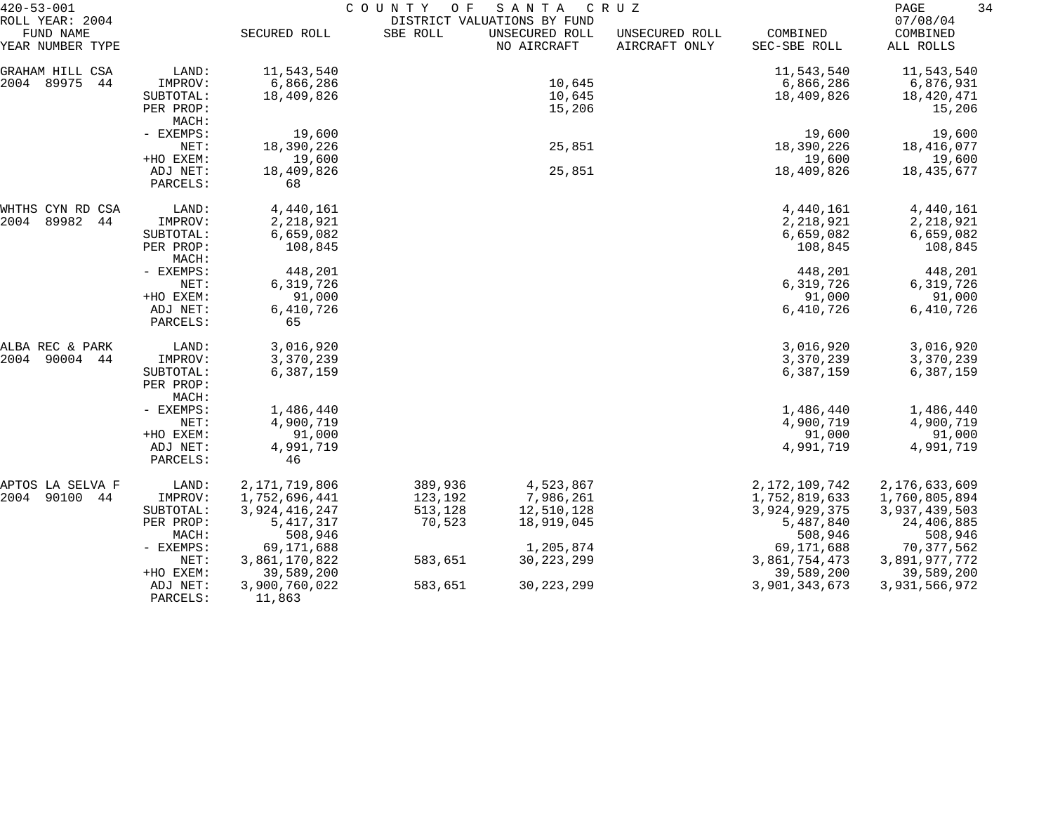| $420 - 53 - 001$                                 |                       | COUNTY<br>O F<br>SANTA<br>C R U Z<br>DISTRICT VALUATIONS BY FUND |          |                               |                                 |                          |                                   |
|--------------------------------------------------|-----------------------|------------------------------------------------------------------|----------|-------------------------------|---------------------------------|--------------------------|-----------------------------------|
| ROLL YEAR: 2004<br>FUND NAME<br>YEAR NUMBER TYPE |                       | SECURED ROLL                                                     | SBE ROLL | UNSECURED ROLL<br>NO AIRCRAFT | UNSECURED ROLL<br>AIRCRAFT ONLY | COMBINED<br>SEC-SBE ROLL | 07/08/04<br>COMBINED<br>ALL ROLLS |
| GRAHAM HILL CSA                                  | LAND:                 | 11,543,540                                                       |          |                               |                                 | 11,543,540               | 11,543,540                        |
| 2004 89975<br>44                                 | IMPROV:               | 6,866,286                                                        |          | 10,645                        |                                 | 6,866,286                | 6,876,931                         |
|                                                  | SUBTOTAL:             | 18,409,826                                                       |          | 10,645                        |                                 | 18,409,826               | 18,420,471                        |
|                                                  | PER PROP:             |                                                                  |          | 15,206                        |                                 |                          | 15,206                            |
|                                                  | MACH:                 |                                                                  |          |                               |                                 |                          |                                   |
|                                                  | - EXEMPS:             | 19,600                                                           |          |                               |                                 | 19,600                   | 19,600                            |
|                                                  | NET:                  | 18,390,226                                                       |          | 25,851                        |                                 | 18,390,226               | 18,416,077                        |
|                                                  | +HO EXEM:             | 19,600                                                           |          |                               |                                 | 19,600                   | 19,600                            |
|                                                  | ADJ NET:              | 18,409,826                                                       |          | 25,851                        |                                 | 18,409,826               | 18,435,677                        |
|                                                  | PARCELS:              | 68                                                               |          |                               |                                 |                          |                                   |
| WHTHS CYN RD CSA                                 | LAND:                 | 4,440,161                                                        |          |                               |                                 | 4,440,161                | 4,440,161                         |
| 2004<br>89982<br>44                              | IMPROV:               | 2,218,921                                                        |          |                               |                                 | 2,218,921                | 2,218,921                         |
|                                                  | SUBTOTAL:             | 6,659,082                                                        |          |                               |                                 | 6,659,082                | 6,659,082                         |
|                                                  | PER PROP:<br>MACH:    | 108,845                                                          |          |                               |                                 | 108,845                  | 108,845                           |
|                                                  | - EXEMPS:             | 448,201                                                          |          |                               |                                 | 448,201                  | 448,201                           |
|                                                  | NET:                  | 6,319,726                                                        |          |                               |                                 | 6,319,726                | 6,319,726                         |
|                                                  | +HO EXEM:             | 91,000                                                           |          |                               |                                 | 91,000                   | 91,000                            |
|                                                  | ADJ NET:              | 6,410,726                                                        |          |                               |                                 | 6,410,726                | 6,410,726                         |
|                                                  | PARCELS:              | 65                                                               |          |                               |                                 |                          |                                   |
| ALBA REC & PARK                                  | LAND:                 | 3,016,920                                                        |          |                               |                                 | 3,016,920                | 3,016,920                         |
| 2004<br>90004 44                                 | IMPROV:               | 3,370,239                                                        |          |                               |                                 | 3,370,239                | 3,370,239                         |
|                                                  | SUBTOTAL:             | 6,387,159                                                        |          |                               |                                 | 6,387,159                | 6,387,159                         |
|                                                  | PER PROP:             |                                                                  |          |                               |                                 |                          |                                   |
|                                                  | MACH:                 |                                                                  |          |                               |                                 |                          |                                   |
|                                                  | - EXEMPS:             | 1,486,440                                                        |          |                               |                                 | 1,486,440                | 1,486,440                         |
|                                                  | NET:                  | 4,900,719                                                        |          |                               |                                 | 4,900,719                | 4,900,719                         |
|                                                  | +HO EXEM:<br>ADJ NET: | 91,000<br>4,991,719                                              |          |                               |                                 | 91,000<br>4,991,719      | 91,000<br>4,991,719               |
|                                                  | PARCELS:              | 46                                                               |          |                               |                                 |                          |                                   |
| APTOS LA SELVA F                                 | LAND:                 | 2, 171, 719, 806                                                 | 389,936  | 4,523,867                     |                                 | 2, 172, 109, 742         | 2,176,633,609                     |
| 2004 90100 44                                    | IMPROV:               | 1,752,696,441                                                    | 123,192  | 7,986,261                     |                                 | 1,752,819,633            | 1,760,805,894                     |
|                                                  | SUBTOTAL:             | 3,924,416,247                                                    | 513,128  | 12,510,128                    |                                 | 3,924,929,375            | 3,937,439,503                     |
|                                                  | PER PROP:             | 5, 417, 317                                                      | 70,523   | 18,919,045                    |                                 | 5,487,840                | 24,406,885                        |
|                                                  | MACH:                 | 508,946                                                          |          |                               |                                 | 508,946                  | 508,946                           |
|                                                  | - EXEMPS:             | 69, 171, 688                                                     |          | 1,205,874                     |                                 | 69,171,688               | 70, 377, 562                      |
|                                                  | NET:                  | 3,861,170,822                                                    | 583,651  | 30, 223, 299                  |                                 | 3,861,754,473            | 3,891,977,772                     |
|                                                  | +HO EXEM:             | 39,589,200                                                       |          |                               |                                 | 39,589,200               | 39,589,200                        |
|                                                  | ADJ NET:              | 3,900,760,022                                                    | 583,651  | 30, 223, 299                  |                                 | 3,901,343,673            | 3,931,566,972                     |
|                                                  | PARCELS:              | 11,863                                                           |          |                               |                                 |                          |                                   |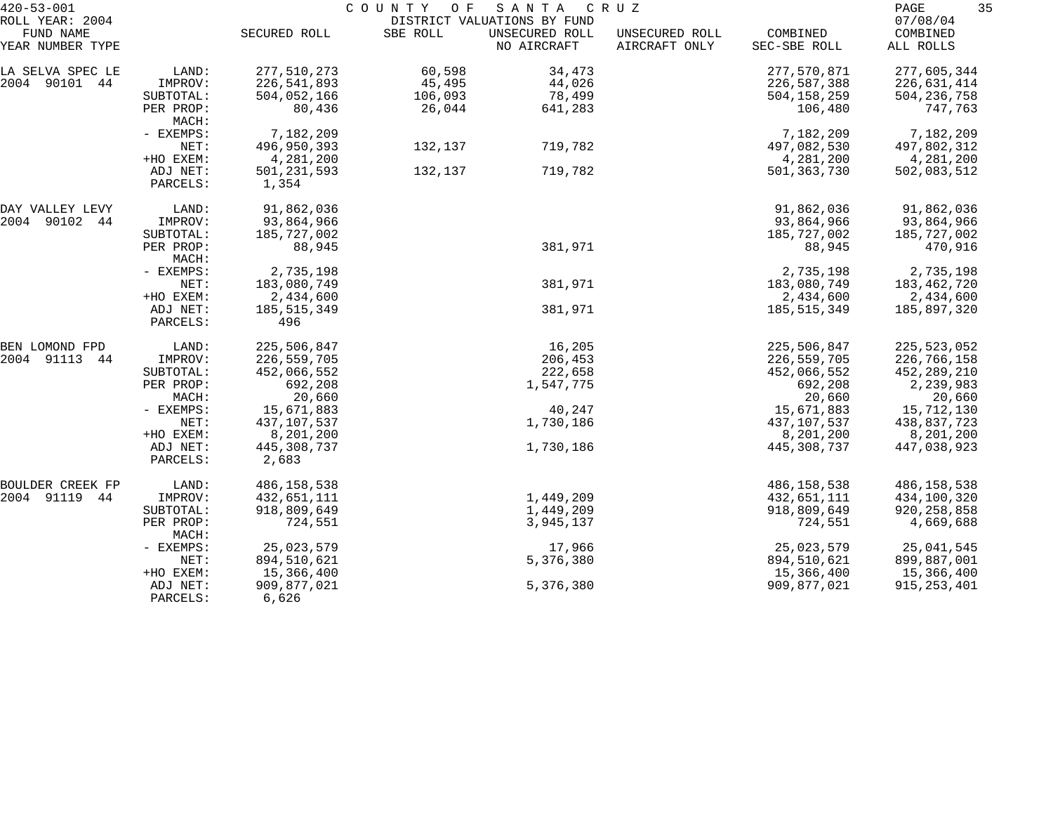| $420 - 53 - 001$<br>ROLL YEAR: 2004 |                      | COUNTY OF<br>SANTA<br>C R U Z<br>DISTRICT VALUATIONS BY FUND |          |                               |                                 |                          |                                   |
|-------------------------------------|----------------------|--------------------------------------------------------------|----------|-------------------------------|---------------------------------|--------------------------|-----------------------------------|
| FUND NAME<br>YEAR NUMBER TYPE       |                      | SECURED ROLL                                                 | SBE ROLL | UNSECURED ROLL<br>NO AIRCRAFT | UNSECURED ROLL<br>AIRCRAFT ONLY | COMBINED<br>SEC-SBE ROLL | 07/08/04<br>COMBINED<br>ALL ROLLS |
| LA SELVA SPEC LE                    | LAND:                | 277,510,273                                                  | 60,598   | 34,473                        |                                 | 277,570,871              | 277,605,344                       |
| 2004 90101 44                       | IMPROV:              | 226,541,893                                                  | 45,495   | 44,026                        |                                 | 226,587,388              | 226,631,414                       |
|                                     | SUBTOTAL:            | 504,052,166                                                  | 106,093  | 78,499                        |                                 | 504,158,259              | 504, 236, 758                     |
|                                     | PER PROP:<br>MACH:   | 80,436                                                       | 26,044   | 641,283                       |                                 | 106,480                  | 747,763                           |
|                                     | - EXEMPS:            | 7,182,209                                                    |          |                               |                                 | 7,182,209                | 7,182,209                         |
|                                     | NET:                 | 496,950,393                                                  | 132,137  | 719,782                       |                                 | 497,082,530              | 497,802,312                       |
|                                     | +HO EXEM:            | 4,281,200                                                    |          |                               |                                 | 4,281,200                | 4,281,200                         |
|                                     | ADJ NET:             | 501,231,593                                                  | 132,137  | 719,782                       |                                 | 501,363,730              | 502,083,512                       |
|                                     | PARCELS:             | 1,354                                                        |          |                               |                                 |                          |                                   |
| DAY VALLEY LEVY                     | LAND:                | 91,862,036                                                   |          |                               |                                 | 91,862,036               | 91,862,036                        |
| 2004 90102<br>44                    | IMPROV:              | 93,864,966                                                   |          |                               |                                 | 93,864,966               | 93,864,966                        |
|                                     | SUBTOTAL:            | 185,727,002                                                  |          |                               |                                 | 185,727,002              | 185,727,002                       |
|                                     | PER PROP:<br>MACH:   | 88,945                                                       |          | 381,971                       |                                 | 88,945                   | 470,916                           |
|                                     | - EXEMPS:            | 2,735,198                                                    |          |                               |                                 | 2,735,198                | 2,735,198                         |
|                                     | NET:                 | 183,080,749                                                  |          | 381,971                       |                                 | 183,080,749              | 183,462,720                       |
|                                     | +HO EXEM:            | 2,434,600                                                    |          |                               |                                 | 2,434,600                | 2,434,600                         |
|                                     | ADJ NET:<br>PARCELS: | 185, 515, 349<br>496                                         |          | 381,971                       |                                 | 185, 515, 349            | 185,897,320                       |
| BEN LOMOND FPD                      | LAND:                | 225,506,847                                                  |          | 16,205                        |                                 | 225,506,847              | 225, 523, 052                     |
| 2004 91113<br>44                    | IMPROV:              | 226,559,705                                                  |          | 206,453                       |                                 | 226,559,705              | 226,766,158                       |
|                                     | SUBTOTAL:            | 452,066,552                                                  |          | 222,658                       |                                 | 452,066,552              | 452,289,210                       |
|                                     | PER PROP:            | 692,208                                                      |          | 1,547,775                     |                                 | 692,208                  | 2,239,983                         |
|                                     | MACH:                | 20,660                                                       |          |                               |                                 | 20,660                   | 20,660                            |
|                                     | - EXEMPS:            | 15,671,883                                                   |          | 40,247                        |                                 | 15,671,883               | 15,712,130                        |
|                                     | NET:                 | 437,107,537                                                  |          | 1,730,186                     |                                 | 437,107,537              | 438,837,723                       |
|                                     | +HO EXEM:            | 8,201,200                                                    |          |                               |                                 | 8,201,200                | 8,201,200                         |
|                                     | ADJ NET:             | 445,308,737                                                  |          | 1,730,186                     |                                 | 445,308,737              | 447,038,923                       |
|                                     | PARCELS:             | 2,683                                                        |          |                               |                                 |                          |                                   |
| BOULDER CREEK FP                    | LAND:                | 486,158,538                                                  |          |                               |                                 | 486,158,538              | 486, 158, 538                     |
| 2004 91119<br>44                    | IMPROV:              | 432,651,111                                                  |          | 1,449,209                     |                                 | 432,651,111              | 434,100,320                       |
|                                     | SUBTOTAL:            | 918,809,649                                                  |          | 1,449,209                     |                                 | 918,809,649              | 920, 258, 858                     |
|                                     | PER PROP:<br>MACH:   | 724,551                                                      |          | 3,945,137                     |                                 | 724,551                  | 4,669,688                         |
|                                     | - EXEMPS:            | 25,023,579                                                   |          | 17,966                        |                                 | 25,023,579               | 25,041,545                        |
|                                     | NET:                 | 894,510,621                                                  |          | 5,376,380                     |                                 | 894,510,621              | 899,887,001                       |
|                                     | +HO EXEM:            | 15,366,400                                                   |          |                               |                                 | 15,366,400               | 15,366,400                        |
|                                     | ADJ NET:<br>PARCELS: | 909,877,021<br>6,626                                         |          | 5,376,380                     |                                 | 909,877,021              | 915, 253, 401                     |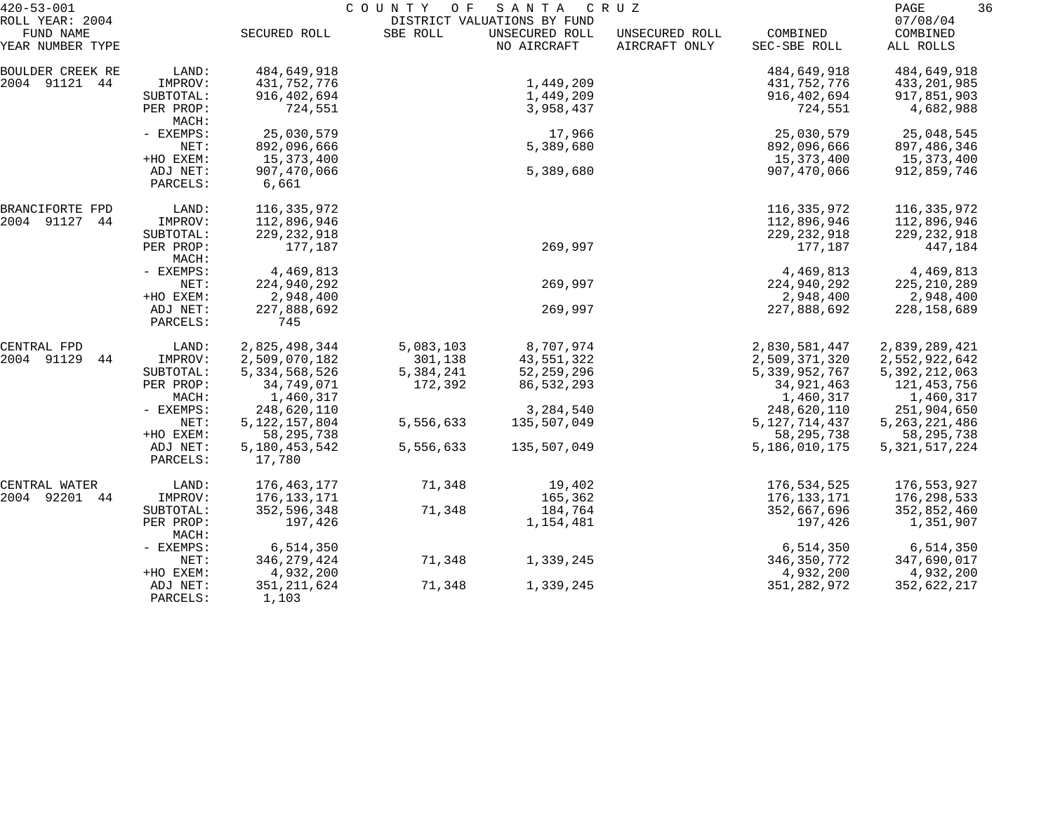| $420 - 53 - 001$              |                    | COUNTY OF<br>SANTA<br>C R U Z |           |                               |                                 |                          |                       | 36 |  |
|-------------------------------|--------------------|-------------------------------|-----------|-------------------------------|---------------------------------|--------------------------|-----------------------|----|--|
| ROLL YEAR: 2004               |                    |                               |           | DISTRICT VALUATIONS BY FUND   |                                 |                          | 07/08/04              |    |  |
| FUND NAME<br>YEAR NUMBER TYPE |                    | SECURED ROLL                  | SBE ROLL  | UNSECURED ROLL<br>NO AIRCRAFT | UNSECURED ROLL<br>AIRCRAFT ONLY | COMBINED<br>SEC-SBE ROLL | COMBINED<br>ALL ROLLS |    |  |
|                               |                    |                               |           |                               |                                 |                          |                       |    |  |
| BOULDER CREEK RE              | LAND:              | 484,649,918                   |           |                               |                                 | 484,649,918              | 484,649,918           |    |  |
| 2004 91121 44                 | IMPROV:            | 431,752,776                   |           | 1,449,209                     |                                 | 431,752,776              | 433,201,985           |    |  |
|                               | SUBTOTAL:          | 916,402,694                   |           | 1,449,209                     |                                 | 916, 402, 694            | 917,851,903           |    |  |
|                               | PER PROP:<br>MACH: | 724,551                       |           | 3,958,437                     |                                 | 724,551                  | 4,682,988             |    |  |
|                               | - EXEMPS:          | 25,030,579                    |           | 17,966                        |                                 | 25,030,579               | 25,048,545            |    |  |
|                               | NET:               | 892,096,666                   |           | 5,389,680                     |                                 | 892,096,666              | 897,486,346           |    |  |
|                               | +HO EXEM:          | 15,373,400                    |           |                               |                                 | 15,373,400               | 15,373,400            |    |  |
|                               | ADJ NET:           | 907,470,066                   |           | 5,389,680                     |                                 | 907,470,066              | 912,859,746           |    |  |
|                               | PARCELS:           | 6,661                         |           |                               |                                 |                          |                       |    |  |
| BRANCIFORTE FPD               | LAND:              | 116,335,972                   |           |                               |                                 | 116,335,972              | 116,335,972           |    |  |
| 2004 91127<br>44              | IMPROV:            | 112,896,946                   |           |                               |                                 | 112,896,946              | 112,896,946           |    |  |
|                               | SUBTOTAL:          | 229, 232, 918                 |           |                               |                                 | 229, 232, 918            | 229, 232, 918         |    |  |
|                               | PER PROP:<br>MACH: | 177,187                       |           | 269,997                       |                                 | 177,187                  | 447,184               |    |  |
|                               | - EXEMPS:          | 4,469,813                     |           |                               |                                 | 4,469,813                | 4,469,813             |    |  |
|                               | NET:               | 224,940,292                   |           | 269,997                       |                                 | 224,940,292              | 225, 210, 289         |    |  |
|                               | +HO EXEM:          | 2,948,400                     |           |                               |                                 | 2,948,400                | 2,948,400             |    |  |
|                               | ADJ NET:           | 227,888,692                   |           | 269,997                       |                                 | 227,888,692              | 228, 158, 689         |    |  |
|                               | PARCELS:           | 745                           |           |                               |                                 |                          |                       |    |  |
| CENTRAL FPD                   | LAND:              | 2,825,498,344                 | 5,083,103 | 8,707,974                     |                                 | 2,830,581,447            | 2,839,289,421         |    |  |
| 2004 91129<br>44              | IMPROV:            | 2,509,070,182                 | 301,138   | 43,551,322                    |                                 | 2,509,371,320            | 2,552,922,642         |    |  |
|                               | SUBTOTAL:          | 5, 334, 568, 526              | 5,384,241 | 52, 259, 296                  |                                 | 5, 339, 952, 767         | 5, 392, 212, 063      |    |  |
|                               | PER PROP:          | 34,749,071                    | 172,392   | 86,532,293                    |                                 | 34,921,463               | 121,453,756           |    |  |
|                               | MACH:              | 1,460,317                     |           |                               |                                 | 1,460,317                | 1,460,317             |    |  |
|                               | - EXEMPS:          | 248,620,110                   |           | 3,284,540                     |                                 | 248,620,110              | 251,904,650           |    |  |
|                               | NET:               | 5, 122, 157, 804              | 5,556,633 | 135,507,049                   |                                 | 5, 127, 714, 437         | 5, 263, 221, 486      |    |  |
|                               | +HO EXEM:          | 58, 295, 738                  |           |                               |                                 | 58, 295, 738             | 58, 295, 738          |    |  |
|                               | ADJ NET:           | 5,180,453,542                 | 5,556,633 | 135,507,049                   |                                 | 5,186,010,175            | 5, 321, 517, 224      |    |  |
|                               | PARCELS:           | 17,780                        |           |                               |                                 |                          |                       |    |  |
| CENTRAL WATER                 | LAND:              | 176,463,177                   | 71,348    | 19,402                        |                                 | 176,534,525              | 176,553,927           |    |  |
| 2004 92201<br>44              | IMPROV:            | 176,133,171                   |           | 165,362                       |                                 | 176,133,171              | 176,298,533           |    |  |
|                               | SUBTOTAL:          | 352,596,348                   | 71,348    | 184,764                       |                                 | 352,667,696              | 352,852,460           |    |  |
|                               | PER PROP:<br>MACH: | 197,426                       |           | 1,154,481                     |                                 | 197,426                  | 1,351,907             |    |  |
|                               | - EXEMPS:          | 6,514,350                     |           |                               |                                 | 6,514,350                | 6,514,350             |    |  |
|                               | NET:               | 346, 279, 424                 | 71,348    | 1,339,245                     |                                 | 346, 350, 772            | 347,690,017           |    |  |
|                               | +HO EXEM:          | 4,932,200                     |           |                               |                                 | 4,932,200                | 4,932,200             |    |  |
|                               | ADJ NET:           | 351, 211, 624                 | 71,348    | 1,339,245                     |                                 | 351, 282, 972            | 352,622,217           |    |  |
|                               | PARCELS:           | 1,103                         |           |                               |                                 |                          |                       |    |  |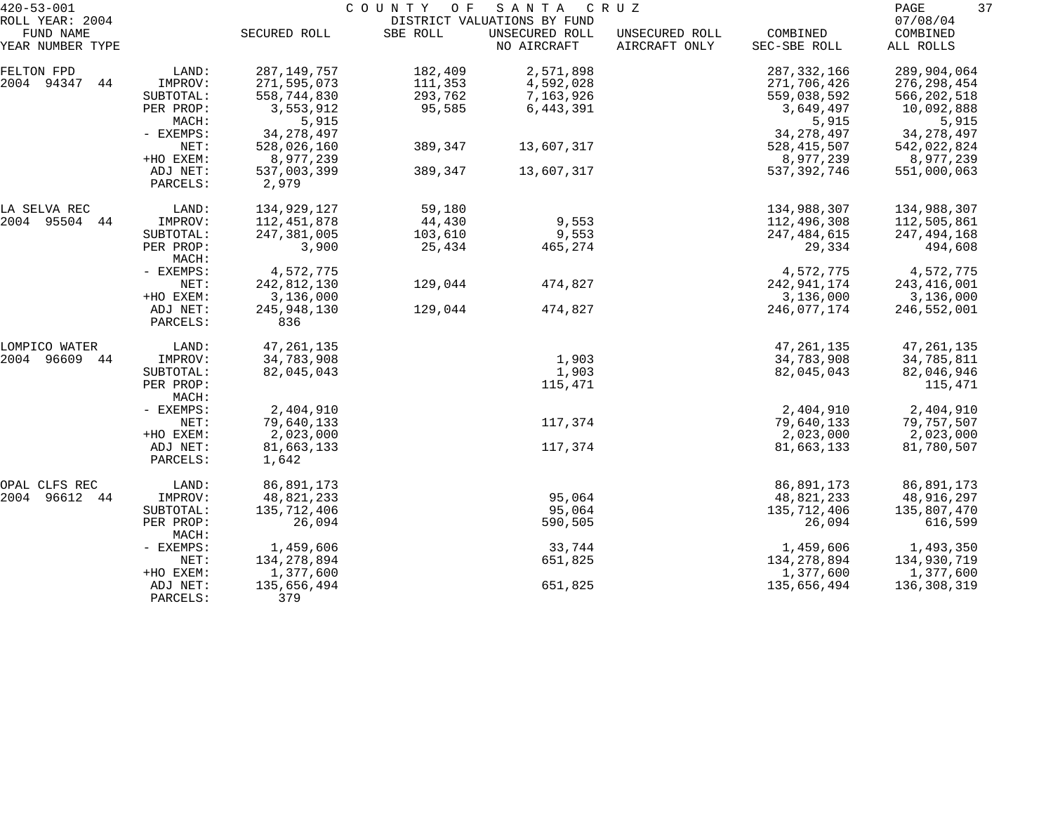| $420 - 53 - 001$                                 |                      |                      | COUNTY OF SANTA |                                                              | C R U Z                         |                          | 37<br>PAGE                        |
|--------------------------------------------------|----------------------|----------------------|-----------------|--------------------------------------------------------------|---------------------------------|--------------------------|-----------------------------------|
| ROLL YEAR: 2004<br>FUND NAME<br>YEAR NUMBER TYPE |                      | SECURED ROLL         | SBE ROLL        | DISTRICT VALUATIONS BY FUND<br>UNSECURED ROLL<br>NO AIRCRAFT | UNSECURED ROLL<br>AIRCRAFT ONLY | COMBINED<br>SEC-SBE ROLL | 07/08/04<br>COMBINED<br>ALL ROLLS |
| FELTON FPD                                       | LAND:                | 287, 149, 757        | 182,409         | 2,571,898                                                    |                                 | 287, 332, 166            | 289,904,064                       |
| 2004 94347<br>44                                 | IMPROV:              | 271,595,073          | 111,353         | 4,592,028                                                    |                                 | 271,706,426              | 276, 298, 454                     |
|                                                  | SUBTOTAL:            | 558,744,830          | 293,762         | 7,163,926                                                    |                                 | 559,038,592              | 566, 202, 518                     |
|                                                  | PER PROP:            | 3,553,912            | 95,585          | 6,443,391                                                    |                                 | 3,649,497                | 10,092,888                        |
|                                                  | MACH:                | 5,915                |                 |                                                              |                                 | 5,915                    | 5,915                             |
|                                                  | - EXEMPS:            | 34, 278, 497         |                 |                                                              |                                 | 34, 278, 497             | 34, 278, 497                      |
|                                                  | NET:                 | 528,026,160          | 389,347         | 13,607,317                                                   |                                 | 528, 415, 507            | 542,022,824                       |
|                                                  | +HO EXEM:            | 8,977,239            |                 |                                                              |                                 | 8,977,239                | 8,977,239                         |
|                                                  | ADJ NET:             | 537,003,399          | 389,347         | 13,607,317                                                   |                                 | 537, 392, 746            | 551,000,063                       |
|                                                  | PARCELS:             | 2,979                |                 |                                                              |                                 |                          |                                   |
| LA SELVA REC                                     | LAND:                | 134,929,127          | 59,180          |                                                              |                                 | 134,988,307              | 134,988,307                       |
| 2004 95504 44                                    | IMPROV:              | 112, 451, 878        | 44,430          | 9,553                                                        |                                 | 112,496,308              | 112,505,861                       |
|                                                  | SUBTOTAL:            | 247,381,005          | 103,610         | 9,553                                                        |                                 | 247, 484, 615            | 247,494,168                       |
|                                                  | PER PROP:<br>MACH:   | 3,900                | 25,434          | 465,274                                                      |                                 | 29,334                   | 494,608                           |
|                                                  | - EXEMPS:            | 4,572,775            |                 |                                                              |                                 | 4,572,775                | 4,572,775                         |
|                                                  | NET:                 | 242,812,130          | 129,044         | 474,827                                                      |                                 | 242, 941, 174            | 243,416,001                       |
|                                                  | +HO EXEM:            | 3,136,000            |                 |                                                              |                                 | 3,136,000                | 3,136,000                         |
|                                                  | ADJ NET:<br>PARCELS: | 245, 948, 130<br>836 | 129,044         | 474,827                                                      |                                 | 246,077,174              | 246,552,001                       |
| LOMPICO WATER                                    | LAND:                | 47, 261, 135         |                 |                                                              |                                 | 47, 261, 135             | 47, 261, 135                      |
| 2004 96609<br>44                                 | IMPROV:              | 34,783,908           |                 | 1,903                                                        |                                 | 34,783,908               | 34,785,811                        |
|                                                  | SUBTOTAL:            | 82,045,043           |                 | 1,903                                                        |                                 | 82,045,043               | 82,046,946                        |
|                                                  | PER PROP:<br>MACH:   |                      |                 | 115,471                                                      |                                 |                          | 115,471                           |
|                                                  | - EXEMPS:            | 2,404,910            |                 |                                                              |                                 | 2,404,910                | 2,404,910                         |
|                                                  | NET:                 | 79,640,133           |                 | 117,374                                                      |                                 | 79,640,133               | 79,757,507                        |
|                                                  | +HO EXEM:            | 2,023,000            |                 |                                                              |                                 | 2,023,000                | 2,023,000                         |
|                                                  | ADJ NET:             | 81,663,133           |                 | 117,374                                                      |                                 | 81,663,133               | 81,780,507                        |
|                                                  | PARCELS:             | 1,642                |                 |                                                              |                                 |                          |                                   |
| OPAL CLFS REC                                    | LAND:                | 86,891,173           |                 |                                                              |                                 | 86,891,173               | 86,891,173                        |
| 2004 96612<br>44                                 | IMPROV:              | 48,821,233           |                 | 95,064                                                       |                                 | 48,821,233               | 48,916,297                        |
|                                                  | SUBTOTAL:            | 135,712,406          |                 | 95,064                                                       |                                 | 135,712,406              | 135,807,470                       |
|                                                  | PER PROP:<br>MACH:   | 26,094               |                 | 590,505                                                      |                                 | 26,094                   | 616,599                           |
|                                                  | - EXEMPS:            | 1,459,606            |                 | 33,744                                                       |                                 | 1,459,606                | 1,493,350                         |
|                                                  | NET:                 | 134, 278, 894        |                 | 651,825                                                      |                                 | 134, 278, 894            | 134,930,719                       |
|                                                  | +HO EXEM:            | 1,377,600            |                 |                                                              |                                 | 1,377,600                | 1,377,600                         |
|                                                  | ADJ NET:<br>PARCELS: | 135,656,494<br>379   |                 | 651,825                                                      |                                 | 135,656,494              | 136,308,319                       |
|                                                  |                      |                      |                 |                                                              |                                 |                          |                                   |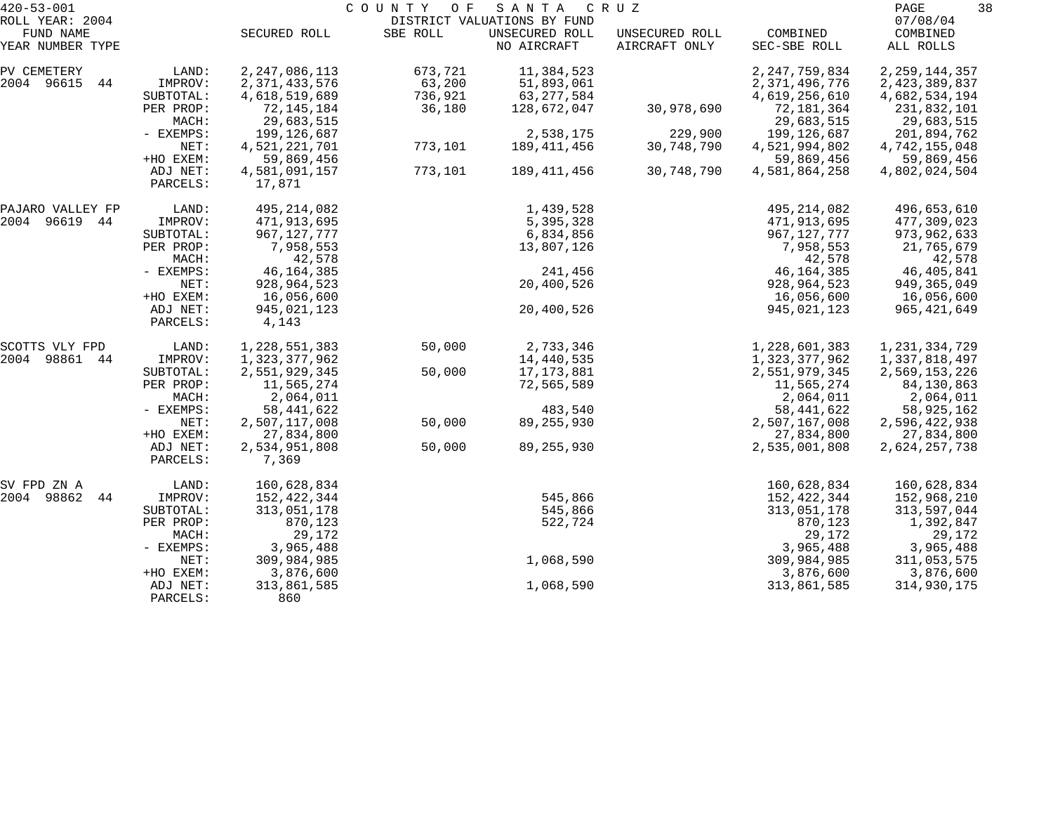| $420 - 53 - 001$             |                      |                                   | COUNTY<br>O F     | SANTA                         | C R U Z                         |                                | 38<br>PAGE                     |
|------------------------------|----------------------|-----------------------------------|-------------------|-------------------------------|---------------------------------|--------------------------------|--------------------------------|
| ROLL YEAR: 2004<br>FUND NAME |                      |                                   |                   | DISTRICT VALUATIONS BY FUND   |                                 |                                | 07/08/04                       |
| YEAR NUMBER TYPE             |                      | SECURED ROLL                      | SBE ROLL          | UNSECURED ROLL<br>NO AIRCRAFT | UNSECURED ROLL<br>AIRCRAFT ONLY | COMBINED<br>SEC-SBE ROLL       | COMBINED<br>ALL ROLLS          |
| PV CEMETERY                  | LAND:                | 2, 247, 086, 113                  | 673,721           | 11,384,523                    |                                 | 2, 247, 759, 834               | 2, 259, 144, 357               |
| 2004 96615<br>44             | IMPROV:<br>SUBTOTAL: | 2, 371, 433, 576<br>4,618,519,689 | 63,200<br>736,921 | 51,893,061<br>63, 277, 584    |                                 | 2,371,496,776<br>4,619,256,610 | 2,423,389,837<br>4,682,534,194 |
|                              | PER PROP:<br>MACH:   | 72, 145, 184<br>29,683,515        | 36,180            | 128,672,047                   | 30,978,690                      | 72,181,364<br>29,683,515       | 231,832,101<br>29,683,515      |
|                              | - EXEMPS:            | 199,126,687                       |                   | 2,538,175                     | 229,900                         | 199,126,687                    | 201,894,762                    |
|                              | NET:<br>+HO EXEM:    | 4,521,221,701<br>59,869,456       | 773,101           | 189,411,456                   | 30,748,790                      | 4,521,994,802<br>59,869,456    | 4,742,155,048<br>59,869,456    |
|                              | ADJ NET:<br>PARCELS: | 4,581,091,157<br>17,871           | 773,101           | 189,411,456                   | 30,748,790                      | 4,581,864,258                  | 4,802,024,504                  |
| PAJARO VALLEY FP             | LAND:                | 495, 214, 082                     |                   | 1,439,528                     |                                 | 495, 214, 082                  | 496,653,610                    |
| 2004 96619 44                | IMPROV:              | 471,913,695                       |                   | 5,395,328                     |                                 | 471,913,695                    | 477,309,023                    |
|                              | SUBTOTAL:            | 967, 127, 777                     |                   | 6,834,856                     |                                 | 967, 127, 777                  | 973,962,633                    |
|                              | PER PROP:            | 7,958,553                         |                   | 13,807,126                    |                                 | 7,958,553                      | 21,765,679                     |
|                              | MACH:<br>- EXEMPS:   | 42,578<br>46, 164, 385            |                   | 241,456                       |                                 | 42,578<br>46,164,385           | 42,578<br>46,405,841           |
|                              | NET:                 | 928,964,523                       |                   | 20,400,526                    |                                 | 928, 964, 523                  | 949, 365, 049                  |
|                              | +HO EXEM:            | 16,056,600                        |                   |                               |                                 | 16,056,600                     | 16,056,600                     |
|                              | ADJ NET:<br>PARCELS: | 945,021,123<br>4,143              |                   | 20,400,526                    |                                 | 945,021,123                    | 965, 421, 649                  |
| SCOTTS VLY FPD               | LAND:                | 1,228,551,383                     | 50,000            | 2,733,346                     |                                 | 1,228,601,383                  | 1, 231, 334, 729               |
| 2004 98861 44                | IMPROV:              | 1,323,377,962                     |                   | 14,440,535                    |                                 | 1,323,377,962                  | 1,337,818,497                  |
|                              | SUBTOTAL:            | 2,551,929,345                     | 50,000            | 17,173,881                    |                                 | 2,551,979,345                  | 2,569,153,226                  |
|                              | PER PROP:<br>MACH:   | 11,565,274<br>2,064,011           |                   | 72,565,589                    |                                 | 11,565,274<br>2,064,011        | 84,130,863<br>2,064,011        |
|                              | - EXEMPS:            | 58, 441, 622                      |                   | 483,540                       |                                 | 58, 441, 622                   | 58,925,162                     |
|                              | NET:                 | 2,507,117,008                     | 50,000            | 89, 255, 930                  |                                 | 2,507,167,008                  | 2,596,422,938                  |
|                              | +HO EXEM:            | 27,834,800                        |                   |                               |                                 | 27,834,800                     | 27,834,800                     |
|                              | ADJ NET:<br>PARCELS: | 2,534,951,808<br>7,369            | 50,000            | 89, 255, 930                  |                                 | 2,535,001,808                  | 2,624,257,738                  |
| SV FPD ZN A                  | LAND:                | 160,628,834                       |                   |                               |                                 | 160,628,834                    | 160,628,834                    |
| 2004 98862<br>44             | IMPROV:              | 152,422,344                       |                   | 545,866                       |                                 | 152,422,344                    | 152,968,210                    |
|                              | SUBTOTAL:            | 313,051,178                       |                   | 545,866                       |                                 | 313,051,178                    | 313,597,044                    |
|                              | PER PROP:<br>MACH:   | 870,123<br>29,172                 |                   | 522,724                       |                                 | 870,123<br>29,172              | 1,392,847<br>29,172            |
|                              | - EXEMPS:            | 3,965,488                         |                   |                               |                                 | 3,965,488                      | 3,965,488                      |
|                              | NET:                 | 309,984,985                       |                   | 1,068,590                     |                                 | 309,984,985                    | 311,053,575                    |
|                              | +HO EXEM:            | 3,876,600                         |                   |                               |                                 | 3,876,600                      | 3,876,600                      |
|                              | ADJ NET:<br>PARCELS: | 313,861,585<br>860                |                   | 1,068,590                     |                                 | 313,861,585                    | 314,930,175                    |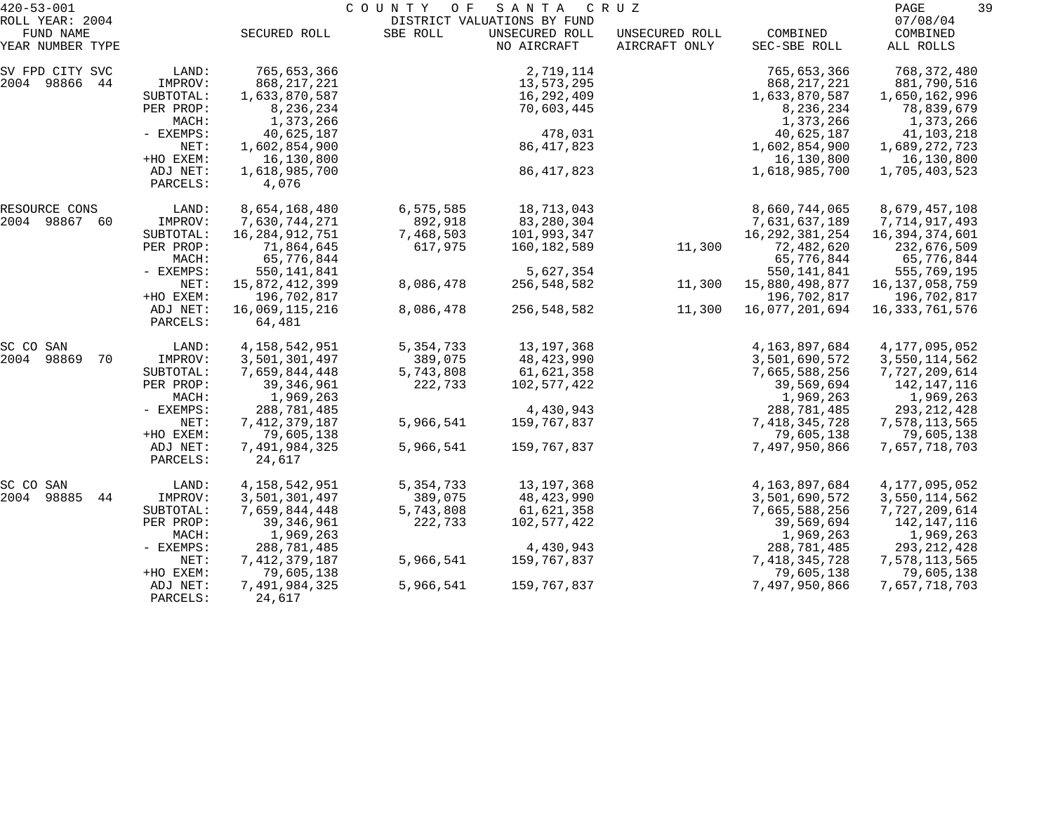| $420 - 53 - 001$              |                      |                          | COUNTY<br>O F | SANTA                         | C R U Z                         |                          | 39<br>PAGE            |  |
|-------------------------------|----------------------|--------------------------|---------------|-------------------------------|---------------------------------|--------------------------|-----------------------|--|
| ROLL YEAR: 2004               |                      |                          |               | DISTRICT VALUATIONS BY FUND   |                                 |                          | 07/08/04              |  |
| FUND NAME<br>YEAR NUMBER TYPE |                      | SECURED ROLL             | SBE ROLL      | UNSECURED ROLL<br>NO AIRCRAFT | UNSECURED ROLL<br>AIRCRAFT ONLY | COMBINED<br>SEC-SBE ROLL | COMBINED<br>ALL ROLLS |  |
| SV FPD CITY SVC               | LAND:                | 765,653,366              |               | 2,719,114                     |                                 | 765,653,366              | 768,372,480           |  |
| 2004 98866<br>44              | IMPROV:              | 868, 217, 221            |               | 13,573,295                    |                                 | 868, 217, 221            | 881,790,516           |  |
|                               | SUBTOTAL:            | 1,633,870,587            |               | 16,292,409                    |                                 | 1,633,870,587            | 1,650,162,996         |  |
|                               | PER PROP:            | 8,236,234                |               | 70,603,445                    |                                 | 8,236,234                | 78,839,679            |  |
|                               | MACH:                | 1,373,266                |               |                               |                                 | 1,373,266                | 1,373,266             |  |
|                               | - EXEMPS:            | 40,625,187               |               | 478,031                       |                                 | 40,625,187               | 41,103,218            |  |
|                               | NET:                 | 1,602,854,900            |               | 86, 417, 823                  |                                 | 1,602,854,900            | 1,689,272,723         |  |
|                               | +HO EXEM:            | 16,130,800               |               |                               |                                 | 16,130,800               | 16,130,800            |  |
|                               | ADJ NET:<br>PARCELS: | 1,618,985,700<br>4,076   |               | 86, 417, 823                  |                                 | 1,618,985,700            | 1,705,403,523         |  |
| RESOURCE CONS                 | LAND:                | 8,654,168,480            | 6,575,585     | 18,713,043                    |                                 | 8,660,744,065            | 8,679,457,108         |  |
| 2004 98867 60                 | IMPROV:              | 7,630,744,271            | 892,918       | 83,280,304                    |                                 | 7,631,637,189            | 7,714,917,493         |  |
|                               | SUBTOTAL:            | 16,284,912,751           | 7,468,503     | 101,993,347                   |                                 | 16, 292, 381, 254        | 16,394,374,601        |  |
|                               | PER PROP:            | 71,864,645               | 617,975       | 160,182,589                   | 11,300                          | 72,482,620               | 232,676,509           |  |
|                               | MACH:                | 65,776,844               |               |                               |                                 | 65,776,844               | 65,776,844            |  |
|                               | - EXEMPS:            | 550,141,841              |               | 5,627,354                     |                                 | 550, 141, 841            | 555,769,195           |  |
|                               | NET:                 | 15,872,412,399           | 8,086,478     | 256,548,582                   | 11,300                          | 15,880,498,877           | 16, 137, 058, 759     |  |
|                               | +HO EXEM:            | 196,702,817              |               |                               |                                 | 196,702,817              | 196,702,817           |  |
|                               | ADJ NET:<br>PARCELS: | 16,069,115,216<br>64,481 | 8,086,478     | 256,548,582                   | 11,300                          | 16,077,201,694           | 16,333,761,576        |  |
| SC CO SAN                     | LAND:                | 4, 158, 542, 951         | 5, 354, 733   | 13,197,368                    |                                 | 4,163,897,684            | 4, 177, 095, 052      |  |
| 2004<br>98869<br>70           | IMPROV:              | 3,501,301,497            | 389,075       | 48,423,990                    |                                 | 3,501,690,572            | 3,550,114,562         |  |
|                               | SUBTOTAL:            | 7,659,844,448            | 5,743,808     | 61,621,358                    |                                 | 7,665,588,256            | 7,727,209,614         |  |
|                               | PER PROP:            | 39, 346, 961             | 222,733       | 102,577,422                   |                                 | 39,569,694               | 142,147,116           |  |
|                               | MACH:                | 1,969,263                |               |                               |                                 | 1,969,263                | 1,969,263             |  |
|                               | - EXEMPS:            | 288,781,485              |               | 4,430,943                     |                                 | 288,781,485              | 293, 212, 428         |  |
|                               | NET:                 | 7, 412, 379, 187         | 5,966,541     | 159,767,837                   |                                 | 7,418,345,728            | 7,578,113,565         |  |
|                               | +HO EXEM:            | 79,605,138               |               |                               |                                 | 79,605,138               | 79,605,138            |  |
|                               | ADJ NET:<br>PARCELS: | 7,491,984,325<br>24,617  | 5,966,541     | 159,767,837                   |                                 | 7,497,950,866            | 7,657,718,703         |  |
| SC CO SAN                     | LAND:                | 4, 158, 542, 951         | 5, 354, 733   | 13, 197, 368                  |                                 | 4,163,897,684            | 4,177,095,052         |  |
| 98885<br>2004<br>44           | IMPROV:              | 3,501,301,497            | 389,075       | 48,423,990                    |                                 | 3,501,690,572            | 3,550,114,562         |  |
|                               | SUBTOTAL:            | 7,659,844,448            | 5,743,808     | 61,621,358                    |                                 | 7,665,588,256            | 7,727,209,614         |  |
|                               | PER PROP:            | 39, 346, 961             | 222,733       | 102,577,422                   |                                 | 39,569,694               | 142,147,116           |  |
|                               | MACH:                | 1,969,263                |               |                               |                                 | 1,969,263                | 1,969,263             |  |
|                               | - EXEMPS:            | 288,781,485              |               | 4,430,943                     |                                 | 288,781,485              | 293, 212, 428         |  |
|                               | NET:                 | 7, 412, 379, 187         | 5,966,541     | 159,767,837                   |                                 | 7, 418, 345, 728         | 7,578,113,565         |  |
|                               | +HO EXEM:            | 79,605,138               |               |                               |                                 | 79,605,138               | 79,605,138            |  |
|                               | ADJ NET:<br>PARCELS: | 7,491,984,325<br>24,617  | 5,966,541     | 159,767,837                   |                                 | 7,497,950,866            | 7,657,718,703         |  |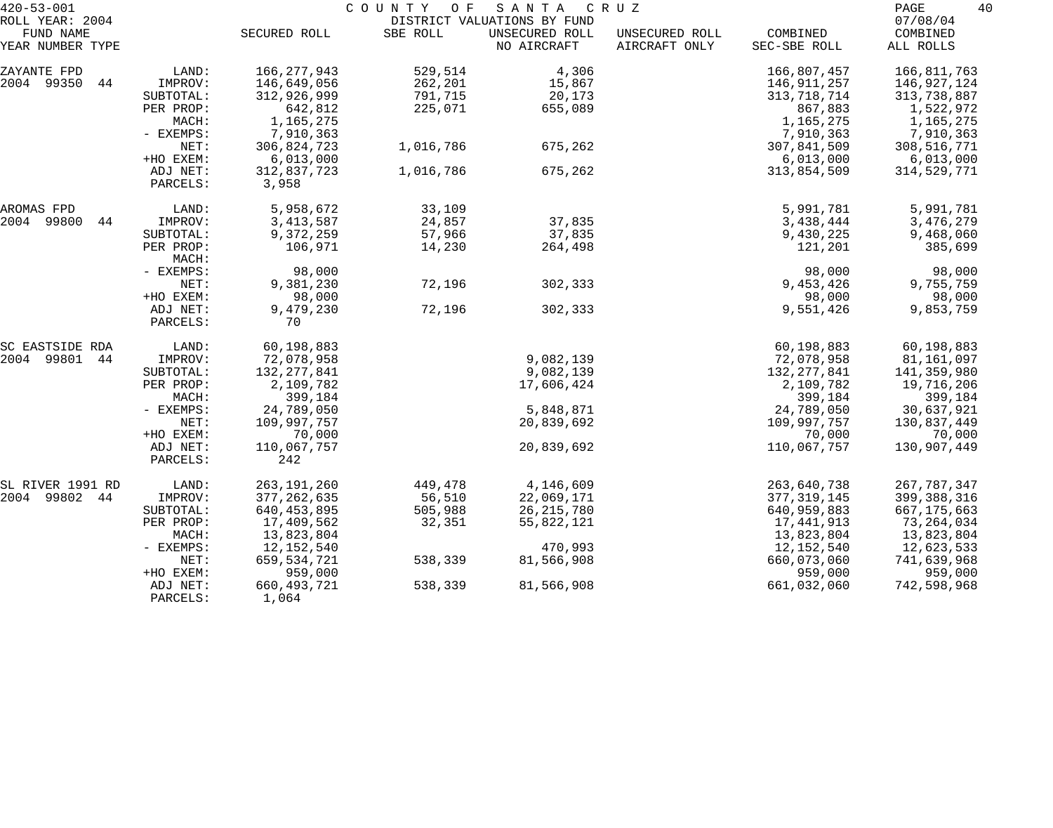| $420 - 53 - 001$                                 |                                                                  |                                                                                  | COUNTY OF                                | SANTA                                                        | C R U Z                         |                                                                                  | 40<br>PAGE                                                                       |
|--------------------------------------------------|------------------------------------------------------------------|----------------------------------------------------------------------------------|------------------------------------------|--------------------------------------------------------------|---------------------------------|----------------------------------------------------------------------------------|----------------------------------------------------------------------------------|
| ROLL YEAR: 2004<br>FUND NAME<br>YEAR NUMBER TYPE |                                                                  | SECURED ROLL                                                                     | SBE ROLL                                 | DISTRICT VALUATIONS BY FUND<br>UNSECURED ROLL<br>NO AIRCRAFT | UNSECURED ROLL<br>AIRCRAFT ONLY | COMBINED<br>SEC-SBE ROLL                                                         | 07/08/04<br>COMBINED<br>ALL ROLLS                                                |
|                                                  |                                                                  |                                                                                  |                                          |                                                              |                                 |                                                                                  |                                                                                  |
| ZAYANTE FPD<br>2004 99350<br>44                  | LAND:<br>IMPROV:<br>SUBTOTAL:<br>PER PROP:<br>MACH:<br>- EXEMPS: | 166, 277, 943<br>146,649,056<br>312,926,999<br>642,812<br>1,165,275<br>7,910,363 | 529,514<br>262,201<br>791,715<br>225,071 | 4,306<br>15,867<br>20,173<br>655,089                         |                                 | 166,807,457<br>146,911,257<br>313, 718, 714<br>867,883<br>1,165,275<br>7,910,363 | 166,811,763<br>146,927,124<br>313,738,887<br>1,522,972<br>1,165,275<br>7,910,363 |
|                                                  | NET:<br>+HO EXEM:                                                | 306,824,723<br>6,013,000                                                         | 1,016,786                                | 675,262                                                      |                                 | 307,841,509<br>6,013,000                                                         | 308,516,771<br>6,013,000                                                         |
|                                                  | ADJ NET:<br>PARCELS:                                             | 312,837,723<br>3,958                                                             | 1,016,786                                | 675,262                                                      |                                 | 313,854,509                                                                      | 314,529,771                                                                      |
| AROMAS FPD                                       | LAND:                                                            | 5,958,672                                                                        | 33,109                                   |                                                              |                                 | 5,991,781                                                                        | 5,991,781                                                                        |
| 2004 99800<br>44                                 | IMPROV:                                                          | 3, 413, 587                                                                      | 24,857                                   | 37,835                                                       |                                 | 3,438,444                                                                        | 3,476,279                                                                        |
|                                                  | SUBTOTAL:<br>PER PROP:<br>MACH:                                  | 9,372,259<br>106,971                                                             | 57,966<br>14,230                         | 37,835<br>264,498                                            |                                 | 9,430,225<br>121,201                                                             | 9,468,060<br>385,699                                                             |
|                                                  | - EXEMPS:                                                        | 98,000                                                                           |                                          |                                                              |                                 | 98,000                                                                           | 98,000                                                                           |
|                                                  | NET:<br>+HO EXEM:                                                | 9,381,230<br>98,000                                                              | 72,196                                   | 302,333                                                      |                                 | 9,453,426<br>98,000                                                              | 9,755,759<br>98,000                                                              |
|                                                  | ADJ NET:<br>PARCELS:                                             | 9,479,230<br>70                                                                  | 72,196                                   | 302,333                                                      |                                 | 9,551,426                                                                        | 9,853,759                                                                        |
| SC EASTSIDE RDA                                  | LAND:                                                            | 60,198,883                                                                       |                                          |                                                              |                                 | 60,198,883                                                                       | 60,198,883                                                                       |
| 2004 99801<br>44                                 | IMPROV:                                                          | 72,078,958                                                                       |                                          | 9,082,139                                                    |                                 | 72,078,958                                                                       | 81,161,097                                                                       |
|                                                  | SUBTOTAL:                                                        | 132, 277, 841                                                                    |                                          | 9,082,139                                                    |                                 | 132,277,841                                                                      | 141,359,980                                                                      |
|                                                  | PER PROP:<br>MACH:                                               | 2,109,782<br>399,184                                                             |                                          | 17,606,424                                                   |                                 | 2,109,782<br>399,184                                                             | 19,716,206<br>399,184                                                            |
|                                                  | - EXEMPS:                                                        | 24,789,050                                                                       |                                          | 5,848,871                                                    |                                 | 24,789,050                                                                       | 30,637,921                                                                       |
|                                                  | NET:                                                             | 109,997,757                                                                      |                                          | 20,839,692                                                   |                                 | 109,997,757                                                                      | 130,837,449                                                                      |
|                                                  | +HO EXEM:                                                        | 70,000                                                                           |                                          |                                                              |                                 | 70,000                                                                           | 70,000                                                                           |
|                                                  | ADJ NET:<br>PARCELS:                                             | 110,067,757<br>242                                                               |                                          | 20,839,692                                                   |                                 | 110,067,757                                                                      | 130,907,449                                                                      |
| SL RIVER 1991 RD                                 | LAND:                                                            | 263,191,260                                                                      | 449,478                                  | 4,146,609                                                    |                                 | 263,640,738                                                                      | 267, 787, 347                                                                    |
| 2004 99802 44                                    | IMPROV:                                                          | 377, 262, 635                                                                    | 56,510                                   | 22,069,171                                                   |                                 | 377, 319, 145                                                                    | 399,388,316                                                                      |
|                                                  | SUBTOTAL:                                                        | 640, 453, 895                                                                    | 505,988                                  | 26, 215, 780                                                 |                                 | 640,959,883                                                                      | 667, 175, 663                                                                    |
|                                                  | PER PROP:                                                        | 17,409,562                                                                       | 32,351                                   | 55,822,121                                                   |                                 | 17,441,913                                                                       | 73, 264, 034                                                                     |
|                                                  | MACH:<br>$-$ EXEMPS:                                             | 13,823,804<br>12,152,540                                                         |                                          | 470,993                                                      |                                 | 13,823,804<br>12,152,540                                                         | 13,823,804<br>12,623,533                                                         |
|                                                  | NET:                                                             | 659,534,721                                                                      | 538,339                                  | 81,566,908                                                   |                                 | 660,073,060                                                                      | 741,639,968                                                                      |
|                                                  | +HO EXEM:                                                        | 959,000                                                                          |                                          |                                                              |                                 | 959,000                                                                          | 959,000                                                                          |
|                                                  | ADJ NET:<br>PARCELS:                                             | 660, 493, 721<br>1,064                                                           | 538,339                                  | 81,566,908                                                   |                                 | 661,032,060                                                                      | 742,598,968                                                                      |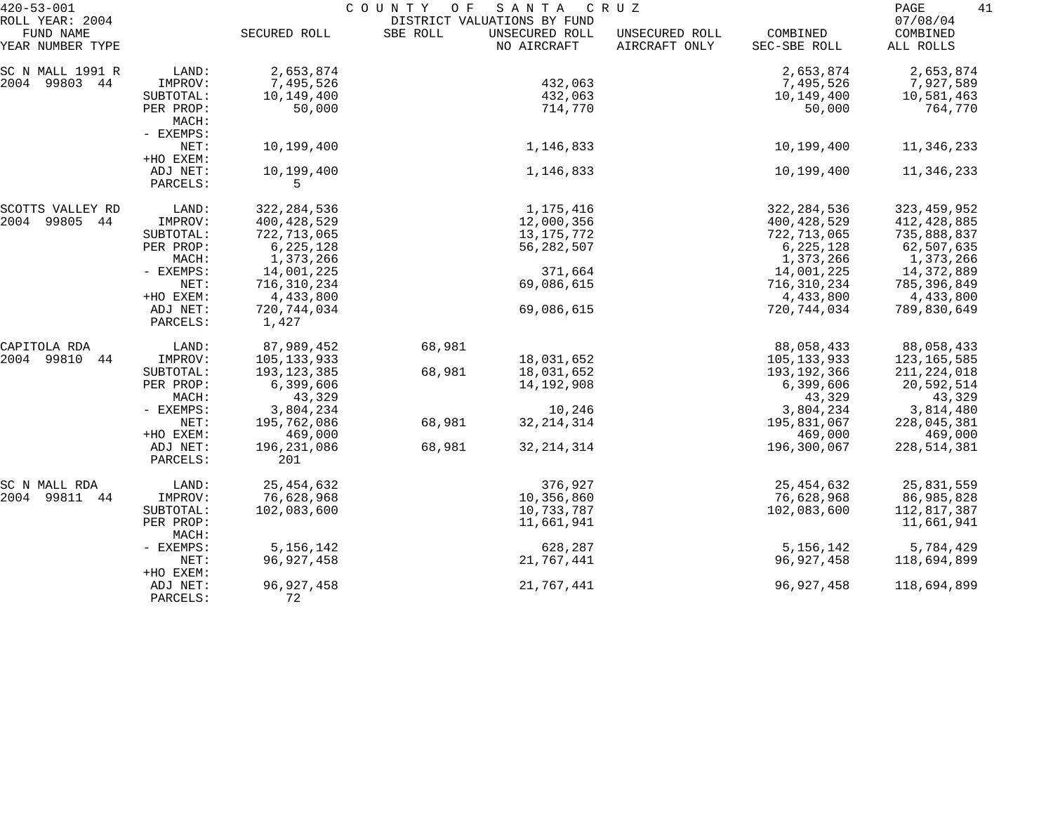| $420 - 53 - 001$                                 |                                 | COUNTY<br>O F<br>SANTA<br>C R U Z    |          |                                                              |                                 |                                      | 41<br>PAGE                           |  |
|--------------------------------------------------|---------------------------------|--------------------------------------|----------|--------------------------------------------------------------|---------------------------------|--------------------------------------|--------------------------------------|--|
| ROLL YEAR: 2004<br>FUND NAME<br>YEAR NUMBER TYPE |                                 | SECURED ROLL                         | SBE ROLL | DISTRICT VALUATIONS BY FUND<br>UNSECURED ROLL<br>NO AIRCRAFT | UNSECURED ROLL<br>AIRCRAFT ONLY | COMBINED<br>SEC-SBE ROLL             | 07/08/04<br>COMBINED<br>ALL ROLLS    |  |
| SC N MALL 1991 R<br>2004<br>99803 44             | LAND:<br>IMPROV:<br>SUBTOTAL:   | 2,653,874<br>7,495,526<br>10,149,400 |          | 432,063<br>432,063                                           |                                 | 2,653,874<br>7,495,526<br>10,149,400 | 2,653,874<br>7,927,589<br>10,581,463 |  |
|                                                  | PER PROP:<br>MACH:<br>- EXEMPS: | 50,000                               |          | 714,770                                                      |                                 | 50,000                               | 764,770                              |  |
|                                                  | NET:<br>+HO EXEM:               | 10,199,400                           |          | 1,146,833                                                    |                                 | 10,199,400                           | 11,346,233                           |  |
|                                                  | ADJ NET:<br>PARCELS:            | 10,199,400<br>5                      |          | 1,146,833                                                    |                                 | 10,199,400                           | 11,346,233                           |  |
| SCOTTS VALLEY RD                                 | LAND:                           | 322, 284, 536                        |          | 1,175,416                                                    |                                 | 322, 284, 536                        | 323, 459, 952                        |  |
| 2004<br>99805 44                                 | IMPROV:                         | 400, 428, 529                        |          | 12,000,356                                                   |                                 | 400,428,529                          | 412, 428, 885                        |  |
|                                                  | SUBTOTAL:                       | 722,713,065                          |          | 13, 175, 772                                                 |                                 | 722,713,065                          | 735,888,837                          |  |
|                                                  | PER PROP:                       | 6, 225, 128                          |          | 56, 282, 507                                                 |                                 | 6,225,128                            | 62,507,635                           |  |
|                                                  | MACH:                           | 1,373,266                            |          |                                                              |                                 | 1,373,266                            | 1,373,266                            |  |
|                                                  | - EXEMPS:                       | 14,001,225                           |          | 371,664                                                      |                                 | 14,001,225                           | 14,372,889                           |  |
|                                                  | NET:                            | 716,310,234                          |          | 69,086,615                                                   |                                 | 716,310,234                          | 785,396,849                          |  |
|                                                  | +HO EXEM:                       | 4,433,800                            |          |                                                              |                                 | 4,433,800                            | 4,433,800                            |  |
|                                                  | ADJ NET:<br>PARCELS:            | 720, 744, 034<br>1,427               |          | 69,086,615                                                   |                                 | 720,744,034                          | 789,830,649                          |  |
| CAPITOLA RDA                                     | LAND:                           | 87,989,452                           | 68,981   |                                                              |                                 | 88,058,433                           | 88,058,433                           |  |
| 2004 99810<br>44                                 | IMPROV:                         | 105,133,933                          |          | 18,031,652                                                   |                                 | 105,133,933                          | 123, 165, 585                        |  |
|                                                  | SUBTOTAL:                       | 193, 123, 385                        | 68,981   | 18,031,652                                                   |                                 | 193,192,366                          | 211, 224, 018                        |  |
|                                                  | PER PROP:<br>MACH:              | 6,399,606                            |          | 14,192,908                                                   |                                 | 6,399,606                            | 20,592,514                           |  |
|                                                  |                                 | 43,329                               |          |                                                              |                                 | 43,329                               | 43,329                               |  |
|                                                  | - EXEMPS:<br>NET:               | 3,804,234                            |          | 10,246                                                       |                                 | 3,804,234                            | 3,814,480                            |  |
|                                                  |                                 | 195,762,086                          | 68,981   | 32, 214, 314                                                 |                                 | 195,831,067                          | 228,045,381                          |  |
|                                                  | +HO EXEM:                       | 469,000                              |          |                                                              |                                 | 469,000                              | 469,000                              |  |
|                                                  | ADJ NET:<br>PARCELS:            | 196, 231, 086<br>201                 | 68,981   | 32, 214, 314                                                 |                                 | 196,300,067                          | 228, 514, 381                        |  |
| SC N MALL RDA                                    | LAND:                           | 25, 454, 632                         |          | 376,927                                                      |                                 | 25,454,632                           | 25,831,559                           |  |
| 2004 99811 44                                    | IMPROV:                         | 76,628,968                           |          | 10,356,860                                                   |                                 | 76,628,968                           | 86,985,828                           |  |
|                                                  | SUBTOTAL:                       | 102,083,600                          |          | 10,733,787                                                   |                                 | 102,083,600                          | 112,817,387                          |  |
|                                                  | PER PROP:<br>MACH:              |                                      |          | 11,661,941                                                   |                                 |                                      | 11,661,941                           |  |
|                                                  | - EXEMPS:                       | 5, 156, 142                          |          | 628,287                                                      |                                 | 5, 156, 142                          | 5,784,429                            |  |
|                                                  | NET:<br>+HO EXEM:               | 96, 927, 458                         |          | 21,767,441                                                   |                                 | 96,927,458                           | 118,694,899                          |  |
|                                                  | ADJ NET:<br>PARCELS:            | 96, 927, 458<br>72                   |          | 21,767,441                                                   |                                 | 96, 927, 458                         | 118,694,899                          |  |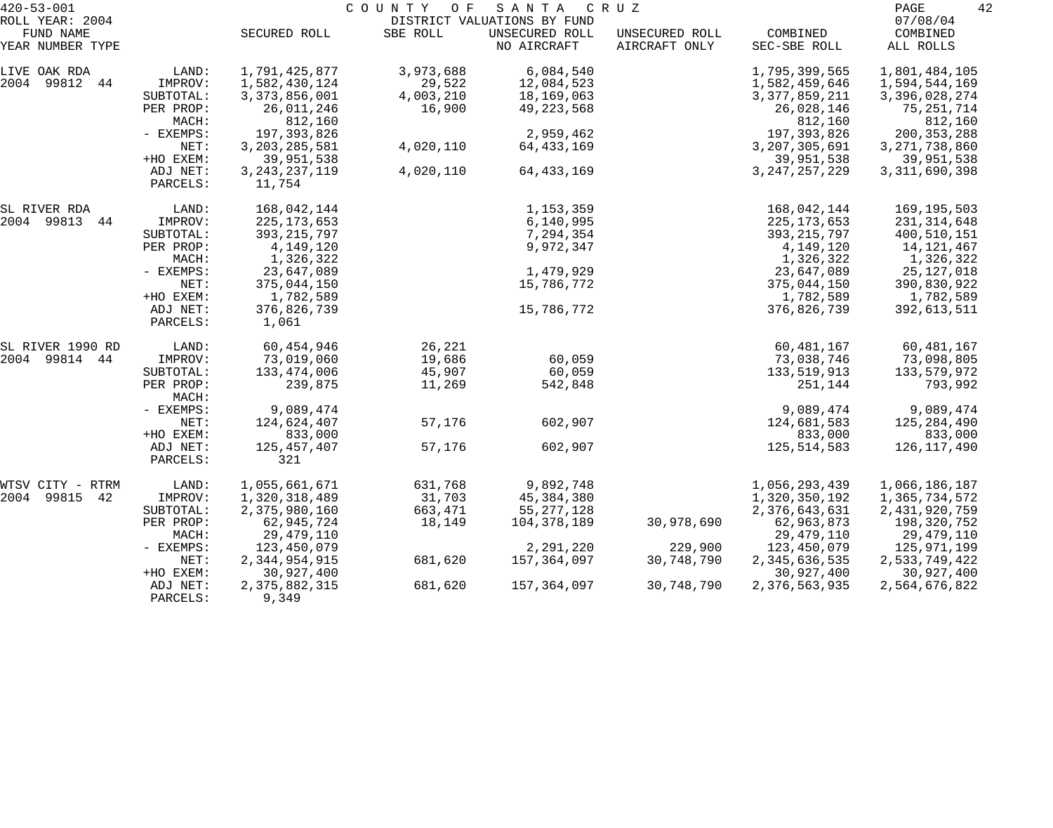| $420 - 53 - 001$              |                      |                            | COUNTY OF | S A N T A                     | C R U Z                         |                          | PAGE<br>42                |
|-------------------------------|----------------------|----------------------------|-----------|-------------------------------|---------------------------------|--------------------------|---------------------------|
| ROLL YEAR: 2004               |                      |                            |           | DISTRICT VALUATIONS BY FUND   |                                 |                          | 07/08/04                  |
| FUND NAME<br>YEAR NUMBER TYPE |                      | SECURED ROLL               | SBE ROLL  | UNSECURED ROLL<br>NO AIRCRAFT | UNSECURED ROLL<br>AIRCRAFT ONLY | COMBINED<br>SEC-SBE ROLL | COMBINED<br>ALL ROLLS     |
| LIVE OAK RDA                  | LAND:                | 1,791,425,877              | 3,973,688 | 6,084,540                     |                                 | 1,795,399,565            | 1,801,484,105             |
| 2004 99812 44                 | IMPROV:              | 1,582,430,124              | 29,522    | 12,084,523                    |                                 | 1,582,459,646            | 1,594,544,169             |
|                               | SUBTOTAL:            | 3, 373, 856, 001           | 4,003,210 | 18,169,063                    |                                 | 3, 377, 859, 211         | 3,396,028,274             |
|                               | PER PROP:<br>MACH:   | 26,011,246<br>812,160      | 16,900    | 49,223,568                    |                                 | 26,028,146<br>812,160    | 75, 251, 714<br>812,160   |
|                               | - EXEMPS:            | 197, 393, 826              |           | 2,959,462                     |                                 | 197,393,826              | 200, 353, 288             |
|                               | NET:                 | 3, 203, 285, 581           | 4,020,110 | 64,433,169                    |                                 | 3,207,305,691            | 3, 271, 738, 860          |
|                               | +HO EXEM:            | 39,951,538                 |           |                               |                                 | 39,951,538               | 39,951,538                |
|                               | ADJ NET:<br>PARCELS: | 3, 243, 237, 119<br>11,754 | 4,020,110 | 64, 433, 169                  |                                 | 3, 247, 257, 229         | 3, 311, 690, 398          |
|                               |                      |                            |           |                               |                                 |                          |                           |
| SL RIVER RDA<br>2004 99813    | LAND:                | 168,042,144                |           | 1,153,359                     |                                 | 168,042,144              | 169,195,503               |
| 44                            | IMPROV:              | 225, 173, 653              |           | 6,140,995                     |                                 | 225, 173, 653            | 231, 314, 648             |
|                               | SUBTOTAL:            | 393, 215, 797<br>4,149,120 |           | 7,294,354<br>9,972,347        |                                 | 393, 215, 797            | 400,510,151               |
|                               | PER PROP:<br>MACH:   |                            |           |                               |                                 | 4,149,120                | 14,121,467                |
|                               | - EXEMPS:            | 1,326,322<br>23,647,089    |           | 1,479,929                     |                                 | 1,326,322<br>23,647,089  | 1,326,322<br>25, 127, 018 |
|                               | NET:                 | 375,044,150                |           |                               |                                 | 375,044,150              | 390,830,922               |
|                               | +HO EXEM:            | 1,782,589                  |           | 15,786,772                    |                                 |                          |                           |
|                               | ADJ NET:             | 376,826,739                |           | 15,786,772                    |                                 | 1,782,589<br>376,826,739 | 1,782,589<br>392,613,511  |
|                               | PARCELS:             | 1,061                      |           |                               |                                 |                          |                           |
| SL RIVER 1990 RD              | LAND:                | 60,454,946                 | 26,221    |                               |                                 | 60,481,167               | 60,481,167                |
| 2004 99814 44                 | IMPROV:              | 73,019,060                 | 19,686    | 60,059                        |                                 | 73,038,746               | 73,098,805                |
|                               | SUBTOTAL:            | 133,474,006                | 45,907    | 60,059                        |                                 | 133,519,913              | 133,579,972               |
|                               | PER PROP:<br>MACH:   | 239,875                    | 11,269    | 542,848                       |                                 | 251,144                  | 793,992                   |
|                               | - EXEMPS:            | 9,089,474                  |           |                               |                                 | 9,089,474                | 9,089,474                 |
|                               | NET:                 | 124,624,407                | 57,176    | 602,907                       |                                 | 124,681,583              | 125,284,490               |
|                               | +HO EXEM:            | 833,000                    |           |                               |                                 | 833,000                  | 833,000                   |
|                               | ADJ NET:             | 125, 457, 407              | 57,176    | 602,907                       |                                 | 125, 514, 583            | 126,117,490               |
|                               | PARCELS:             | 321                        |           |                               |                                 |                          |                           |
| WTSV CITY -<br>RTRM           | LAND:                | 1,055,661,671              | 631,768   | 9,892,748                     |                                 | 1,056,293,439            | 1,066,186,187             |
| 99815<br>2004<br>42           | IMPROV:              | 1,320,318,489              | 31,703    | 45,384,380                    |                                 | 1,320,350,192            | 1,365,734,572             |
|                               | SUBTOTAL:            | 2,375,980,160              | 663,471   | 55, 277, 128                  |                                 | 2,376,643,631            | 2,431,920,759             |
|                               | PER PROP:            | 62,945,724                 | 18,149    | 104,378,189                   | 30,978,690                      | 62,963,873               | 198,320,752               |
|                               | MACH:                | 29, 479, 110               |           |                               |                                 | 29, 479, 110             | 29,479,110                |
|                               | $-$ EXEMPS:          | 123,450,079                |           | 2,291,220                     | 229,900                         | 123,450,079              | 125,971,199               |
|                               | NET:                 | 2,344,954,915              | 681,620   | 157,364,097                   | 30,748,790                      | 2,345,636,535            | 2,533,749,422             |
|                               | +HO EXEM:            | 30,927,400                 |           |                               |                                 | 30,927,400               | 30,927,400                |
|                               | ADJ NET:<br>PARCELS: | 2,375,882,315<br>9,349     | 681,620   | 157,364,097                   | 30,748,790                      | 2,376,563,935            | 2,564,676,822             |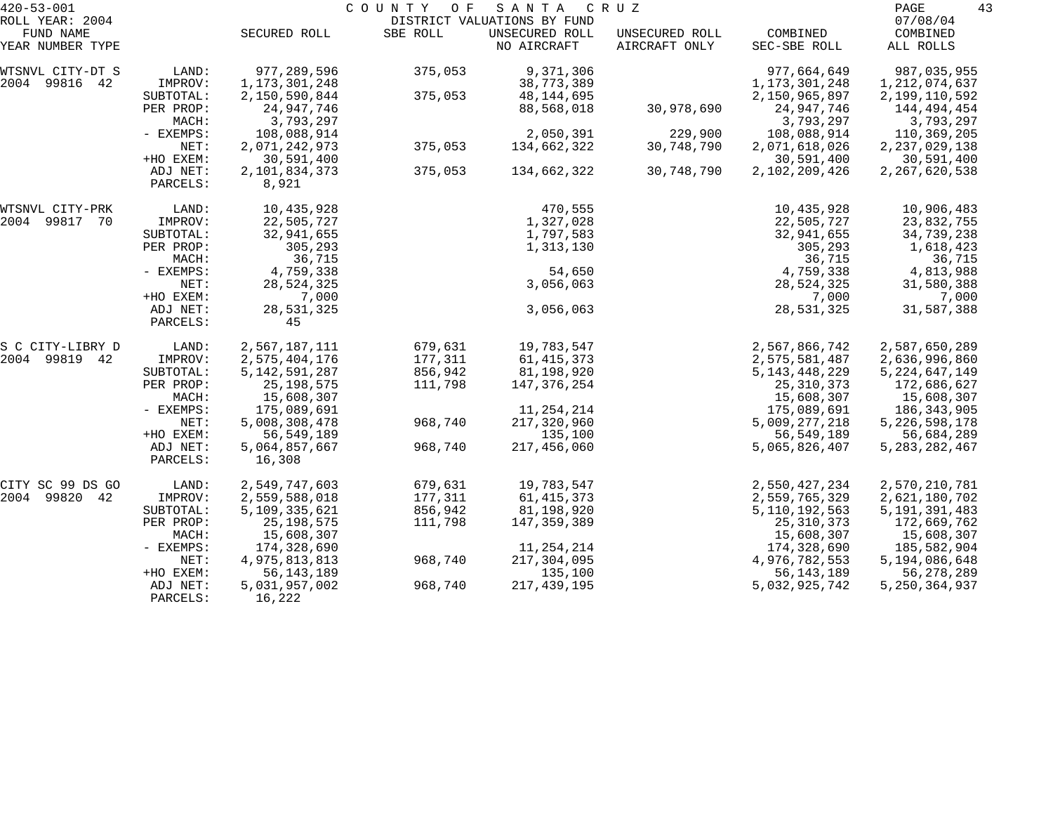| $420 - 53 - 001$             |           |                  | COUNTY<br>O F | SANTA                                         | C R U Z        |                  | PAGE<br>43           |
|------------------------------|-----------|------------------|---------------|-----------------------------------------------|----------------|------------------|----------------------|
| ROLL YEAR: 2004<br>FUND NAME |           | SECURED ROLL     | SBE ROLL      | DISTRICT VALUATIONS BY FUND<br>UNSECURED ROLL | UNSECURED ROLL | COMBINED         | 07/08/04<br>COMBINED |
| YEAR NUMBER TYPE             |           |                  |               | NO AIRCRAFT                                   | AIRCRAFT ONLY  | SEC-SBE ROLL     | ALL ROLLS            |
| WTSNVL CITY-DT S             | LAND:     | 977,289,596      | 375,053       | 9,371,306                                     |                | 977,664,649      | 987,035,955          |
| 2004 99816 42                | IMPROV:   | 1,173,301,248    |               | 38,773,389                                    |                | 1, 173, 301, 248 | 1, 212, 074, 637     |
|                              | SUBTOTAL: | 2,150,590,844    | 375,053       | 48,144,695                                    |                | 2,150,965,897    | 2,199,110,592        |
|                              | PER PROP: | 24,947,746       |               | 88,568,018                                    | 30,978,690     | 24,947,746       | 144,494,454          |
|                              | MACH:     | 3,793,297        |               |                                               |                | 3,793,297        | 3,793,297            |
|                              | - EXEMPS: | 108,088,914      |               | 2,050,391                                     | 229,900        | 108,088,914      | 110,369,205          |
|                              | NET:      | 2,071,242,973    | 375,053       | 134,662,322                                   | 30,748,790     | 2,071,618,026    | 2, 237, 029, 138     |
|                              | +HO EXEM: | 30,591,400       |               |                                               |                | 30,591,400       | 30,591,400           |
|                              | ADJ NET:  | 2,101,834,373    | 375,053       | 134,662,322                                   | 30,748,790     | 2,102,209,426    | 2, 267, 620, 538     |
|                              | PARCELS:  | 8,921            |               |                                               |                |                  |                      |
| WTSNVL CITY-PRK              | LAND:     | 10,435,928       |               | 470,555                                       |                | 10,435,928       | 10,906,483           |
| 2004 99817 70                | IMPROV:   | 22,505,727       |               | 1,327,028                                     |                | 22,505,727       | 23,832,755           |
|                              | SUBTOTAL: | 32,941,655       |               | 1,797,583                                     |                | 32,941,655       | 34,739,238           |
|                              | PER PROP: | 305,293          |               | 1,313,130                                     |                | 305,293          | 1,618,423            |
|                              | MACH:     | 36,715           |               |                                               |                | 36,715           | 36,715               |
|                              | - EXEMPS: | 4,759,338        |               | 54,650                                        |                | 4,759,338        | 4,813,988            |
|                              | NET:      | 28,524,325       |               | 3,056,063                                     |                | 28,524,325       | 31,580,388           |
|                              | +HO EXEM: | 7,000            |               |                                               |                | 7,000            | 7,000                |
|                              | ADJ NET:  | 28,531,325       |               | 3,056,063                                     |                | 28,531,325       | 31,587,388           |
|                              | PARCELS:  | 45               |               |                                               |                |                  |                      |
| S C CITY-LIBRY D             | LAND:     | 2,567,187,111    | 679,631       | 19,783,547                                    |                | 2,567,866,742    | 2,587,650,289        |
| 99819 42<br>2004             | IMPROV:   | 2,575,404,176    | 177,311       | 61, 415, 373                                  |                | 2,575,581,487    | 2,636,996,860        |
|                              | SUBTOTAL: | 5, 142, 591, 287 | 856,942       | 81,198,920                                    |                | 5, 143, 448, 229 | 5, 224, 647, 149     |
|                              | PER PROP: | 25, 198, 575     | 111,798       | 147,376,254                                   |                | 25, 310, 373     | 172,686,627          |
|                              | MACH:     | 15,608,307       |               |                                               |                | 15,608,307       | 15,608,307           |
|                              | - EXEMPS: | 175,089,691      |               | 11, 254, 214                                  |                | 175,089,691      | 186,343,905          |
|                              | NET:      | 5,008,308,478    | 968,740       | 217,320,960                                   |                | 5,009,277,218    | 5, 226, 598, 178     |
|                              | +HO EXEM: | 56, 549, 189     |               | 135,100                                       |                | 56,549,189       | 56,684,289           |
|                              | ADJ NET:  | 5,064,857,667    | 968,740       | 217,456,060                                   |                | 5,065,826,407    | 5, 283, 282, 467     |
|                              | PARCELS:  | 16,308           |               |                                               |                |                  |                      |
| CITY SC 99 DS GO             | LAND:     | 2,549,747,603    | 679,631       | 19,783,547                                    |                | 2,550,427,234    | 2,570,210,781        |
| 2004 99820 42                | IMPROV:   | 2,559,588,018    | 177,311       | 61, 415, 373                                  |                | 2,559,765,329    | 2,621,180,702        |
|                              | SUBTOTAL: | 5,109,335,621    | 856,942       | 81,198,920                                    |                | 5, 110, 192, 563 | 5, 191, 391, 483     |
|                              | PER PROP: | 25, 198, 575     | 111,798       | 147,359,389                                   |                | 25, 310, 373     | 172,669,762          |
|                              | MACH:     | 15,608,307       |               |                                               |                | 15,608,307       | 15,608,307           |
|                              | - EXEMPS: | 174,328,690      |               | 11,254,214                                    |                | 174,328,690      | 185,582,904          |
|                              | NET:      | 4,975,813,813    | 968,740       | 217,304,095                                   |                | 4,976,782,553    | 5,194,086,648        |
|                              | +HO EXEM: | 56, 143, 189     |               | 135,100                                       |                | 56, 143, 189     | 56,278,289           |
|                              | ADJ NET:  | 5,031,957,002    | 968,740       | 217, 439, 195                                 |                | 5,032,925,742    | 5, 250, 364, 937     |
|                              | PARCELS:  | 16,222           |               |                                               |                |                  |                      |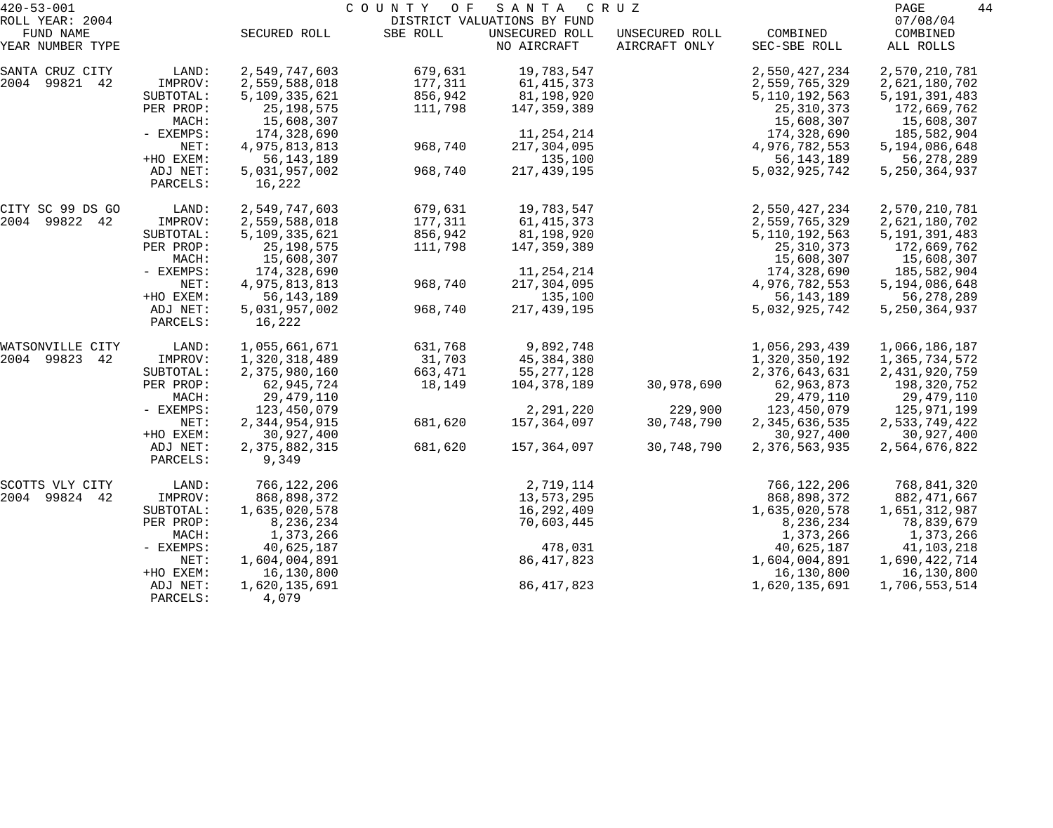| $420 - 53 - 001$             |                       |                               | COUNTY<br>O F | SANTA                                         | C R U Z        |                             | 44<br>PAGE                     |
|------------------------------|-----------------------|-------------------------------|---------------|-----------------------------------------------|----------------|-----------------------------|--------------------------------|
| ROLL YEAR: 2004<br>FUND NAME |                       | SECURED ROLL                  | SBE ROLL      | DISTRICT VALUATIONS BY FUND<br>UNSECURED ROLL | UNSECURED ROLL | COMBINED                    | 07/08/04<br>COMBINED           |
| YEAR NUMBER TYPE             |                       |                               |               | NO AIRCRAFT                                   | AIRCRAFT ONLY  | SEC-SBE ROLL                | ALL ROLLS                      |
| SANTA CRUZ CITY              | LAND:                 | 2,549,747,603                 | 679,631       | 19,783,547                                    |                | 2,550,427,234               | 2,570,210,781                  |
| 2004 99821 42                | IMPROV:               | 2,559,588,018                 | 177,311       | 61, 415, 373                                  |                | 2,559,765,329               | 2,621,180,702                  |
|                              | SUBTOTAL:             | 5,109,335,621                 | 856,942       | 81,198,920                                    |                | 5, 110, 192, 563            | 5, 191, 391, 483               |
|                              | PER PROP:             | 25, 198, 575                  | 111,798       | 147,359,389                                   |                | 25, 310, 373                | 172,669,762                    |
|                              | MACH:<br>- EXEMPS:    | 15,608,307<br>174,328,690     |               | 11, 254, 214                                  |                | 15,608,307<br>174,328,690   | 15,608,307<br>185,582,904      |
|                              | NET:                  | 4,975,813,813                 | 968,740       | 217,304,095                                   |                | 4,976,782,553               | 5,194,086,648                  |
|                              | +HO EXEM:             | 56, 143, 189                  |               | 135,100                                       |                | 56, 143, 189                | 56,278,289                     |
|                              | ADJ NET:              | 5,031,957,002                 | 968,740       | 217, 439, 195                                 |                | 5,032,925,742               | 5, 250, 364, 937               |
|                              | PARCELS:              | 16,222                        |               |                                               |                |                             |                                |
| CITY SC 99 DS GO             | LAND:                 | 2,549,747,603                 | 679,631       | 19,783,547                                    |                | 2,550,427,234               | 2,570,210,781                  |
| 2004 99822 42                | IMPROV:               | 2,559,588,018                 | 177,311       | 61, 415, 373                                  |                | 2,559,765,329               | 2,621,180,702                  |
|                              | SUBTOTAL:             | 5,109,335,621                 | 856,942       | 81,198,920                                    |                | 5, 110, 192, 563            | 5, 191, 391, 483               |
|                              | PER PROP:             | 25, 198, 575                  | 111,798       | 147,359,389                                   |                | 25, 310, 373                | 172,669,762                    |
|                              | MACH:                 | 15,608,307                    |               |                                               |                | 15,608,307                  | 15,608,307                     |
|                              | - EXEMPS:             | 174,328,690                   |               | 11, 254, 214                                  |                | 174,328,690                 | 185,582,904                    |
|                              | NET:<br>+HO EXEM:     | 4,975,813,813<br>56, 143, 189 | 968,740       | 217,304,095<br>135,100                        |                | 4,976,782,553               | 5,194,086,648                  |
|                              | ADJ NET:              | 5,031,957,002                 | 968,740       | 217, 439, 195                                 |                | 56,143,189<br>5,032,925,742 | 56,278,289<br>5, 250, 364, 937 |
|                              | PARCELS:              | 16,222                        |               |                                               |                |                             |                                |
| WATSONVILLE CITY             | LAND:                 | 1,055,661,671                 | 631,768       | 9,892,748                                     |                | 1,056,293,439               | 1,066,186,187                  |
| 2004 99823<br>42             | IMPROV:               | 1,320,318,489                 | 31,703        | 45,384,380                                    |                | 1,320,350,192               | 1,365,734,572                  |
|                              | SUBTOTAL:             | 2,375,980,160                 | 663,471       | 55, 277, 128                                  |                | 2,376,643,631               | 2, 431, 920, 759               |
|                              | PER PROP:             | 62,945,724                    | 18,149        | 104,378,189                                   | 30,978,690     | 62,963,873                  | 198,320,752                    |
|                              | MACH:                 | 29, 479, 110                  |               |                                               |                | 29,479,110                  | 29,479,110                     |
|                              | - EXEMPS:             | 123,450,079                   |               | 2,291,220                                     | 229,900        | 123,450,079                 | 125,971,199                    |
|                              | NET:                  | 2,344,954,915                 | 681,620       | 157,364,097                                   | 30,748,790     | 2,345,636,535               | 2,533,749,422                  |
|                              | +HO EXEM:<br>ADJ NET: | 30,927,400<br>2,375,882,315   | 681,620       | 157,364,097                                   | 30,748,790     | 30,927,400<br>2,376,563,935 | 30,927,400<br>2,564,676,822    |
|                              | PARCELS:              | 9,349                         |               |                                               |                |                             |                                |
| SCOTTS VLY CITY              | LAND:                 | 766,122,206                   |               | 2,719,114                                     |                | 766,122,206                 | 768,841,320                    |
| 2004 99824 42                | IMPROV:               | 868,898,372                   |               | 13,573,295                                    |                | 868,898,372                 | 882,471,667                    |
|                              | SUBTOTAL:             | 1,635,020,578                 |               | 16,292,409                                    |                | 1,635,020,578               | 1,651,312,987                  |
|                              | PER PROP:             | 8,236,234                     |               | 70,603,445                                    |                | 8,236,234                   | 78,839,679                     |
|                              | MACH:                 | 1,373,266                     |               |                                               |                | 1,373,266                   | 1,373,266                      |
|                              | $-$ EXEMPS:           | 40,625,187                    |               | 478,031                                       |                | 40,625,187                  | 41,103,218                     |
|                              | NET:                  | 1,604,004,891                 |               | 86, 417, 823                                  |                | 1,604,004,891               | 1,690,422,714                  |
|                              | +HO EXEM:             | 16,130,800                    |               |                                               |                | 16,130,800                  | 16,130,800                     |
|                              | ADJ NET:<br>PARCELS:  | 1,620,135,691<br>4,079        |               | 86, 417, 823                                  |                | 1,620,135,691               | 1,706,553,514                  |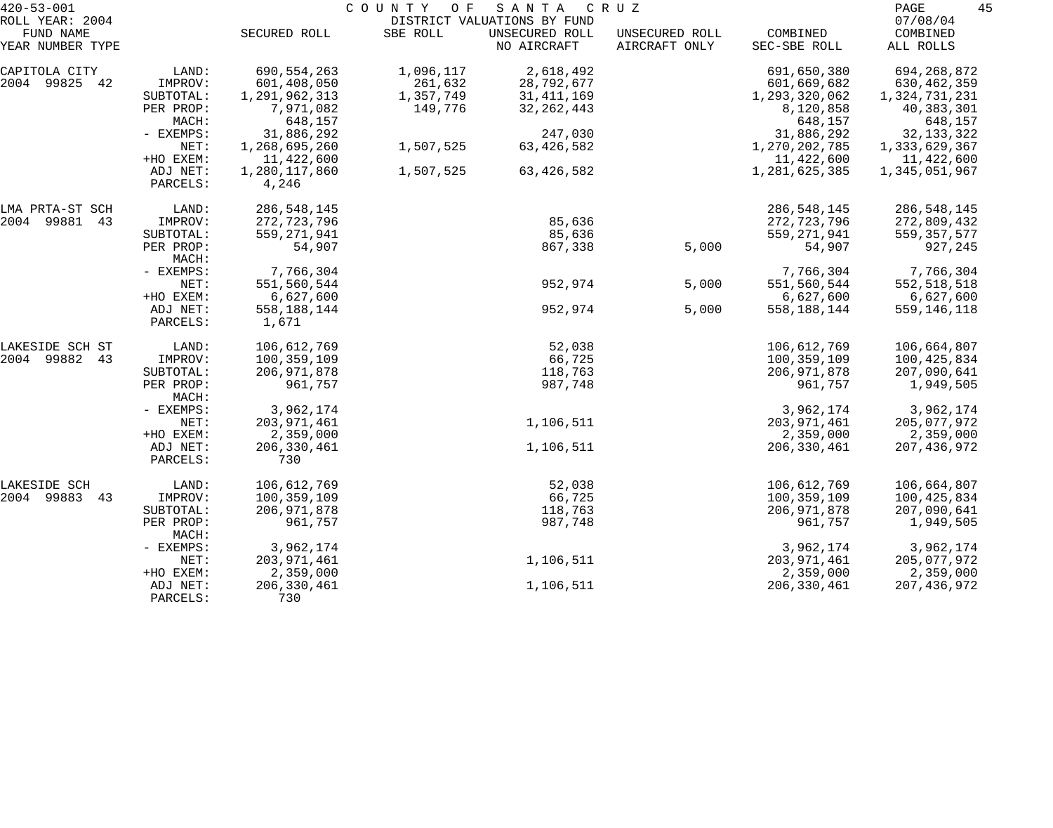| $420 - 53 - 001$<br>ROLL YEAR: 2004 |                                   |                                       | COUNTY OF            | SANTA<br>DISTRICT VALUATIONS BY FUND | C R U Z                         |                                         | 45<br>PAGE<br>07/08/04                 |
|-------------------------------------|-----------------------------------|---------------------------------------|----------------------|--------------------------------------|---------------------------------|-----------------------------------------|----------------------------------------|
| FUND NAME<br>YEAR NUMBER TYPE       |                                   | SECURED ROLL                          | SBE ROLL             | UNSECURED ROLL<br>NO AIRCRAFT        | UNSECURED ROLL<br>AIRCRAFT ONLY | COMBINED<br>SEC-SBE ROLL                | COMBINED<br>ALL ROLLS                  |
| CAPITOLA CITY<br>2004 99825 42      | LAND:<br>IMPROV:                  | 690,554,263<br>601,408,050            | 1,096,117<br>261,632 | 2,618,492<br>28,792,677              |                                 | 691,650,380<br>601,669,682              | 694, 268, 872<br>630, 462, 359         |
|                                     | SUBTOTAL:<br>PER PROP:<br>MACH:   | 1,291,962,313<br>7,971,082<br>648,157 | 1,357,749<br>149,776 | 31, 411, 169<br>32, 262, 443         |                                 | 1,293,320,062<br>8,120,858<br>648,157   | 1,324,731,231<br>40,383,301<br>648,157 |
|                                     | - EXEMPS:<br>NET:                 | 31,886,292<br>1,268,695,260           | 1,507,525            | 247,030<br>63, 426, 582              |                                 | 31,886,292<br>1,270,202,785             | 32, 133, 322<br>1,333,629,367          |
|                                     | +HO EXEM:<br>ADJ NET:<br>PARCELS: | 11,422,600<br>1,280,117,860<br>4,246  | 1,507,525            | 63, 426, 582                         |                                 | 11,422,600<br>1,281,625,385             | 11,422,600<br>1,345,051,967            |
| LMA PRTA-ST SCH<br>2004 99881<br>43 | LAND:<br>IMPROV:                  | 286, 548, 145<br>272,723,796          |                      | 85,636                               |                                 | 286,548,145<br>272,723,796              | 286,548,145<br>272,809,432             |
|                                     | SUBTOTAL:<br>PER PROP:<br>MACH:   | 559, 271, 941<br>54,907               |                      | 85,636<br>867,338                    | 5,000                           | 559, 271, 941<br>54,907                 | 559, 357, 577<br>927,245               |
|                                     | - EXEMPS:<br>NET:                 | 7,766,304<br>551,560,544              |                      | 952,974                              | 5,000                           | 7,766,304<br>551,560,544                | 7,766,304<br>552,518,518               |
|                                     | +HO EXEM:<br>ADJ NET:<br>PARCELS: | 6,627,600<br>558,188,144<br>1,671     |                      | 952,974                              | 5,000                           | 6,627,600<br>558, 188, 144              | 6,627,600<br>559,146,118               |
| LAKESIDE SCH ST<br>2004 99882<br>43 | LAND:<br>IMPROV:                  | 106,612,769<br>100,359,109            |                      | 52,038<br>66,725                     |                                 | 106,612,769<br>100,359,109              | 106,664,807<br>100,425,834             |
|                                     | SUBTOTAL:<br>PER PROP:            | 206, 971, 878<br>961,757              |                      | 118,763<br>987,748                   |                                 | 206, 971, 878<br>961,757                | 207,090,641<br>1,949,505               |
|                                     | MACH:<br>- EXEMPS:                | 3,962,174                             |                      |                                      |                                 | 3,962,174                               | 3,962,174                              |
|                                     | NET:<br>+HO EXEM:                 | 203, 971, 461<br>2,359,000            |                      | 1,106,511                            |                                 | 203, 971, 461<br>2,359,000              | 205,077,972<br>2,359,000               |
|                                     | ADJ NET:<br>PARCELS:              | 206, 330, 461<br>730                  |                      | 1,106,511                            |                                 | 206,330,461                             | 207, 436, 972                          |
| LAKESIDE SCH<br>2004 99883<br>43    | LAND:<br>IMPROV:                  | 106,612,769<br>100,359,109            |                      | 52,038<br>66,725                     |                                 | 106,612,769<br>100, 359, 109            | 106,664,807<br>100,425,834             |
|                                     | SUBTOTAL:<br>PER PROP:<br>MACH:   | 206, 971, 878<br>961,757              |                      | 118,763<br>987,748                   |                                 | 206, 971, 878<br>961,757                | 207,090,641<br>1,949,505               |
|                                     | - EXEMPS:<br>NET:<br>+HO EXEM:    | 3,962,174<br>203,971,461<br>2,359,000 |                      | 1,106,511                            |                                 | 3,962,174<br>203, 971, 461<br>2,359,000 | 3,962,174<br>205,077,972<br>2,359,000  |
|                                     | ADJ NET:<br>PARCELS:              | 206,330,461<br>730                    |                      | 1,106,511                            |                                 | 206, 330, 461                           | 207,436,972                            |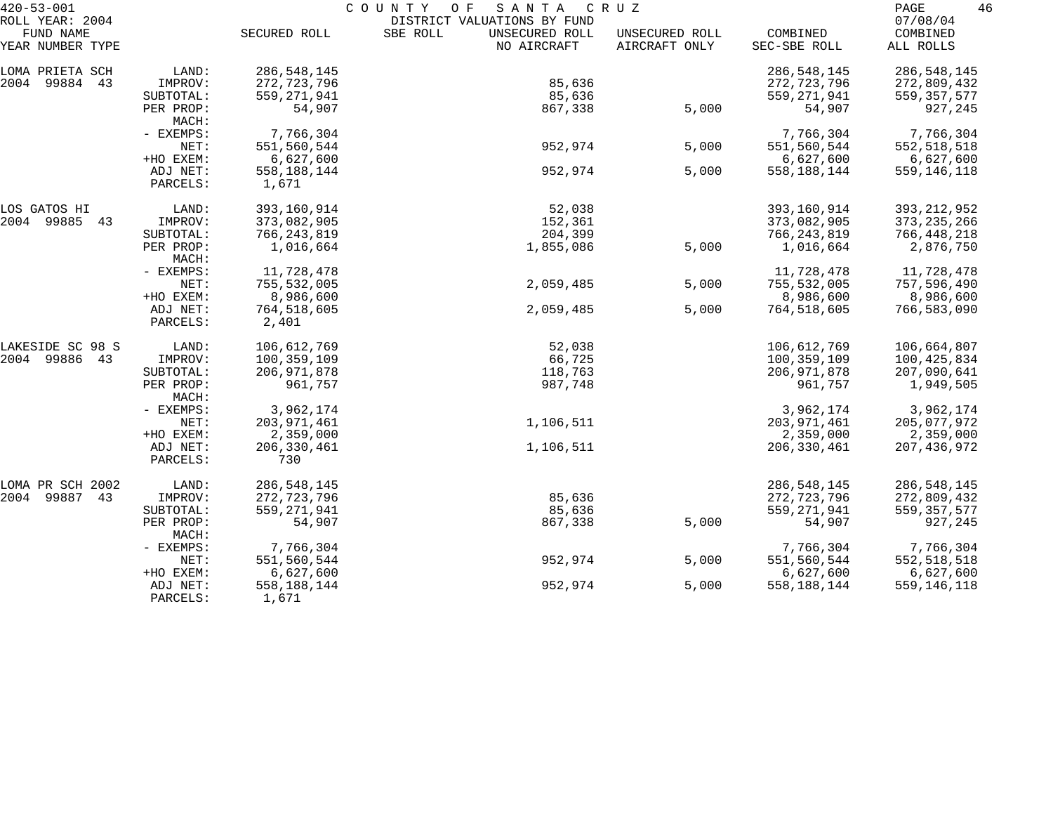| $420 - 53 - 001$    |                    |               | COUNTY<br>SANTA<br>O F      | C R U Z        |               | 46<br>PAGE    |
|---------------------|--------------------|---------------|-----------------------------|----------------|---------------|---------------|
| ROLL YEAR: 2004     |                    |               | DISTRICT VALUATIONS BY FUND |                |               | 07/08/04      |
| FUND NAME           |                    | SECURED ROLL  | SBE ROLL<br>UNSECURED ROLL  | UNSECURED ROLL | COMBINED      | COMBINED      |
| YEAR NUMBER TYPE    |                    |               | NO AIRCRAFT                 | AIRCRAFT ONLY  | SEC-SBE ROLL  | ALL ROLLS     |
| LOMA PRIETA SCH     | LAND:              | 286,548,145   |                             |                | 286, 548, 145 | 286,548,145   |
| 2004 99884<br>43    | IMPROV:            | 272,723,796   | 85,636                      |                | 272, 723, 796 | 272,809,432   |
|                     | SUBTOTAL:          | 559, 271, 941 | 85,636                      |                | 559, 271, 941 | 559,357,577   |
|                     | PER PROP:<br>MACH: | 54,907        | 867,338                     | 5,000          | 54,907        | 927,245       |
|                     | - EXEMPS:          | 7,766,304     |                             |                | 7,766,304     | 7,766,304     |
|                     | NET:               | 551,560,544   | 952,974                     | 5,000          | 551,560,544   | 552, 518, 518 |
|                     | +HO EXEM:          | 6,627,600     |                             |                | 6,627,600     | 6,627,600     |
|                     | ADJ NET:           | 558,188,144   | 952,974                     | 5,000          | 558,188,144   | 559,146,118   |
|                     | PARCELS:           | 1,671         |                             |                |               |               |
| LOS GATOS HI        | LAND:              | 393,160,914   | 52,038                      |                | 393,160,914   | 393, 212, 952 |
| 2004 99885<br>43    | IMPROV:            | 373,082,905   | 152,361                     |                | 373,082,905   | 373, 235, 266 |
|                     | SUBTOTAL:          | 766,243,819   | 204,399                     |                | 766, 243, 819 | 766,448,218   |
|                     | PER PROP:<br>MACH: | 1,016,664     | 1,855,086                   | 5,000          | 1,016,664     | 2,876,750     |
|                     | - EXEMPS:          | 11,728,478    |                             |                | 11,728,478    | 11,728,478    |
|                     | NET:               | 755,532,005   | 2,059,485                   | 5,000          | 755,532,005   | 757,596,490   |
|                     | +HO EXEM:          | 8,986,600     |                             |                | 8,986,600     | 8,986,600     |
|                     | ADJ NET:           | 764,518,605   | 2,059,485                   | 5,000          | 764,518,605   | 766,583,090   |
|                     | PARCELS:           | 2,401         |                             |                |               |               |
| LAKESIDE SC 98 S    | LAND:              | 106,612,769   | 52,038                      |                | 106,612,769   | 106,664,807   |
| 2004 99886 43       | IMPROV:            | 100,359,109   | 66,725                      |                | 100,359,109   | 100,425,834   |
|                     | SUBTOTAL:          | 206, 971, 878 | 118,763                     |                | 206, 971, 878 | 207,090,641   |
|                     | PER PROP:<br>MACH: | 961,757       | 987,748                     |                | 961,757       | 1,949,505     |
|                     | - EXEMPS:          | 3,962,174     |                             |                | 3,962,174     | 3,962,174     |
|                     | NET:               | 203, 971, 461 | 1,106,511                   |                | 203, 971, 461 | 205,077,972   |
|                     | +HO EXEM:          | 2,359,000     |                             |                | 2,359,000     | 2,359,000     |
|                     | ADJ NET:           | 206, 330, 461 | 1,106,511                   |                | 206,330,461   | 207, 436, 972 |
|                     | PARCELS:           | 730           |                             |                |               |               |
| LOMA PR SCH 2002    | LAND:              | 286,548,145   |                             |                | 286, 548, 145 | 286,548,145   |
| 2004<br>99887<br>43 | IMPROV:            | 272,723,796   | 85,636                      |                | 272,723,796   | 272,809,432   |
|                     | SUBTOTAL:          | 559, 271, 941 | 85,636                      |                | 559, 271, 941 | 559, 357, 577 |
|                     | PER PROP:<br>MACH: | 54,907        | 867,338                     | 5,000          | 54,907        | 927,245       |
|                     | - EXEMPS:          | 7,766,304     |                             |                | 7,766,304     | 7,766,304     |
|                     | NET:               | 551,560,544   | 952,974                     | 5,000          | 551,560,544   | 552,518,518   |
|                     | +HO EXEM:          | 6,627,600     |                             |                | 6,627,600     | 6,627,600     |
|                     | ADJ NET:           | 558,188,144   | 952,974                     | 5,000          | 558, 188, 144 | 559,146,118   |
|                     | PARCELS:           | 1,671         |                             |                |               |               |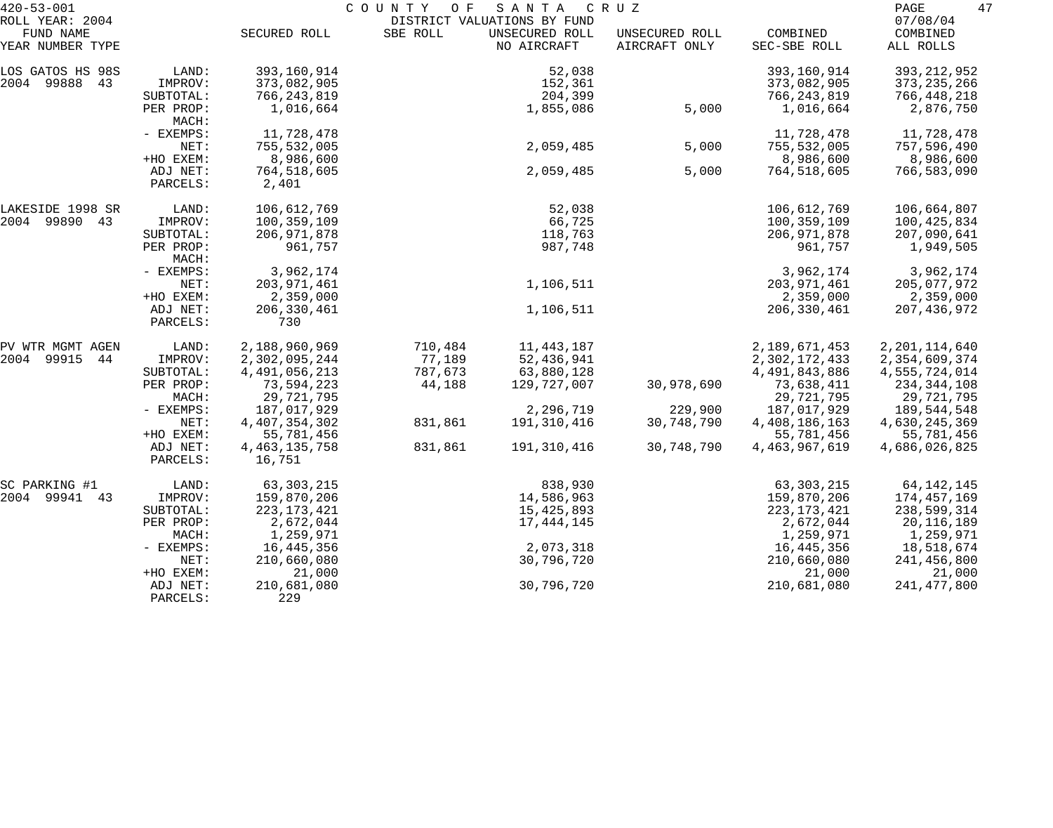| $420 - 53 - 001$                                 |                      |                            | COUNTY<br>O F | SANTA                                                        | C R U Z                         |                          | 47<br>PAGE                        |
|--------------------------------------------------|----------------------|----------------------------|---------------|--------------------------------------------------------------|---------------------------------|--------------------------|-----------------------------------|
| ROLL YEAR: 2004<br>FUND NAME<br>YEAR NUMBER TYPE |                      | SECURED ROLL               | SBE ROLL      | DISTRICT VALUATIONS BY FUND<br>UNSECURED ROLL<br>NO AIRCRAFT | UNSECURED ROLL<br>AIRCRAFT ONLY | COMBINED<br>SEC-SBE ROLL | 07/08/04<br>COMBINED<br>ALL ROLLS |
| LOS GATOS HS 98S                                 | LAND:                | 393,160,914                |               | 52,038                                                       |                                 | 393,160,914              | 393, 212, 952                     |
| 2004 99888 43                                    | IMPROV:              | 373,082,905                |               | 152,361                                                      |                                 | 373,082,905              | 373, 235, 266                     |
|                                                  | SUBTOTAL:            | 766, 243, 819              |               | 204,399                                                      |                                 | 766,243,819              | 766,448,218                       |
|                                                  | PER PROP:<br>MACH:   | 1,016,664                  |               | 1,855,086                                                    | 5,000                           | 1,016,664                | 2,876,750                         |
|                                                  | - EXEMPS:            | 11,728,478                 |               |                                                              |                                 | 11,728,478               | 11,728,478                        |
|                                                  | NET:                 | 755,532,005                |               | 2,059,485                                                    | 5,000                           | 755,532,005              | 757,596,490                       |
|                                                  | +HO EXEM:            | 8,986,600                  |               |                                                              |                                 | 8,986,600                | 8,986,600                         |
|                                                  | ADJ NET:<br>PARCELS: | 764,518,605<br>2,401       |               | 2,059,485                                                    | 5,000                           | 764,518,605              | 766,583,090                       |
| LAKESIDE 1998 SR                                 | LAND:                | 106,612,769                |               | 52,038                                                       |                                 | 106,612,769              | 106,664,807                       |
| 2004 99890 43                                    | IMPROV:              | 100,359,109                |               | 66,725                                                       |                                 | 100,359,109              | 100,425,834                       |
|                                                  | SUBTOTAL:            | 206, 971, 878              |               | 118,763                                                      |                                 | 206, 971, 878            | 207,090,641                       |
|                                                  | PER PROP:<br>MACH:   | 961,757                    |               | 987,748                                                      |                                 | 961,757                  | 1,949,505                         |
|                                                  | - EXEMPS:            | 3,962,174                  |               |                                                              |                                 | 3,962,174                | 3,962,174                         |
|                                                  | NET:                 | 203, 971, 461              |               | 1,106,511                                                    |                                 | 203, 971, 461            | 205,077,972                       |
|                                                  | +HO EXEM:            | 2,359,000                  |               |                                                              |                                 | 2,359,000                | 2,359,000                         |
|                                                  | ADJ NET:<br>PARCELS: | 206, 330, 461<br>730       |               | 1,106,511                                                    |                                 | 206,330,461              | 207,436,972                       |
| PV WTR MGMT AGEN                                 | LAND:                | 2,188,960,969              | 710,484       | 11, 443, 187                                                 |                                 | 2,189,671,453            | 2, 201, 114, 640                  |
| 2004 99915 44                                    | IMPROV:              | 2,302,095,244              | 77,189        | 52,436,941                                                   |                                 | 2,302,172,433            | 2,354,609,374                     |
|                                                  | SUBTOTAL:            | 4, 491, 056, 213           | 787,673       | 63,880,128                                                   |                                 | 4,491,843,886            | 4,555,724,014                     |
|                                                  | PER PROP:            | 73,594,223                 | 44,188        | 129,727,007                                                  | 30,978,690                      | 73,638,411               | 234,344,108                       |
|                                                  | MACH:                | 29,721,795                 |               |                                                              |                                 | 29,721,795               | 29,721,795                        |
|                                                  | - EXEMPS:            | 187,017,929                |               | 2,296,719                                                    | 229,900                         | 187,017,929              | 189,544,548                       |
|                                                  | NET:                 | 4, 407, 354, 302           | 831,861       | 191,310,416                                                  | 30,748,790                      | 4,408,186,163            | 4,630,245,369                     |
|                                                  | +HO EXEM:            | 55,781,456                 |               |                                                              |                                 | 55,781,456               | 55,781,456                        |
|                                                  | ADJ NET:<br>PARCELS: | 4, 463, 135, 758<br>16,751 | 831,861       | 191,310,416                                                  | 30,748,790                      | 4, 463, 967, 619         | 4,686,026,825                     |
| SC PARKING #1                                    | LAND:                | 63,303,215                 |               | 838,930                                                      |                                 | 63,303,215               | 64,142,145                        |
| 2004 99941 43                                    | IMPROV:              | 159,870,206                |               | 14,586,963                                                   |                                 | 159,870,206              | 174,457,169                       |
|                                                  | SUBTOTAL:            | 223, 173, 421              |               | 15,425,893                                                   |                                 | 223, 173, 421            | 238,599,314                       |
|                                                  | PER PROP:            | 2,672,044                  |               | 17,444,145                                                   |                                 | 2,672,044                | 20,116,189                        |
|                                                  | MACH:                | 1,259,971                  |               |                                                              |                                 | 1,259,971                | 1,259,971                         |
|                                                  | - EXEMPS:            | 16,445,356                 |               | 2,073,318                                                    |                                 | 16,445,356               | 18,518,674                        |
|                                                  | NET:                 | 210,660,080                |               | 30,796,720                                                   |                                 | 210,660,080              | 241,456,800                       |
|                                                  | +HO EXEM:            | 21,000                     |               |                                                              |                                 | 21,000                   | 21,000                            |
|                                                  | ADJ NET:<br>PARCELS: | 210,681,080<br>229         |               | 30,796,720                                                   |                                 | 210,681,080              | 241, 477, 800                     |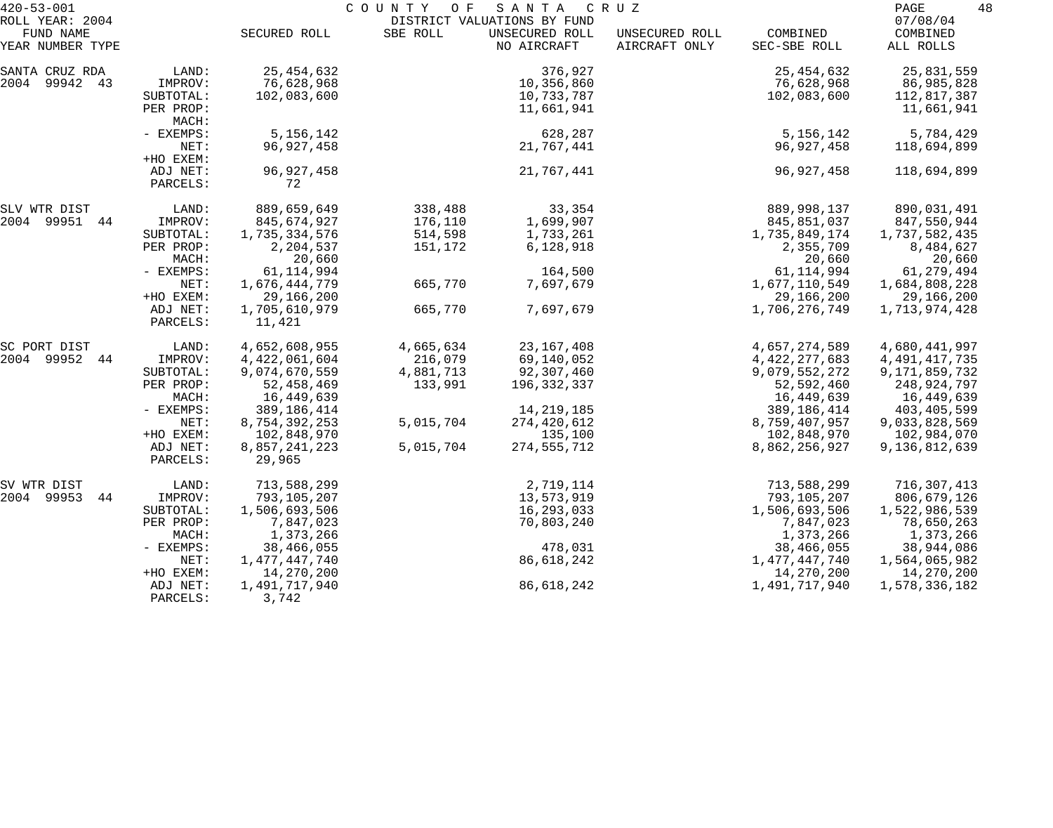| $420 - 53 - 001$                                 |                                                                                                                 | C O U N T Y<br>O F<br>SANTA<br>C R U Z                                                                                                                    |                                                                        |                                                                                                                    |                                 |                                                                                                                                                  |                                                                                                                                                 |
|--------------------------------------------------|-----------------------------------------------------------------------------------------------------------------|-----------------------------------------------------------------------------------------------------------------------------------------------------------|------------------------------------------------------------------------|--------------------------------------------------------------------------------------------------------------------|---------------------------------|--------------------------------------------------------------------------------------------------------------------------------------------------|-------------------------------------------------------------------------------------------------------------------------------------------------|
| ROLL YEAR: 2004<br>FUND NAME<br>YEAR NUMBER TYPE |                                                                                                                 | SECURED ROLL                                                                                                                                              | SBE ROLL                                                               | DISTRICT VALUATIONS BY FUND<br>UNSECURED ROLL<br>NO AIRCRAFT                                                       | UNSECURED ROLL<br>AIRCRAFT ONLY | COMBINED<br>SEC-SBE ROLL                                                                                                                         | 07/08/04<br>COMBINED<br>ALL ROLLS                                                                                                               |
| SANTA CRUZ RDA<br>2004 99942 43                  | LAND:<br>IMPROV:<br>SUBTOTAL:<br>PER PROP:                                                                      | 25, 454, 632<br>76,628,968<br>102,083,600                                                                                                                 |                                                                        | 376,927<br>10,356,860<br>10,733,787<br>11,661,941                                                                  |                                 | 25, 454, 632<br>76,628,968<br>102,083,600                                                                                                        | 25,831,559<br>86,985,828<br>112,817,387<br>11,661,941                                                                                           |
|                                                  | MACH:<br>- EXEMPS:<br>NET:<br>+HO EXEM:                                                                         | 5, 156, 142<br>96, 927, 458                                                                                                                               |                                                                        | 628,287<br>21,767,441                                                                                              |                                 | 5, 156, 142<br>96,927,458                                                                                                                        | 5,784,429<br>118,694,899                                                                                                                        |
|                                                  | ADJ NET:<br>PARCELS:                                                                                            | 96, 927, 458<br>72                                                                                                                                        |                                                                        | 21,767,441                                                                                                         |                                 | 96, 927, 458                                                                                                                                     | 118,694,899                                                                                                                                     |
| SLV WTR DIST<br>2004 99951 44                    | LAND:<br>IMPROV:<br>SUBTOTAL:<br>PER PROP:<br>MACH:                                                             | 889,659,649<br>845,674,927<br>1,735,334,576<br>2,204,537<br>20,660                                                                                        | 338,488<br>176,110<br>514,598<br>151,172                               | 33,354<br>1,699,907<br>1,733,261<br>6,128,918                                                                      |                                 | 889,998,137<br>845,851,037<br>1,735,849,174<br>2,355,709<br>20,660                                                                               | 890,031,491<br>847,550,944<br>1,737,582,435<br>8,484,627<br>20,660                                                                              |
|                                                  | - EXEMPS:<br>NET:<br>+HO EXEM:<br>ADJ NET:<br>PARCELS:                                                          | 61, 114, 994<br>1,676,444,779<br>29,166,200<br>1,705,610,979<br>11,421                                                                                    | 665,770<br>665,770                                                     | 164,500<br>7,697,679<br>7,697,679                                                                                  |                                 | 61, 114, 994<br>1,677,110,549<br>29,166,200<br>1,706,276,749                                                                                     | 61, 279, 494<br>1,684,808,228<br>29,166,200<br>1,713,974,428                                                                                    |
| SC PORT DIST<br>2004 99952<br>44                 | LAND:<br>IMPROV:<br>SUBTOTAL:<br>PER PROP:<br>MACH:<br>- EXEMPS:<br>NET:<br>+HO EXEM:<br>ADJ NET:<br>PARCELS:   | 4,652,608,955<br>4,422,061,604<br>9,074,670,559<br>52, 458, 469<br>16,449,639<br>389, 186, 414<br>8,754,392,253<br>102,848,970<br>8,857,241,223<br>29,965 | 4,665,634<br>216,079<br>4,881,713<br>133,991<br>5,015,704<br>5,015,704 | 23, 167, 408<br>69,140,052<br>92,307,460<br>196,332,337<br>14, 219, 185<br>274,420,612<br>135,100<br>274, 555, 712 |                                 | 4,657,274,589<br>4, 422, 277, 683<br>9,079,552,272<br>52,592,460<br>16,449,639<br>389, 186, 414<br>8,759,407,957<br>102,848,970<br>8,862,256,927 | 4,680,441,997<br>4, 491, 417, 735<br>9,171,859,732<br>248,924,797<br>16,449,639<br>403,405,599<br>9,033,828,569<br>102,984,070<br>9,136,812,639 |
| SV WTR DIST<br>2004 99953<br>44                  | LAND:<br>IMPROV:<br>SUBTOTAL:<br>PER PROP:<br>MACH:<br>$-$ EXEMPS:<br>NET:<br>+HO EXEM:<br>ADJ NET:<br>PARCELS: | 713,588,299<br>793,105,207<br>1,506,693,506<br>7,847,023<br>1,373,266<br>38,466,055<br>1,477,447,740<br>14,270,200<br>1,491,717,940<br>3,742              |                                                                        | 2,719,114<br>13,573,919<br>16,293,033<br>70,803,240<br>478,031<br>86,618,242<br>86,618,242                         |                                 | 713,588,299<br>793,105,207<br>1,506,693,506<br>7,847,023<br>1,373,266<br>38,466,055<br>1,477,447,740<br>14,270,200<br>1,491,717,940              | 716,307,413<br>806,679,126<br>1,522,986,539<br>78,650,263<br>1,373,266<br>38,944,086<br>1,564,065,982<br>14,270,200<br>1,578,336,182            |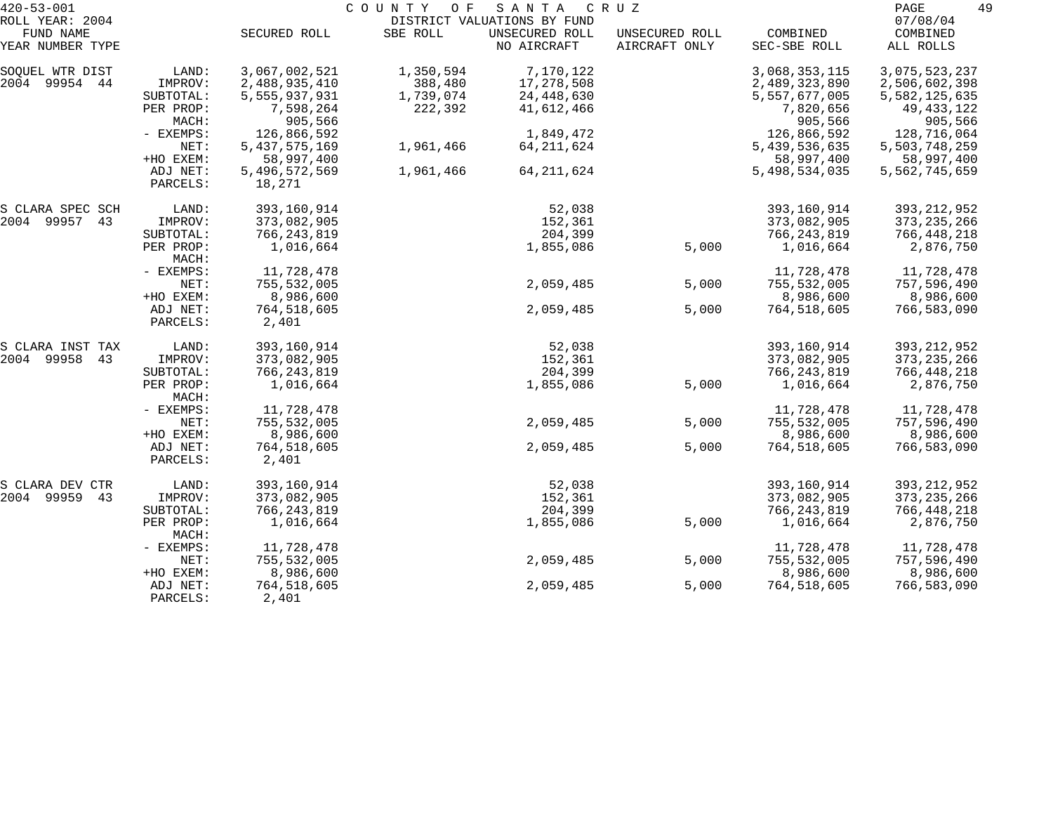| $420 - 53 - 001$              | COUNTY OF<br>SANTA<br>C R U Z |                         |           |                               |                                 |                          | 49<br>PAGE              |
|-------------------------------|-------------------------------|-------------------------|-----------|-------------------------------|---------------------------------|--------------------------|-------------------------|
| ROLL YEAR: 2004               |                               |                         |           | DISTRICT VALUATIONS BY FUND   |                                 |                          | 07/08/04                |
| FUND NAME<br>YEAR NUMBER TYPE |                               | SECURED ROLL            | SBE ROLL  | UNSECURED ROLL<br>NO AIRCRAFT | UNSECURED ROLL<br>AIRCRAFT ONLY | COMBINED<br>SEC-SBE ROLL | COMBINED<br>ALL ROLLS   |
| SOQUEL WTR DIST               | LAND:                         | 3,067,002,521           | 1,350,594 | 7,170,122                     |                                 | 3,068,353,115            | 3,075,523,237           |
| 2004 99954 44                 | IMPROV:                       | 2,488,935,410           | 388,480   | 17,278,508                    |                                 | 2,489,323,890            | 2,506,602,398           |
|                               | SUBTOTAL:                     | 5,555,937,931           | 1,739,074 | 24,448,630                    |                                 | 5,557,677,005            | 5,582,125,635           |
|                               | PER PROP:<br>MACH:            | 7,598,264<br>905,566    | 222,392   | 41,612,466                    |                                 | 7,820,656<br>905,566     | 49, 433, 122<br>905,566 |
|                               | - EXEMPS:                     | 126,866,592             |           | 1,849,472                     |                                 | 126,866,592              | 128,716,064             |
|                               | NET:                          | 5, 437, 575, 169        | 1,961,466 | 64, 211, 624                  |                                 | 5,439,536,635            | 5,503,748,259           |
|                               | +HO EXEM:                     | 58,997,400              |           |                               |                                 | 58,997,400               | 58,997,400              |
|                               | ADJ NET:<br>PARCELS:          | 5,496,572,569<br>18,271 | 1,961,466 | 64, 211, 624                  |                                 | 5,498,534,035            | 5,562,745,659           |
| S CLARA SPEC SCH              | LAND:                         | 393,160,914             |           | 52,038                        |                                 | 393,160,914              | 393, 212, 952           |
| 2004 99957<br>43              | IMPROV:                       | 373,082,905             |           | 152,361                       |                                 | 373,082,905              | 373, 235, 266           |
|                               | SUBTOTAL:                     | 766, 243, 819           |           | 204,399                       |                                 | 766, 243, 819            | 766,448,218             |
|                               | PER PROP:<br>MACH:            | 1,016,664               |           | 1,855,086                     | 5,000                           | 1,016,664                | 2,876,750               |
|                               | - EXEMPS:                     | 11,728,478              |           |                               |                                 | 11,728,478               | 11,728,478              |
|                               | NET:                          | 755,532,005             |           | 2,059,485                     | 5,000                           | 755,532,005              | 757,596,490             |
|                               | +HO EXEM:                     | 8,986,600               |           |                               |                                 | 8,986,600                | 8,986,600               |
|                               | ADJ NET:<br>PARCELS:          | 764,518,605<br>2,401    |           | 2,059,485                     | 5,000                           | 764,518,605              | 766,583,090             |
| S CLARA INST TAX              | LAND:                         | 393,160,914             |           | 52,038                        |                                 | 393,160,914              | 393, 212, 952           |
| 2004 99958<br>43              | IMPROV:                       | 373,082,905             |           | 152,361                       |                                 | 373,082,905              | 373, 235, 266           |
|                               | SUBTOTAL:                     | 766, 243, 819           |           | 204,399                       |                                 | 766, 243, 819            | 766,448,218             |
|                               | PER PROP:<br>MACH:            | 1,016,664               |           | 1,855,086                     | 5,000                           | 1,016,664                | 2,876,750               |
|                               | - EXEMPS:                     | 11,728,478              |           |                               |                                 | 11,728,478               | 11,728,478              |
|                               | NET:                          | 755,532,005             |           | 2,059,485                     | 5,000                           | 755,532,005              | 757,596,490             |
|                               | +HO EXEM:                     | 8,986,600               |           |                               |                                 | 8,986,600                | 8,986,600               |
|                               | ADJ NET:<br>PARCELS:          | 764,518,605<br>2,401    |           | 2,059,485                     | 5,000                           | 764,518,605              | 766,583,090             |
| S CLARA DEV CTR               | LAND:                         | 393,160,914             |           | 52,038                        |                                 | 393,160,914              | 393, 212, 952           |
| 2004 99959<br>43              | IMPROV:                       | 373,082,905             |           | 152,361                       |                                 | 373,082,905              | 373, 235, 266           |
|                               | SUBTOTAL:                     | 766, 243, 819           |           | 204,399                       |                                 | 766, 243, 819            | 766,448,218             |
|                               | PER PROP:<br>MACH:            | 1,016,664               |           | 1,855,086                     | 5,000                           | 1,016,664                | 2,876,750               |
|                               | - EXEMPS:                     | 11,728,478              |           |                               |                                 | 11,728,478               | 11,728,478              |
|                               | NET:                          | 755,532,005             |           | 2,059,485                     | 5,000                           | 755,532,005              | 757,596,490             |
|                               | +HO EXEM:                     | 8,986,600               |           |                               |                                 | 8,986,600                | 8,986,600               |
|                               | ADJ NET:                      | 764,518,605             |           | 2,059,485                     | 5,000                           | 764,518,605              | 766,583,090             |
|                               | PARCELS:                      | 2,401                   |           |                               |                                 |                          |                         |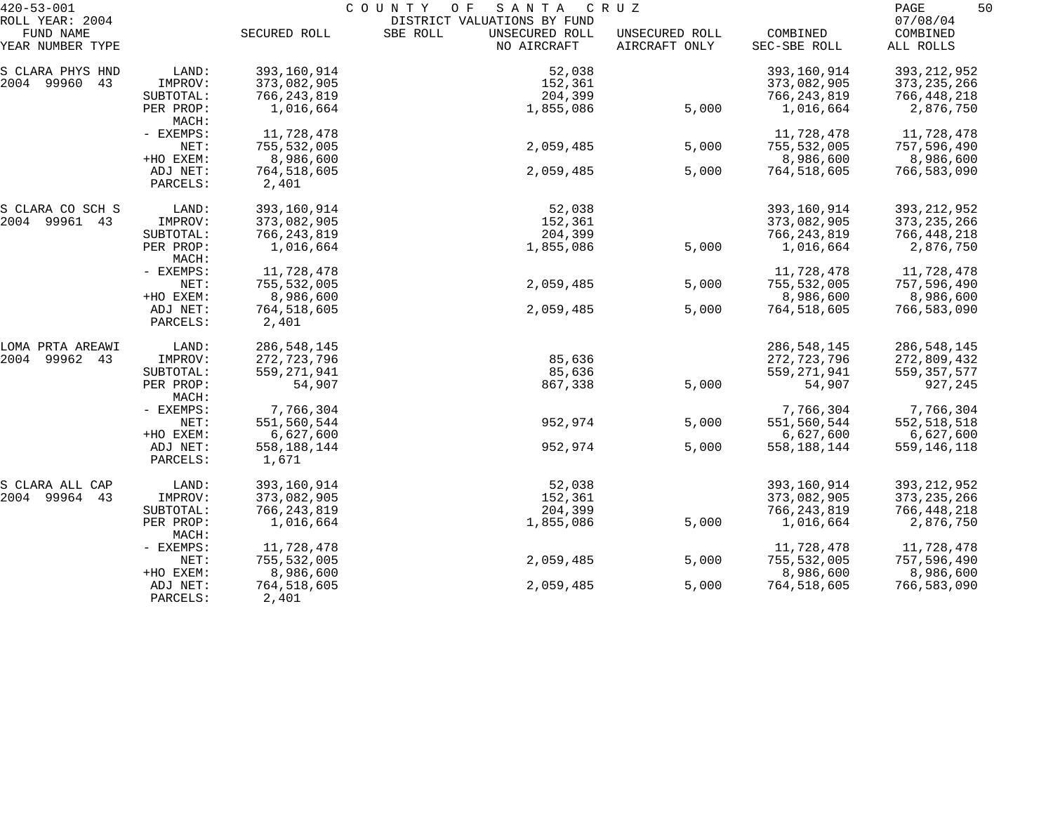| $420 - 53 - 001$              |                      | COUNTY<br>O F<br>SANTA<br>C R U Z |                                           |                                 |                          |                       |
|-------------------------------|----------------------|-----------------------------------|-------------------------------------------|---------------------------------|--------------------------|-----------------------|
| ROLL YEAR: 2004               |                      |                                   | DISTRICT VALUATIONS BY FUND               |                                 |                          | 07/08/04              |
| FUND NAME<br>YEAR NUMBER TYPE |                      | SECURED ROLL                      | SBE ROLL<br>UNSECURED ROLL<br>NO AIRCRAFT | UNSECURED ROLL<br>AIRCRAFT ONLY | COMBINED<br>SEC-SBE ROLL | COMBINED<br>ALL ROLLS |
| S CLARA PHYS HND              | LAND:                | 393,160,914                       | 52,038                                    |                                 | 393,160,914              | 393, 212, 952         |
| 2004 99960<br>43              | IMPROV:              | 373,082,905                       | 152,361                                   |                                 | 373,082,905              | 373, 235, 266         |
|                               | SUBTOTAL:            | 766,243,819                       | 204,399                                   |                                 | 766, 243, 819            | 766,448,218           |
|                               | PER PROP:<br>MACH:   | 1,016,664                         | 1,855,086                                 | 5,000                           | 1,016,664                | 2,876,750             |
|                               | - EXEMPS:            | 11,728,478                        |                                           |                                 | 11,728,478               | 11,728,478            |
|                               | NET:                 | 755,532,005                       | 2,059,485                                 | 5,000                           | 755,532,005              | 757,596,490           |
|                               | +HO EXEM:            | 8,986,600                         |                                           |                                 | 8,986,600                | 8,986,600             |
|                               | ADJ NET:<br>PARCELS: | 764,518,605<br>2,401              | 2,059,485                                 | 5,000                           | 764,518,605              | 766,583,090           |
| S CLARA CO SCH S              | LAND:                | 393,160,914                       | 52,038                                    |                                 | 393,160,914              | 393, 212, 952         |
| 2004 99961 43                 | IMPROV:              | 373,082,905                       | 152,361                                   |                                 | 373,082,905              | 373, 235, 266         |
|                               | SUBTOTAL:            | 766,243,819                       | 204,399                                   |                                 | 766, 243, 819            | 766,448,218           |
|                               | PER PROP:<br>MACH:   | 1,016,664                         | 1,855,086                                 | 5,000                           | 1,016,664                | 2,876,750             |
|                               | - EXEMPS:            | 11,728,478                        |                                           |                                 | 11,728,478               | 11,728,478            |
|                               | NET:                 | 755,532,005                       | 2,059,485                                 | 5,000                           | 755,532,005              | 757,596,490           |
|                               | +HO EXEM:            | 8,986,600                         |                                           |                                 | 8,986,600                | 8,986,600             |
|                               | ADJ NET:<br>PARCELS: | 764,518,605<br>2,401              | 2,059,485                                 | 5,000                           | 764,518,605              | 766,583,090           |
| LOMA PRTA AREAWI              | LAND:                | 286, 548, 145                     |                                           |                                 | 286, 548, 145            | 286,548,145           |
| 2004 99962 43                 | IMPROV:              | 272,723,796                       | 85,636                                    |                                 | 272,723,796              | 272,809,432           |
|                               | SUBTOTAL:            | 559, 271, 941                     | 85,636                                    |                                 | 559, 271, 941            | 559, 357, 577         |
|                               | PER PROP:<br>MACH:   | 54,907                            | 867,338                                   | 5,000                           | 54,907                   | 927,245               |
|                               | - EXEMPS:            | 7,766,304                         |                                           |                                 | 7,766,304                | 7,766,304             |
|                               | NET:                 | 551,560,544                       | 952,974                                   | 5,000                           | 551,560,544              | 552,518,518           |
|                               | +HO EXEM:            | 6,627,600                         |                                           |                                 | 6,627,600                | 6,627,600             |
|                               | ADJ NET:<br>PARCELS: | 558,188,144<br>1,671              | 952,974                                   | 5,000                           | 558, 188, 144            | 559,146,118           |
| S CLARA ALL CAP               | LAND:                | 393,160,914                       | 52,038                                    |                                 | 393,160,914              | 393, 212, 952         |
| 2004 99964<br>43              | IMPROV:              | 373,082,905                       | 152,361                                   |                                 | 373,082,905              | 373, 235, 266         |
|                               | SUBTOTAL:            | 766, 243, 819                     | 204,399                                   |                                 | 766, 243, 819            | 766,448,218           |
|                               | PER PROP:<br>MACH:   | 1,016,664                         | 1,855,086                                 | 5,000                           | 1,016,664                | 2,876,750             |
|                               | - EXEMPS:            | 11,728,478                        |                                           |                                 | 11,728,478               | 11,728,478            |
|                               | NET:                 | 755,532,005                       | 2,059,485                                 | 5,000                           | 755,532,005              | 757,596,490           |
|                               | +HO EXEM:            | 8,986,600                         |                                           |                                 | 8,986,600                | 8,986,600             |
|                               | ADJ NET:<br>PARCELS: | 764,518,605<br>2,401              | 2,059,485                                 | 5,000                           | 764,518,605              | 766,583,090           |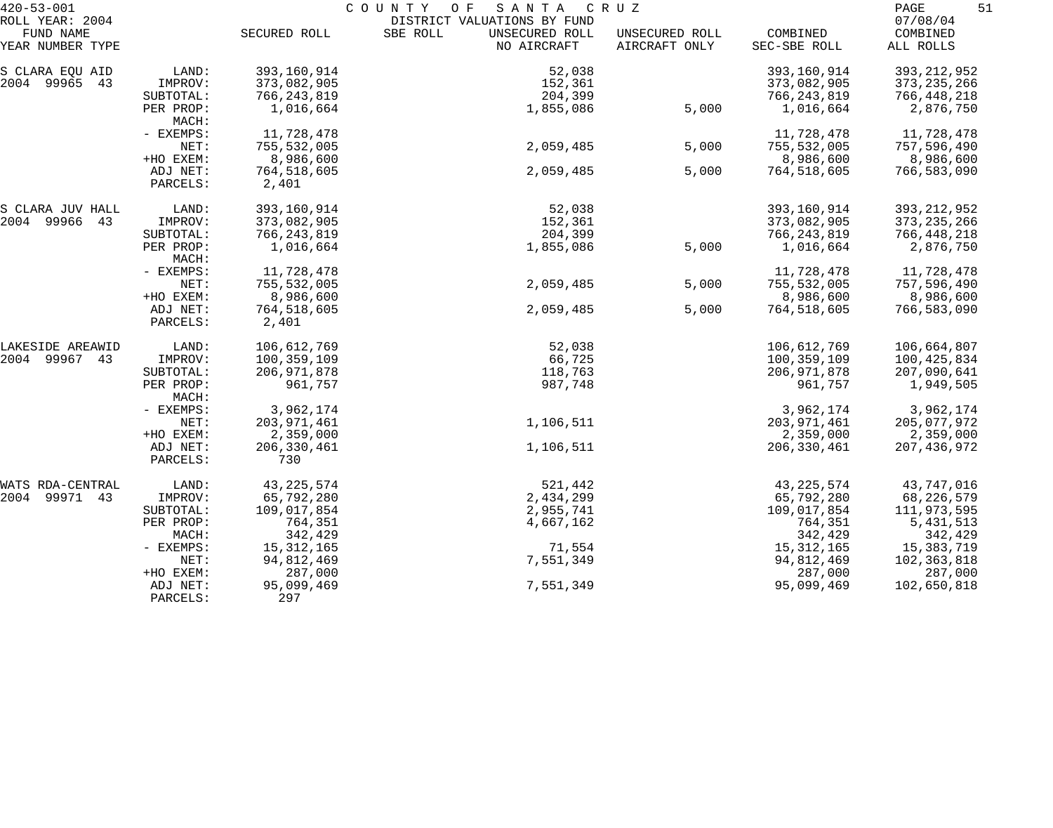| $420 - 53 - 001$             |                      | COUNTY<br>O F<br>SANTA<br>CRUZ |                                                           |                |               |                      |
|------------------------------|----------------------|--------------------------------|-----------------------------------------------------------|----------------|---------------|----------------------|
| ROLL YEAR: 2004<br>FUND NAME |                      | SECURED ROLL                   | DISTRICT VALUATIONS BY FUND<br>SBE ROLL<br>UNSECURED ROLL | UNSECURED ROLL | COMBINED      | 07/08/04<br>COMBINED |
| YEAR NUMBER TYPE             |                      |                                | NO AIRCRAFT                                               | AIRCRAFT ONLY  | SEC-SBE ROLL  | ALL ROLLS            |
| S CLARA EQU AID              | LAND:                | 393,160,914                    | 52,038                                                    |                | 393,160,914   | 393, 212, 952        |
| 2004 99965<br>43             | IMPROV:              | 373,082,905                    | 152,361                                                   |                | 373,082,905   | 373, 235, 266        |
|                              | SUBTOTAL:            | 766,243,819                    | 204,399                                                   |                | 766, 243, 819 | 766,448,218          |
|                              | PER PROP:<br>MACH:   | 1,016,664                      | 1,855,086                                                 | 5,000          | 1,016,664     | 2,876,750            |
|                              | - EXEMPS:            | 11,728,478                     |                                                           |                | 11,728,478    | 11,728,478           |
|                              | NET:                 | 755,532,005                    | 2,059,485                                                 | 5,000          | 755,532,005   | 757,596,490          |
|                              | +HO EXEM:            | 8,986,600                      |                                                           |                | 8,986,600     | 8,986,600            |
|                              | ADJ NET:<br>PARCELS: | 764,518,605<br>2,401           | 2,059,485                                                 | 5,000          | 764,518,605   | 766,583,090          |
|                              |                      |                                |                                                           |                |               |                      |
| S CLARA JUV HALL             | LAND:                | 393,160,914                    | 52,038                                                    |                | 393,160,914   | 393, 212, 952        |
| 2004 99966<br>43             | IMPROV:              | 373,082,905                    | 152,361                                                   |                | 373,082,905   | 373, 235, 266        |
|                              | SUBTOTAL:            | 766, 243, 819                  | 204,399                                                   |                | 766, 243, 819 | 766,448,218          |
|                              | PER PROP:<br>MACH:   | 1,016,664                      | 1,855,086                                                 | 5,000          | 1,016,664     | 2,876,750            |
|                              | - EXEMPS:            | 11,728,478                     |                                                           |                | 11,728,478    | 11,728,478           |
|                              | NET:                 | 755,532,005                    | 2,059,485                                                 | 5,000          | 755,532,005   | 757,596,490          |
|                              | +HO EXEM:            | 8,986,600                      |                                                           |                | 8,986,600     | 8,986,600            |
|                              | ADJ NET:<br>PARCELS: | 764,518,605<br>2,401           | 2,059,485                                                 | 5,000          | 764,518,605   | 766,583,090          |
| LAKESIDE AREAWID             | LAND:                | 106,612,769                    | 52,038                                                    |                | 106,612,769   | 106,664,807          |
| 2004 99967<br>43             | IMPROV:              | 100,359,109                    | 66,725                                                    |                | 100,359,109   | 100,425,834          |
|                              | SUBTOTAL:            | 206, 971, 878                  | 118,763                                                   |                | 206, 971, 878 | 207,090,641          |
|                              | PER PROP:            | 961,757                        | 987,748                                                   |                | 961,757       | 1,949,505            |
|                              | MACH:                |                                |                                                           |                |               |                      |
|                              | - EXEMPS:            | 3,962,174                      |                                                           |                | 3,962,174     | 3,962,174            |
|                              | NET:                 | 203, 971, 461                  | 1,106,511                                                 |                | 203, 971, 461 | 205,077,972          |
|                              | +HO EXEM:            | 2,359,000                      |                                                           |                | 2,359,000     | 2,359,000            |
|                              | ADJ NET:<br>PARCELS: | 206, 330, 461<br>730           | 1,106,511                                                 |                | 206, 330, 461 | 207,436,972          |
| WATS RDA-CENTRAL             | LAND:                | 43, 225, 574                   | 521,442                                                   |                | 43, 225, 574  | 43,747,016           |
| 2004 99971 43                | IMPROV:              | 65,792,280                     | 2,434,299                                                 |                | 65,792,280    | 68,226,579           |
|                              | SUBTOTAL:            | 109,017,854                    | 2,955,741                                                 |                | 109,017,854   | 111,973,595          |
|                              | PER PROP:            | 764,351                        | 4,667,162                                                 |                | 764,351       | 5, 431, 513          |
|                              | MACH:                | 342,429                        |                                                           |                | 342,429       | 342,429              |
|                              |                      |                                |                                                           |                | 15, 312, 165  |                      |
|                              | - EXEMPS:            | 15, 312, 165                   | 71,554                                                    |                |               | 15,383,719           |
|                              | NET:                 | 94,812,469                     | 7,551,349                                                 |                | 94,812,469    | 102,363,818          |
|                              | +HO EXEM:            | 287,000                        |                                                           |                | 287,000       | 287,000              |
|                              | ADJ NET:<br>PARCELS: | 95,099,469<br>297              | 7,551,349                                                 |                | 95,099,469    | 102,650,818          |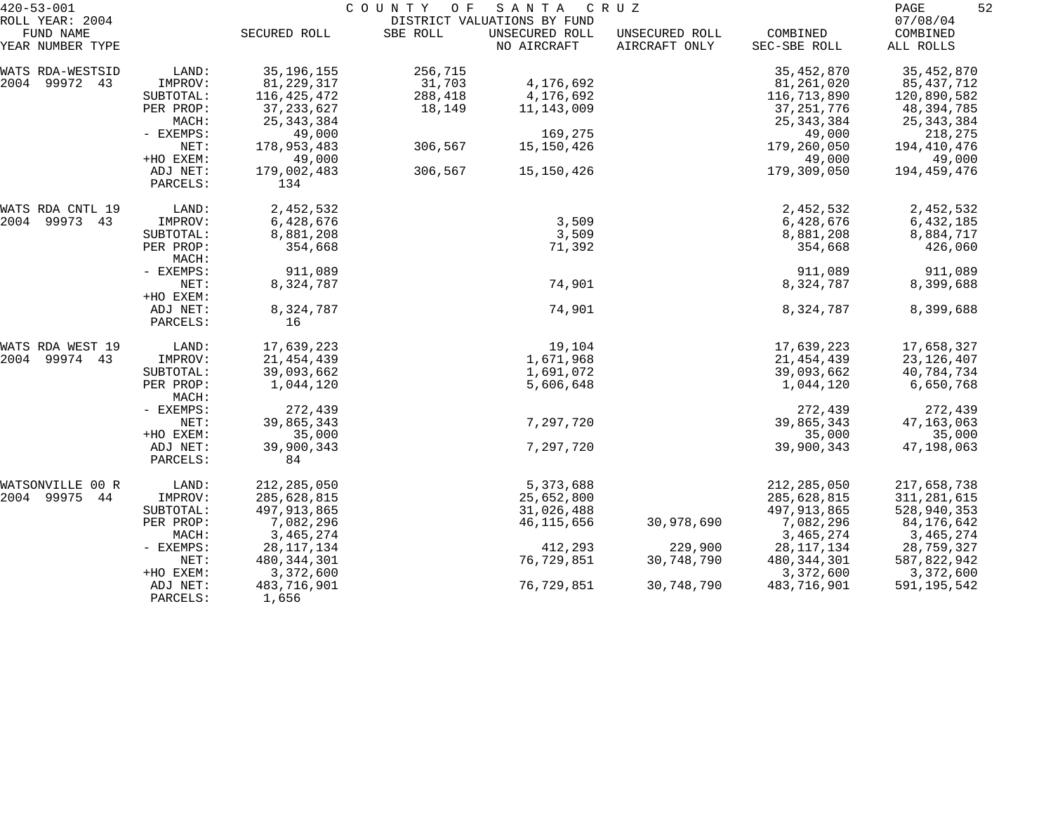| $420 - 53 - 001$                                 | COUNTY OF<br>SANTA<br>C R U Z<br>DISTRICT VALUATIONS BY FUND |                      |          |                               |                                 |                          | 52<br>PAGE                        |
|--------------------------------------------------|--------------------------------------------------------------|----------------------|----------|-------------------------------|---------------------------------|--------------------------|-----------------------------------|
| ROLL YEAR: 2004<br>FUND NAME<br>YEAR NUMBER TYPE |                                                              | SECURED ROLL         | SBE ROLL | UNSECURED ROLL<br>NO AIRCRAFT | UNSECURED ROLL<br>AIRCRAFT ONLY | COMBINED<br>SEC-SBE ROLL | 07/08/04<br>COMBINED<br>ALL ROLLS |
| WATS RDA-WESTSID                                 | LAND:                                                        | 35, 196, 155         | 256,715  |                               |                                 | 35, 452, 870             | 35, 452, 870                      |
| 2004 99972 43                                    | IMPROV:                                                      | 81, 229, 317         | 31,703   | 4,176,692                     |                                 | 81,261,020               | 85,437,712                        |
|                                                  | SUBTOTAL:                                                    | 116,425,472          | 288,418  | 4,176,692                     |                                 | 116,713,890              | 120,890,582                       |
|                                                  | PER PROP:                                                    | 37, 233, 627         | 18,149   | 11, 143, 009                  |                                 | 37, 251, 776             | 48,394,785                        |
|                                                  | MACH:                                                        | 25, 343, 384         |          |                               |                                 | 25, 343, 384             | 25, 343, 384                      |
|                                                  | - EXEMPS:                                                    | 49,000               |          | 169,275                       |                                 | 49,000                   | 218,275                           |
|                                                  | NET:                                                         | 178,953,483          | 306,567  | 15,150,426                    |                                 | 179,260,050              | 194,410,476                       |
|                                                  | +HO EXEM:                                                    | 49,000               |          |                               |                                 | 49,000                   | 49,000                            |
|                                                  | ADJ NET:<br>PARCELS:                                         | 179,002,483<br>134   | 306,567  | 15,150,426                    |                                 | 179,309,050              | 194,459,476                       |
| WATS RDA CNTL 19                                 | LAND:                                                        | 2,452,532            |          |                               |                                 | 2,452,532                | 2,452,532                         |
| 2004 99973 43                                    | IMPROV:                                                      | 6,428,676            |          | 3,509                         |                                 | 6,428,676                | 6,432,185                         |
|                                                  | SUBTOTAL:                                                    | 8,881,208            |          | 3,509                         |                                 | 8,881,208                | 8,884,717                         |
|                                                  | PER PROP:<br>MACH:                                           | 354,668              |          | 71,392                        |                                 | 354,668                  | 426,060                           |
|                                                  | - EXEMPS:                                                    | 911,089              |          |                               |                                 | 911,089                  | 911,089                           |
|                                                  | NET:                                                         | 8,324,787            |          | 74,901                        |                                 | 8,324,787                | 8,399,688                         |
|                                                  | +HO EXEM:                                                    |                      |          |                               |                                 |                          |                                   |
|                                                  | ADJ NET:                                                     | 8,324,787            |          | 74,901                        |                                 | 8,324,787                | 8,399,688                         |
|                                                  | PARCELS:                                                     | 16                   |          |                               |                                 |                          |                                   |
| WATS RDA WEST 19                                 | LAND:                                                        | 17,639,223           |          | 19,104                        |                                 | 17,639,223               | 17,658,327                        |
| 2004 99974 43                                    | IMPROV:                                                      | 21, 454, 439         |          | 1,671,968                     |                                 | 21,454,439               | 23, 126, 407                      |
|                                                  | SUBTOTAL:                                                    | 39,093,662           |          | 1,691,072                     |                                 | 39,093,662               | 40,784,734                        |
|                                                  | PER PROP:<br>MACH:                                           | 1,044,120            |          | 5,606,648                     |                                 | 1,044,120                | 6,650,768                         |
|                                                  | - EXEMPS:                                                    | 272,439              |          |                               |                                 | 272,439                  | 272,439                           |
|                                                  | NET:                                                         | 39,865,343           |          | 7,297,720                     |                                 | 39,865,343               | 47, 163, 063                      |
|                                                  | +HO EXEM:                                                    | 35,000               |          |                               |                                 | 35,000                   | 35,000                            |
|                                                  | ADJ NET:                                                     | 39,900,343           |          | 7,297,720                     |                                 | 39,900,343               | 47,198,063                        |
|                                                  | PARCELS:                                                     | 84                   |          |                               |                                 |                          |                                   |
| WATSONVILLE<br>00 R                              | LAND:                                                        | 212,285,050          |          | 5,373,688                     |                                 | 212, 285, 050            | 217,658,738                       |
| 2004 99975<br>44                                 | IMPROV:                                                      | 285,628,815          |          | 25,652,800                    |                                 | 285,628,815              | 311, 281, 615                     |
|                                                  | SUBTOTAL:                                                    | 497, 913, 865        |          | 31,026,488                    |                                 | 497, 913, 865            | 528,940,353                       |
|                                                  | PER PROP:                                                    | 7,082,296            |          | 46,115,656                    | 30,978,690                      | 7,082,296                | 84,176,642                        |
|                                                  | MACH:                                                        | 3,465,274            |          |                               |                                 | 3, 465, 274              | 3,465,274                         |
|                                                  | - EXEMPS:                                                    | 28, 117, 134         |          | 412,293                       | 229,900                         | 28, 117, 134             | 28,759,327                        |
|                                                  | NET:                                                         | 480, 344, 301        |          | 76,729,851                    | 30,748,790                      | 480, 344, 301            | 587,822,942                       |
|                                                  | +HO EXEM:                                                    | 3,372,600            |          |                               |                                 | 3,372,600                | 3,372,600                         |
|                                                  | ADJ NET:<br>PARCELS:                                         | 483,716,901<br>1,656 |          | 76,729,851                    | 30,748,790                      | 483,716,901              | 591,195,542                       |